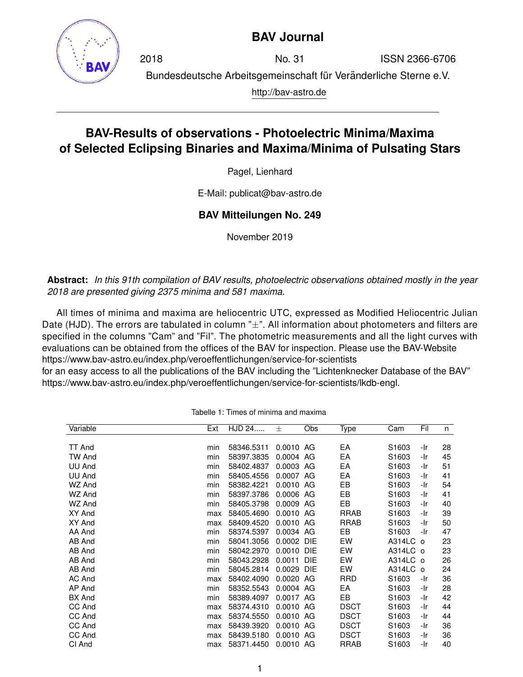

## **BAV Journal**

2018 No. 31 ISSN 2366-6706 Bundesdeutsche Arbeitsgemeinschaft für Veränderliche Sterne e.V. http://bav-astro.de

# **BAV-Results of observations - Photoelectric Minima/Maxima of Selected Eclipsing Binaries and Maxima/Minima of Pulsating Stars**

Pagel, Lienhard

E-Mail: publicat@bav-astro.de

### **BAV Mitteilungen No. 249**

November 2019

**Abstract:** *In this 91th compilation of BAV results, photoelectric observations obtained mostly in the year 2018 are presented giving 2375 minima and 581 maxima.*

All times of minima and maxima are heliocentric UTC, expressed as Modified Heliocentric Julian Date (HJD). The errors are tabulated in column " $\pm$ ". All information about photometers and filters are specified in the columns "Cam" and "Fil". The photometric measurements and all the light curves with evaluations can be obtained from the offices of the BAV for inspection. Please use the BAV-Website https://www.bav-astro.eu/index.php/veroeffentlichungen/service-for-scientists

for an easy access to all the publications of the BAV including the "Lichtenknecker Database of the BAV" https://www.bav-astro.eu/index.php/veroeffentlichungen/service-for-scientists/lkdb-engl.

| Variable      | Ext | HJD 24     | 士           | Obs        | Type        | Cam               | Fil | n  |
|---------------|-----|------------|-------------|------------|-------------|-------------------|-----|----|
|               |     |            |             |            |             |                   |     |    |
| <b>TT And</b> | min | 58346.5311 | $0.0010$ AG |            | EA          | S1603             | -Ir | 28 |
| <b>TW And</b> | min | 58397.3835 | 0.0004 AG   |            | EA          | S1603             | -Ir | 45 |
| UU And        | min | 58402.4837 | 0.0003 AG   |            | EA          | S <sub>1603</sub> | -Ir | 51 |
| UU And        | min | 58405.4556 | 0.0007 AG   |            | EA          | S <sub>1603</sub> | -Ir | 41 |
| WZ And        | min | 58382.4221 | 0.0010 AG   |            | EB          | S1603             | -Ir | 54 |
| WZ And        | min | 58397.3786 | 0.0006 AG   |            | EB          | S1603             | -Ir | 41 |
| WZ And        | min | 58405.3798 | 0.0009 AG   |            | EB          | S <sub>1603</sub> | -Ir | 40 |
| XY And        | max | 58405.4690 | 0.0010 AG   |            | <b>RRAB</b> | S1603             | -Ir | 39 |
| XY And        | max | 58409.4520 | 0.0010 AG   |            | <b>RRAB</b> | S <sub>1603</sub> | -Ir | 50 |
| AA And        | min | 58374.5397 | 0.0034 AG   |            | EB          | S1603             | -Ir | 47 |
| AB And        | min | 58041.3056 | 0.0002      | DIE        | EW          | A314LC o          |     | 23 |
| AB And        | min | 58042.2970 | 0.0010      | <b>DIE</b> | EW          | $A314LC$ o        |     | 23 |
| AB And        | min | 58043.2928 | 0.0011      | <b>DIE</b> | EW          | A314LC o          |     | 26 |
| AB And        | min | 58045.2814 | 0.0029      | <b>DIE</b> | EW          | A314LC o          |     | 24 |
| AC And        | max | 58402.4090 | 0.0020 AG   |            | RRD         | S1603             | -Ir | 36 |
| AP And        | min | 58352.5543 | 0.0004 AG   |            | EA          | S1603             | -Ir | 28 |
| <b>BX</b> And | min | 58389.4097 | 0.0017 AG   |            | EB.         | S1603             | -Ir | 42 |
| CC And        | max | 58374.4310 | 0.0010 AG   |            | <b>DSCT</b> | S1603             | -Ir | 44 |
| CC And        | max | 58374.5550 | $0.0010$ AG |            | <b>DSCT</b> | S1603             | -Ir | 44 |
| CC And        | max | 58439.3920 | 0.0010 AG   |            | <b>DSCT</b> | S1603             | -Ir | 36 |
| CC And        | max | 58439.5180 | 0.0010 AG   |            | <b>DSCT</b> | S1603             | -Ir | 36 |
| CI And        | max | 58371.4450 | 0.0010 AG   |            | <b>RRAB</b> | S <sub>1603</sub> | -Ir | 40 |

Tabelle 1: Times of minima and maxima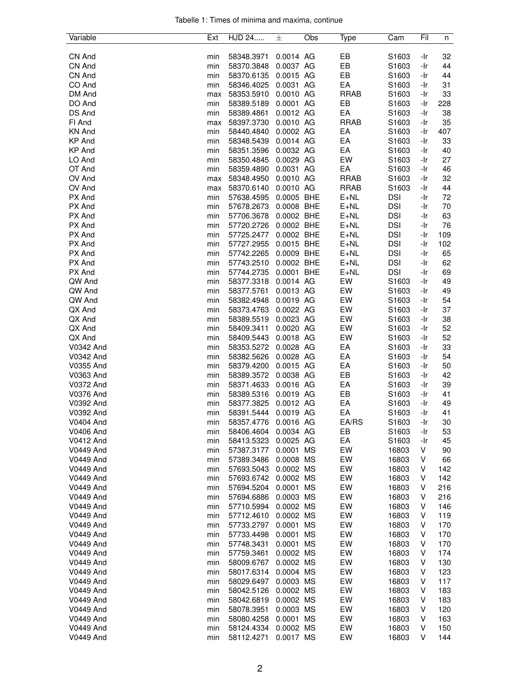| Tabelle 1: Times of minima and maxima, continue |  |  |  |
|-------------------------------------------------|--|--|--|
|                                                 |  |  |  |

| Variable         | Ext | HJD 24     | 士           | Obs | Type        | Cam        | Fil | n   |
|------------------|-----|------------|-------------|-----|-------------|------------|-----|-----|
|                  |     |            |             |     |             |            |     |     |
| CN And           | min | 58348.3971 | 0.0014 AG   |     | EB          | S1603      | -Ir | 32  |
| CN And           | min | 58370.3848 | 0.0037 AG   |     | EB          | S1603      | -Ir | 44  |
| CN And           | min | 58370.6135 | 0.0015 AG   |     | EB          | S1603      | -Ir | 44  |
| CO And           | min | 58346.4025 | 0.0031 AG   |     | EA          | S1603      | -Ir | 31  |
| DM And           | max | 58353.5910 | 0.0010 AG   |     | <b>RRAB</b> | S1603      | -Ir | 33  |
| DO And           | min | 58389.5189 | 0.0001 AG   |     | EB          | S1603      | -Ir | 228 |
| DS And           | min | 58389.4861 | 0.0012 AG   |     | EA          | S1603      | -Ir | 38  |
| FI And           | max | 58397.3730 | 0.0010 AG   |     | <b>RRAB</b> | S1603      | -Ir | 35  |
| <b>KN And</b>    | min | 58440.4840 | 0.0002 AG   |     | EA          | S1603      | -Ir | 407 |
| <b>KP And</b>    | min | 58348.5439 | 0.0014 AG   |     | EA          | S1603      | -Ir | 33  |
| <b>KP And</b>    | min | 58351.3596 | 0.0032 AG   |     | EA          | S1603      | -Ir | 40  |
| LO And           | min | 58350.4845 | 0.0029 AG   |     | EW          | S1603      | -Ir | 27  |
| OT And           | min | 58359.4890 | 0.0031 AG   |     | EA          | S1603      | -Ir | 46  |
| OV And           | max | 58348.4950 | 0.0010 AG   |     | <b>RRAB</b> | S1603      | -Ir | 32  |
| OV And           | max | 58370.6140 | 0.0010 AG   |     | <b>RRAB</b> | S1603      | -Ir | 44  |
| PX And           | min | 57638.4595 | 0.0005 BHE  |     | $E + NL$    | <b>DSI</b> | -Ir | 72  |
| PX And           | min | 57678.2673 | 0.0008 BHE  |     | $E + NL$    | <b>DSI</b> | -Ir | 70  |
| PX And           | min | 57706.3678 | 0.0002 BHE  |     | $E+NL$      | <b>DSI</b> | -Ir | 63  |
|                  |     |            |             |     |             |            |     |     |
| PX And           | min | 57720.2726 | 0.0002 BHE  |     | $E + NL$    | <b>DSI</b> | -Ir | 76  |
| PX And           | min | 57725.2477 | 0.0002 BHE  |     | $E + NL$    | <b>DSI</b> | -Ir | 109 |
| PX And           | min | 57727.2955 | 0.0015 BHE  |     | $E + NL$    | <b>DSI</b> | -Ir | 102 |
| PX And           | min | 57742.2265 | 0.0009 BHE  |     | $E + NL$    | <b>DSI</b> | -Ir | 65  |
| PX And           | min | 57743.2510 | 0.0002 BHE  |     | $E + NL$    | <b>DSI</b> | -Ir | 62  |
| PX And           | min | 57744.2735 | 0.0001 BHE  |     | $E + NL$    | <b>DSI</b> | -Ir | 69  |
| QW And           | min | 58377.3318 | 0.0014 AG   |     | EW          | S1603      | -Ir | 49  |
| QW And           | min | 58377.5761 | 0.0013 AG   |     | EW          | S1603      | -Ir | 49  |
| QW And           | min | 58382.4948 | 0.0019 AG   |     | EW          | S1603      | -Ir | 54  |
| QX And           | min | 58373.4763 | 0.0022 AG   |     | EW          | S1603      | -Ir | 37  |
| QX And           | min | 58389.5519 | 0.0023 AG   |     | EW          | S1603      | -Ir | 38  |
| QX And           | min | 58409.3411 | 0.0020 AG   |     | EW          | S1603      | -Ir | 52  |
| QX And           | min | 58409.5443 | 0.0018 AG   |     | EW          | S1603      | -Ir | 52  |
| V0342 And        | min | 58353.5272 | 0.0028 AG   |     | EA          | S1603      | -Ir | 33  |
| V0342 And        | min | 58382.5626 | 0.0028 AG   |     | EA          | S1603      | -Ir | 54  |
| V0355 And        | min | 58379.4200 | 0.0015 AG   |     | EA          | S1603      | -Ir | 50  |
| V0363 And        | min | 58389.3572 | 0.0038 AG   |     | EB          | S1603      | -Ir | 42  |
| V0372 And        | min | 58371.4633 | 0.0016 AG   |     | EA          | S1603      | -Ir | 39  |
| <b>V0376 And</b> |     |            | 0.0019 AG   |     |             |            |     |     |
|                  | min | 58389.5316 |             |     | EB          | S1603      | -Ir | 41  |
| V0392 And        | min | 58377.3825 | 0.0012 AG   |     | EA          | S1603      | -Ir | 49  |
| V0392 And        | min | 58391.5444 | 0.0019 AG   |     | EA          | S1603      | -Ir | 41  |
| V0404 And        | min | 58357.4776 | $0.0016$ AG |     | EA/RS       | S1603      | -Ir | 30  |
| V0406 And        | min | 58406.4604 | 0.0034 AG   |     | EB          | S1603      | -Ir | 53  |
| V0412 And        | min | 58413.5323 | 0.0025 AG   |     | EA          | S1603      | -Ir | 45  |
| V0449 And        | min | 57387.3177 | 0.0001 MS   |     | EW          | 16803      | V   | 90  |
| <b>V0449 And</b> | min | 57389.3486 | 0.0008 MS   |     | EW          | 16803      | V   | 66  |
| V0449 And        | min | 57693.5043 | 0.0002 MS   |     | EW          | 16803      | V   | 142 |
| V0449 And        | min | 57693.6742 | 0.0002 MS   |     | EW          | 16803      | V   | 142 |
| V0449 And        | min | 57694.5204 | 0.0001 MS   |     | EW          | 16803      | V   | 216 |
| V0449 And        | min | 57694.6886 | 0.0003 MS   |     | EW          | 16803      | ٧   | 216 |
| V0449 And        | min | 57710.5994 | 0.0002 MS   |     | EW          | 16803      | V   | 146 |
| V0449 And        | min | 57712.4610 | 0.0002 MS   |     | EW          | 16803      | V   | 119 |
| V0449 And        | min | 57733.2797 | 0.0001 MS   |     | EW          | 16803      | V   | 170 |
| V0449 And        | min | 57733.4498 | 0.0001 MS   |     | EW          | 16803      | V   | 170 |
| V0449 And        | min | 57748.3431 | 0.0001 MS   |     | EW          | 16803      | V   | 170 |
| V0449 And        | min | 57759.3461 | 0.0002 MS   |     | EW          | 16803      | ٧   | 174 |
|                  |     |            |             |     |             |            |     |     |
| V0449 And        | min | 58009.6767 | 0.0002 MS   |     | EW          | 16803      | V   | 130 |
| V0449 And        | min | 58017.6314 | 0.0004 MS   |     | EW          | 16803      | V   | 123 |
| <b>V0449 And</b> | min | 58029.6497 | 0.0003 MS   |     | EW          | 16803      | V   | 117 |
| V0449 And        | min | 58042.5126 | 0.0002 MS   |     | EW          | 16803      | V   | 183 |
| V0449 And        | min | 58042.6819 | 0.0002 MS   |     | EW          | 16803      | V   | 183 |
| V0449 And        | min | 58078.3951 | 0.0003 MS   |     | EW          | 16803      | V   | 120 |
| V0449 And        | min | 58080.4258 | 0.0001 MS   |     | EW          | 16803      | V   | 163 |
| V0449 And        | min | 58124.4334 | 0.0002 MS   |     | EW          | 16803      | V   | 150 |
| <b>V0449 And</b> | min | 58112.4271 | 0.0017 MS   |     | EW          | 16803      | V   | 144 |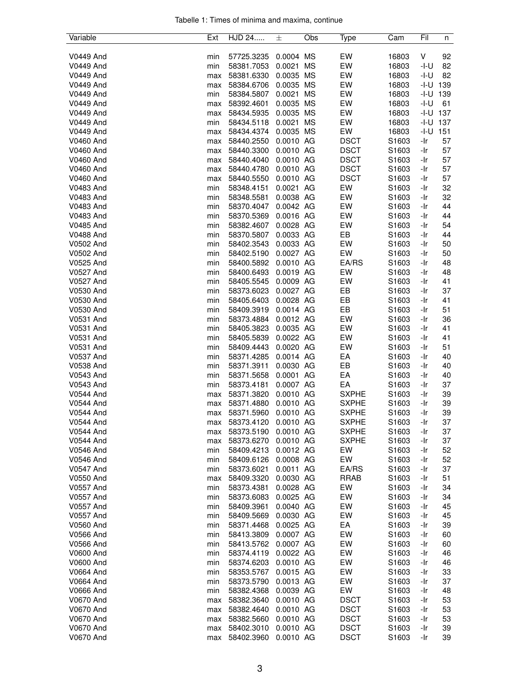|  |  |  | Tabelle 1: Times of minima and maxima, continue |  |
|--|--|--|-------------------------------------------------|--|
|  |  |  |                                                 |  |

| Variable               | Ext        | HJD 24                   | 士                      | Obs       | Type         | Cam               | Fil        | n        |
|------------------------|------------|--------------------------|------------------------|-----------|--------------|-------------------|------------|----------|
|                        |            |                          |                        |           |              |                   |            |          |
| V0449 And              | min        | 57725.3235               | 0.0004 MS              |           | EW           | 16803             | V          | 92       |
| V0449 And              | min        | 58381.7053               | 0.0021                 | <b>MS</b> | EW           | 16803             | -I-U       | 82       |
| V0449 And              | max        | 58381.6330               | 0.0035 MS              |           | EW           | 16803             | -I-U       | 82       |
| <b>V0449 And</b>       | max        | 58384.6706               | 0.0035 MS              |           | EW           | 16803             | -I-U       | 139      |
| V0449 And              | min        | 58384.5807               | 0.0021                 | <b>MS</b> | EW           | 16803             | -I-U       | 139      |
| V0449 And              | max        | 58392.4601               | 0.0035 MS              |           | EW           | 16803             | -I-U       | 61       |
| V0449 And              | max        | 58434.5935               | 0.0035 MS              |           | EW           | 16803             | $-I-U$ 137 |          |
| V0449 And              | min        | 58434.5118               | 0.0021                 | MS        | EW           | 16803             | -I-U       | 137      |
| V0449 And              | max        | 58434.4374               | 0.0035 MS              |           | EW           | 16803             | -I-U       | 151      |
| <b>V0460 And</b>       | max        | 58440.2550               | 0.0010 AG              |           | <b>DSCT</b>  | S1603             | -Ir        | 57       |
| V0460 And              | max        | 58440.3300               | 0.0010 AG              |           | <b>DSCT</b>  | S1603             | -Ir        | 57       |
| V0460 And              | max        | 58440.4040               | 0.0010 AG              |           | <b>DSCT</b>  | S1603             | -Ir        | 57       |
| V0460 And              | max        | 58440.4780               | 0.0010 AG              |           | <b>DSCT</b>  | S1603             | -Ir        | 57       |
| V0460 And              | max        | 58440.5550               | 0.0010 AG              |           | <b>DSCT</b>  | S <sub>1603</sub> | -Ir        | 57       |
| V0483 And              | min        | 58348.4151               | 0.0021 AG              |           | EW           | S1603             | -Ir        | 32       |
| V0483 And              | min        | 58348.5581               | 0.0038 AG              |           | EW           | S1603             | -Ir        | 32       |
| <b>V0483 And</b>       | min        | 58370.4047               | 0.0042 AG              |           | EW           | S1603             | -Ir        | 44       |
| <b>V0483 And</b>       | min        | 58370.5369               | 0.0016 AG              |           | EW           | S1603             | -Ir        | 44       |
| V0485 And              | min        | 58382.4607               | 0.0028 AG              |           | EW           | S1603             | -Ir        | 54       |
| <b>V0488 And</b>       | min        | 58370.5807               | 0.0033 AG              |           | EB           | S1603             | -Ir        | 44       |
| V0502 And              | min        | 58402.3543               | 0.0033 AG              |           | EW           | S1603             | -Ir        | 50       |
| V0502 And              | min        | 58402.5190               | 0.0027 AG              |           | EW           | S1603             | -Ir        | 50       |
| V0525 And              | min        | 58400.5892               | 0.0010 AG              |           | EA/RS        | S1603             | -Ir        | 48       |
| V0527 And              | min        | 58400.6493               | 0.0019 AG              |           | EW           | S1603             | -Ir        | 48       |
| V0527 And              | min        | 58405.5545               | 0.0009 AG              |           | EW           | S1603             | -Ir        | 41       |
| V0530 And              | min        | 58373.6023               | 0.0027 AG              |           | EB           | S1603             | -Ir        | 37       |
| V0530 And              | min        | 58405.6403               | 0.0028 AG              |           | EB           | S1603             | -Ir        | 41       |
| V0530 And              | min        | 58409.3919               | 0.0014 AG<br>0.0012 AG |           | EB<br>EW     | S1603<br>S1603    | -Ir<br>-Ir | 51<br>36 |
| V0531 And<br>V0531 And | min        | 58373.4884               | 0.0035 AG              |           | EW           |                   |            | 41       |
| <b>V0531 And</b>       | min<br>min | 58405.3823<br>58405.5839 | 0.0022 AG              |           | EW           | S1603<br>S1603    | -Ir<br>-Ir | 41       |
| V0531 And              | min        | 58409.4443               | 0.0020 AG              |           | EW           | S1603             | -Ir        | 51       |
| V0537 And              | min        | 58371.4285               | 0.0014 AG              |           | EA           | S1603             | -Ir        | 40       |
| V0538 And              | min        | 58371.3911               | 0.0030 AG              |           | EB           | S1603             | -Ir        | 40       |
| V0543 And              | min        | 58371.5658               | 0.0001 AG              |           | EA           | S1603             | -Ir        | 40       |
| V0543 And              | min        | 58373.4181               | 0.0007 AG              |           | EA           | S1603             | -Ir        | 37       |
| V0544 And              | max        | 58371.3820               | 0.0010 AG              |           | <b>SXPHE</b> | S <sub>1603</sub> | -Ir        | 39       |
| V0544 And              | max        | 58371.4880               | 0.0010 AG              |           | <b>SXPHE</b> | S1603             | -Ir        | 39       |
| V0544 And              | max        | 58371.5960               | 0.0010 AG              |           | <b>SXPHE</b> | S1603             | -Ir        | 39       |
| V0544 And              | max        | 58373.4120               | $0.0010$ AG            |           | <b>SXPHE</b> | S1603             | -Ir        | 37       |
| V0544 And              | max        | 58373.5190               | 0.0010 AG              |           | <b>SXPHE</b> | S1603             | -Ir        | 37       |
| V0544 And              | max        | 58373.6270               | 0.0010 AG              |           | <b>SXPHE</b> | S1603             | -Ir        | 37       |
| V0546 And              | min        | 58409.4213               | 0.0012 AG              |           | EW           | S1603             | -Ir        | 52       |
| V0546 And              | min        | 58409.6126               | 0.0008 AG              |           | EW           | S1603             | -Ir        | 52       |
| V0547 And              | min        | 58373.6021               | 0.0011 AG              |           | EA/RS        | S1603             | -Ir        | 37       |
| V0550 And              | max        | 58409.3320               | 0.0030 AG              |           | <b>RRAB</b>  | S1603             | -Ir        | 51       |
| V0557 And              | min        | 58373.4381               | 0.0028 AG              |           | EW           | S1603             | -Ir        | 34       |
| V0557 And              | min        | 58373.6083               | 0.0025 AG              |           | EW           | S1603             | -Ir        | 34       |
| V0557 And              | min        | 58409.3961               | 0.0040 AG              |           | EW           | S1603             | -Ir        | 45       |
| <b>V0557 And</b>       | min        | 58409.5669               | 0.0030 AG              |           | EW           | S1603             | -Ir        | 45       |
| V0560 And              | min        | 58371.4468               | 0.0025 AG              |           | EA           | S1603             | -Ir        | 39       |
| V0566 And              | min        | 58413.3809               | 0.0007 AG              |           | EW           | S1603             | -Ir        | 60       |
| <b>V0566 And</b>       | min        | 58413.5762               | 0.0007 AG              |           | EW           | S1603             | -Ir        | 60       |
| <b>V0600 And</b>       | min        | 58374.4119               | 0.0022 AG              |           | EW           | S1603             | -Ir        | 46       |
| <b>V0600 And</b>       | min        | 58374.6203               | 0.0010 AG              |           | EW           | S1603             | -Ir        | 46       |
| <b>V0664 And</b>       | min        | 58353.5767               | 0.0015 AG              |           | EW           | S1603             | -Ir        | 33       |
| V0664 And              | min        | 58373.5790               | 0.0013 AG              |           | EW           | S1603             | -Ir        | 37       |
| V0666 And              | min        | 58382.4368               | 0.0039 AG              |           | EW           | S1603             | -Ir        | 48       |
| V0670 And              | max        | 58382.3640               | 0.0010 AG              |           | <b>DSCT</b>  | S1603             | -Ir        | 53       |
| V0670 And              | max        | 58382.4640               | 0.0010 AG              |           | <b>DSCT</b>  | S1603             | -Ir        | 53       |
| V0670 And              | max        | 58382.5660               | 0.0010 AG              |           | <b>DSCT</b>  | S1603             | -Ir        | 53       |
| V0670 And              | max        | 58402.3010               | 0.0010 AG              |           | <b>DSCT</b>  | S1603             | -Ir        | 39       |
| <b>V0670 And</b>       | max        | 58402.3960               | 0.0010 AG              |           | <b>DSCT</b>  | S1603             | -Ir        | 39       |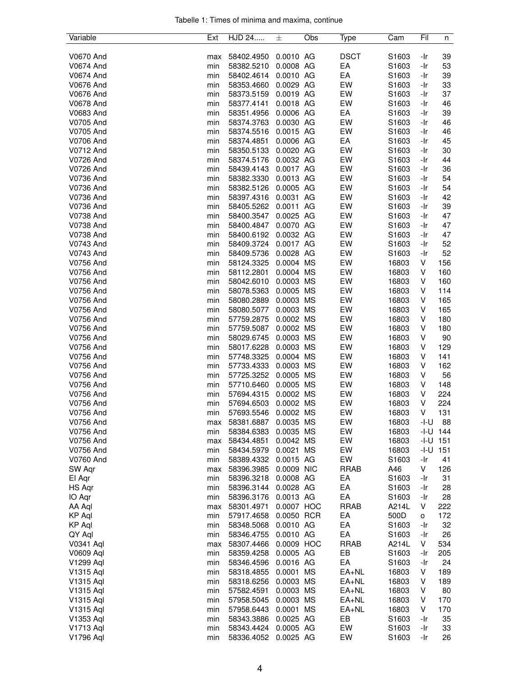|  |  |  | Tabelle 1: Times of minima and maxima, continue |  |
|--|--|--|-------------------------------------------------|--|
|  |  |  |                                                 |  |

| Variable         | Ext | HJD 24     | 士          | Obs       | Type        | Cam   | Fil  | n   |
|------------------|-----|------------|------------|-----------|-------------|-------|------|-----|
|                  |     |            |            |           |             |       |      |     |
| V0670 And        | max | 58402.4950 | 0.0010 AG  |           | <b>DSCT</b> | S1603 | -Ir  | 39  |
| V0674 And        | min | 58382.5210 | 0.0008 AG  |           | EA          | S1603 | -Ir  | 53  |
| V0674 And        | min | 58402.4614 | 0.0010 AG  |           | EA          | S1603 | -Ir  | 39  |
| V0676 And        | min | 58353.4660 | 0.0029 AG  |           | EW          | S1603 | -Ir  | 33  |
| V0676 And        | min | 58373.5159 | 0.0019 AG  |           | EW          | S1603 | -Ir  | 37  |
| V0678 And        | min | 58377.4141 | 0.0018 AG  |           | EW          | S1603 | -Ir  | 46  |
| V0683 And        |     |            | 0.0006 AG  |           | EA          |       |      | 39  |
|                  | min | 58351.4956 |            |           |             | S1603 | -Ir  |     |
| V0705 And        | min | 58374.3763 | 0.0030 AG  |           | EW          | S1603 | -Ir  | 46  |
| V0705 And        | min | 58374.5516 | 0.0015 AG  |           | EW          | S1603 | -Ir  | 46  |
| V0706 And        | min | 58374.4851 | 0.0006 AG  |           | EA          | S1603 | -Ir  | 45  |
| V0712 And        | min | 58350.5133 | 0.0020 AG  |           | EW          | S1603 | -Ir  | 30  |
| V0726 And        | min | 58374.5176 | 0.0032 AG  |           | EW          | S1603 | -Ir  | 44  |
| V0726 And        | min | 58439.4143 | 0.0017 AG  |           | EW          | S1603 | -Ir  | 36  |
| V0736 And        | min | 58382.3330 | 0.0013 AG  |           | EW          | S1603 | -Ir  | 54  |
| V0736 And        | min | 58382.5126 | 0.0005 AG  |           | EW          | S1603 | -Ir  | 54  |
| V0736 And        | min | 58397.4316 | 0.0031 AG  |           | EW          | S1603 | -Ir  | 42  |
| V0736 And        | min | 58405.5262 | 0.0011 AG  |           | EW          | S1603 | -Ir  | 39  |
| V0738 And        | min | 58400.3547 | 0.0025 AG  |           | EW          | S1603 | -Ir  | 47  |
| V0738 And        |     | 58400.4847 | 0.0070 AG  |           | EW          |       |      | 47  |
|                  | min |            |            |           |             | S1603 | -Ir  |     |
| V0738 And        | min | 58400.6192 | 0.0032 AG  |           | EW          | S1603 | -Ir  | 47  |
| V0743 And        | min | 58409.3724 | 0.0017 AG  |           | EW          | S1603 | -Ir  | 52  |
| V0743 And        | min | 58409.5736 | 0.0028 AG  |           | EW          | S1603 | -Ir  | 52  |
| <b>V0756 And</b> | min | 58124.3325 | 0.0004 MS  |           | EW          | 16803 | V    | 156 |
| V0756 And        | min | 58112.2801 | 0.0004 MS  |           | EW          | 16803 | V    | 160 |
| V0756 And        | min | 58042.6010 | 0.0003 MS  |           | EW          | 16803 | V    | 160 |
| V0756 And        | min | 58078.5363 | 0.0005 MS  |           | EW          | 16803 | V    | 114 |
| V0756 And        | min | 58080.2889 | 0.0003 MS  |           | EW          | 16803 | V    | 165 |
| V0756 And        | min | 58080.5077 | 0.0003     | <b>MS</b> | EW          | 16803 | V    | 165 |
| V0756 And        | min | 57759.2875 | 0.0002 MS  |           | EW          | 16803 | V    | 180 |
| V0756 And        | min | 57759.5087 | 0.0002 MS  |           | EW          | 16803 | V    | 180 |
| V0756 And        | min | 58029.6745 | 0.0003 MS  |           | EW          | 16803 | V    | 90  |
|                  |     |            |            |           |             |       |      |     |
| V0756 And        | min | 58017.6228 | 0.0003 MS  |           | EW          | 16803 | V    | 129 |
| V0756 And        | min | 57748.3325 | 0.0004 MS  |           | EW          | 16803 | V    | 141 |
| V0756 And        | min | 57733.4333 | 0.0003 MS  |           | EW          | 16803 | V    | 162 |
| V0756 And        | min | 57725.3252 | 0.0005 MS  |           | EW          | 16803 | V    | 56  |
| V0756 And        | min | 57710.6460 | 0.0005 MS  |           | EW          | 16803 | V    | 148 |
| V0756 And        | min | 57694.4315 | 0.0002 MS  |           | EW          | 16803 | V    | 224 |
| V0756 And        | min | 57694.6503 | 0.0002 MS  |           | EW          | 16803 | V    | 224 |
| V0756 And        | min | 57693.5546 | 0.0002 MS  |           | EW          | 16803 | V    | 131 |
| V0756 And        | max | 58381.6887 | 0.0035 MS  |           | EW          | 16803 | -I-U | 88  |
| V0756 And        | min | 58384.6383 | 0.0035 MS  |           | EW          | 16803 | -I-U | 144 |
| V0756 And        | max | 58434.4851 | 0.0042 MS  |           | EW          | 16803 | -I-U | 151 |
| V0756 And        | min | 58434.5979 | 0.0021 MS  |           | EW          | 16803 | -I-U | 151 |
| V0760 And        | min | 58389.4332 | 0.0015 AG  |           | EW          | S1603 | -Ir  | 41  |
| SW Agr           |     | 58396.3985 | 0.0009 NIC |           | <b>RRAB</b> | A46   | V    | 126 |
|                  | max | 58396.3218 |            |           | EA          | S1603 |      |     |
| El Aqr           | min |            | 0.0008 AG  |           |             |       | -Ir  | 31  |
| HS Aqr           | min | 58396.3144 | 0.0028 AG  |           | EA          | S1603 | -Ir  | 28  |
| IO Aqr           | min | 58396.3176 | 0.0013 AG  |           | EA          | S1603 | -Ir  | 28  |
| AA Aql           | max | 58301.4971 | 0.0007 HOC |           | <b>RRAB</b> | A214L | V    | 222 |
| <b>KP Aql</b>    | min | 57917.4658 | 0.0050 RCR |           | EA          | 500D  | o    | 172 |
| KP Aql           | min | 58348.5068 | 0.0010 AG  |           | EA          | S1603 | -Ir  | 32  |
| QY Aql           | min | 58346.4755 | 0.0010 AG  |           | EA          | S1603 | -Ir  | 26  |
| V0341 Aql        | max | 58307.4466 | 0.0009 HOC |           | <b>RRAB</b> | A214L | V    | 534 |
| V0609 Aql        | min | 58359.4258 | 0.0005 AG  |           | EВ          | S1603 | -Ir  | 205 |
| V1299 Aql        | min | 58346.4596 | 0.0016 AG  |           | EA          | S1603 | -Ir  | 24  |
| V1315 Aql        | min | 58318.4855 | 0.0001 MS  |           | EA+NL       | 16803 | V    | 189 |
| V1315 Aql        | min | 58318.6256 | 0.0003 MS  |           | EA+NL       | 16803 | V    | 189 |
| V1315 Aql        | min | 57582.4591 | 0.0003 MS  |           | EA+NL       | 16803 | V    | 80  |
|                  |     |            |            |           | $EA+NL$     |       | V    |     |
| V1315 Aql        | min | 57958.5045 | 0.0003 MS  |           |             | 16803 |      | 170 |
| V1315 Aql        | min | 57958.6443 | 0.0001 MS  |           | EA+NL       | 16803 | V    | 170 |
| V1353 Aql        | min | 58343.3886 | 0.0025 AG  |           | EB          | S1603 | -Ir  | 35  |
| V1713 Aql        | min | 58343.4424 | 0.0005 AG  |           | EW          | S1603 | -Ir  | 33  |
| V1796 Aql        | min | 58336.4052 | 0.0025 AG  |           | EW          | S1603 | -Ir  | 26  |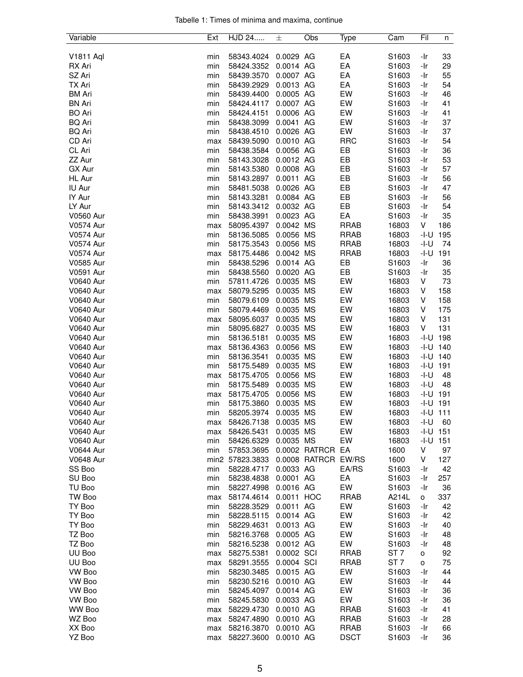|  |  |  | Tabelle 1: Times of minima and maxima, continue |  |
|--|--|--|-------------------------------------------------|--|
|  |  |  |                                                 |  |

| Variable                             | Ext        | HJD 24                   | 士                      | Obs                 | Type        | Cam             | Fil          | n          |
|--------------------------------------|------------|--------------------------|------------------------|---------------------|-------------|-----------------|--------------|------------|
|                                      |            |                          |                        |                     |             |                 |              |            |
| <b>V1811 Aql</b>                     | min        | 58343.4024               | 0.0029 AG              |                     | EA          | S1603           | -Ir          | 33         |
| RX Ari                               | min        | 58424.3352               | 0.0014 AG              |                     | EA          | S1603           | -Ir          | 29         |
| SZ Ari                               | min        | 58439.3570               | 0.0007 AG              |                     | EA          | S1603           | -Ir          | 55         |
| TX Ari                               | min        | 58439.2929               | 0.0013 AG              |                     | EA          | S1603           | -Ir          | 54         |
| BM Ari                               | min        | 58439.4400               | 0.0005 AG              |                     | EW          | S1603           | -Ir          | 46         |
| <b>BN Ari</b>                        | min        | 58424.4117               | 0.0007 AG              |                     | EW          | S1603           | -Ir          | 41         |
| <b>BO</b> Ari                        | min        | 58424.4151               | 0.0006 AG              |                     | EW          | S1603           | -Ir          | 41         |
| <b>BQ Ari</b>                        | min        | 58438.3099               | 0.0041 AG              |                     | EW          | S1603           | -Ir          | 37         |
| <b>BQ Ari</b>                        | min        | 58438.4510               | 0.0026 AG              |                     | EW          | S1603           | -Ir          | 37         |
| CD Ari                               | max        | 58439.5090               | 0.0010 AG              |                     | <b>RRC</b>  | S1603           | -Ir          | 54         |
| CL Ari                               | min        | 58438.3584               | 0.0056 AG              |                     | EB          | S1603           | -Ir          | 36         |
| ZZ Aur                               | min        | 58143.3028               | 0.0012 AG              |                     | EB          | S1603           | -Ir          | 53         |
| GX Aur                               | min        | 58143.5380               | 0.0008 AG              |                     | EB          | S1603           | -Ir          | 57         |
| HL Aur                               | min        | 58143.2897               | 0.0011 AG              |                     | EB          | S1603           | -Ir          | 56         |
| IU Aur                               | min        | 58481.5038               | 0.0026 AG              |                     | EB          | S1603           | -Ir          | 47         |
| IY Aur                               | min        | 58143.3281               | 0.0084 AG              |                     | EB          | S1603           | -Ir          | 56         |
| LY Aur                               | min        | 58143.3412               | 0.0032 AG              |                     | EB          | S1603           | -Ir          | 54         |
| <b>V0560 Aur</b>                     | min        | 58438.3991               | 0.0023 AG              |                     | EA          | S1603           | -Ir          | 35         |
| <b>V0574 Aur</b>                     | max        | 58095.4397               | 0.0042 MS              |                     | <b>RRAB</b> | 16803           | V            | 186        |
| <b>V0574 Aur</b>                     | min        | 58136.5085               | 0.0056 MS              |                     | <b>RRAB</b> | 16803           | $-I-U$       | 195        |
| <b>V0574 Aur</b>                     | min        | 58175.3543               | 0.0056 MS              |                     | <b>RRAB</b> | 16803           | -I-U         | 74         |
| <b>V0574 Aur</b>                     | max        | 58175.4486               | 0.0042 MS              |                     | <b>RRAB</b> | 16803           | -I-U         | 191        |
| <b>V0585 Aur</b>                     | min        | 58438.5296               | 0.0014 AG              |                     | EB          | S1603           | -Ir          | 36         |
| V0591 Aur                            | min        | 58438.5560               | 0.0020 AG              |                     | EB          | S1603           | -Ir          | 35         |
| <b>V0640 Aur</b>                     | min        | 57811.4726               | 0.0035 MS              |                     | EW          | 16803<br>16803  | V            | 73         |
| <b>V0640 Aur</b>                     | max        | 58079.5295               | 0.0035 MS<br>0.0035 MS |                     | EW<br>EW    |                 | V<br>V       | 158        |
| <b>V0640 Aur</b><br><b>V0640 Aur</b> | min        | 58079.6109               | 0.0035 MS              |                     | EW          | 16803<br>16803  | V            | 158<br>175 |
| <b>V0640 Aur</b>                     | min        | 58079.4469               | 0.0035 MS              |                     | EW          | 16803           | V            | 131        |
| <b>V0640 Aur</b>                     | max<br>min | 58095.6037<br>58095.6827 | 0.0035 MS              |                     | EW          | 16803           | V            | 131        |
| <b>V0640 Aur</b>                     | min        | 58136.5181               | 0.0035 MS              |                     | EW          | 16803           | -I-U         | 198        |
| <b>V0640 Aur</b>                     | max        | 58136.4363               | 0.0056 MS              |                     | EW          | 16803           | -I-U         | 140        |
| <b>V0640 Aur</b>                     | min        | 58136.3541               | 0.0035 MS              |                     | EW          | 16803           | -I-U         | 140        |
| <b>V0640 Aur</b>                     | min        | 58175.5489               | 0.0035 MS              |                     | EW          | 16803           | -I-U         | 191        |
| <b>V0640 Aur</b>                     | max        | 58175.4705               | 0.0056 MS              |                     | EW          | 16803           | -I-U         | 48         |
| <b>V0640 Aur</b>                     | min        | 58175.5489               | 0.0035 MS              |                     | EW          | 16803           | -I-U         | 48         |
| <b>V0640 Aur</b>                     | max        | 58175.4705               | 0.0056 MS              |                     | EW          | 16803           | -I-U         | 191        |
| <b>V0640 Aur</b>                     | min        | 58175.3860               | 0.0035 MS              |                     | EW          | 16803           | -l-U         | 191        |
| <b>V0640 Aur</b>                     | min        | 58205.3974               | 0.0035 MS              |                     | EW          | 16803           | $-1 - U$ 111 |            |
| <b>V0640 Aur</b>                     | max        | 58426.7138               | 0.0035 MS              |                     | EW          | 16803           | $-I-U$       | 60         |
| <b>V0640 Aur</b>                     | max        | 58426.5431               | 0.0035 MS              |                     | EW          | 16803           | -I-U         | 151        |
| <b>V0640 Aur</b>                     | min        | 58426.6329               | 0.0035 MS              |                     | EW          | 16803           | -I-U         | 151        |
| <b>V0644 Aur</b>                     | min        | 57853.3695               |                        | 0.0002 RATRCR EA    |             | 1600            | ٧            | 97         |
| <b>V0648 Aur</b>                     |            | min2 57823.3833          |                        | 0.0008 RATRCR EW/RS |             | 1600            | V            | 127        |
| SS Boo                               | min        | 58228.4717               | 0.0033 AG              |                     | EA/RS       | S1603           | -Ir          | 42         |
| SU Boo                               | min        | 58238.4838               | 0.0001 AG              |                     | EA          | S1603           | -Ir          | 257        |
| TU Boo                               | min        | 58227.4998               | 0.0016 AG              |                     | EW          | S1603           | -Ir          | 36         |
| TW Boo                               | max        | 58174.4614               | 0.0011 HOC             |                     | <b>RRAB</b> | A214L           | о            | 337        |
| TY Boo                               | min        | 58228.3529               | 0.0011 AG              |                     | EW          | S1603           | -Ir          | 42         |
| TY Boo                               | min        | 58228.5115               | 0.0014 AG              |                     | EW          | S1603           | -Ir          | 42         |
| TY Boo                               | min        | 58229.4631               | 0.0013 AG              |                     | EW          | S1603           | -Ir          | 40         |
| TZ Boo                               | min        | 58216.3768               | 0.0005 AG              |                     | EW          | S1603           | -Ir          | 48         |
| TZ Boo                               | min        | 58216.5238               | 0.0012 AG              |                     | EW          | S1603           | -Ir          | 48         |
| UU Boo                               | max        | 58275.5381               | 0.0002 SCI             |                     | <b>RRAB</b> | ST <sub>7</sub> | o            | 92         |
| UU Boo                               | max        | 58291.3555               | 0.0004 SCI             |                     | <b>RRAB</b> | ST <sub>7</sub> | о            | 75         |
| VW Boo                               | min        | 58230.3485               | 0.0015 AG              |                     | EW          | S1603           | -Ir          | 44         |
| VW Boo                               | min        | 58230.5216               | 0.0010 AG              |                     | EW          | S1603           | -Ir          | 44         |
| VW Boo                               | min        | 58245.4097               | 0.0014 AG              |                     | EW          | S1603           | -Ir          | 36         |
| VW Boo                               | min        | 58245.5830               | 0.0033 AG              |                     | EW          | S1603           | -Ir          | 36         |
| WW Boo                               | max        | 58229.4730               | 0.0010 AG              |                     | <b>RRAB</b> | S1603           | -Ir          | 41         |
| WZ Boo                               | max        | 58247.4890               | 0.0010 AG              |                     | <b>RRAB</b> | S1603           | -Ir          | 28         |
| XX Boo                               | max        | 58216.3870               | 0.0010 AG              |                     | <b>RRAB</b> | S1603           | -Ir          | 66         |
| YZ Boo                               | max        | 58227.3600               | 0.0010 AG              |                     | <b>DSCT</b> | S1603           | -Ir          | 36         |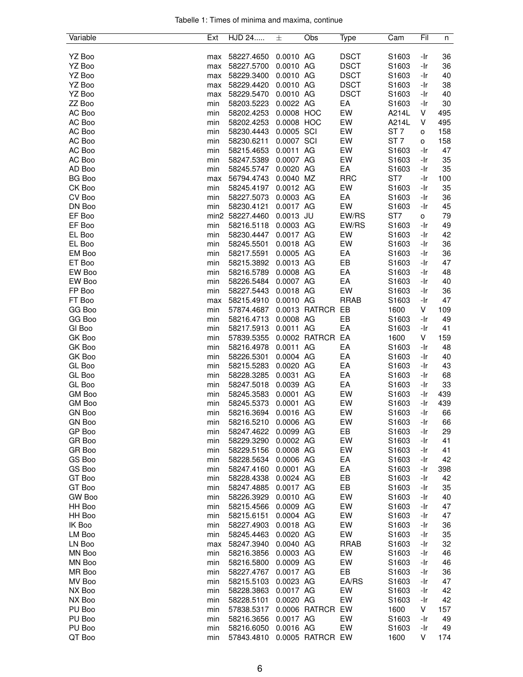|  |  |  | Tabelle 1: Times of minima and maxima, continue |  |
|--|--|--|-------------------------------------------------|--|
|  |  |  |                                                 |  |

| Variable      | Ext | HJD 24          | 士           | Obs              | Type        | Cam               | Fil                 | n   |
|---------------|-----|-----------------|-------------|------------------|-------------|-------------------|---------------------|-----|
|               |     |                 |             |                  |             |                   |                     |     |
| YZ Boo        | max | 58227.4650      | 0.0010 AG   |                  | <b>DSCT</b> | S1603             | -Ir                 | 36  |
| YZ Boo        | max | 58227.5700      | 0.0010 AG   |                  | <b>DSCT</b> | S1603             | -Ir                 | 36  |
| YZ Boo        | max | 58229.3400      | 0.0010 AG   |                  | <b>DSCT</b> | S1603             | -Ir                 | 40  |
| YZ Boo        | max | 58229.4420      | 0.0010 AG   |                  | <b>DSCT</b> | S1603             | -Ir                 | 38  |
| YZ Boo        | max | 58229.5470      | 0.0010 AG   |                  | <b>DSCT</b> | S <sub>1603</sub> | -Ir                 | 40  |
| ZZ Boo        | min | 58203.5223      | 0.0022 AG   |                  | EA          | S1603             | -Ir                 | 30  |
| AC Boo        | min | 58202.4253      | 0.0008 HOC  |                  | EW          | A214L             | V                   | 495 |
| AC Boo        | min | 58202.4253      | 0.0008 HOC  |                  | EW          | A214L             | V                   | 495 |
| AC Boo        | min | 58230.4443      | 0.0005 SCI  |                  | EW          | ST <sub>7</sub>   | o                   | 158 |
| AC Boo        | min | 58230.6211      | 0.0007 SCI  |                  | EW          | ST <sub>7</sub>   | $\mathsf{o}\xspace$ | 158 |
| AC Boo        | min | 58215.4653      | 0.0011 AG   |                  | EW          | S1603             | -Ir                 | 47  |
| AC Boo        | min | 58247.5389      | 0.0007 AG   |                  | EW          | S1603             | -Ir                 | 35  |
| AD Boo        | min | 58245.5747      | 0.0020 AG   |                  | EA          | S1603             | -Ir                 | 35  |
| <b>BG Boo</b> | max | 56794.4743      | 0.0040 MZ   |                  | <b>RRC</b>  | ST <sub>7</sub>   | -Ir                 | 100 |
| CK Boo        | min | 58245.4197      | 0.0012 AG   |                  | EW          | S1603             | -Ir                 | 35  |
| CV Boo        | min | 58227.5073      | 0.0003 AG   |                  | EA          | S1603             | -Ir                 | 36  |
| DN Boo        | min | 58230.4121      | 0.0017 AG   |                  | EW          | S1603             | -Ir                 | 45  |
| EF Boo        |     | min2 58227.4460 | $0.0013$ JU |                  | EW/RS       | ST7               | 0                   | 79  |
| EF Boo        | min | 58216.5118      | 0.0003 AG   |                  | EW/RS       | S1603             | -Ir                 | 49  |
| EL Boo        | min | 58230.4447      | 0.0017 AG   |                  | EW          | S1603             | -Ir                 | 42  |
| EL Boo        | min | 58245.5501      | 0.0018 AG   |                  | EW          | S1603             | -Ir                 | 36  |
| EM Boo        | min | 58217.5591      | 0.0005 AG   |                  | EA          | S1603             | -Ir                 | 36  |
| ET Boo        | min | 58215.3892      | 0.0013 AG   |                  | EB          | S1603             | -Ir                 | 47  |
| EW Boo        | min | 58216.5789      | 0.0008 AG   |                  | EA          | S1603             | -Ir                 | 48  |
| EW Boo        | min | 58226.5484      | 0.0007 AG   |                  | EA          | S1603             | -Ir                 | 40  |
| FP Boo        | min | 58227.5443      | 0.0018 AG   |                  | EW          | S1603             | -Ir                 | 36  |
| FT Boo        | max | 58215.4910      | 0.0010 AG   |                  | <b>RRAB</b> | S1603             | -Ir                 | 47  |
| GG Boo        | min | 57874.4687      |             | 0.0013 RATRCR    | EB          | 1600              | V                   | 109 |
| GG Boo        | min | 58216.4713      | 0.0008 AG   |                  | EB          | S <sub>1603</sub> | -Ir                 | 49  |
| GI Boo        | min | 58217.5913      | 0.0011 AG   |                  | EA          | S1603             | -Ir                 | 41  |
| GK Boo        | min | 57839.5355      |             | 0.0002 RATRCR    | EA          | 1600              | V                   | 159 |
| GK Boo        | min | 58216.4978      | 0.0011 AG   |                  | EA          | S1603             | -Ir                 | 48  |
| GK Boo        | min | 58226.5301      | 0.0004 AG   |                  | EA          | S1603             | -Ir                 | 40  |
| GL Boo        | min | 58215.5283      | 0.0020 AG   |                  | EA          | S1603             | -Ir                 | 43  |
| GL Boo        | min | 58228.3285      | 0.0031 AG   |                  | EA          | S1603             | -Ir                 | 68  |
| GL Boo        | min | 58247.5018      | 0.0039 AG   |                  | EA          | S1603             | -Ir                 | 33  |
| GM Boo        | min | 58245.3583      | 0.0001 AG   |                  | EW          | S1603             | -Ir                 | 439 |
| <b>GM Boo</b> | min | 58245.5373      | 0.0001 AG   |                  | EW          | S1603             | -Ir                 | 439 |
| <b>GN Boo</b> | min | 58216.3694      | 0.0016 AG   |                  | EW          | S1603             | -Ir                 | 66  |
| <b>GN Boo</b> | min | 58216.5210      | 0.0006 AG   |                  | EW          | S1603             | -Ir                 | 66  |
| GP Boo        | min | 58247.4622      | 0.0099 AG   |                  | EB          | S1603             | -Ir                 | 29  |
| GR Boo        | min | 58229.3290      | 0.0002 AG   |                  | EW          | S1603             | -Ir                 | 41  |
| GR Boo        | min | 58229.5156      | 0.0008 AG   |                  | EW          | S1603             | -Ir                 | 41  |
| GS Boo        | min | 58228.5634      | 0.0006 AG   |                  | EA          | S1603             | -Ir                 | 42  |
| GS Boo        | min | 58247.4160      | 0.0001 AG   |                  | EA          | S1603             | -Ir                 | 398 |
| GT Boo        | min | 58228.4338      | 0.0024 AG   |                  | EB          | S1603             | -Ir                 | 42  |
| GT Boo        | min | 58247.4885      | 0.0017 AG   |                  | EВ          | S1603             | -Ir                 | 35  |
| GW Boo        | min | 58226.3929      | 0.0010 AG   |                  | EW          | S1603             | -Ir                 | 40  |
| HH Boo        | min | 58215.4566      | 0.0009 AG   |                  | EW          | S1603             | -Ir                 | 47  |
| HH Boo        | min | 58215.6151      | 0.0004 AG   |                  | EW          | S1603             | -Ir                 | 47  |
| IK Boo        | min | 58227.4903      | 0.0018 AG   |                  | EW          | S1603             | -Ir                 | 36  |
| LM Boo        | min | 58245.4463      | 0.0020 AG   |                  | EW          | S1603             | -Ir                 | 35  |
| LN Boo        | max | 58247.3940      | 0.0040 AG   |                  | <b>RRAB</b> | S1603             | -Ir                 | 32  |
| MN Boo        | min | 58216.3856      | 0.0003 AG   |                  | EW          | S1603             | -Ir                 | 46  |
| MN Boo        | min | 58216.5800      | 0.0009 AG   |                  | EW          | S1603             | -Ir                 | 46  |
| MR Boo        | min | 58227.4767      | 0.0017 AG   |                  | EB          | S1603             | -Ir                 | 36  |
| MV Boo        | min | 58215.5103      | 0.0023 AG   |                  | EA/RS       | S1603             | -Ir                 | 47  |
| NX Boo        | min | 58228.3863      | 0.0017 AG   |                  | EW          | S1603             | -Ir                 | 42  |
| NX Boo        | min | 58228.5101      | 0.0020 AG   |                  | EW          | S1603             | -Ir                 | 42  |
| PU Boo        | min | 57838.5317      |             | 0.0006 RATRCR    | EW          | 1600              | V                   | 157 |
| PU Boo        | min | 58216.3656      | 0.0017 AG   |                  | EW          | S1603             | -Ir                 | 49  |
| PU Boo        | min | 58216.6050      | 0.0016 AG   |                  | EW          | S1603             | -Ir                 | 49  |
| QT Boo        | min | 57843.4810      |             | 0.0005 RATRCR EW |             | 1600              | V                   | 174 |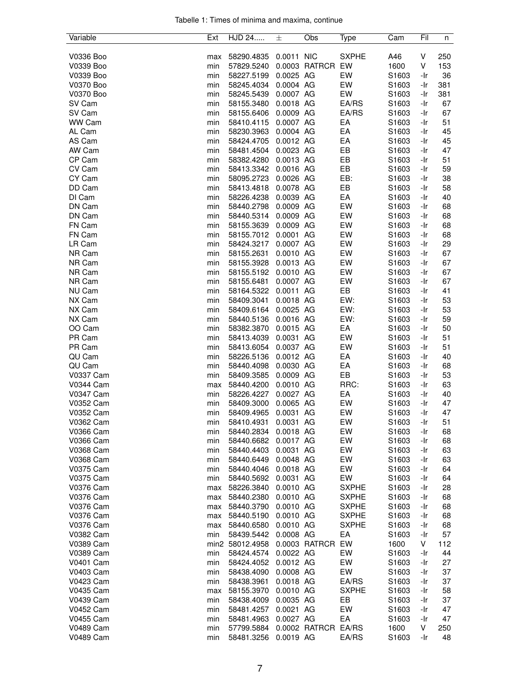| Tabelle 1: Times of minima and maxima, continue |  |  |  |  |  |
|-------------------------------------------------|--|--|--|--|--|
|-------------------------------------------------|--|--|--|--|--|

| Variable         | Ext | HJD 24          | 士          | Obs           | Type                         | Cam   | Fil | n   |
|------------------|-----|-----------------|------------|---------------|------------------------------|-------|-----|-----|
|                  |     |                 |            |               |                              |       |     |     |
| V0336 Boo        | max | 58290.4835      | 0.0011 NIC |               | <b>SXPHE</b>                 | A46   | V   | 250 |
| V0339 Boo        | min | 57829.5240      |            | 0.0003 RATRCR | EW                           | 1600  | ٧   | 153 |
| V0339 Boo        | min | 58227.5199      | 0.0025 AG  |               | EW                           | S1603 | -Ir | 36  |
| V0370 Boo        | min | 58245.4034      | 0.0004 AG  |               | EW                           | S1603 | -Ir | 381 |
| V0370 Boo        | min | 58245.5439      | 0.0007 AG  |               | EW                           | S1603 | -Ir | 381 |
| SV Cam           | min | 58155.3480      | 0.0018 AG  |               | EA/RS                        | S1603 | -Ir | 67  |
| SV Cam           | min | 58155.6406      | 0.0009 AG  |               | EA/RS                        | S1603 | -Ir | 67  |
| WW Cam           | min | 58410.4115      | 0.0007 AG  |               | EA                           | S1603 | -Ir | 51  |
| AL Cam           | min | 58230.3963      | 0.0004 AG  |               | EA                           | S1603 | -Ir | 45  |
| AS Cam           | min | 58424.4705      | 0.0012 AG  |               | EA                           | S1603 | -Ir | 45  |
| AW Cam           | min | 58481.4504      | 0.0023 AG  |               | EB                           | S1603 | -Ir | 47  |
| CP Cam           | min | 58382.4280      | 0.0013 AG  |               | EB                           | S1603 | -Ir | 51  |
| CV Cam           | min | 58413.3342      | 0.0016 AG  |               | EB                           | S1603 | -Ir | 59  |
| CY Cam           | min | 58095.2723      | 0.0026 AG  |               | EB:                          | S1603 | -Ir | 38  |
| DD Cam           | min | 58413.4818      | 0.0078 AG  |               | EB                           | S1603 | -Ir | 58  |
| DI Cam           | min | 58226.4238      | 0.0039 AG  |               | EA                           | S1603 | -Ir | 40  |
| DN Cam           |     | 58440.2798      | 0.0009 AG  |               | EW                           | S1603 |     | 68  |
|                  | min |                 |            |               |                              |       | -Ir |     |
| DN Cam           | min | 58440.5314      | 0.0009 AG  |               | EW                           | S1603 | -Ir | 68  |
| FN Cam           | min | 58155.3639      | 0.0009 AG  |               | EW                           | S1603 | -Ir | 68  |
| FN Cam           | min | 58155.7012      | 0.0001 AG  |               | EW                           | S1603 | -Ir | 68  |
| LR Cam           | min | 58424.3217      | 0.0007 AG  |               | EW                           | S1603 | -Ir | 29  |
| NR Cam           | min | 58155.2631      | 0.0010 AG  |               | EW                           | S1603 | -Ir | 67  |
| NR Cam           | min | 58155.3928      | 0.0013 AG  |               | EW                           | S1603 | -Ir | 67  |
| NR Cam           | min | 58155.5192      | 0.0010 AG  |               | EW                           | S1603 | -Ir | 67  |
| NR Cam           | min | 58155.6481      | 0.0007 AG  |               | EW                           | S1603 | -Ir | 67  |
| NU Cam           | min | 58164.5322      | 0.0011 AG  |               | EB                           | S1603 | -Ir | 41  |
| NX Cam           | min | 58409.3041      | 0.0018 AG  |               | EW:                          | S1603 | -Ir | 53  |
| NX Cam           | min | 58409.6164      | 0.0025 AG  |               | EW:                          | S1603 | -Ir | 53  |
| NX Cam           | min | 58440.5136      | 0.0016 AG  |               | EW:                          | S1603 | -Ir | 59  |
| OO Cam           | min | 58382.3870      | 0.0015 AG  |               | EA                           | S1603 | -Ir | 50  |
| PR Cam           | min | 58413.4039      | 0.0031 AG  |               | EW                           | S1603 | -Ir | 51  |
| PR Cam           | min | 58413.6054      | 0.0037 AG  |               | EW                           | S1603 | -Ir | 51  |
| QU Cam           | min | 58226.5136      | 0.0012 AG  |               | EA                           | S1603 | -Ir | 40  |
| QU Cam           | min | 58440.4098      | 0.0030 AG  |               | EA                           | S1603 | -Ir | 68  |
| V0337 Cam        | min | 58409.3585      | 0.0009 AG  |               | EB                           | S1603 | -Ir | 53  |
| <b>V0344 Cam</b> | max | 58440.4200      | 0.0010 AG  |               | RRC:                         | S1603 | -Ir | 63  |
| V0347 Cam        | min | 58226.4227      | 0.0027 AG  |               | EA                           | S1603 | -Ir | 40  |
| V0352 Cam        | min | 58409.3000      | 0.0065 AG  |               | EW                           | S1603 | -Ir | 47  |
| V0352 Cam        | min | 58409.4965      | 0.0031 AG  |               | EW                           | S1603 | -Ir | 47  |
| V0362 Cam        | min | 58410.4931      | 0.0031 AG  |               | EW                           | S1603 | -Ir | 51  |
| <b>V0366 Cam</b> | min | 58440.2834      | 0.0018 AG  |               | EW                           | S1603 | -Ir | 68  |
| V0366 Cam        | min | 58440.6682      | 0.0017 AG  |               | EW                           | S1603 | -Ir | 68  |
| V0368 Cam        | min | 58440.4403      | 0.0031 AG  |               | EW                           | S1603 | -Ir | 63  |
| <b>V0368 Cam</b> | min | 58440.6449      | 0.0048 AG  |               | EW                           | S1603 | -Ir | 63  |
| V0375 Cam        | min | 58440.4046      | 0.0018 AG  |               | EW                           | S1603 | -Ir | 64  |
| V0375 Cam        | min | 58440.5692      | 0.0031 AG  |               | EW                           | S1603 | -Ir | 64  |
| <b>V0376 Cam</b> |     | 58226.3840      | 0.0010 AG  |               | <b>SXPHE</b>                 | S1603 | -Ir | 28  |
|                  | max |                 | 0.0010 AG  |               |                              | S1603 |     |     |
| V0376 Cam        | max | 58440.2380      |            |               | <b>SXPHE</b><br><b>SXPHE</b> |       | -Ir | 68  |
| V0376 Cam        | max | 58440.3790      | 0.0010 AG  |               |                              | S1603 | -Ir | 68  |
| V0376 Cam        | max | 58440.5190      | 0.0010 AG  |               | <b>SXPHE</b>                 | S1603 | -Ir | 68  |
| V0376 Cam        | max | 58440.6580      | 0.0010 AG  |               | <b>SXPHE</b>                 | S1603 | -Ir | 68  |
| V0382 Cam        | min | 58439.5442      | 0.0008 AG  |               | EA                           | S1603 | -Ir | 57  |
| V0389 Cam        |     | min2 58012.4958 |            | 0.0003 RATRCR | EW                           | 1600  | V   | 112 |
| V0389 Cam        | min | 58424.4574      | 0.0022 AG  |               | EW                           | S1603 | -Ir | 44  |
| V0401 Cam        | min | 58424.4052      | 0.0012 AG  |               | EW                           | S1603 | -Ir | 27  |
| V0403 Cam        | min | 58438.4090      | 0.0008 AG  |               | EW                           | S1603 | -Ir | 37  |
| <b>V0423 Cam</b> | min | 58438.3961      | 0.0018 AG  |               | EA/RS                        | S1603 | -Ir | 37  |
| <b>V0435 Cam</b> | max | 58155.3970      | 0.0010 AG  |               | <b>SXPHE</b>                 | S1603 | -Ir | 58  |
| V0439 Cam        | min | 58438.4009      | 0.0035 AG  |               | EB                           | S1603 | -Ir | 37  |
| V0452 Cam        | min | 58481.4257      | 0.0021 AG  |               | EW                           | S1603 | -Ir | 47  |
| V0455 Cam        | min | 58481.4963      | 0.0027 AG  |               | EA                           | S1603 | -Ir | 47  |
| <b>V0489 Cam</b> | min | 57799.5884      |            | 0.0002 RATRCR | EA/RS                        | 1600  | V   | 250 |
| <b>V0489 Cam</b> | min | 58481.3256      | 0.0019 AG  |               | EA/RS                        | S1603 | -Ir | 48  |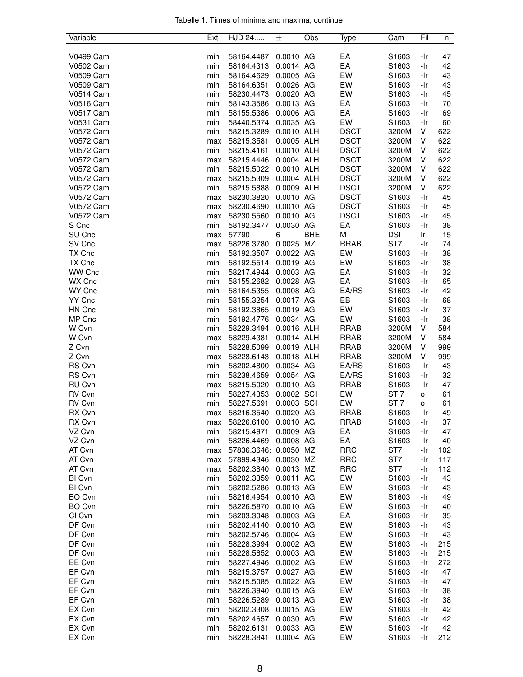|  |  |  | Tabelle 1: Times of minima and maxima, continue |  |
|--|--|--|-------------------------------------------------|--|
|  |  |  |                                                 |  |

| Variable         | Ext | HJD 24                | 士          | Obs        | Type        | Cam               | Fil | n   |
|------------------|-----|-----------------------|------------|------------|-------------|-------------------|-----|-----|
|                  |     |                       |            |            |             |                   |     |     |
| <b>V0499 Cam</b> | min | 58164.4487            | 0.0010 AG  |            | EA          | S1603             | -Ir | 47  |
| V0502 Cam        | min | 58164.4313            | 0.0014 AG  |            | EA          | S1603             | -Ir | 42  |
| V0509 Cam        | min | 58164.4629            | 0.0005 AG  |            | EW          | S1603             | -Ir | 43  |
| V0509 Cam        | min | 58164.6351            | 0.0026 AG  |            | EW          | S1603             | -Ir | 43  |
| <b>V0514 Cam</b> | min | 58230.4473            | 0.0020 AG  |            | EW          | S1603             | -Ir | 45  |
| V0516 Cam        | min | 58143.3586            | 0.0013 AG  |            | EA          | S1603             | -Ir | 70  |
| V0517 Cam        | min | 58155.5386            | 0.0006 AG  |            | EA          | S1603             | -Ir | 69  |
| V0531 Cam        | min | 58440.5374            | 0.0035 AG  |            | EW          | S1603             | -Ir | 60  |
| <b>V0572 Cam</b> | min | 58215.3289            | 0.0010 ALH |            | <b>DSCT</b> | 3200M             | V   | 622 |
| <b>V0572 Cam</b> | max | 58215.3581            | 0.0005 ALH |            | <b>DSCT</b> | 3200M             | V   | 622 |
| V0572 Cam        | min | 58215.4161            | 0.0010 ALH |            | <b>DSCT</b> | 3200M             | V   | 622 |
| <b>V0572 Cam</b> | max | 58215.4446            | 0.0004 ALH |            | <b>DSCT</b> | 3200M             | V   | 622 |
| V0572 Cam        | min | 58215.5022            | 0.0010 ALH |            | <b>DSCT</b> | 3200M             | V   | 622 |
| <b>V0572 Cam</b> | max | 58215.5309            | 0.0004 ALH |            | <b>DSCT</b> | 3200M             | V   | 622 |
| V0572 Cam        | min | 58215.5888            | 0.0009 ALH |            | <b>DSCT</b> | 3200M             | V   | 622 |
| <b>V0572 Cam</b> | max | 58230.3820            | 0.0010 AG  |            | <b>DSCT</b> | S <sub>1603</sub> | -Ir | 45  |
| V0572 Cam        | max | 58230.4690            | 0.0010 AG  |            | <b>DSCT</b> | S1603             | -Ir | 45  |
| V0572 Cam        | max | 58230.5560            | 0.0010 AG  |            | <b>DSCT</b> | S1603             | -Ir | 45  |
| S Cnc            | min | 58192.3477            | 0.0030 AG  |            | EA          | S1603             | -Ir | 38  |
| SU Cnc           | max | 57790                 | 6          | <b>BHE</b> | M           | <b>DSI</b>        | Ir  | 15  |
| SV Cnc           | max | 58226.3780            | 0.0025 MZ  |            | <b>RRAB</b> | ST7               | -Ir | 74  |
| TX Cnc           | min | 58192.3507            | 0.0022 AG  |            | EW          | S1603             | -Ir | 38  |
| TX Cnc           | min |                       | 0.0019 AG  |            | EW          |                   | -Ir | 38  |
| <b>WW Cnc</b>    |     | 58192.5514            | 0.0003 AG  |            | EA          | S1603             |     | 32  |
|                  | min | 58217.4944            |            |            |             | S1603             | -Ir |     |
| WX Cnc           | min | 58155.2682            | 0.0028 AG  |            | EA          | S1603             | -Ir | 65  |
| WY Cnc           | min | 58164.5355            | 0.0008 AG  |            | EA/RS       | S1603             | -Ir | 42  |
| YY Cnc           | min | 58155.3254            | 0.0017 AG  |            | EB          | S1603             | -Ir | 68  |
| HN Cnc           | min | 58192.3865            | 0.0019 AG  |            | EW          | S1603             | -Ir | 37  |
| MP Cnc           | min | 58192.4776            | 0.0034 AG  |            | EW          | S1603             | -Ir | 38  |
| W Cvn            | min | 58229.3494            | 0.0016 ALH |            | <b>RRAB</b> | 3200M             | V   | 584 |
| W Cvn            | max | 58229.4381            | 0.0014 ALH |            | <b>RRAB</b> | 3200M             | V   | 584 |
| Z Cvn            | min | 58228.5099            | 0.0019 ALH |            | <b>RRAB</b> | 3200M             | V   | 999 |
| Z Cvn            | max | 58228.6143            | 0.0018 ALH |            | <b>RRAB</b> | 3200M             | V   | 999 |
| <b>RS Cvn</b>    | min | 58202.4800            | 0.0034 AG  |            | EA/RS       | S1603             | -Ir | 43  |
| RS Cvn           | min | 58238.4659            | 0.0054 AG  |            | EA/RS       | S1603             | -Ir | 32  |
| RU Cvn           | max | 58215.5020            | 0.0010 AG  |            | <b>RRAB</b> | S1603             | -Ir | 47  |
| RV Cvn           | min | 58227.4353            | 0.0002 SCI |            | EW          | ST <sub>7</sub>   | o   | 61  |
| RV Cvn           | min | 58227.5691            | 0.0003 SCI |            | EW          | ST <sub>7</sub>   | o   | 61  |
| RX Cvn           | max | 58216.3540            | 0.0020 AG  |            | <b>RRAB</b> | S1603             | -Ir | 49  |
| RX Cvn           | max | 58226.6100            | 0.0010 AG  |            | <b>RRAB</b> | S1603             | -Ir | 37  |
| VZ Cvn           | min | 58215.4971            | 0.0009 AG  |            | EA          | S1603             | -Ir | 47  |
| VZ Cvn           | min | 58226.4469            | 0.0008 AG  |            | EA          | S <sub>1603</sub> | -Ir | 40  |
| AT Cvn           | max | 57836.3646: 0.0050 MZ |            |            | <b>RRC</b>  | ST <sub>7</sub>   | -Ir | 102 |
| AT Cvn           | max | 57899.4346            | 0.0030 MZ  |            | <b>RRC</b>  | ST <sub>7</sub>   | -Ir | 117 |
| AT Cvn           | max | 58202.3840            | 0.0013 MZ  |            | <b>RRC</b>  | ST7               | -Ir | 112 |
| BI Cvn           | min | 58202.3359            | 0.0011 AG  |            | EW          | S1603             | -Ir | 43  |
| BI Cvn           | min | 58202.5286            | 0.0013 AG  |            | EW          | S1603             | -Ir | 43  |
| <b>BO Cvn</b>    | min | 58216.4954            | 0.0010 AG  |            | EW          | S1603             | -Ir | 49  |
| <b>BO Cvn</b>    | min | 58226.5870            | 0.0010 AG  |            | EW          | S1603             | -Ir | 40  |
| CI Cvn           | min | 58203.3048            | 0.0003 AG  |            | EA          | S1603             | -Ir | 35  |
| DF Cvn           | min | 58202.4140            | 0.0010 AG  |            | EW          | S <sub>1603</sub> | -Ir | 43  |
| DF Cvn           | min | 58202.5746            | 0.0004 AG  |            | EW          | S1603             | -Ir | 43  |
| DF Cvn           | min | 58228.3994            | 0.0002 AG  |            | EW          | S1603             | -Ir | 215 |
| DF Cvn           | min | 58228.5652            | 0.0003 AG  |            | EW          | S1603             | -Ir | 215 |
| EE Cvn           | min | 58227.4946            | 0.0002 AG  |            | EW          | S1603             | -Ir | 272 |
| EF Cvn           | min | 58215.3757            | 0.0027 AG  |            | EW          | S1603             | -Ir | 47  |
| EF Cvn           | min | 58215.5085            | 0.0022 AG  |            | EW          | S1603             | -Ir | 47  |
| EF Cvn           | min | 58226.3940            | 0.0015 AG  |            | EW          | S1603             | -Ir | 38  |
| EF Cvn           | min | 58226.5289            | 0.0013 AG  |            | EW          | S1603             | -Ir | 38  |
| EX Cvn           | min | 58202.3308            | 0.0015 AG  |            | EW          | S1603             | -Ir | 42  |
| EX Cvn           | min | 58202.4657            | 0.0030 AG  |            | EW          | S1603             | -Ir | 42  |
| EX Cvn           | min | 58202.6131            | 0.0033 AG  |            | EW          | S1603             | -Ir | 42  |
| EX Cvn           | min | 58228.3841            | 0.0004 AG  |            | EW          | S1603             | -Ir | 212 |
|                  |     |                       |            |            |             |                   |     |     |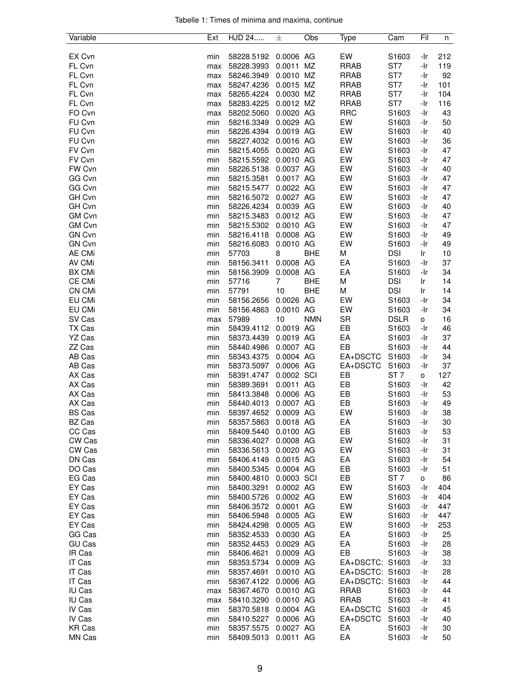|  |  |  | Tabelle 1: Times of minima and maxima, continue |  |
|--|--|--|-------------------------------------------------|--|
|  |  |  |                                                 |  |

| Variable      | Ext | HJD 24     | 士          | Obs        | Type            | Cam               | Fil | n   |
|---------------|-----|------------|------------|------------|-----------------|-------------------|-----|-----|
|               |     |            |            |            |                 |                   |     |     |
| EX Cvn        | min | 58228.5192 | 0.0006 AG  |            | EW              | S1603             | -Ir | 212 |
| FL Cvn        | max | 58228.3993 | 0.0011 MZ  |            | <b>RRAB</b>     | ST7               | -Ir | 119 |
| FL Cvn        | max | 58246.3949 | 0.0010 MZ  |            | <b>RRAB</b>     | ST7               | -Ir | 92  |
| FL Cvn        | max | 58247.4236 | 0.0015 MZ  |            | <b>RRAB</b>     | ST7               | -Ir | 101 |
| FL Cvn        | max | 58265.4224 | 0.0030 MZ  |            | <b>RRAB</b>     | ST7               | -Ir | 104 |
| FL Cvn        | max | 58283.4225 | 0.0012 MZ  |            | <b>RRAB</b>     | ST7               | -Ir | 116 |
| FO Cvn        | max | 58202.5060 | 0.0020 AG  |            | <b>RRC</b>      | S1603             | -Ir | 43  |
| FU Cvn        | min | 58216.3349 | 0.0029 AG  |            | EW              | S1603             | -Ir | 50  |
| FU Cvn        | min | 58226.4394 | 0.0019 AG  |            | EW              | S1603             | -Ir | 40  |
| FU Cvn        | min | 58227.4032 | 0.0016 AG  |            | EW              | S1603             | -Ir | 36  |
| FV Cvn        | min | 58215.4055 | 0.0020 AG  |            | EW              | S1603             | -Ir | 47  |
| FV Cvn        | min | 58215.5592 | 0.0010 AG  |            | EW              | S1603             | -Ir | 47  |
| FW Cvn        | min | 58226.5138 | 0.0037 AG  |            | EW              | S1603             | -Ir | 40  |
| GG Cvn        | min | 58215.3581 | 0.0017 AG  |            | EW              | S1603             | -Ir | 47  |
| GG Cvn        | min | 58215.5477 | 0.0022 AG  |            | EW              | S1603             | -Ir | 47  |
| GH Cvn        | min | 58216.5072 | 0.0027 AG  |            | EW              | S1603             | -Ir | 47  |
| GH Cvn        | min | 58226.4234 | 0.0039 AG  |            | EW              | S1603             | -Ir | 40  |
| <b>GM Cvn</b> | min | 58215.3483 | 0.0012 AG  |            | EW              | S1603             | -Ir | 47  |
| <b>GM Cvn</b> | min | 58215.5302 | 0.0010 AG  |            | EW              | S1603             | -Ir | 47  |
| <b>GN Cvn</b> |     |            | 0.0008 AG  |            | EW              | S1603             | -Ir | 49  |
|               | min | 58216.4118 |            |            |                 |                   |     |     |
| <b>GN Cvn</b> | min | 58216.6083 | 0.0010 AG  |            | EW              | S1603             | -Ir | 49  |
| <b>AE CMi</b> | min | 57703      | 8          | <b>BHE</b> | M               | <b>DSI</b>        | Ir  | 10  |
| AV CMi        | min | 58156.3411 | 0.0008 AG  |            | EA              | S1603             | -Ir | 37  |
| <b>BX CMi</b> | min | 58156.3909 | 0.0008 AG  |            | EA              | S1603             | -Ir | 34  |
| CE CMi        | min | 57716      | 7          | <b>BHE</b> | M               | <b>DSI</b>        | Ir  | 14  |
| <b>CN CMi</b> | min | 57791      | 10         | <b>BHE</b> | М               | <b>DSI</b>        | Ir  | 14  |
| EU CMi        | min | 58156.2656 | 0.0026 AG  |            | EW              | S1603             | -Ir | 34  |
| EU CMi        | min | 58156.4863 | 0.0010 AG  |            | EW              | S1603             | -Ir | 34  |
| SV Cas        | max | 57989      | 10         | <b>NMN</b> | <b>SR</b>       | <b>DSLR</b>       | о   | 16  |
| TX Cas        | min | 58439.4112 | 0.0019 AG  |            | EB              | S1603             | -Ir | 46  |
| YZ Cas        | min | 58373.4439 | 0.0019 AG  |            | EA              | S1603             | -Ir | 37  |
| ZZ Cas        | min | 58440.4986 | 0.0007 AG  |            | EB              | S1603             | -Ir | 44  |
| AB Cas        | min | 58343.4375 | 0.0004 AG  |            | EA+DSCTC        | S1603             | -Ir | 34  |
| AB Cas        | min | 58373.5097 | 0.0006 AG  |            | EA+DSCTC        | S1603             | -Ir | 37  |
| AX Cas        | min | 58391.4747 | 0.0002 SCI |            | EB              | ST <sub>7</sub>   | o   | 127 |
| AX Cas        | min | 58389.3691 | 0.0011 AG  |            | EB              | S1603             | -Ir | 42  |
| AX Cas        | min | 58413.3848 | 0.0006 AG  |            | EB              | S1603             | -Ir | 53  |
| AX Cas        | min | 58440.4013 | 0.0007 AG  |            | EB              | S1603             | -Ir | 49  |
| <b>BS Cas</b> | min | 58397.4652 | 0.0009 AG  |            | EW              | S1603             | -Ir | 38  |
| BZ Cas        | min | 58357.5863 | 0.0018 AG  |            | EA              | S1603             | -Ir | 30  |
| CC Cas        | min | 58409.5440 | 0.0100 AG  |            | EB              | S1603             | -Ir | 53  |
| CW Cas        | min | 58336.4027 | 0.0008 AG  |            | EW              | S1603             | -Ir | 31  |
| CW Cas        | min | 58336.5613 | 0.0020 AG  |            | EW              | S1603             | -Ir | 31  |
| DN Cas        | min | 58406.4149 | 0.0015 AG  |            | EA              | S1603             | -Ir | 54  |
| DO Cas        | min | 58400.5345 | 0.0004 AG  |            | EB              | S1603             | -Ir | 51  |
| EG Cas        | min | 58400.4810 | 0.0003 SCI |            | EB              | ST <sub>7</sub>   | o   | 86  |
| EY Cas        | min | 58400.3291 | 0.0002 AG  |            | EW              | S <sub>1603</sub> | -Ir | 404 |
|               |     |            |            |            | EW              |                   |     | 404 |
| EY Cas        | min | 58400.5726 | 0.0002 AG  |            |                 | S1603             | -Ir |     |
| EY Cas        | min | 58406.3572 | 0.0001 AG  |            | EW              | S1603             | -Ir | 447 |
| EY Cas        | min | 58406.5948 | 0.0005 AG  |            | EW              | S1603             | -Ir | 447 |
| EY Cas        | min | 58424.4298 | 0.0005 AG  |            | EW              | S1603             | -Ir | 253 |
| GG Cas        | min | 58352.4533 | 0.0030 AG  |            | EA              | S1603             | -Ir | 25  |
| <b>GU Cas</b> | min | 58352.4453 | 0.0029 AG  |            | EA              | S1603             | -Ir | 28  |
| IR Cas        | min | 58406.4621 | 0.0009 AG  |            | EB              | S <sub>1603</sub> | -Ir | 38  |
| IT Cas        | min | 58353.5734 | 0.0009 AG  |            | EA+DSCTC: S1603 |                   | -Ir | 33  |
| IT Cas        | min | 58357.4691 | 0.0010 AG  |            | EA+DSCTC: S1603 |                   | -Ir | 28  |
| IT Cas        | min | 58367.4122 | 0.0006 AG  |            | EA+DSCTC: S1603 |                   | -Ir | 44  |
| IU Cas        | max | 58367.4670 | 0.0010 AG  |            | <b>RRAB</b>     | S1603             | -Ir | 44  |
| IU Cas        | max | 58410.3290 | 0.0010 AG  |            | <b>RRAB</b>     | S1603             | -Ir | 41  |
| IV Cas        | min | 58370.5818 | 0.0004 AG  |            | EA+DSCTC        | S <sub>1603</sub> | -Ir | 45  |
| IV Cas        | min | 58410.5227 | 0.0006 AG  |            | EA+DSCTC        | S <sub>1603</sub> | -Ir | 40  |
| KR Cas        | min | 58357.5575 | 0.0027 AG  |            | EA              | S1603             | -Ir | 30  |
| MN Cas        | min | 58409.5013 | 0.0011 AG  |            | EA              | S1603             | -Ir | 50  |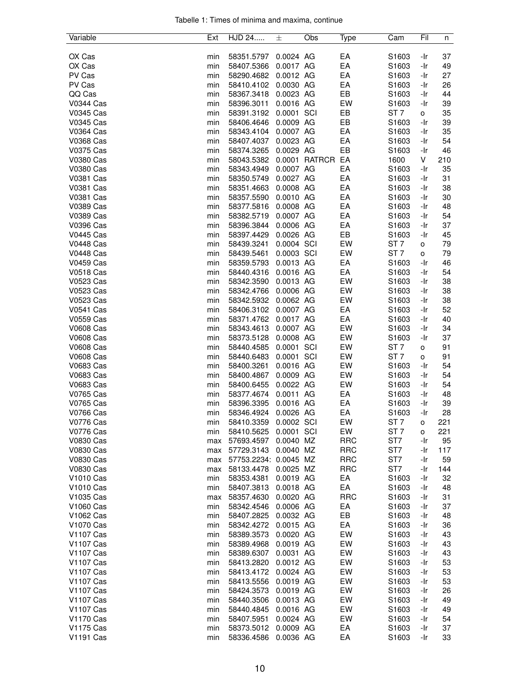| Tabelle 1: Times of minima and maxima, continue |  |  |  |
|-------------------------------------------------|--|--|--|
|                                                 |  |  |  |

| Variable              | Ext | HJD 24                | 士                      | Obs           | Type       | Cam               | Fil        | n        |
|-----------------------|-----|-----------------------|------------------------|---------------|------------|-------------------|------------|----------|
|                       |     |                       |                        |               |            |                   |            |          |
| OX Cas                | min | 58351.5797            | 0.0024 AG              |               | EA         | S1603             | -Ir        | 37       |
| OX Cas                | min | 58407.5366            | 0.0017 AG              |               | EA         | S <sub>1603</sub> | -Ir        | 49       |
| PV Cas                | min | 58290.4682            | 0.0012 AG              |               | EA         | S1603             | -Ir        | 27       |
| PV Cas                | min | 58410.4102            | 0.0030 AG              |               | EA         | S1603             | -Ir        | 26       |
| QQ Cas                | min | 58367.3418            | 0.0023 AG              |               | EB         | S <sub>1603</sub> | -Ir        | 44       |
| V0344 Cas             | min | 58396.3011            | 0.0016 AG              |               | EW         | S1603             | -Ir        | 39       |
| V0345 Cas             | min | 58391.3192            | 0.0001 SCI             |               | EB         | ST <sub>7</sub>   | 0          | 35       |
| V0345 Cas             | min | 58406.4646            | 0.0009 AG              |               | EB         | S1603             | -Ir        | 39       |
| V0364 Cas             | min | 58343.4104            | 0.0007 AG              |               | EA         | S1603             | -Ir        | 35       |
| <b>V0368 Cas</b>      | min | 58407.4037            | 0.0023 AG              |               | EA         | S1603             | -Ir        | 54       |
| V0375 Cas             | min | 58374.3265            | 0.0029 AG              |               | EB         | S1603             | -Ir        | 46       |
| V0380 Cas             | min | 58043.5382            |                        | 0.0001 RATRCR | EA         | 1600              | V          | 210      |
| V0380 Cas             | min | 58343.4949            | 0.0007 AG              |               | EA         | S1603             | -Ir        | 35       |
| <b>V0381 Cas</b>      | min | 58350.5749            | 0.0027 AG              |               | EA         | S1603             | -Ir        | 31       |
| V0381 Cas             | min | 58351.4663            | 0.0008 AG              |               | EA         | S1603             | -Ir        | 38       |
| V0381 Cas             | min | 58357.5590            | 0.0010 AG              |               | EA         | S1603             | -Ir        | 30       |
| V0389 Cas             | min | 58377.5816            | 0.0008 AG              |               | EA         | S1603             | -Ir        | 48       |
| V0389 Cas             | min | 58382.5719            | 0.0007 AG              |               | EA         | S1603             | -Ir        | 54       |
| V0396 Cas             | min | 58396.3844            | 0.0006 AG              |               | EA         | S <sub>1603</sub> | -Ir        | 37       |
| V0445 Cas             | min | 58397.4429            | 0.0026 AG              |               | EB         | S1603             | -Ir        | 45       |
| <b>V0448 Cas</b>      | min | 58439.3241            | 0.0004 SCI             |               | EW         | ST 7              | o          | 79       |
| <b>V0448 Cas</b>      | min | 58439.5461            | 0.0003 SCI             |               | EW         | ST <sub>7</sub>   | o          | 79       |
| <b>V0459 Cas</b>      | min | 58359.5793            | 0.0013 AG              |               | EA         | S1603             | -Ir        | 46       |
| <b>V0518 Cas</b>      | min | 58440.4316            | 0.0016 AG              |               | EA         | S1603             | -Ir        | 54       |
| V0523 Cas             | min | 58342.3590            | 0.0013 AG              |               | EW         | S <sub>1603</sub> | -Ir        | 38       |
| V0523 Cas             | min | 58342.4766            | 0.0006 AG              |               | EW         | S1603             | -Ir        | 38       |
| V0523 Cas             | min | 58342.5932            | 0.0062 AG              |               | EW         | S1603             | -Ir        | 38       |
| V0541 Cas             | min | 58406.3102            | 0.0007 AG              |               | EA         | S <sub>1603</sub> | -Ir        | 52       |
| <b>V0559 Cas</b>      | min | 58371.4762            | 0.0017 AG              |               | EA         | S1603             | -Ir        | 40       |
| V0608 Cas             | min | 58343.4613            | 0.0007 AG              |               | EW         | S1603             | -Ir        | 34       |
| V0608 Cas             | min | 58373.5128            | 0.0008 AG              |               | EW         | S1603             | -Ir        | 37       |
| <b>V0608 Cas</b>      | min | 58440.4585            | 0.0001                 | SCI           | EW         | ST <sub>7</sub>   | o          | 91       |
| V0608 Cas             | min | 58440.6483            | 0.0001 SCI             |               | EW         | ST <sub>7</sub>   | o          | 91       |
| V0683 Cas             | min | 58400.3261            | 0.0016 AG              |               | EW         | S1603             | -Ir        | 54       |
| V0683 Cas             | min | 58400.4867            | 0.0009 AG              |               | EW         | S1603             | -Ir        | 54       |
| V0683 Cas             | min | 58400.6455            | 0.0022 AG              |               | EW         | S1603             | -Ir        | 54       |
| V0765 Cas             | min | 58377.4674            | 0.0011 AG              |               | EA         | S1603             | -Ir        | 48       |
| V0765 Cas             | min | 58396.3395            | 0.0016 AG              |               | EA         | S1603             | -Ir        | 39       |
| <b>V0766 Cas</b>      | min | 58346.4924            | 0.0026 AG              |               | EA         | S1603             | -Ir        | 28       |
| <b>V0776 Cas</b>      | min | 58410.3359            | 0.0002 SCI             |               | EW         | ST <sub>7</sub>   | о          | 221      |
| V0776 Cas             | min | 58410.5625            | 0.0001 SCI             |               | EW         | ST <sub>7</sub>   | o          | 221      |
| <b>V0830 Cas</b>      | max | 57693.4597            | 0.0040 MZ              |               | <b>RRC</b> | ST <sub>7</sub>   | -Ir        | 95       |
| V0830 Cas             | max | 57729.3143            | 0.0040 MZ              |               | <b>RRC</b> | ST7               | -Ir        | 117      |
| V0830 Cas             | max | 57753.2234: 0.0045 MZ |                        |               | <b>RRC</b> | ST7               | -Ir        | 59       |
| V0830 Cas             | max | 58133.4478            | 0.0025 MZ              |               | <b>RRC</b> | ST7               | -Ir        | 144      |
| V1010 Cas             | min | 58353.4381            | 0.0019 AG              |               | EA         | S1603             | -Ir        | 32       |
| V <sub>1010</sub> Cas | min | 58407.3813            | 0.0018 AG              |               | EA         | S <sub>1603</sub> | -Ir        | 48       |
| V1035 Cas             | max | 58357.4630            | 0.0020 AG              |               | <b>RRC</b> | S1603             | -Ir        | 31       |
| V1060 Cas             | min | 58342.4546            | 0.0006 AG              |               | EA         | S1603             | -Ir        | 37       |
| V1062 Cas             | min | 58407.2825            | 0.0032 AG              |               | EB         | S1603             | -Ir        | 48       |
| V <sub>1070</sub> Cas | min | 58342.4272            | 0.0015 AG              |               | EA         | S1603             | -Ir        | 36       |
| V1107 Cas             | min | 58389.3573            | 0.0020 AG              |               | EW         | S1603             | -Ir        | 43       |
| V1107 Cas             | min | 58389.4968            | 0.0019 AG              |               | EW         | S1603             | -Ir        | 43       |
|                       |     |                       |                        |               |            |                   |            |          |
| V1107 Cas             | min | 58389.6307            | 0.0031 AG<br>0.0012 AG |               | EW<br>EW   | S <sub>1603</sub> | -Ir<br>-Ir | 43<br>53 |
| V1107 Cas             | min | 58413.2820            |                        |               |            | S1603             |            |          |
| V1107 Cas             | min | 58413.4172            | 0.0024 AG              |               | EW         | S1603             | -Ir        | 53       |
| V1107 Cas             | min | 58413.5556            | 0.0019 AG              |               | EW         | S1603             | -Ir        | 53       |
| <b>V1107 Cas</b>      | min | 58424.3573            | 0.0019 AG              |               | EW         | S1603             | -Ir        | 26       |
| V1107 Cas             | min | 58440.3506            | 0.0013 AG              |               | EW         | S1603             | -Ir        | 49       |
| V1107 Cas             | min | 58440.4845            | 0.0016 AG              |               | EW         | S1603             | -Ir        | 49       |
| V1170 Cas             | min | 58407.5951            | 0.0024 AG              |               | EW         | S1603             | -Ir        | 54       |
| <b>V1175 Cas</b>      | min | 58373.5012            | 0.0009 AG              |               | EA         | S1603             | -Ir        | 37       |
| V1191 Cas             | min | 58336.4586            | 0.0036 AG              |               | EA         | S1603             | -Ir        | 33       |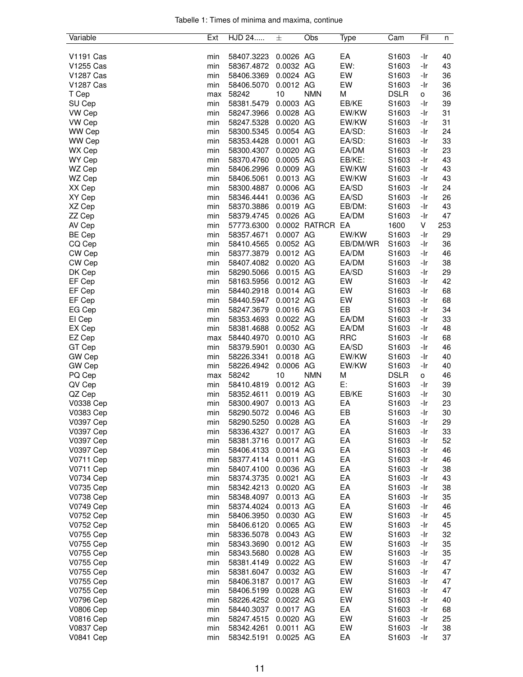|  |  |  | Tabelle 1: Times of minima and maxima, continue |  |
|--|--|--|-------------------------------------------------|--|
|  |  |  |                                                 |  |

| Variable         | Ext | <b>HJD 24</b> | 士         | Obs           | Type       | Cam            | Fil | n   |
|------------------|-----|---------------|-----------|---------------|------------|----------------|-----|-----|
|                  |     |               |           |               |            |                |     |     |
| V1191 Cas        | min | 58407.3223    | 0.0026 AG |               | EA         | S1603          | -Ir | 40  |
| V1255 Cas        | min | 58367.4872    | 0.0032 AG |               | EW:        | S1603          | -Ir | 43  |
| V1287 Cas        | min | 58406.3369    | 0.0024 AG |               | EW         | S1603          | -Ir | 36  |
| <b>V1287 Cas</b> | min | 58406.5070    | 0.0012 AG |               | EW         | S1603          | -Ir | 36  |
| T Cep            | max | 58242         | 10        | <b>NMN</b>    | M          | <b>DSLR</b>    | 0   | 36  |
| SU Cep           | min | 58381.5479    | 0.0003 AG |               | EB/KE      | S1603          | -Ir | 39  |
| VW Cep           | min | 58247.3966    | 0.0028 AG |               | EW/KW      | S1603          | -Ir | 31  |
| VW Cep           | min | 58247.5328    | 0.0020 AG |               | EW/KW      | S1603          | -Ir | 31  |
| WW Cep           | min | 58300.5345    | 0.0054 AG |               | EA/SD:     | S1603          | -Ir | 24  |
| WW Cep           | min | 58353.4428    | 0.0001 AG |               | EA/SD:     | S1603          | -Ir | 33  |
| WX Cep           | min | 58300.4307    | 0.0020 AG |               | EA/DM      | S1603          | -Ir | 23  |
| WY Cep           | min | 58370.4760    | 0.0005 AG |               | EB/KE:     | S1603          | -Ir | 43  |
| WZ Cep           | min | 58406.2996    | 0.0009 AG |               | EW/KW      | S1603          | -Ir | 43  |
| WZ Cep           | min | 58406.5061    | 0.0013 AG |               | EW/KW      | S1603          | -Ir | 43  |
| XX Cep           | min | 58300.4887    | 0.0006 AG |               | EA/SD      | S1603          | -Ir | 24  |
| XY Cep           | min | 58346.4441    | 0.0036 AG |               | EA/SD      | S1603          | -Ir | 26  |
| XZ Cep           | min | 58370.3886    | 0.0019 AG |               | EB/DM:     | S1603          | -Ir | 43  |
|                  |     |               |           |               |            |                |     |     |
| ZZ Cep           | min | 58379.4745    | 0.0026 AG |               | EA/DM      | S1603          | -Ir | 47  |
| AV Cep           | min | 57773.6300    |           | 0.0002 RATRCR | EA         | 1600           | V   | 253 |
| <b>BE Cep</b>    | min | 58357.4671    | 0.0007 AG |               | EW/KW      | S1603          | -Ir | 29  |
| CQ Cep           | min | 58410.4565    | 0.0052 AG |               | EB/DM/WR   | S1603          | -Ir | 36  |
| CW Cep           | min | 58377.3879    | 0.0012 AG |               | EA/DM      | S1603          | -Ir | 46  |
| CW Cep           | min | 58407.4082    | 0.0020 AG |               | EA/DM      | S1603          | -Ir | 38  |
| DK Cep           | min | 58290.5066    | 0.0015 AG |               | EA/SD      | S1603          | -Ir | 29  |
| EF Cep           | min | 58163.5956    | 0.0012 AG |               | EW         | S1603          | -Ir | 42  |
| EF Cep           | min | 58440.2918    | 0.0014 AG |               | EW         | S1603          | -Ir | 68  |
| EF Cep           | min | 58440.5947    | 0.0012 AG |               | EW         | S1603          | -Ir | 68  |
| EG Cep           | min | 58247.3679    | 0.0016 AG |               | EB         | S1603          | -Ir | 34  |
| El Cep           | min | 58353.4693    | 0.0022 AG |               | EA/DM      | S1603          | -Ir | 33  |
| EX Cep           | min | 58381.4688    | 0.0052 AG |               | EA/DM      | S1603          | -Ir | 48  |
| EZ Cep           | max | 58440.4970    | 0.0010 AG |               | <b>RRC</b> | S1603          | -Ir | 68  |
| GT Cep           | min | 58379.5901    | 0.0030 AG |               | EA/SD      | S1603          | -Ir | 46  |
| GW Cep           | min | 58226.3341    | 0.0018 AG |               | EW/KW      |                | -Ir | 40  |
| GW Cep           |     | 58226.4942    | 0.0006 AG |               | EW/KW      | S1603<br>S1603 | -Ir | 40  |
|                  | min |               |           |               |            |                |     |     |
| PQ Cep           | max | 58242         | 10        | <b>NMN</b>    | М          | <b>DSLR</b>    | o   | 46  |
| QV Cep           | min | 58410.4819    | 0.0012 AG |               | Е:         | S1603          | -Ir | 39  |
| QZ Cep           | min | 58352.4611    | 0.0019 AG |               | EB/KE      | S1603          | -Ir | 30  |
| <b>V0338 Cep</b> | min | 58300.4907    | 0.0013 AG |               | EA         | S1603          | -Ir | 23  |
| V0383 Cep        | min | 58290.5072    | 0.0046 AG |               | EB         | S1603          | -Ir | 30  |
| V0397 Cep        | min | 58290.5250    | 0.0028 AG |               | EA         | S1603          | -Ir | 29  |
| V0397 Cep        | min | 58336.4327    | 0.0017 AG |               | EA         | S1603          | -Ir | 33  |
| V0397 Cep        | min | 58381.3716    | 0.0017 AG |               | EA         | S1603          | -Ir | 52  |
| V0397 Cep        | min | 58406.4133    | 0.0014 AG |               | EA         | S1603          | -Ir | 46  |
| <b>V0711 Cep</b> | min | 58377.4114    | 0.0011 AG |               | EA         | S1603          | -Ir | 46  |
| V0711 Cep        | min | 58407.4100    | 0.0036 AG |               | EA         | S1603          | -Ir | 38  |
| V0734 Cep        | min | 58374.3735    | 0.0021 AG |               | EA         | S1603          | -Ir | 43  |
| V0735 Cep        | min | 58342.4213    | 0.0020 AG |               | EA         | S1603          | -Ir | 38  |
| V0738 Cep        | min | 58348.4097    | 0.0013 AG |               | EA         | S1603          | -Ir | 35  |
| V0749 Cep        | min | 58374.4024    | 0.0013 AG |               | EA         | S1603          | -Ir | 46  |
| V0752 Cep        | min | 58406.3950    | 0.0030 AG |               | EW         | S1603          | -Ir | 45  |
| V0752 Cep        | min | 58406.6120    | 0.0065 AG |               | EW         | S1603          | -Ir | 45  |
| V0755 Cep        | min | 58336.5078    | 0.0043 AG |               | EW         | S1603          | -Ir | 32  |
|                  |     |               |           |               | EW         |                |     | 35  |
| V0755 Cep        | min | 58343.3690    | 0.0012 AG |               |            | S1603          | -Ir |     |
| V0755 Cep        | min | 58343.5680    | 0.0028 AG |               | EW         | S1603          | -Ir | 35  |
| V0755 Cep        | min | 58381.4149    | 0.0022 AG |               | EW         | S1603          | -Ir | 47  |
| V0755 Cep        | min | 58381.6047    | 0.0032 AG |               | EW         | S1603          | -Ir | 47  |
| V0755 Cep        | min | 58406.3187    | 0.0017 AG |               | EW         | S1603          | -Ir | 47  |
| V0755 Cep        | min | 58406.5199    | 0.0028 AG |               | EW         | S1603          | -Ir | 47  |
| V0796 Cep        | min | 58226.4252    | 0.0022 AG |               | EW         | S1603          | -Ir | 40  |
| V0806 Cep        | min | 58440.3037    | 0.0017 AG |               | EA         | S1603          | -Ir | 68  |
| <b>V0816 Cep</b> | min | 58247.4515    | 0.0020 AG |               | EW         | S1603          | -Ir | 25  |
| V0837 Cep        | min | 58342.4261    | 0.0011 AG |               | EW         | S1603          | -Ir | 38  |
| <b>V0841 Cep</b> | min | 58342.5191    | 0.0025 AG |               | EA         | S1603          | -Ir | 37  |
|                  |     |               |           |               |            |                |     |     |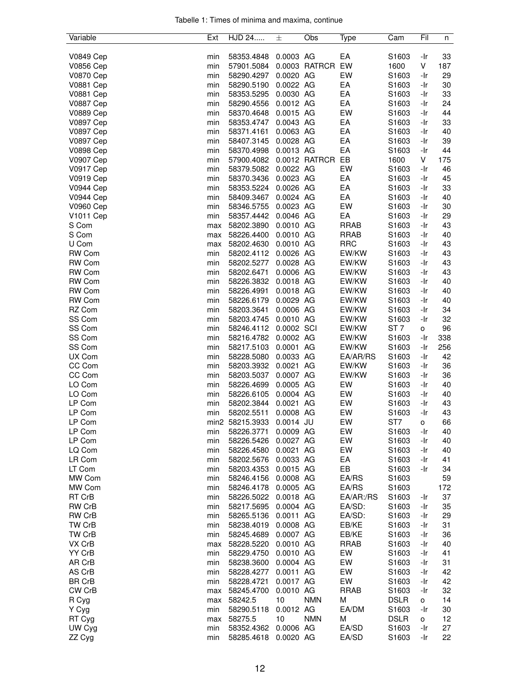| Tabelle 1: Times of minima and maxima, continue |  |  |  |
|-------------------------------------------------|--|--|--|
|                                                 |  |  |  |

| Variable         | Ext | HJD 24          | 士           | Obs           | Type        | Cam               | Fil          | n   |
|------------------|-----|-----------------|-------------|---------------|-------------|-------------------|--------------|-----|
|                  |     |                 |             |               |             |                   |              |     |
| V0849 Cep        | min | 58353.4848      | 0.0003 AG   |               | EA          | S1603             | -Ir          | 33  |
| V0856 Cep        | min | 57901.5084      |             | 0.0003 RATRCR | EW          | 1600              | V            | 187 |
| V0870 Cep        | min | 58290.4297      | 0.0020 AG   |               | EW          | S1603             | -Ir          | 29  |
| <b>V0881 Cep</b> | min | 58290.5190      | 0.0022 AG   |               | EA          | S1603             | -Ir          | 30  |
| <b>V0881 Cep</b> | min | 58353.5295      | 0.0030 AG   |               | EA          | S1603             | -Ir          | 33  |
| <b>V0887 Cep</b> | min | 58290.4556      | 0.0012 AG   |               | EA          | S1603             | -Ir          | 24  |
| <b>V0889 Cep</b> | min | 58370.4648      | 0.0015 AG   |               | EW          | S1603             | -Ir          | 44  |
| <b>V0897 Cep</b> | min | 58353.4747      | 0.0043 AG   |               | EA          | S1603             | -Ir          | 33  |
| <b>V0897 Cep</b> | min | 58371.4161      | 0.0063 AG   |               | EA          | S1603             | -Ir          | 40  |
| V0897 Cep        | min | 58407.3145      | 0.0028 AG   |               | EA          | S1603             | -Ir          | 39  |
| <b>V0898 Cep</b> | min | 58370.4998      | 0.0013 AG   |               | EA          | S1603             | -Ir          | 44  |
| <b>V0907 Cep</b> | min | 57900.4082      |             | 0.0012 RATRCR | EB          | 1600              | V            | 175 |
| <b>V0917 Cep</b> | min | 58379.5082      | 0.0022 AG   |               | EW          | S1603             | -Ir          | 46  |
| V0919 Cep        | min | 58370.3436      | 0.0023 AG   |               | EA          | S1603             | -Ir          | 45  |
| <b>V0944 Cep</b> | min | 58353.5224      | 0.0026 AG   |               | EA          | S1603             | -Ir          | 33  |
| <b>V0944 Cep</b> | min | 58409.3467      | 0.0024 AG   |               | EA          | S1603             | -Ir          | 40  |
| V0960 Cep        | min | 58346.5755      | 0.0023 AG   |               | EW          | S1603             | -Ir          | 30  |
| <b>V1011 Cep</b> | min | 58357.4442      | 0.0046 AG   |               | EA          | S1603             | -Ir          | 29  |
| S Com            | max | 58202.3890      | 0.0010 AG   |               | <b>RRAB</b> | S1603             | -Ir          | 43  |
| S Com            | max | 58226.4400      | 0.0010 AG   |               | <b>RRAB</b> | S1603             | -Ir          | 40  |
| U Com            | max | 58202.4630      | 0.0010 AG   |               | <b>RRC</b>  | S1603             | -Ir          | 43  |
| RW Com           | min | 58202.4112      | 0.0026 AG   |               | EW/KW       | S1603             | -Ir          | 43  |
| RW Com           | min | 58202.5277      | 0.0028 AG   |               | EW/KW       | S1603             | -Ir          | 43  |
| RW Com           | min | 58202.6471      | 0.0006 AG   |               | EW/KW       | S1603             | -Ir          | 43  |
| <b>RW Com</b>    | min | 58226.3832      | 0.0018 AG   |               | EW/KW       | S1603             | -Ir          | 40  |
| RW Com           | min | 58226.4991      | 0.0018 AG   |               | EW/KW       | S1603             | -Ir          | 40  |
| RW Com           | min | 58226.6179      | 0.0029 AG   |               | EW/KW       | S1603             | -Ir          | 40  |
| RZ Com           | min | 58203.3641      | 0.0006 AG   |               | EW/KW       | S1603             | -Ir          | 34  |
| SS Com           | min | 58203.4745      | 0.0010 AG   |               | EW/KW       | S1603             | -Ir          | 32  |
| SS Com           | min | 58246.4112      | 0.0002 SCI  |               | EW/KW       | ST <sub>7</sub>   | 0            | 96  |
| SS Com           | min | 58216.4782      | 0.0002 AG   |               | EW/KW       | S1603             | -Ir          | 338 |
| SS Com           | min | 58217.5103      | 0.0001 AG   |               | EW/KW       | S1603             | -Ir          | 256 |
| UX Com           | min | 58228.5080      | 0.0033 AG   |               | EA/AR/RS    | S1603             | -Ir          | 42  |
| CC Com           | min | 58203.3932      | 0.0021 AG   |               | EW/KW       | S1603             | -Ir          | 36  |
| CC Com           | min | 58203.5037      | 0.0007 AG   |               | EW/KW       | S1603             | -Ir          | 36  |
| LO Com           | min | 58226.4699      | 0.0005 AG   |               | EW          | S1603             | -Ir          | 40  |
| LO Com           | min | 58226.6105      | 0.0004 AG   |               | EW          | S1603             | -Ir          | 40  |
| LP Com           | min | 58202.3844      | 0.0021 AG   |               | EW          | S1603             | -Ir          | 43  |
| LP Com           | min | 58202.5511      | 0.0008 AG   |               | EW          | S1603             | -Ir          | 43  |
| LP Com           |     | min2 58215.3933 | $0.0014$ JU |               | EW          | ST7               | $\mathsf{o}$ | 66  |
| LP Com           | min | 58226.3771      | 0.0009 AG   |               | EW          | S1603             | -Ir          | 40  |
| LP Com           | min | 58226.5426      | 0.0027 AG   |               | EW          | S1603             | -Ir          | 40  |
| LQ Com           | min | 58226.4580      | 0.0021 AG   |               | EW          | S1603             | -Ir          | 40  |
| LR Com           | min | 58202.5676      | 0.0033 AG   |               | EA          | S1603             | -Ir          | 41  |
| LT Com           | min | 58203.4353      | 0.0015 AG   |               | EB          | S1603             | -Ir          | 34  |
| MW Com           | min | 58246.4156      | 0.0008 AG   |               | EA/RS       | S1603             |              | 59  |
| MW Com           | min | 58246.4178      | 0.0005 AG   |               | EA/RS       | S1603             |              | 172 |
| RT CrB           | min | 58226.5022      | 0.0018 AG   |               | EA/AR:/RS   | S1603             | -Ir          | 37  |
| RW CrB           | min | 58217.5695      | 0.0004 AG   |               | EA/SD:      | S1603             | -Ir          | 35  |
| <b>RW CrB</b>    | min | 58265.5136      | 0.0011 AG   |               | EA/SD:      | S1603             | -Ir          | 29  |
| TW CrB           | min | 58238.4019      | 0.0008 AG   |               | EB/KE       | S1603             | -Ir          | 31  |
| TW CrB           | min | 58245.4689      | 0.0007 AG   |               | EB/KE       | S1603             | -Ir          | 36  |
| VX CrB           | max | 58228.5220      | 0.0010 AG   |               | <b>RRAB</b> | S1603             | -Ir          | 40  |
| YY CrB           | min | 58229.4750      | 0.0010 AG   |               | EW          | S1603             | -Ir          | 41  |
| AR CrB           | min | 58238.3600      | 0.0004 AG   |               | EW          | S1603             | -Ir          | 31  |
| AS CrB           | min | 58228.4277      | 0.0011 AG   |               | EW          | S1603             | -Ir          | 42  |
| <b>BR CrB</b>    | min | 58228.4721      | 0.0017 AG   |               | EW          | S <sub>1603</sub> | -Ir          | 42  |
| CW CrB           | max | 58245.4700      | 0.0010 AG   |               | <b>RRAB</b> | S1603             | -Ir          | 32  |
| R Cyg            | max | 58242.5         | 10          | <b>NMN</b>    | М           | <b>DSLR</b>       | 0            | 14  |
| Y Cyg            | min | 58290.5118      | 0.0012 AG   |               | EA/DM       | S1603             | -Ir          | 30  |
| RT Cyg           | max | 58275.5         | 10          | <b>NMN</b>    | М           | <b>DSLR</b>       | o            | 12  |
| UW Cyg           | min | 58352.4362      | 0.0006 AG   |               | EA/SD       | S1603             | -Ir          | 27  |
|                  |     | 58285.4618      | 0.0020 AG   |               | EA/SD       | S1603             | -Ir          | 22  |
| ZZ Cyg           | min |                 |             |               |             |                   |              |     |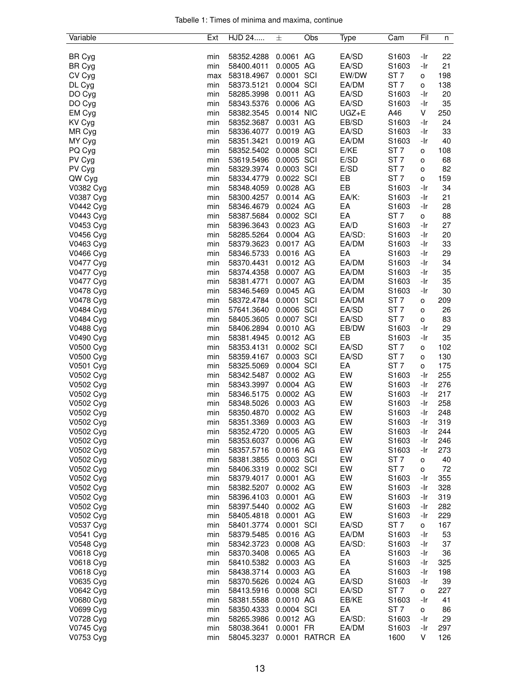|  |  |  | Tabelle 1: Times of minima and maxima, continue |  |
|--|--|--|-------------------------------------------------|--|
|  |  |  |                                                 |  |

| Variable               | Ext        | HJD 24                   | 士                      | Obs              | Type     | Cam             | Fil                 | n          |
|------------------------|------------|--------------------------|------------------------|------------------|----------|-----------------|---------------------|------------|
|                        |            |                          |                        |                  |          |                 |                     |            |
| BR Cyg                 | min        | 58352.4288               | 0.0061 AG              |                  | EA/SD    | S1603           | -Ir                 | 22         |
| BR Cyg                 | min        | 58400.4011               | 0.0005 AG              |                  | EA/SD    | S1603           | -Ir                 | 21         |
| CV Cyg                 | max        | 58318.4967               | 0.0001 SCI             |                  | EW/DW    | ST <sub>7</sub> | o                   | 198        |
| DL Cyg                 | min        | 58373.5121               | 0.0004 SCI             |                  | EA/DM    | ST <sub>7</sub> | о                   | 138        |
| DO Cyg                 | min        | 58285.3998               | 0.0011 AG              |                  | EA/SD    | S1603           | -Ir                 | 20         |
| DO Cyg                 | min        | 58343.5376               | 0.0006 AG              |                  | EA/SD    | S1603           | -Ir                 | 35         |
| EM Cyg                 | min        | 58382.3545               | 0.0014 NIC             |                  | UGZ+E    | A46             | V                   | 250        |
| KV Cyg                 | min        | 58352.3687               | 0.0031 AG              |                  | EB/SD    | S1603           | -Ir                 | 24         |
| MR Cyg                 | min        | 58336.4077               | 0.0019 AG              |                  | EA/SD    | S1603           | -Ir                 | 33         |
| MY Cyg                 | min        | 58351.3421               | 0.0019 AG              |                  | EA/DM    | S1603           | -Ir                 | 40         |
| PQ Cyg                 | min        | 58352.5402               | 0.0008 SCI             |                  | E/KE     | ST <sub>7</sub> | o                   | 108        |
| PV Cyg                 | min        | 53619.5496               | 0.0005 SCI             |                  | E/SD     | ST <sub>7</sub> | o                   | 68         |
| PV Cyg                 | min        | 58329.3974               | 0.0003 SCI             |                  | E/SD     | ST <sub>7</sub> | o                   | 82         |
| QW Cyg                 | min        | 58334.4779               | 0.0022 SCI             |                  | EB       | ST <sub>7</sub> | o                   | 159        |
| V0382 Cyg              | min        | 58348.4059               | 0.0028 AG              |                  | EB       | S1603           | -Ir                 | 34         |
| V0387 Cyg              | min        | 58300.4257               | 0.0014 AG              |                  | EA/K:    | S1603           | -Ir                 | 21         |
| V0442 Cyg              | min        | 58346.4679               | 0.0024 AG              |                  | EA       | S1603           | -Ir                 | 28         |
| V0443 Cyg              | min        | 58387.5684               | 0.0002 SCI             |                  | EA       | ST <sub>7</sub> | 0                   | 88         |
| V0453 Cyg              | min        | 58396.3643               | 0.0023 AG              |                  | EA/D     | S1603           | -Ir                 | 27         |
| V0456 Cyg              | min        | 58285.5264               | 0.0004 AG              |                  | EA/SD:   | S1603           | -Ir                 | 20         |
| V0463 Cyg              | min        | 58379.3623               | 0.0017 AG              |                  | EA/DM    | S1603           | -Ir                 | 33         |
| V0466 Cyg              | min        | 58346.5733               | 0.0016 AG              |                  | EA       | S1603           | -Ir                 | 29         |
| V0477 Cyg              | min        | 58370.4431               | 0.0012 AG              |                  | EA/DM    | S1603           | -Ir                 | 34         |
| V0477 Cyg              | min        | 58374.4358               | 0.0007 AG              |                  | EA/DM    | S1603           | -Ir                 | 35         |
| V0477 Cyg              | min        | 58381.4771               | 0.0007 AG              |                  | EA/DM    | S1603           | -Ir                 | 35         |
| V0478 Cyg              | min        | 58346.5469               | 0.0045 AG              |                  | EA/DM    | S1603           | -Ir                 | 30         |
| V0478 Cyg              | min        | 58372.4784               | 0.0001 SCI             |                  | EA/DM    | ST <sub>7</sub> | $\mathsf{o}\xspace$ | 209        |
| V0484 Cyg              | min        | 57641.3640               | 0.0006 SCI             |                  | EA/SD    | ST <sub>7</sub> | o                   | 26         |
| V0484 Cyg              | min        | 58405.3605               | 0.0007 SCI             |                  | EA/SD    | ST <sub>7</sub> | o                   | 83         |
| V0488 Cyg              | min        | 58406.2894               | 0.0010 AG              |                  | EB/DW    | S1603           | -Ir                 | 29         |
| V0490 Cyg              | min        | 58381.4945               | 0.0012 AG              |                  | EB       | S1603           | -Ir                 | 35         |
| V0500 Cyg              | min        | 58353.4131               | 0.0002 SCI             |                  | EA/SD    | ST <sub>7</sub> | o                   | 102        |
| V0500 Cyg              | min        | 58359.4167               | 0.0003 SCI             |                  | EA/SD    | ST <sub>7</sub> | o                   | 130        |
| V0501 Cyg              | min        | 58325.5069               | 0.0004 SCI             |                  | EA       | ST <sub>7</sub> | o                   | 175        |
| V0502 Cyg              | min        | 58342.5487               | 0.0002 AG              |                  | EW       | S1603           | -Ir                 | 255        |
| V0502 Cyg              | min        | 58343.3997               | 0.0004 AG              |                  | EW       | S1603           | -Ir                 | 276        |
| V0502 Cyg              | min        | 58346.5175               | 0.0002 AG              |                  | EW       | S1603           | -Ir                 | 217        |
| V0502 Cyg              | min        | 58348.5026               | 0.0003 AG              |                  | EW       | S1603           | -Ir                 | 258        |
| V0502 Cyg              | min        | 58350.4870               | 0.0002 AG              |                  | EW       | S1603           | -Ir                 | 248        |
| V0502 Cyg              | min        | 58351.3369               | 0.0003 AG              |                  | EW       | S1603           | -Ir                 | 319        |
| V0502 Cyg              | min        | 58352.4720               | 0.0005 AG<br>0.0006 AG |                  | EW       | S1603           | -Ir                 | 244        |
| V0502 Cyg              | min        | 58353.6037               | 0.0016 AG              |                  | EW<br>EW | S1603<br>S1603  | -Ir<br>-Ir          | 246<br>273 |
| V0502 Cyg<br>V0502 Cyg | min        | 58357.5716               | 0.0003 SCI             |                  | EW       | ST <sub>7</sub> |                     | 40         |
| V0502 Cyg              | min        | 58381.3855<br>58406.3319 | 0.0002 SCI             |                  | EW       | ST <sub>7</sub> | o                   | 72         |
| V0502 Cyg              | min<br>min | 58379.4017               | 0.0001 AG              |                  | EW       | S1603           | o<br>-Ir            | 355        |
| V0502 Cyg              | min        | 58382.5207               | 0.0002 AG              |                  | EW       | S1603           | -Ir                 | 328        |
| V0502 Cyg              | min        | 58396.4103               | 0.0001 AG              |                  | EW       | S1603           | -Ir                 | 319        |
| V0502 Cyg              | min        | 58397.5440               | 0.0002 AG              |                  | EW       | S1603           | -Ir                 | 282        |
| V0502 Cyg              | min        | 58405.4818               | 0.0001 AG              |                  | EW       | S1603           | -Ir                 | 229        |
| V0537 Cyg              | min        | 58401.3774               | 0.0001 SCI             |                  | EA/SD    | ST <sub>7</sub> | o                   | 167        |
| V0541 Cyg              | min        | 58379.5485               | 0.0016 AG              |                  | EA/DM    | S1603           | -Ir                 | 53         |
| V0548 Cyg              | min        | 58342.3723               | 0.0008 AG              |                  | EA/SD:   | S1603           | -Ir                 | 37         |
| V0618 Cyg              | min        | 58370.3408               | 0.0065 AG              |                  | EA       | S1603           | -Ir                 | 36         |
| V0618 Cyg              | min        | 58410.5382               | 0.0003 AG              |                  | EA       | S1603           | -Ir                 | 325        |
| V0618 Cyg              | min        | 58438.3714               | 0.0003 AG              |                  | EA       | S1603           | -Ir                 | 198        |
| V0635 Cyg              | min        | 58370.5626               | 0.0024 AG              |                  | EA/SD    | S1603           | -Ir                 | 39         |
| V0642 Cyg              | min        | 58413.5916               | 0.0008 SCI             |                  | EA/SD    | ST <sub>7</sub> | 0                   | 227        |
| V0680 Cyg              | min        | 58381.5588               | 0.0010 AG              |                  | EB/KE    | S1603           | -Ir                 | 41         |
| V0699 Cyg              | min        | 58350.4333               | 0.0004 SCI             |                  | EA       | ST <sub>7</sub> | 0                   | 86         |
| V0728 Cyg              | min        | 58265.3986               | 0.0012 AG              |                  | EA/SD:   | S1603           | -Ir                 | 29         |
| V0745 Cyg              | min        | 58038.3641               | 0.0001 FR              |                  | EA/DM    | S1603           | -Ir                 | 297        |
| V0753 Cyg              | min        | 58045.3237               |                        | 0.0001 RATRCR EA |          | 1600            | V                   | 126        |
|                        |            |                          |                        |                  |          |                 |                     |            |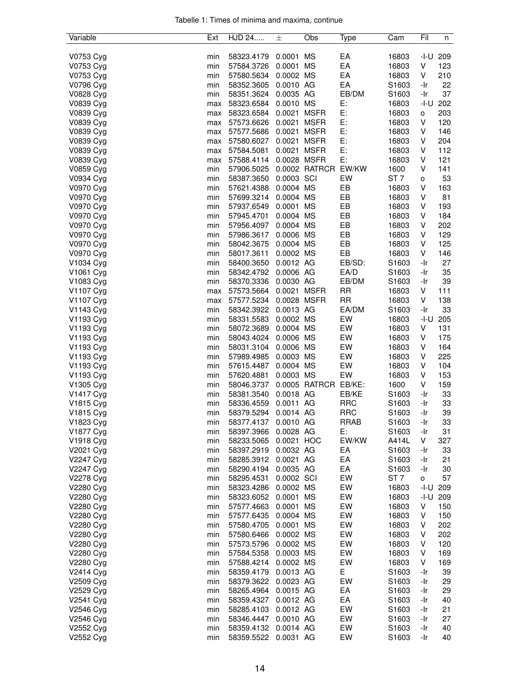| Tabelle 1: Times of minima and maxima, continue |  |  |  |
|-------------------------------------------------|--|--|--|
|                                                 |  |  |  |

| Variable               | Ext | HJD 24     | 土           | Obs           | Type        | Cam               | Fil  | n   |
|------------------------|-----|------------|-------------|---------------|-------------|-------------------|------|-----|
|                        |     |            |             |               |             |                   |      |     |
| V0753 Cyg              | min | 58323.4179 | 0.0001 MS   |               | EA          | 16803             | -I-U | 209 |
| V0753 Cyg              | min | 57584.3726 | 0.0001 MS   |               | EA          | 16803             | V    | 123 |
| V0753 Cyg              | min | 57580.5634 | 0.0002 MS   |               | EA          | 16803             | V    | 210 |
| V0796 Cyg              | min | 58352.3605 | 0.0010 AG   |               | EA          | S1603             | -Ir  | 22  |
| V0828 Cyg              | min | 58351.3624 | 0.0035 AG   |               | EB/DM       | S1603             | -Ir  | 37  |
| V0839 Cyg              | max | 58323.6584 | 0.0010 MS   |               | Е:          | 16803             | -I-U | 202 |
| V0839 Cyg              | max | 58323.6584 | 0.0021      | <b>MSFR</b>   | E:          | 16803             | о    | 203 |
| V0839 Cyg              | max | 57573.6626 | 0.0021 MSFR |               | E:          | 16803             | V    | 120 |
| V0839 Cyg              | max | 57577.5686 | 0.0021 MSFR |               | E:          | 16803             | V    | 146 |
| V0839 Cyg              | max | 57580.6027 | 0.0021 MSFR |               | E:          | 16803             | V    | 204 |
| V0839 Cyg              | max | 57584.5081 | 0.0021 MSFR |               | E:          | 16803             | V    | 112 |
| V0839 Cyg              | max | 57588.4114 | 0.0028 MSFR |               | Е:          | 16803             | V    | 121 |
| V0859 Cyg              | min | 57906.5025 |             | 0.0002 RATRCR | EW/KW       | 1600              | V    | 141 |
| V0934 Cyg              | min | 58387.3650 | 0.0003 SCI  |               | EW          | ST <sub>7</sub>   | о    | 53  |
| V0970 Cyg              | min | 57621.4388 | 0.0004 MS   |               | EB          | 16803             | V    | 163 |
| V0970 Cyg              | min | 57699.3214 | 0.0004 MS   |               | EB          | 16803             | V    | 81  |
| V0970 Cyg              |     |            | 0.0001 MS   |               | EB          | 16803             | V    | 193 |
|                        | min | 57937.6549 | 0.0004 MS   |               |             |                   |      |     |
| V0970 Cyg              | min | 57945.4701 |             |               | EB          | 16803             | V    | 184 |
| V0970 Cyg              | min | 57956.4097 | 0.0004 MS   |               | EB          | 16803             | V    | 202 |
| V0970 Cyg              | min | 57986.3617 | 0.0006 MS   |               | EB          | 16803             | V    | 129 |
| V0970 Cyg              | min | 58042.3675 | 0.0004 MS   |               | EB          | 16803             | V    | 125 |
| V0970 Cyg              | min | 58017.3611 | 0.0002 MS   |               | EB          | 16803             | V    | 146 |
| V1034 Cyg              | min | 58400.3650 | 0.0012 AG   |               | EB/SD:      | S1603             | -Ir  | 27  |
| V1061 Cyg              | min | 58342.4792 | 0.0006 AG   |               | EA/D        | S1603             | -Ir  | 35  |
| V1083 Cyg              | min | 58370.3336 | 0.0030 AG   |               | EB/DM       | S1603             | -Ir  | 39  |
| V1107 Cyg              | max | 57573.5664 | 0.0021 MSFR |               | <b>RR</b>   | 16803             | V    | 111 |
| V1107 Cyg              | max | 57577.5234 | 0.0028 MSFR |               | <b>RR</b>   | 16803             | V    | 138 |
| V1143 Cyg              | min | 58342.3922 | 0.0013 AG   |               | EA/DM       | S1603             | -Ir  | 33  |
| V1193 Cyg              | min | 58331.5583 | 0.0002 MS   |               | EW          | 16803             | -I-U | 205 |
| V1193 Cyg              | min | 58072.3689 | 0.0004 MS   |               | EW          | 16803             | V    | 131 |
| V1193 Cyg              | min | 58043.4024 | 0.0006 MS   |               | EW          | 16803             | V    | 175 |
| V1193 Cyg              | min | 58031.3104 | 0.0006 MS   |               | EW          | 16803             | V    | 164 |
| V1193 Cyg              | min | 57989.4985 | 0.0003 MS   |               | EW          | 16803             | V    | 225 |
| V1193 Cyg              | min | 57615.4487 | 0.0004 MS   |               | EW          | 16803             | V    | 104 |
| V1193 Cyg              | min | 57620.4881 | 0.0003 MS   |               | EW          | 16803             | V    | 153 |
| V1305 Cyg              | min | 58046.3737 |             | 0.0005 RATRCR | EB/KE:      | 1600              | V    | 159 |
| V1417 Cyg              | min | 58381.3540 | 0.0018 AG   |               | EB/KE       | S1603             | -Ir  | 33  |
| V1815 Cyg              | min | 58336.4559 | 0.0011 AG   |               | <b>RRC</b>  | S1603             | -Ir  | 33  |
| V1815 Cyg              | min | 58379.5294 | 0.0014 AG   |               | <b>RRC</b>  | S1603             | -Ir  | 39  |
|                        |     | 58377.4137 | 0.0010 AG   |               | <b>RRAB</b> | S1603             |      | 33  |
| V1823 Cyg<br>V1877 Cyg | min |            |             |               |             |                   | -Ir  |     |
|                        | min | 58397.3966 | 0.0028 AG   |               | E:          | S1603             | -Ir  | 31  |
| V1918 Cyg              | min | 58233.5065 | 0.0021 HOC  |               | EW/KW       | A414L             | V    | 327 |
| V2021 Cyg              | min | 58397.2919 | 0.0032 AG   |               | EA          | S1603             | -Ir  | 33  |
| V2247 Cyg              | min | 58285.3912 | 0.0021 AG   |               | EA          | S1603             | -Ir  | 21  |
| V2247 Cyg              | min | 58290.4194 | 0.0035 AG   |               | EA          | S1603             | -Ir  | 30  |
| V2278 Cyg              | min | 58295.4531 | 0.0002 SCI  |               | EW          | ST <sub>7</sub>   | o    | 57  |
| V2280 Cyg              | min | 58323.4286 | 0.0002 MS   |               | EW          | 16803             | -I-U | 209 |
| V2280 Cyg              | min | 58323.6052 | 0.0001 MS   |               | EW          | 16803             | -I-U | 209 |
| V2280 Cyg              | min | 57577.4663 | 0.0001 MS   |               | EW          | 16803             | V    | 150 |
| V2280 Cyg              | min | 57577.6435 | 0.0004 MS   |               | EW          | 16803             | V    | 150 |
| V2280 Cyg              | min | 57580.4705 | 0.0001 MS   |               | EW          | 16803             | V    | 202 |
| V2280 Cyg              | min | 57580.6466 | 0.0002 MS   |               | EW          | 16803             | V    | 202 |
| V2280 Cyg              | min | 57573.5796 | 0.0002 MS   |               | EW          | 16803             | V    | 120 |
| V2280 Cyg              | min | 57584.5358 | 0.0003 MS   |               | EW          | 16803             | V    | 169 |
| V2280 Cyg              | min | 57588.4214 | 0.0002 MS   |               | EW          | 16803             | V    | 169 |
| V2414 Cyg              | min | 58359.4179 | 0.0013 AG   |               | E           | S1603             | -Ir  | 39  |
| V2509 Cyg              | min | 58379.3622 | 0.0023 AG   |               | EW          | S1603             | -Ir  | 29  |
| V2529 Cyg              | min | 58265.4964 | 0.0015 AG   |               | EA          | S1603             | -Ir  | 29  |
| V2541 Cyg              | min | 58359.4327 | 0.0012 AG   |               | EA          | S <sub>1603</sub> | -Ir  | 40  |
| V2546 Cyg              | min | 58285.4103 | 0.0012 AG   |               | EW          | S1603             | -Ir  | 21  |
| V2546 Cyg              | min | 58346.4447 | 0.0010 AG   |               | EW          | S1603             | -Ir  | 27  |
| V2552 Cyg              | min | 58359.4132 | 0.0014 AG   |               | EW          | S1603             | -Ir  | 40  |
| V2552 Cyg              | min | 58359.5522 | 0.0031 AG   |               | EW          | S1603             | -Ir  | 40  |
|                        |     |            |             |               |             |                   |      |     |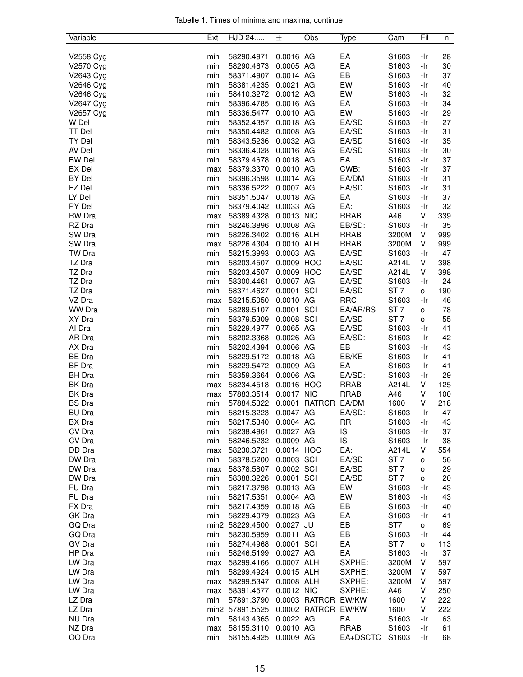|  |  |  | Tabelle 1: Times of minima and maxima, continue |  |
|--|--|--|-------------------------------------------------|--|
|  |  |  |                                                 |  |

| Variable         | Ext        | HJD 24                   | 土                       | Obs                 | Type                | Cam                      | Fil      | n        |
|------------------|------------|--------------------------|-------------------------|---------------------|---------------------|--------------------------|----------|----------|
|                  |            |                          |                         |                     |                     |                          |          |          |
| V2558 Cyg        | min        | 58290.4971               | 0.0016 AG               |                     | EA                  | S1603                    | -Ir      | 28       |
| V2570 Cyg        | min        | 58290.4673               | 0.0005 AG               |                     | EA                  | S1603                    | -Ir      | 30       |
| V2643 Cyg        | min        | 58371.4907               | 0.0014 AG               |                     | EB                  | S1603                    | -Ir      | 37       |
| V2646 Cyg        | min        | 58381.4235               | 0.0021 AG               |                     | EW                  | S1603                    | -Ir      | 40       |
| V2646 Cyg        | min        | 58410.3272               | 0.0012 AG               |                     | EW                  | S1603                    | -Ir      | 32       |
| V2647 Cyg        | min        | 58396.4785               | 0.0016 AG               |                     | EA                  | S1603                    | -Ir      | 34       |
| V2657 Cyg        | min        | 58336.5477               | 0.0010 AG               |                     | EW                  | S1603                    | -Ir      | 29       |
| W Del            | min        | 58352.4357               | 0.0018 AG               |                     | EA/SD               | S1603                    | -Ir      | 27       |
| <b>TT Del</b>    | min        | 58350.4482               | 0.0008 AG               |                     | EA/SD               | S1603                    | -Ir      | 31       |
| TY Del           | min        | 58343.5236               | 0.0032 AG               |                     | EA/SD               | S1603                    | -Ir      | 35       |
| AV Del           | min        | 58336.4028               | 0.0016 AG               |                     | EA/SD               | S1603                    | -Ir      | 30       |
| <b>BW Del</b>    | min        | 58379.4678               | 0.0018 AG               |                     | EA                  | S1603                    | -Ir      | 37       |
| <b>BX</b> Del    | max        | 58379.3370               | 0.0010 AG               |                     | CWB:                | S1603                    | -Ir      | 37       |
| <b>BY Del</b>    | min        | 58396.3598               | 0.0014 AG               |                     | EA/DM               | S1603                    | -Ir      | 31       |
| FZ Del           | min        | 58336.5222               | 0.0007 AG               |                     | EA/SD               | S1603                    | -Ir      | 31       |
| LY Del           | min        | 58351.5047               | 0.0018 AG               |                     | EA                  | S1603                    | -Ir      | 37       |
| PY Del           | min        | 58379.4042               | 0.0033 AG               |                     | EA:                 | S1603                    | -Ir      | 32       |
| RW Dra           | max        | 58389.4328               | 0.0013 NIC              |                     | <b>RRAB</b>         | A46                      | V        | 339      |
| RZ Dra           | min        | 58246.3896               | 0.0008 AG               |                     | EB/SD:              | S1603                    | -Ir      | 35       |
| SW Dra           | min        | 58226.3402               | 0.0016 ALH              |                     | <b>RRAB</b>         | 3200M                    | V        | 999      |
| SW Dra           | max        | 58226.4304               | 0.0010 ALH              |                     | <b>RRAB</b>         | 3200M                    | V        | 999      |
| TW Dra           | min        | 58215.3993               | 0.0003 AG               |                     | EA/SD               | S1603                    | -Ir      | 47       |
| TZ Dra           | min        | 58203.4507               | 0.0009 HOC              |                     | EA/SD               | A214L                    | V        | 398      |
| TZ Dra           | min        | 58203.4507               | 0.0009 HOC              |                     | EA/SD               | A214L                    | V        | 398      |
| TZ Dra           | min        | 58300.4461               | 0.0007 AG               |                     | EA/SD               | S1603                    | -Ir      | 24       |
| TZ Dra<br>VZ Dra | min        | 58371.4627               | 0.0001 SCI<br>0.0010 AG |                     | EA/SD<br><b>RRC</b> | ST <sub>7</sub>          | о<br>-Ir | 190      |
| <b>WW Dra</b>    | max        | 58215.5050               | 0.0001 SCI              |                     | EA/AR/RS            | S1603<br>ST <sub>7</sub> |          | 46<br>78 |
| XY Dra           | min<br>min | 58289.5107<br>58379.5309 | 0.0008 SCI              |                     | EA/SD               | ST <sub>7</sub>          | o        | 55       |
| Al Dra           | min        | 58229.4977               | 0.0065 AG               |                     | EA/SD               | S1603                    | о<br>-Ir | 41       |
| AR Dra           | min        | 58202.3368               | 0.0026 AG               |                     | EA/SD:              | S1603                    | -Ir      | 42       |
| AX Dra           | min        | 58202.4394               | 0.0006 AG               |                     | EB                  | S1603                    | -Ir      | 43       |
| <b>BE</b> Dra    | min        | 58229.5172               | 0.0018 AG               |                     | EB/KE               | S1603                    | -Ir      | 41       |
| <b>BF</b> Dra    | min        | 58229.5472               | 0.0009 AG               |                     | EA                  | S1603                    | -Ir      | 41       |
| BH Dra           | min        | 58359.3664               | 0.0006 AG               |                     | EA/SD:              | S1603                    | -Ir      | 29       |
| BK Dra           | max        | 58234.4518               | 0.0016 HOC              |                     | <b>RRAB</b>         | A214L                    | V        | 125      |
| BK Dra           | max        | 57883.3514               | 0.0017 NIC              |                     | <b>RRAB</b>         | A46                      | V        | 100      |
| <b>BS</b> Dra    | min        | 57884.5322               |                         | 0.0001 RATRCR EA/DM |                     | 1600                     | V        | 218      |
| <b>BU Dra</b>    | min        | 58215.3223               | 0.0047 AG               |                     | EA/SD:              | S1603                    | -Ir      | 47       |
| BX Dra           | min        | 58217.5340               | 0.0004 AG               |                     | RR                  | S1603                    | -Ir      | 43       |
| CV Dra           | min        | 58238.4961               | 0.0027 AG               |                     | IS                  | S1603                    | -Ir      | 37       |
| CV Dra           | min        | 58246.5232               | 0.0009 AG               |                     | IS                  | S1603                    | -Ir      | 38       |
| DD Dra           | max        | 58230.3721               | 0.0014 HOC              |                     | EA:                 | A214L                    | V        | 554      |
| DW Dra           | min        | 58378.5200               | 0.0003 SCI              |                     | EA/SD               | ST <sub>7</sub>          | о        | 56       |
| DW Dra           | max        | 58378.5807               | 0.0002 SCI              |                     | EA/SD               | ST <sub>7</sub>          | o        | 29       |
| DW Dra           | min        | 58388.3226               | 0.0001 SCI              |                     | EA/SD               | ST <sub>7</sub>          | o        | 20       |
| FU Dra           | min        | 58217.3798               | 0.0013 AG               |                     | EW                  | S1603                    | -Ir      | 43       |
| FU Dra           | min        | 58217.5351               | 0.0004 AG               |                     | EW                  | S1603                    | -Ir      | 43       |
| FX Dra           | min        | 58217.4359               | 0.0018 AG               |                     | EB                  | S1603                    | -Ir      | 40       |
| GK Dra           | min        | 58229.4079               | 0.0023 AG               |                     | EA                  | S1603                    | -Ir      | 41       |
| GQ Dra           |            | min2 58229.4500          | $0.0027$ JU             |                     | EB                  | ST7                      | о        | 69       |
| GQ Dra           | min        | 58230.5959               | 0.0011 AG               |                     | EB                  | S1603                    | -Ir      | 44       |
| GV Dra           | min        | 58274.4968               | 0.0001 SCI              |                     | EA                  | ST 7                     | о        | 113      |
| HP Dra           | min        | 58246.5199               | 0.0027 AG               |                     | EA                  | S1603                    | -Ir      | 37       |
| LW Dra           | max        | 58299.4166               | 0.0007 ALH              |                     | SXPHE:              | 3200M                    | V        | 597      |
| LW Dra           | min        | 58299.4924               | 0.0015 ALH              |                     | SXPHE:              | 3200M                    | V        | 597      |
| LW Dra           | max        | 58299.5347               | 0.0008 ALH              |                     | SXPHE:              | 3200M                    | V        | 597      |
| LW Dra           | max        | 58391.4577               | 0.0012 NIC              |                     | SXPHE:              | A46                      | V        | 250      |
| LZ Dra           | min        | 57891.3790               |                         | 0.0003 RATRCR EW/KW |                     | 1600                     | V        | 222      |
| LZ Dra           |            | min2 57891.5525          |                         | 0.0002 RATRCR EW/KW |                     | 1600                     | V        | 222      |
| NU Dra           | min        | 58143.4365               | 0.0022 AG               |                     | EA                  | S1603                    | -Ir      | 63       |
| NZ Dra           | max        | 58155.3110               | 0.0010 AG               |                     | <b>RRAB</b>         | S1603                    | -Ir      | 61       |
| OO Dra           | min        | 58155.4925               | 0.0009 AG               |                     | EA+DSCTC            | S1603                    | -Ir      | 68       |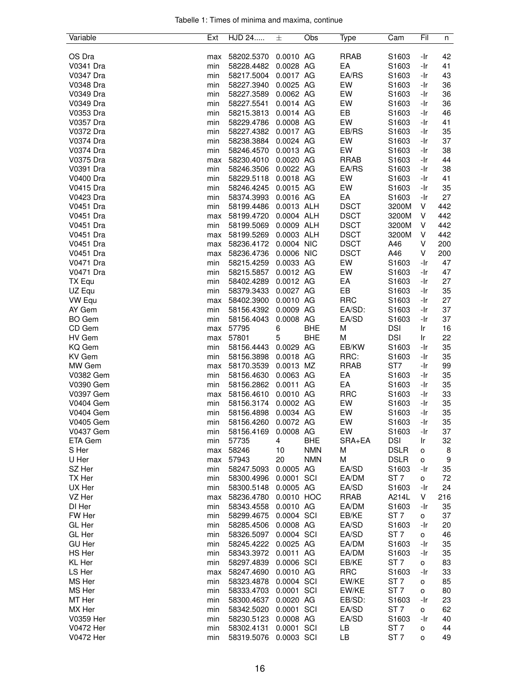|  |  |  | Tabelle 1: Times of minima and maxima, continue |  |
|--|--|--|-------------------------------------------------|--|
|  |  |  |                                                 |  |

| Variable         | Ext | <b>HJD 24</b> | 士          | Obs        | Type        | Cam               | Fil | n   |
|------------------|-----|---------------|------------|------------|-------------|-------------------|-----|-----|
|                  |     |               |            |            |             |                   |     |     |
| OS Dra           | max | 58202.5370    | 0.0010 AG  |            | <b>RRAB</b> | S1603             | -Ir | 42  |
| V0341 Dra        | min | 58228.4482    | 0.0028 AG  |            | EA          | S1603             | -Ir | 41  |
| V0347 Dra        | min | 58217.5004    | 0.0017 AG  |            | EA/RS       | S1603             | -Ir | 43  |
| V0348 Dra        | min | 58227.3940    | 0.0025 AG  |            | EW          | S1603             | -Ir | 36  |
| V0349 Dra        | min | 58227.3589    | 0.0062 AG  |            | EW          | S1603             | -Ir | 36  |
| V0349 Dra        | min | 58227.5541    | 0.0014 AG  |            | EW          | S1603             | -Ir | 36  |
| V0353 Dra        | min | 58215.3813    | 0.0014 AG  |            | EB          | S1603             | -Ir | 46  |
| V0357 Dra        | min | 58229.4786    | 0.0008 AG  |            | EW          | S1603             | -Ir | 41  |
| V0372 Dra        | min | 58227.4382    | 0.0017 AG  |            | EB/RS       | S1603             | -Ir | 35  |
| V0374 Dra        | min | 58238.3884    | 0.0024 AG  |            | EW          | S1603             | -Ir | 37  |
| V0374 Dra        | min | 58246.4570    | 0.0013 AG  |            | EW          | S1603             | -Ir | 38  |
| V0375 Dra        | max | 58230.4010    | 0.0020 AG  |            | <b>RRAB</b> | S1603             | -Ir | 44  |
| V0391 Dra        | min | 58246.3506    | 0.0022 AG  |            | EA/RS       | S1603             | -Ir | 38  |
| <b>V0400 Dra</b> | min | 58229.5118    | 0.0018 AG  |            | EW          | S1603             | -Ir | 41  |
| V0415 Dra        | min | 58246.4245    | 0.0015 AG  |            | EW          | S1603             | -Ir | 35  |
| V0423 Dra        | min | 58374.3993    | 0.0016 AG  |            | EA          | S1603             | -Ir | 27  |
| V0451 Dra        | min | 58199.4486    | 0.0013 ALH |            | <b>DSCT</b> | 3200M             | V   | 442 |
| V0451 Dra        | max | 58199.4720    | 0.0004 ALH |            | <b>DSCT</b> | 3200M             | V   | 442 |
| V0451 Dra        | min | 58199.5069    | 0.0009 ALH |            | <b>DSCT</b> | 3200M             | V   | 442 |
| V0451 Dra        | max | 58199.5269    | 0.0003 ALH |            | <b>DSCT</b> | 3200M             | V   | 442 |
| V0451 Dra        | max | 58236.4172    | 0.0004 NIC |            | <b>DSCT</b> | A46               | V   | 200 |
| V0451 Dra        | max | 58236.4736    | 0.0006 NIC |            | <b>DSCT</b> | A46               | V   | 200 |
| V0471 Dra        | min | 58215.4259    | 0.0033 AG  |            | EW          | S1603             | -Ir | 47  |
| V0471 Dra        | min | 58215.5857    | 0.0012 AG  |            | EW          | S <sub>1603</sub> | -Ir | 47  |
| TX Equ           | min | 58402.4289    | 0.0012 AG  |            | EA          | S <sub>1603</sub> | -Ir | 27  |
| UZ Equ           | min | 58379.3433    | 0.0027 AG  |            | EB          | S1603             | -Ir | 35  |
| VW Equ           | max | 58402.3900    | 0.0010 AG  |            | <b>RRC</b>  | S1603             | -Ir | 27  |
| AY Gem           | min | 58156.4392    | 0.0009 AG  |            | EA/SD:      | S1603             | -Ir | 37  |
| <b>BO</b> Gem    | min | 58156.4043    | 0.0008 AG  |            | EA/SD       | S1603             | -Ir | 37  |
| CD Gem           | max | 57795         | 6          | <b>BHE</b> | М           | <b>DSI</b>        | lr. | 16  |
| HV Gem           | max | 57801         | 5          | <b>BHE</b> | М           | <b>DSI</b>        | Ir  | 22  |
| <b>KQ</b> Gem    | min | 58156.4443    | 0.0029 AG  |            | EB/KW       | S1603             | -Ir | 35  |
| KV Gem           | min | 58156.3898    | 0.0018 AG  |            | RRC:        | S1603             | -Ir | 35  |
| MW Gem           | max | 58170.3539    | 0.0013 MZ  |            | <b>RRAB</b> | ST7               | -Ir | 99  |
| V0382 Gem        | min | 58156.4630    | 0.0063 AG  |            | EA          | S1603             | -Ir | 35  |
| V0390 Gem        | min | 58156.2862    | 0.0011 AG  |            | EA          | S1603             | -Ir | 35  |
| V0397 Gem        | max | 58156.4610    | 0.0010 AG  |            | <b>RRC</b>  | S1603             | -Ir | 33  |
| <b>V0404 Gem</b> | min | 58156.3174    | 0.0002 AG  |            | EW          | S1603             | -Ir | 35  |
| <b>V0404 Gem</b> | min | 58156.4898    | 0.0034 AG  |            | EW          | S1603             | -Ir | 35  |
| <b>V0405 Gem</b> | min | 58156.4260    | 0.0072 AG  |            | EW          | S1603             | -Ir | 35  |
| <b>V0437 Gem</b> | min | 58156.4169    | 0.0008 AG  |            | EW          | S1603             | -Ir | 37  |
| ETA Gem          | min | 57735         | 4          | <b>BHE</b> | SRA+EA      | <b>DSI</b>        | Ir  | 32  |
| S Her            | max | 58246         | 10         | <b>NMN</b> | М           | <b>DSLR</b>       | о   | 8   |
| U Her            | max | 57943         | 20         | <b>NMN</b> | M           | <b>DSLR</b>       | o   | 9   |
| SZ Her           | min | 58247.5093    | 0.0005 AG  |            | EA/SD       | S <sub>1603</sub> | -Ir | 35  |
| TX Her           | min | 58300.4996    | 0.0001 SCI |            | EA/DM       | ST <sub>7</sub>   | 0   | 72  |
| UX Her           | min | 58300.5148    | 0.0005 AG  |            | EA/SD       | S1603             | -Ir | 24  |
| VZ Her           | max | 58236.4780    | 0.0010 HOC |            | <b>RRAB</b> | A214L             | V   | 216 |
| DI Her           | min | 58343.4558    | 0.0010 AG  |            | EA/DM       | S1603             | -Ir | 35  |
| FW Her           | min | 58299.4675    | 0.0004 SCI |            | EB/KE       | ST <sub>7</sub>   | 0   | 37  |
| GL Her           | min | 58285.4506    | 0.0008 AG  |            | EA/SD       | S1603             | -Ir | 20  |
| GL Her           | min | 58326.5097    | 0.0004 SCI |            | EA/SD       | ST <sub>7</sub>   | o   | 46  |
| <b>GU Her</b>    | min | 58245.4222    | 0.0025 AG  |            | EA/DM       | S1603             | -Ir | 35  |
| HS Her           | min | 58343.3972    | 0.0011 AG  |            | EA/DM       | S <sub>1603</sub> | -Ir | 35  |
| KL Her           | min | 58297.4839    | 0.0006 SCI |            | EB/KE       | ST <sub>7</sub>   | o   | 83  |
| LS Her           | max | 58247.4690    | 0.0010 AG  |            | <b>RRC</b>  | S1603             | -Ir | 33  |
| MS Her           | min | 58323.4878    | 0.0004 SCI |            | EW/KE       | ST <sub>7</sub>   | o   | 85  |
| MS Her           | min | 58333.4703    | 0.0001 SCI |            | EW/KE       | ST <sub>7</sub>   | o   | 80  |
| MT Her           | min | 58300.4637    | 0.0020 AG  |            | EB/SD:      | S1603             | -Ir | 23  |
| MX Her           | min | 58342.5020    | 0.0001 SCI |            | EA/SD       | ST <sub>7</sub>   | 0   | 62  |
| V0359 Her        | min | 58230.5123    | 0.0008 AG  |            | EA/SD       | S1603             | -Ir | 40  |
| V0472 Her        | min | 58302.4131    | 0.0001 SCI |            | LB          | ST <sub>7</sub>   | o   | 44  |
| V0472 Her        | min | 58319.5076    | 0.0003 SCI |            | LB          | ST <sub>7</sub>   | o   | 49  |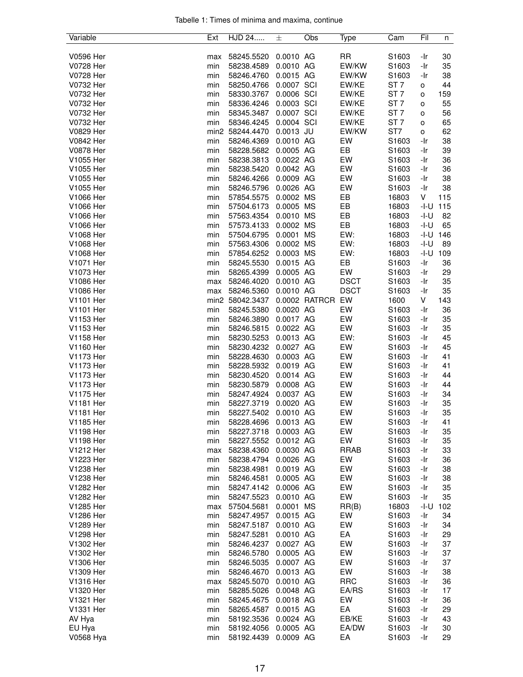|  |  |  | Tabelle 1: Times of minima and maxima, continue |  |
|--|--|--|-------------------------------------------------|--|
|  |  |  |                                                 |  |

| Variable         | Ext | HJD 24          | 士           | Obs           | Type        | Cam             | Fil  | n   |
|------------------|-----|-----------------|-------------|---------------|-------------|-----------------|------|-----|
|                  |     |                 |             |               |             |                 |      |     |
| V0596 Her        | max | 58245.5520      | 0.0010 AG   |               | <b>RR</b>   | S1603           | -Ir  | 30  |
| V0728 Her        | min | 58238.4589      | 0.0010 AG   |               | EW/KW       | S1603           | -Ir  | 35  |
| V0728 Her        | min | 58246.4760      | 0.0015 AG   |               | EW/KW       | S1603           | -Ir  | 38  |
| V0732 Her        | min | 58250.4766      | 0.0007 SCI  |               | EW/KE       | ST <sub>7</sub> | о    | 44  |
| V0732 Her        | min | 58330.3767      | 0.0006 SCI  |               | EW/KE       | ST <sub>7</sub> | o    | 159 |
| V0732 Her        | min | 58336.4246      | 0.0003 SCI  |               | EW/KE       | ST <sub>7</sub> | o    | 55  |
| V0732 Her        | min | 58345.3487      | 0.0007 SCI  |               | EW/KE       | ST <sub>7</sub> | o    | 56  |
| V0732 Her        | min | 58346.4245      | 0.0004 SCI  |               | EW/KE       | ST <sub>7</sub> | o    | 65  |
| V0829 Her        |     | min2 58244.4470 | $0.0013$ JU |               | EW/KW       | ST7             | о    | 62  |
| V0842 Her        | min | 58246.4369      | 0.0010 AG   |               | EW          | S1603           | -Ir  | 38  |
| <b>V0878 Her</b> | min | 58228.5682      | 0.0005 AG   |               | EB          | S1603           | -Ir  | 39  |
| V1055 Her        | min | 58238.3813      | 0.0022 AG   |               | EW          | S1603           | -Ir  | 36  |
| V1055 Her        | min | 58238.5420      | 0.0042 AG   |               | EW          | S1603           | -Ir  | 36  |
| V1055 Her        | min | 58246.4266      | 0.0009 AG   |               | EW          | S1603           | -Ir  | 38  |
| V1055 Her        | min | 58246.5796      | 0.0026 AG   |               | EW          | S1603           | -Ir  | 38  |
| V1066 Her        | min | 57854.5575      | 0.0002 MS   |               | EB          | 16803           | V    | 115 |
| V1066 Her        | min | 57504.6173      | 0.0005 MS   |               | EB          | 16803           | -I-U | 115 |
| V1066 Her        | min | 57563.4354      | 0.0010 MS   |               | EB          | 16803           | -l-U | 82  |
| V1066 Her        | min | 57573.4133      | 0.0002 MS   |               | EB          | 16803           | -I-U | 65  |
| V1068 Her        | min | 57504.6795      | 0.0001      | MS            | EW:         | 16803           | -I-U | 146 |
| V1068 Her        | min | 57563.4306      | 0.0002 MS   |               | EW:         | 16803           | -I-U | 89  |
| V1068 Her        | min | 57854.6252      | 0.0003 MS   |               | EW:         | 16803           | -I-U | 109 |
| V1071 Her        | min | 58245.5530      | 0.0015 AG   |               | EB          | S1603           | -Ir  | 36  |
| V1073 Her        | min | 58265.4399      | 0.0005 AG   |               | EW          | S1603           | -Ir  | 29  |
| V1086 Her        | max | 58246.4020      | 0.0010 AG   |               | <b>DSCT</b> | S1603           | -Ir  | 35  |
| V1086 Her        | max | 58246.5360      | 0.0010 AG   |               | <b>DSCT</b> | S1603           | -Ir  | 35  |
| V1101 Her        |     | min2 58042.3437 |             | 0.0002 RATRCR | EW          | 1600            | V    | 143 |
| <b>V1101 Her</b> | min | 58245.5380      | 0.0020 AG   |               | EW          | S1603           | -Ir  | 36  |
| V1153 Her        | min | 58246.3890      | 0.0017 AG   |               | EW          | S1603           | -Ir  | 35  |
| V1153 Her        | min | 58246.5815      | 0.0022 AG   |               | EW          | S1603           | -Ir  | 35  |
| V1158 Her        | min | 58230.5253      | 0.0013 AG   |               | EW:         | S1603           | -Ir  | 45  |
| V1160 Her        | min | 58230.4232      | 0.0027 AG   |               | EW          | S1603           | -Ir  | 45  |
| V1173 Her        | min | 58228.4630      | 0.0003 AG   |               | EW          | S1603           | -Ir  | 41  |
| V1173 Her        | min | 58228.5932      | 0.0019 AG   |               | EW          | S1603           | -Ir  | 41  |
| V1173 Her        | min | 58230.4520      | 0.0014 AG   |               | EW          | S1603           | -Ir  | 44  |
| V1173 Her        | min | 58230.5879      | 0.0008 AG   |               | EW          | S1603           | -Ir  | 44  |
| V1175 Her        | min | 58247.4924      | 0.0037 AG   |               | EW          | S1603           | -Ir  | 34  |
| V1181 Her        | min | 58227.3719      | 0.0020 AG   |               | EW          | S1603           | -Ir  | 35  |
| V1181 Her        | min | 58227.5402      | 0.0010 AG   |               | EW          | S1603           | -Ir  | 35  |
| V1185 Her        | min | 58228.4696      | 0.0013 AG   |               | EW          | S1603           | -Ir  | 41  |
| V1198 Her        | min | 58227.3718      | 0.0003 AG   |               | EW          | S1603           | -Ir  | 35  |
| V1198 Her        | min | 58227.5552      | 0.0012 AG   |               | EW          | S1603           | -Ir  | 35  |
| V1212 Her        | max | 58238.4360      | 0.0030 AG   |               | <b>RRAB</b> | S1603           | -Ir  | 33  |
| V1223 Her        | min | 58238.4794      | 0.0026 AG   |               | EW          | S1603           | -Ir  | 36  |
| V1238 Her        | min | 58238.4981      | 0.0019 AG   |               | EW          | S1603           | -Ir  | 38  |
| V1238 Her        | min | 58246.4581      | 0.0005 AG   |               | EW          | S1603           | -Ir  | 38  |
| V1282 Her        | min | 58247.4142      | 0.0006 AG   |               | EW          | S1603           | -Ir  | 35  |
| V1282 Her        | min | 58247.5523      | 0.0010 AG   |               | EW          | S1603           | -Ir  | 35  |
| V1285 Her        | max | 57504.5681      | 0.0001 MS   |               | RR(B)       | 16803           | -I-U | 102 |
| V1286 Her        | min | 58247.4957      | 0.0015 AG   |               | EW          | S1603           | -Ir  | 34  |
| V1289 Her        | min | 58247.5187      | 0.0010 AG   |               | EW          | S1603           | -Ir  | 34  |
| V1298 Her        | min | 58247.5281      | 0.0010 AG   |               | EA          | S1603           | -Ir  | 29  |
| V1302 Her        | min | 58246.4237      | 0.0027 AG   |               | EW          | S1603           | -Ir  | 37  |
| V1302 Her        | min | 58246.5780      | 0.0005 AG   |               | EW          | S1603           | -Ir  | 37  |
| V1306 Her        | min | 58246.5035      | 0.0007 AG   |               | EW          | S1603           | -Ir  | 37  |
| V1309 Her        | min | 58246.4670      | 0.0013 AG   |               | EW          | S1603           | -Ir  | 38  |
| V1316 Her        | max | 58245.5070      | 0.0010 AG   |               | <b>RRC</b>  | S1603           | -Ir  | 36  |
| V1320 Her        | min | 58285.5026      | 0.0048 AG   |               | EA/RS       | S1603           | -Ir  | 17  |
| V1321 Her        | min | 58245.4675      | 0.0018 AG   |               | EW          | S1603           | -Ir  | 36  |
| V1331 Her        | min | 58265.4587      | 0.0015 AG   |               | EA          | S1603           | -Ir  | 29  |
| AV Hya           | min | 58192.3536      | 0.0024 AG   |               | EB/KE       | S1603           | -Ir  | 43  |
| EU Hya           | min | 58192.4056      | 0.0005 AG   |               | EA/DW       | S1603           | -Ir  | 30  |
| V0568 Hya        |     |                 | 0.0009 AG   |               | EA          | S1603           |      | 29  |
|                  | min | 58192.4439      |             |               |             |                 | -Ir  |     |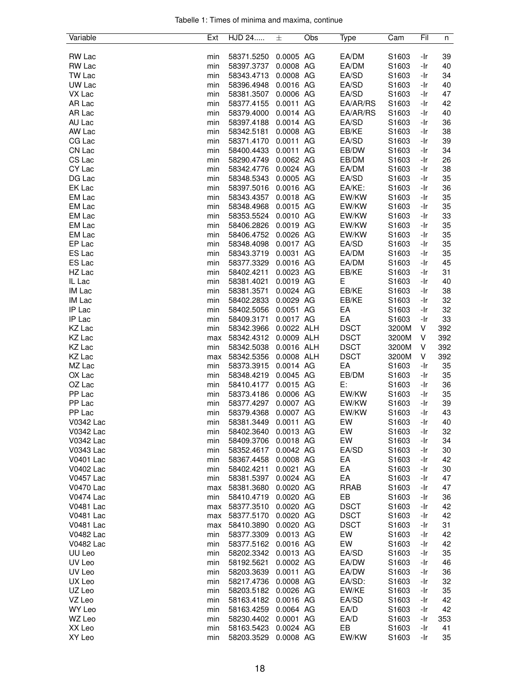|  |  |  | Tabelle 1: Times of minima and maxima, continue |  |
|--|--|--|-------------------------------------------------|--|
|  |  |  |                                                 |  |

| Variable         | Ext        | HJD 24                   | 士                       | Obs | Type                       | Cam            | Fil      | n         |
|------------------|------------|--------------------------|-------------------------|-----|----------------------------|----------------|----------|-----------|
|                  |            |                          |                         |     |                            |                |          |           |
| <b>RW Lac</b>    | min        | 58371.5250               | 0.0005 AG               |     | EA/DM                      | S1603          | -Ir      | 39        |
| <b>RW Lac</b>    | min        | 58397.3737               | 0.0008 AG               |     | EA/DM                      | S1603          | -Ir      | 40        |
| TW Lac           | min        | 58343.4713               | 0.0008 AG               |     | EA/SD                      | S1603          | -Ir      | 34        |
| UW Lac           | min        | 58396.4948               | 0.0016 AG               |     | EA/SD                      | S1603          | -Ir      | 40        |
| VX Lac           | min        | 58381.3507               | 0.0006 AG               |     | EA/SD                      | S1603          | -Ir      | 47        |
| AR Lac           | min        | 58377.4155               | 0.0011 AG               |     | EA/AR/RS                   | S1603          | -Ir      | 42        |
| AR Lac           | min        | 58379.4000               | 0.0014 AG               |     | EA/AR/RS                   | S1603          | -Ir      | 40        |
| AU Lac           | min        | 58397.4188               | 0.0014 AG               |     | EA/SD                      | S1603          | -Ir      | 36        |
| AW Lac           | min        | 58342.5181               | 0.0008 AG               |     | EB/KE                      | S1603          | -Ir      | 38        |
| CG Lac           | min        | 58371.4170               | 0.0011 AG               |     | EA/SD                      | S1603          | -Ir      | 39        |
| CN Lac           | min        | 58400.4433               | 0.0011 AG               |     | EB/DW                      | S1603          | -Ir      | 34        |
| CS Lac           | min        | 58290.4749               | 0.0062 AG               |     | EB/DM                      | S1603          | -Ir      | 26        |
| CY Lac           | min        | 58342.4776               | 0.0024 AG               |     | EA/DM                      | S1603          | -Ir      | 38        |
| DG Lac           | min        | 58348.5343               | 0.0005 AG               |     | EA/SD                      | S1603          | -Ir      | 35        |
| EK Lac           | min        | 58397.5016               | 0.0016 AG               |     | EA/KE:                     | S1603          | -Ir      | 36        |
| EM Lac           | min        | 58343.4357               | 0.0018 AG               |     | EW/KW                      | S1603          | -Ir      | 35        |
| EM Lac           | min        | 58348.4968               | 0.0015 AG               |     | EW/KW                      | S1603          | -Ir      | 35        |
| EM Lac           | min        | 58353.5524               | 0.0010 AG               |     | EW/KW                      | S1603          | -Ir      | 33        |
| EM Lac           | min        | 58406.2826               | 0.0019 AG               |     | EW/KW                      | S1603          | -Ir      | 35        |
| EM Lac           | min        | 58406.4752               | 0.0026 AG               |     | EW/KW                      | S1603          | -Ir      | 35        |
| EP Lac           | min        | 58348.4098               | 0.0017 AG               |     | EA/SD                      | S1603          | -Ir      | 35        |
| ES Lac           | min        | 58343.3719               | 0.0031 AG               |     | EA/DM                      | S1603          | -Ir      | 35        |
| ES Lac           | min        | 58377.3329               | 0.0016 AG               |     | EA/DM                      | S1603          | -Ir      | 45        |
| HZ Lac           | min        | 58402.4211               | 0.0023 AG               |     | EB/KE                      | S1603          | -Ir      | 31        |
| IL Lac           | min        | 58381.4021               | 0.0019 AG               |     | Е                          | S1603          | -Ir      | 40        |
| IM Lac           | min        | 58381.3571               | 0.0024 AG               |     | EB/KE                      | S1603          | -Ir      | 38        |
| IM Lac           | min        | 58402.2833               | 0.0029 AG               |     | EB/KE                      | S1603          | -Ir      | 32        |
| IP Lac           | min        | 58402.5056               | 0.0051 AG               |     | EA                         | S1603          | -Ir      | 32        |
| IP Lac           | min        | 58409.3171               | 0.0017 AG               |     | EA                         | S1603          | -Ir      | 33        |
| KZ Lac           | min        | 58342.3966               | 0.0022 ALH              |     | <b>DSCT</b>                | 3200M          | V        | 392       |
| KZ Lac           | max        | 58342.4312               | 0.0009 ALH              |     | <b>DSCT</b>                | 3200M          | V        | 392       |
| KZ Lac           | min        | 58342.5038               | 0.0016 ALH              |     | <b>DSCT</b><br><b>DSCT</b> | 3200M          | V        | 392       |
| KZ Lac<br>MZ Lac | max<br>min | 58342.5356<br>58373.3915 | 0.0008 ALH<br>0.0014 AG |     | EA                         | 3200M<br>S1603 | V<br>-Ir | 392<br>35 |
| OX Lac           | min        | 58348.4219               | 0.0045 AG               |     | EB/DM                      | S1603          | -Ir      | 35        |
| OZ Lac           | min        | 58410.4177               | 0.0015 AG               |     | Е:                         | S1603          | -Ir      | 36        |
| PP Lac           | min        | 58373.4186               | 0.0006 AG               |     | EW/KW                      | S1603          | -Ir      | 35        |
| PP Lac           | min        | 58377.4297               | 0.0007 AG               |     | EW/KW                      | S1603          | -Ir      | 39        |
| PP Lac           | min        | 58379.4368               | 0.0007 AG               |     | EW/KW                      | S1603          | -Ir      | 43        |
| V0342 Lac        | min        | 58381.3449               | 0.0011 AG               |     | EW                         | S1603          | -Ir      | 40        |
| V0342 Lac        | min        | 58402.3640               | 0.0013 AG               |     | EW                         | S1603          | -Ir      | 32        |
| V0342 Lac        | min        | 58409.3706               | 0.0018 AG               |     | EW                         | S1603          | -Ir      | 34        |
| V0343 Lac        | min        | 58352.4617               | 0.0042 AG               |     | EA/SD                      | S1603          | -Ir      | 30        |
| V0401 Lac        | min        | 58367.4458               | 0.0008 AG               |     | EA                         | S1603          | -Ir      | 42        |
| V0402 Lac        | min        | 58402.4211               | 0.0021 AG               |     | EA                         | S1603          | -Ir      | 30        |
| V0457 Lac        | min        | 58381.5397               | 0.0024 AG               |     | EA                         | S1603          | -Ir      | 47        |
| V0470 Lac        | max        | 58381.3680               | 0.0020 AG               |     | <b>RRAB</b>                | S1603          | -Ir      | 47        |
| V0474 Lac        | min        | 58410.4719               | 0.0020 AG               |     | EB                         | S1603          | -Ir      | 36        |
| V0481 Lac        | max        | 58377.3510               | 0.0020 AG               |     | <b>DSCT</b>                | S1603          | -Ir      | 42        |
| <b>V0481 Lac</b> | max        | 58377.5170               | 0.0020 AG               |     | <b>DSCT</b>                | S1603          | -Ir      | 42        |
| V0481 Lac        | max        | 58410.3890               | 0.0020 AG               |     | <b>DSCT</b>                | S1603          | -Ir      | 31        |
| V0482 Lac        | min        | 58377.3309               | 0.0013 AG               |     | EW                         | S1603          | -Ir      | 42        |
| V0482 Lac        | min        | 58377.5162               | 0.0016 AG               |     | EW                         | S1603          | -Ir      | 42        |
| UU Leo           | min        | 58202.3342               | 0.0013 AG               |     | EA/SD                      | S1603          | -Ir      | 35        |
| UV Leo           | min        | 58192.5621               | 0.0002 AG               |     | EA/DW                      | S1603          | -Ir      | 46        |
| UV Leo           | min        | 58203.3639               | 0.0011 AG               |     | EA/DW                      | S1603          | -Ir      | 36        |
| UX Leo           | min        | 58217.4736               | 0.0008 AG               |     | EA/SD:                     | S1603          | -Ir      | 32        |
| UZ Leo           | min        | 58203.5182               | 0.0026 AG               |     | EW/KE                      | S1603          | -Ir      | 35        |
| VZ Leo           | min        | 58163.4182               | 0.0016 AG               |     | EA/SD                      | S1603          | -Ir      | 42        |
| WY Leo           | min        | 58163.4259               | 0.0064 AG               |     | EA/D                       | S1603          | -Ir      | 42        |
| WZ Leo           | min        | 58230.4402               | 0.0001 AG               |     | EA/D                       | S1603          | -Ir      | 353       |
| XX Leo           | min        | 58163.5423               | 0.0024 AG               |     | EB                         | S1603          | -Ir      | 41        |
| XY Leo           | min        | 58203.3529 0.0008 AG     |                         |     | EW/KW                      | S1603          | -Ir      | 35        |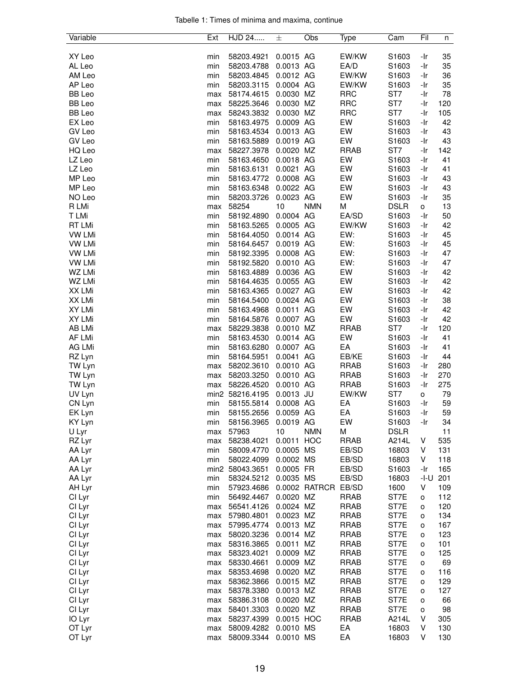|  |  |  | Tabelle 1: Times of minima and maxima, continue |  |
|--|--|--|-------------------------------------------------|--|
|  |  |  |                                                 |  |

| Variable      | Ext | HJD 24               | 士           | Obs           | Type        | Cam         | Fil  | n   |
|---------------|-----|----------------------|-------------|---------------|-------------|-------------|------|-----|
|               |     |                      |             |               |             |             |      |     |
| XY Leo        | min | 58203.4921           | 0.0015 AG   |               | EW/KW       | S1603       | -Ir  | 35  |
| AL Leo        | min | 58203.4788           | 0.0013 AG   |               | EA/D        | S1603       | -Ir  | 35  |
| AM Leo        | min | 58203.4845           | 0.0012 AG   |               | EW/KW       | S1603       | -Ir  | 36  |
| AP Leo        | min | 58203.3115           | 0.0004 AG   |               | EW/KW       | S1603       | -Ir  | 35  |
| BB Leo        | max | 58174.4615           | 0.0030 MZ   |               | <b>RRC</b>  | ST7         | -Ir  | 78  |
| <b>BB</b> Leo | max | 58225.3646           | 0.0030 MZ   |               | <b>RRC</b>  | ST7         | -Ir  | 120 |
| <b>BB</b> Leo | max | 58243.3832           | 0.0030 MZ   |               | <b>RRC</b>  | ST7         | -Ir  | 105 |
| EX Leo        | min | 58163.4975           | 0.0009 AG   |               | EW          | S1603       | -Ir  | 42  |
| GV Leo        | min | 58163.4534           | 0.0013 AG   |               | EW          | S1603       | -Ir  | 43  |
| GV Leo        | min | 58163.5889           | 0.0019 AG   |               | EW          | S1603       | -Ir  | 43  |
| HQ Leo        | max | 58227.3978           | 0.0020 MZ   |               | <b>RRAB</b> | ST7         | -Ir  | 142 |
| LZ Leo        | min | 58163.4650           | 0.0018 AG   |               | EW          | S1603       | -Ir  | 41  |
| LZ Leo        | min | 58163.6131           | 0.0021 AG   |               | EW          | S1603       | -Ir  | 41  |
| MP Leo        | min | 58163.4772           | 0.0008 AG   |               | EW          | S1603       | -Ir  | 43  |
| MP Leo        | min | 58163.6348           | 0.0022 AG   |               | EW          | S1603       | -Ir  | 43  |
| NO Leo        | min | 58203.3726           | 0.0023 AG   |               | EW          | S1603       | -Ir  | 35  |
| R LMi         | max | 58254                | 10          | <b>NMN</b>    | M           | <b>DSLR</b> | o    | 13  |
| T LMi         | min | 58192.4890           | 0.0004 AG   |               | EA/SD       | S1603       | -Ir  | 50  |
| RT LMi        | min | 58163.5265           | 0.0005 AG   |               | EW/KW       | S1603       | -Ir  | 42  |
| <b>VW LMi</b> | min | 58164.4050           | 0.0014 AG   |               | EW:         | S1603       | -Ir  | 45  |
| <b>VW LMi</b> | min | 58164.6457           | 0.0019 AG   |               | EW:         | S1603       | -Ir  | 45  |
| <b>VW LMi</b> | min | 58192.3395           | 0.0008 AG   |               | EW:         | S1603       | -Ir  | 47  |
| <b>VW LMi</b> | min | 58192.5820           | 0.0010 AG   |               | EW:         | S1603       | -Ir  | 47  |
| WZ LMi        | min | 58163.4889           | 0.0036 AG   |               | EW          | S1603       | -Ir  | 42  |
| WZ LMi        | min | 58164.4635           | 0.0055 AG   |               | EW          | S1603       | -Ir  | 42  |
| XX LMi        | min | 58163.4365           | 0.0027 AG   |               | EW          | S1603       | -Ir  | 42  |
| XX LMi        | min | 58164.5400           | 0.0024 AG   |               | EW          | S1603       | -Ir  | 38  |
| XY LMi        | min | 58163.4968           | 0.0011 AG   |               | EW          | S1603       | -Ir  | 42  |
| XY LMi        | min | 58164.5876           | 0.0007 AG   |               | EW          | S1603       | -Ir  | 42  |
| AB LMi        | max | 58229.3838           | 0.0010 MZ   |               | <b>RRAB</b> | ST7         | -Ir  | 120 |
| AF LMi        | min | 58163.4530           | 0.0014 AG   |               | EW          | S1603       | -Ir  | 41  |
| AG LMi        | min | 58163.6280           | 0.0007 AG   |               | EA          | S1603       | -Ir  | 41  |
| RZ Lyn        | min | 58164.5951           | 0.0041 AG   |               | EB/KE       | S1603       | -Ir  | 44  |
| TW Lyn        | max | 58202.3610           | 0.0010 AG   |               | <b>RRAB</b> | S1603       | -Ir  | 280 |
| TW Lyn        | max | 58203.3250           | 0.0010 AG   |               | <b>RRAB</b> | S1603       | -Ir  | 270 |
| TW Lyn        | max | 58226.4520           | 0.0010 AG   |               | <b>RRAB</b> | S1603       | -Ir  | 275 |
| UV Lyn        |     | min2 58216.4195      | $0.0013$ JU |               | EW/KW       | ST7         | 0    | 79  |
| CN Lyn        | min | 58155.5814           | 0.0008 AG   |               | EA          | S1603       | -Ir  | 59  |
| EK Lyn        | min | 58155.2656           | 0.0059 AG   |               | EA          | S1603       | -Ir  | 59  |
| KY Lyn        | min | 58156.3965           | 0.0019 AG   |               | EW          | S1603       | -Ir  | 34  |
| U Lyr         | max | 57963                | 10          | <b>NMN</b>    | M           | <b>DSLR</b> |      | 11  |
| RZ Lyr        | max | 58238.4021           | 0.0011      | <b>HOC</b>    | <b>RRAB</b> | A214L       | V    | 535 |
| AA Lyr        | min | 58009.4770           | 0.0005 MS   |               | EB/SD       | 16803       | V    | 131 |
| AA Lyr        | min | 58022.4099           | 0.0002 MS   |               | EB/SD       | 16803       | V    | 118 |
| AA Lyr        |     | min2 58043.3651      | 0.0005 FR   |               | EB/SD       | S1603       | -Ir  | 165 |
| AA Lyr        | min | 58324.5212           | 0.0035 MS   |               | EB/SD       | 16803       | -I-U | 201 |
| AH Lyr        | min | 57923.4686           |             | 0.0002 RATRCR | EB/SD       | 1600        | V    | 109 |
| CI Lyr        | min | 56492.4467           | 0.0020 MZ   |               | <b>RRAB</b> | ST7E        | о    | 112 |
| CI Lyr        | max | 56541.4126           | 0.0024 MZ   |               | <b>RRAB</b> | ST7E        | о    | 120 |
|               |     | 57980.4801           | 0.0023 MZ   |               | <b>RRAB</b> | ST7E        |      |     |
| CI Lyr        | max |                      |             |               |             | ST7E        | о    | 134 |
| CI Lyr        | max | 57995.4774           | 0.0013 MZ   |               | <b>RRAB</b> |             | о    | 167 |
| CI Lyr        | max | 58020.3236           | 0.0014 MZ   |               | <b>RRAB</b> | ST7E        | o    | 123 |
| CI Lyr        | max | 58316.3865           | 0.0011 MZ   |               | <b>RRAB</b> | ST7E        | o    | 101 |
| CI Lyr        | max | 58323.4021           | 0.0009 MZ   |               | <b>RRAB</b> | ST7E        | o    | 125 |
| CI Lyr        | max | 58330.4661           | 0.0009 MZ   |               | <b>RRAB</b> | ST7E        | о    | 69  |
| CI Lyr        | max | 58353.4698           | 0.0020 MZ   |               | <b>RRAB</b> | ST7E        | o    | 116 |
| CI Lyr        | max | 58362.3866           | 0.0015 MZ   |               | <b>RRAB</b> | ST7E        | o    | 129 |
| CI Lyr        | max | 58378.3380           | 0.0013 MZ   |               | <b>RRAB</b> | ST7E        | o    | 127 |
| CI Lyr        | max | 58386.3108           | 0.0020 MZ   |               | <b>RRAB</b> | ST7E        | o    | 66  |
| CI Lyr        | max | 58401.3303           | 0.0020 MZ   |               | <b>RRAB</b> | ST7E        | о    | 98  |
| IO Lyr        | max | 58237.4399           | 0.0015 HOC  |               | <b>RRAB</b> | A214L       | V    | 305 |
| OT Lyr        | max | 58009.4282           | 0.0010 MS   |               | EA          | 16803       | V    | 130 |
| OT Lyr        | max | 58009.3344 0.0010 MS |             |               | EA          | 16803       | V    | 130 |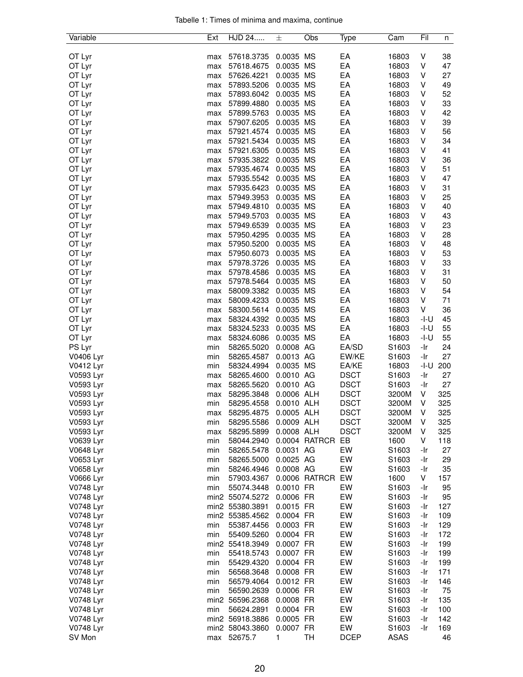|  |  |  | Tabelle 1: Times of minima and maxima, continue |  |
|--|--|--|-------------------------------------------------|--|
|  |  |  |                                                 |  |

| Variable  | Ext | HJD 24          | 士          | Obs           | Type        | Cam               | Fil  | n   |
|-----------|-----|-----------------|------------|---------------|-------------|-------------------|------|-----|
|           |     |                 |            |               |             |                   |      |     |
| OT Lyr    | max | 57618.3735      | 0.0035 MS  |               | EA          | 16803             | V    | 38  |
| OT Lyr    | max | 57618.4675      | 0.0035 MS  |               | EA          | 16803             | V    | 47  |
| OT Lyr    | max | 57626.4221      | 0.0035 MS  |               | EA          | 16803             | V    | 27  |
| OT Lyr    | max | 57893.5206      | 0.0035 MS  |               | EA          | 16803             | V    | 49  |
| OT Lyr    | max | 57893.6042      | 0.0035 MS  |               | EA          | 16803             | V    | 52  |
| OT Lyr    | max | 57899.4880      | 0.0035 MS  |               | EA          | 16803             | V    | 33  |
| OT Lyr    | max | 57899.5763      | 0.0035 MS  |               | EA          | 16803             | V    | 42  |
| OT Lyr    | max | 57907.6205      | 0.0035 MS  |               | EA          | 16803             | V    | 39  |
| OT Lyr    | max | 57921.4574      | 0.0035 MS  |               | EA          | 16803             | V    | 56  |
| OT Lyr    | max | 57921.5434      | 0.0035 MS  |               | EA          | 16803             | V    | 34  |
| OT Lyr    | max | 57921.6305      | 0.0035 MS  |               | EA          | 16803             | V    | 41  |
| OT Lyr    |     | 57935.3822      | 0.0035 MS  |               | EA          | 16803             | V    | 36  |
|           | max |                 |            |               | EA          |                   | V    | 51  |
| OT Lyr    | max | 57935.4674      | 0.0035 MS  |               |             | 16803             |      |     |
| OT Lyr    | max | 57935.5542      | 0.0035 MS  |               | EA          | 16803             | V    | 47  |
| OT Lyr    | max | 57935.6423      | 0.0035 MS  |               | EA          | 16803             | V    | 31  |
| OT Lyr    | max | 57949.3953      | 0.0035 MS  |               | EA          | 16803             | V    | 25  |
| OT Lyr    | max | 57949.4810      | 0.0035 MS  |               | EA          | 16803             | V    | 40  |
| OT Lyr    | max | 57949.5703      | 0.0035 MS  |               | EA          | 16803             | V    | 43  |
| OT Lyr    | max | 57949.6539      | 0.0035 MS  |               | EA          | 16803             | V    | 23  |
| OT Lyr    | max | 57950.4295      | 0.0035 MS  |               | EA          | 16803             | V    | 28  |
| OT Lyr    | max | 57950.5200      | 0.0035 MS  |               | EA          | 16803             | V    | 48  |
| OT Lyr    | max | 57950.6073      | 0.0035 MS  |               | EA          | 16803             | V    | 53  |
| OT Lyr    | max | 57978.3726      | 0.0035 MS  |               | EA          | 16803             | V    | 33  |
| OT Lyr    | max | 57978.4586      | 0.0035 MS  |               | EA          | 16803             | V    | 31  |
| OT Lyr    | max | 57978.5464      | 0.0035 MS  |               | EA          | 16803             | V    | 50  |
| OT Lyr    | max | 58009.3382      | 0.0035 MS  |               | EA          | 16803             | V    | 54  |
| OT Lyr    | max | 58009.4233      | 0.0035 MS  |               | EA          | 16803             | V    | 71  |
| OT Lyr    | max | 58300.5614      | 0.0035 MS  |               | EA          | 16803             | V    | 36  |
| OT Lyr    |     | 58324.4392      | 0.0035 MS  |               | EA          | 16803             | -I-U | 45  |
|           | max |                 |            |               |             |                   |      |     |
| OT Lyr    | max | 58324.5233      | 0.0035 MS  |               | EA          | 16803             | -I-U | 55  |
| OT Lyr    | max | 58324.6086      | 0.0035 MS  |               | EA          | 16803             | -I-U | 55  |
| PS Lyr    | min | 58265.5020      | 0.0008 AG  |               | EA/SD       | S1603             | -Ir  | 24  |
| V0406 Lyr | min | 58265.4587      | 0.0013 AG  |               | EW/KE       | S1603             | -Ir  | 27  |
| V0412 Lyr | min | 58324.4994      | 0.0035 MS  |               | EA/KE       | 16803             | -I-U | 200 |
| V0593 Lyr | max | 58265.4600      | 0.0010 AG  |               | <b>DSCT</b> | S1603             | -Ir  | 27  |
| V0593 Lyr | max | 58265.5620      | 0.0010 AG  |               | <b>DSCT</b> | S1603             | -Ir  | 27  |
| V0593 Lyr | max | 58295.3848      | 0.0006 ALH |               | <b>DSCT</b> | 3200M             | V    | 325 |
| V0593 Lyr | min | 58295.4558      | 0.0010 ALH |               | <b>DSCT</b> | 3200M             | V    | 325 |
| V0593 Lyr | max | 58295.4875      | 0.0005 ALH |               | <b>DSCT</b> | 3200M             | V    | 325 |
| V0593 Lyr | min | 58295.5586      | 0.0009 ALH |               | <b>DSCT</b> | 3200M             | V    | 325 |
| V0593 Lyr | max | 58295.5899      | 0.0008 ALH |               | <b>DSCT</b> | 3200M             | V    | 325 |
| V0639 Lyr | min | 58044.2940      |            | 0.0004 RATRCR | EB          | 1600              | V    | 118 |
| V0648 Lyr | min | 58265.5478      | 0.0031 AG  |               | EW          | S1603             | -Ir  | 27  |
| V0653 Lyr | min | 58265.5000      | 0.0025 AG  |               | EW          | S1603             | -Ir  | 29  |
| V0658 Lyr | min | 58246.4946      | 0.0008 AG  |               | EW          | S <sub>1603</sub> | -Ir  | 35  |
| V0666 Lyr | min | 57903.4367      |            | 0.0006 RATRCR | EW          | 1600              | V    | 157 |
| V0748 Lyr | min | 55074.3448      | 0.0010 FR  |               | EW          | S <sub>1603</sub> | -Ir  | 95  |
| V0748 Lyr |     | min2 55074.5272 | 0.0006 FR  |               | EW          | S1603             | -Ir  | 95  |
| V0748 Lyr |     |                 |            |               | EW          | S1603             | -Ir  |     |
|           |     | min2 55380.3891 | 0.0015 FR  |               |             |                   |      | 127 |
| V0748 Lyr |     | min2 55385.4562 | 0.0004 FR  |               | EW          | S1603             | -Ir  | 109 |
| V0748 Lyr | min | 55387.4456      | 0.0003 FR  |               | EW          | S1603             | -Ir  | 129 |
| V0748 Lyr | min | 55409.5260      | 0.0004 FR  |               | EW          | S1603             | -Ir  | 172 |
| V0748 Lyr |     | min2 55418.3949 | 0.0007 FR  |               | EW          | S1603             | -Ir  | 199 |
| V0748 Lyr | min | 55418.5743      | 0.0007 FR  |               | EW          | S1603             | -Ir  | 199 |
| V0748 Lyr | min | 55429.4320      | 0.0004 FR  |               | EW          | S1603             | -Ir  | 199 |
| V0748 Lyr | min | 56568.3648      | 0.0008 FR  |               | EW          | S1603             | -Ir  | 171 |
| V0748 Lyr | min | 56579.4064      | 0.0012 FR  |               | EW          | S1603             | -Ir  | 146 |
| V0748 Lyr | min | 56590.2639      | 0.0006 FR  |               | EW          | S1603             | -Ir  | 75  |
| V0748 Lyr |     | min2 56596.2368 | 0.0008 FR  |               | EW          | S1603             | -Ir  | 135 |
| V0748 Lyr | min | 56624.2891      | 0.0004 FR  |               | EW          | S1603             | -Ir  | 100 |
| V0748 Lyr |     | min2 56918.3886 | 0.0005 FR  |               | EW          | S1603             | -Ir  | 142 |
| V0748 Lyr |     | min2 58043.3860 | 0.0007 FR  |               | EW          | S1603             | -Ir  | 169 |
| SV Mon    | max | 52675.7         | 1          | TH            | <b>DCEP</b> | <b>ASAS</b>       |      | 46  |
|           |     |                 |            |               |             |                   |      |     |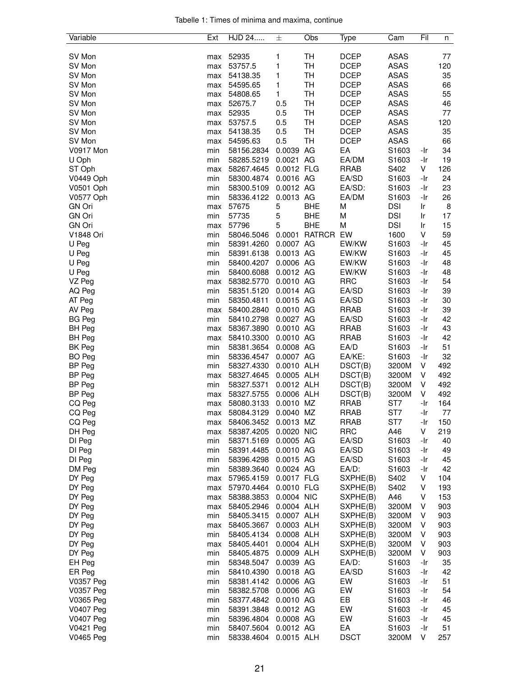|  |  |  | Tabelle 1: Times of minima and maxima, continue |  |
|--|--|--|-------------------------------------------------|--|
|  |  |  |                                                 |  |

| Variable         | Ext | HJD 24                | 士           | Obs           | Type        | Cam               | Fil | n   |
|------------------|-----|-----------------------|-------------|---------------|-------------|-------------------|-----|-----|
|                  |     |                       |             |               |             |                   |     |     |
| SV Mon           | max | 52935                 | 1           | TH            | <b>DCEP</b> | <b>ASAS</b>       |     | 77  |
| SV Mon           | max | 53757.5               | 1           | TH            | <b>DCEP</b> | <b>ASAS</b>       |     | 120 |
| SV Mon           | max | 54138.35              | 1           | TH            | <b>DCEP</b> | <b>ASAS</b>       |     | 35  |
| SV Mon           | max | 54595.65              | 1           | TH            | <b>DCEP</b> | <b>ASAS</b>       |     | 66  |
| SV Mon           | max | 54808.65              | 1           | TH            | <b>DCEP</b> | <b>ASAS</b>       |     | 55  |
| SV Mon           | max | 52675.7               | 0.5         | <b>TH</b>     | <b>DCEP</b> | <b>ASAS</b>       |     | 46  |
| SV Mon           | max | 52935                 | 0.5         | TH            | <b>DCEP</b> | <b>ASAS</b>       |     | 77  |
| SV Mon           | max | 53757.5               | 0.5         | TH            | <b>DCEP</b> | <b>ASAS</b>       |     | 120 |
| SV Mon           | max | 54138.35              | 0.5         | <b>TH</b>     | <b>DCEP</b> | <b>ASAS</b>       |     | 35  |
| SV Mon           | max | 54595.63              | 0.5         | <b>TH</b>     | <b>DCEP</b> | <b>ASAS</b>       |     | 66  |
| <b>V0917 Mon</b> | min | 58156.2834            | 0.0039      | AG            | EA          | S1603             | -Ir | 34  |
| U Oph            | min | 58285.5219            | 0.0021 AG   |               | EA/DM       | S1603             | -Ir | 19  |
| ST Oph           | max | 58267.4645            | 0.0012 FLG  |               | <b>RRAB</b> | S402              | V   | 126 |
| V0449 Oph        |     |                       | 0.0016 AG   |               | EA/SD       |                   | -Ir | 24  |
|                  | min | 58300.4874            |             |               |             | S1603             |     |     |
| V0501 Oph        | min | 58300.5109            | 0.0012 AG   |               | EA/SD:      | S1603             | -Ir | 23  |
| V0577 Oph        | min | 58336.4122            | 0.0013 AG   |               | EA/DM       | S1603             | -Ir | 26  |
| <b>GN Ori</b>    | max | 57675                 | 5           | <b>BHE</b>    | M           | <b>DSI</b>        | Ir  | 8   |
| <b>GN Ori</b>    | min | 57735                 | 5           | <b>BHE</b>    | M           | <b>DSI</b>        | Ir  | 17  |
| <b>GN Ori</b>    | max | 57796                 | 5           | <b>BHE</b>    | M           | <b>DSI</b>        | Ir  | 15  |
| V1848 Ori        | min | 58046.5046            | 0.0001      | <b>RATRCR</b> | EW          | 1600              | V   | 59  |
| U Peg            | min | 58391.4260            | 0.0007 AG   |               | EW/KW       | S1603             | -Ir | 45  |
| U Peg            | min | 58391.6138            | 0.0013 AG   |               | EW/KW       | S1603             | -Ir | 45  |
| U Peg            | min | 58400.4207            | 0.0006 AG   |               | EW/KW       | S1603             | -Ir | 48  |
| U Peg            | min | 58400.6088            | 0.0012 AG   |               | EW/KW       | S1603             | -Ir | 48  |
| VZ Peg           | max | 58382.5770            | 0.0010 AG   |               | <b>RRC</b>  | S1603             | -Ir | 54  |
| AQ Peg           | min | 58351.5120            | 0.0014 AG   |               | EA/SD       | S1603             | -Ir | 39  |
| AT Peg           | min | 58350.4811            | 0.0015 AG   |               | EA/SD       | S1603             | -Ir | 30  |
| AV Peg           | max | 58400.2840            | 0.0010 AG   |               | <b>RRAB</b> | S1603             | -Ir | 39  |
| <b>BG Peg</b>    | min | 58410.2798            | 0.0027 AG   |               | EA/SD       | S1603             | -Ir | 42  |
| <b>BH Peg</b>    | max | 58367.3890            | 0.0010 AG   |               | <b>RRAB</b> | S1603             | -Ir | 43  |
| <b>BH Peg</b>    | max | 58410.3300            | 0.0010 AG   |               | <b>RRAB</b> | S1603             | -Ir | 42  |
| BK Peg           | min | 58381.3654            | 0.0008 AG   |               | EA/D        | S1603             | -Ir | 51  |
| <b>BO</b> Peg    | min | 58336.4547            | 0.0007 AG   |               | EA/KE:      | S1603             | -Ir | 32  |
| <b>BP Peg</b>    | min | 58327.4330            | 0.0010 ALH  |               | DSCT(B)     | 3200M             | V   | 492 |
| <b>BP Peg</b>    | max | 58327.4645            | 0.0005 ALH  |               | DSCT(B)     | 3200M             | V   | 492 |
| <b>BP Peg</b>    | min | 58327.5371            | 0.0012 ALH  |               | DSCT(B)     | 3200M             | V   | 492 |
| <b>BP Peg</b>    | max | 58327.5755            | 0.0006 ALH  |               | DSCT(B)     | 3200M             | V   | 492 |
| CQ Peg           | max | 58080.3133            | 0.0010 MZ   |               | <b>RRAB</b> | ST7               | -Ir | 164 |
| CQ Peg           | max | 58084.3129            | 0.0040 MZ   |               | <b>RRAB</b> | ST7               | -Ir | 77  |
| CQ Peg           | max | 58406.3452            | $0.0013$ MZ |               | <b>RRAB</b> | ST7               | -Ir | 150 |
| DH Peg           | max | 58387.4205            | 0.0020 NIC  |               | <b>RRC</b>  | A46               | V   | 219 |
| DI Peg           | min | 58371.5169            | 0.0005 AG   |               | EA/SD       | S1603             | -Ir | 40  |
| DI Peg           | min | 58391.4485            | 0.0010 AG   |               | EA/SD       | S1603             | -Ir | 49  |
| DI Peg           | min | 58396.4298            | 0.0015 AG   |               | EA/SD       | S1603             | -Ir | 45  |
| DM Peg           | min | 58389.3640            | 0.0024 AG   |               | EA/D:       | S <sub>1603</sub> | -Ir | 42  |
| DY Peg           | max | 57965.4159            | 0.0017 FLG  |               | SXPHE(B)    | S402              | V   | 104 |
| DY Peg           | max | 57970.4464            | 0.0010 FLG  |               | SXPHE(B)    | S402              | V   | 193 |
| DY Peg           | max | 58388.3853            | 0.0004 NIC  |               | SXPHE(B)    | A46               | V   | 153 |
| DY Peg           | max | 58405.2946            | 0.0004 ALH  |               | SXPHE(B)    | 3200M             | V   | 903 |
| DY Peg           |     |                       | 0.0007 ALH  |               |             | 3200M             | V   | 903 |
|                  | min | 58405.3415            |             |               | SXPHE(B)    |                   |     |     |
| DY Peg           | max | 58405.3667            | 0.0003 ALH  |               | SXPHE(B)    | 3200M             | V   | 903 |
| DY Peg           | min | 58405.4134            | 0.0008 ALH  |               | SXPHE(B)    | 3200M             | V   | 903 |
| DY Peg           | max | 58405.4401            | 0.0004 ALH  |               | SXPHE(B)    | 3200M             | V   | 903 |
| DY Peg           | min | 58405.4875            | 0.0009 ALH  |               | SXPHE(B)    | 3200M             | V   | 903 |
| EH Peg           | min | 58348.5047            | 0.0039 AG   |               | $E A/D$ :   | S1603             | -Ir | 35  |
| ER Peg           | min | 58410.4390            | 0.0018 AG   |               | EA/SD       | S1603             | -Ir | 42  |
| V0357 Peg        | min | 58381.4142            | 0.0006 AG   |               | EW          | S1603             | -Ir | 51  |
| V0357 Peg        | min | 58382.5708            | 0.0006 AG   |               | EW          | S1603             | -Ir | 54  |
| V0365 Peg        | min | 58377.4842            | 0.0010 AG   |               | EB          | S1603             | -Ir | 46  |
| V0407 Peg        | min | 58391.3848            | 0.0012 AG   |               | EW          | S1603             | -Ir | 45  |
| V0407 Peg        | min | 58396.4804            | 0.0008 AG   |               | EW          | S1603             | -Ir | 45  |
| V0421 Peg        | min | 58407.5604            | 0.0012 AG   |               | EA          | S1603             | -Ir | 51  |
| V0465 Peg        | min | 58338.4604 0.0015 ALH |             |               | <b>DSCT</b> | 3200M             | V   | 257 |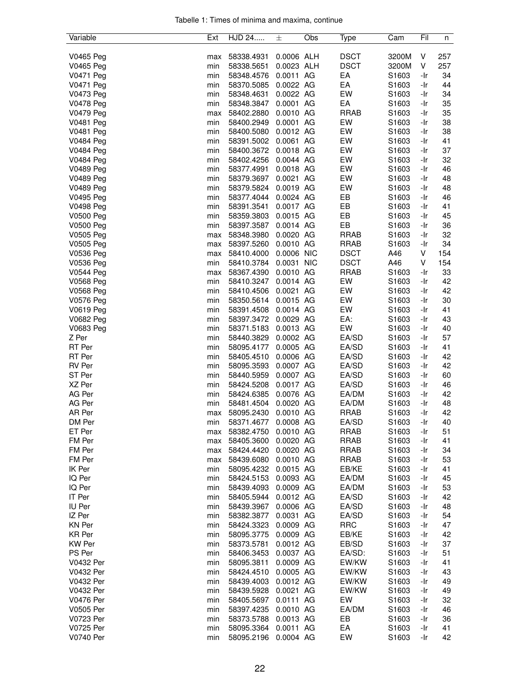|  |  |  | Tabelle 1: Times of minima and maxima, continue |  |
|--|--|--|-------------------------------------------------|--|
|  |  |  |                                                 |  |

| Variable         | Ext | HJD 24     | 士          | Obs | Type        | Cam               | Fil | n   |
|------------------|-----|------------|------------|-----|-------------|-------------------|-----|-----|
|                  |     |            |            |     |             |                   |     |     |
| V0465 Peg        | max | 58338.4931 | 0.0006 ALH |     | <b>DSCT</b> | 3200M             | V   | 257 |
| V0465 Peg        | min | 58338.5651 | 0.0023 ALH |     | <b>DSCT</b> | 3200M             | V   | 257 |
| V0471 Peg        | min | 58348.4576 | 0.0011 AG  |     | EA          | S1603             | -Ir | 34  |
| V0471 Peg        | min | 58370.5085 | 0.0022 AG  |     | EA          | S1603             | -Ir | 44  |
| V0473 Peg        | min | 58348.4631 | 0.0022 AG  |     | EW          | S1603             | -Ir | 34  |
| V0478 Peg        | min | 58348.3847 | 0.0001 AG  |     | EA          | S1603             | -Ir | 35  |
|                  |     |            | 0.0010 AG  |     | <b>RRAB</b> |                   |     | 35  |
| V0479 Peg        | max | 58402.2880 |            |     |             | S1603             | -Ir |     |
| V0481 Peg        | min | 58400.2949 | 0.0001 AG  |     | EW          | S <sub>1603</sub> | -Ir | 38  |
| <b>V0481 Peg</b> | min | 58400.5080 | 0.0012 AG  |     | EW          | S1603             | -Ir | 38  |
| <b>V0484 Peg</b> | min | 58391.5002 | 0.0061 AG  |     | EW          | S1603             | -Ir | 41  |
| V0484 Peg        | min | 58400.3672 | 0.0018 AG  |     | EW          | S1603             | -Ir | 37  |
| V0484 Peg        | min | 58402.4256 | 0.0044 AG  |     | EW          | S1603             | -Ir | 32  |
| V0489 Peg        | min | 58377.4991 | 0.0018 AG  |     | EW          | S1603             | -Ir | 46  |
| V0489 Peg        | min | 58379.3697 | 0.0021 AG  |     | EW          | S <sub>1603</sub> | -Ir | 48  |
| <b>V0489 Peg</b> | min | 58379.5824 | 0.0019 AG  |     | EW          | S1603             | -Ir | 48  |
| V0495 Peg        | min | 58377.4044 | 0.0024 AG  |     | EB          | S1603             | -Ir | 46  |
| V0498 Peg        | min | 58391.3541 | 0.0017 AG  |     | EB          | S <sub>1603</sub> | -Ir | 41  |
| <b>V0500 Peg</b> | min | 58359.3803 | 0.0015 AG  |     | EВ          | S1603             | -Ir | 45  |
| V0500 Peg        | min | 58397.3587 | 0.0014 AG  |     | EB          | S1603             | -Ir | 36  |
|                  |     |            |            |     |             |                   |     |     |
| V0505 Peg        | max | 58348.3980 | 0.0020 AG  |     | <b>RRAB</b> | S1603             | -Ir | 32  |
| V0505 Peg        | max | 58397.5260 | 0.0010 AG  |     | <b>RRAB</b> | S1603             | -Ir | 34  |
| V0536 Peg        | max | 58410.4000 | 0.0006 NIC |     | <b>DSCT</b> | A46               | V   | 154 |
| V0536 Peg        | min | 58410.3784 | 0.0031 NIC |     | <b>DSCT</b> | A46               | V   | 154 |
| <b>V0544 Peg</b> | max | 58367.4390 | 0.0010 AG  |     | <b>RRAB</b> | S <sub>1603</sub> | -Ir | 33  |
| V0568 Peg        | min | 58410.3247 | 0.0014 AG  |     | EW          | S <sub>1603</sub> | -Ir | 42  |
| <b>V0568 Peg</b> | min | 58410.4506 | 0.0021 AG  |     | EW          | S1603             | -Ir | 42  |
| V0576 Peg        | min | 58350.5614 | 0.0015 AG  |     | EW          | S1603             | -Ir | 30  |
| V0619 Peg        | min | 58391.4508 | 0.0014 AG  |     | EW          | S <sub>1603</sub> | -Ir | 41  |
| <b>V0682 Peg</b> | min | 58397.3472 | 0.0029 AG  |     | EA:         | S1603             | -Ir | 43  |
| V0683 Peg        | min | 58371.5183 | 0.0013 AG  |     | EW          | S1603             | -Ir | 40  |
| Z Per            |     |            | 0.0002 AG  |     | EA/SD       | S <sub>1603</sub> |     | 57  |
|                  | min | 58440.3829 |            |     |             |                   | -Ir |     |
| RT Per           | min | 58095.4177 | 0.0005 AG  |     | EA/SD       | S1603             | -Ir | 41  |
| RT Per           | min | 58405.4510 | 0.0006 AG  |     | EA/SD       | S1603             | -Ir | 42  |
| <b>RV Per</b>    | min | 58095.3593 | 0.0007 AG  |     | EA/SD       | S1603             | -Ir | 42  |
| ST Per           | min | 58440.5959 | 0.0007 AG  |     | EA/SD       | S1603             | -Ir | 60  |
| XZ Per           | min | 58424.5208 | 0.0017 AG  |     | EA/SD       | S1603             | -Ir | 46  |
| AG Per           | min | 58424.6385 | 0.0076 AG  |     | EA/DM       | S1603             | -Ir | 42  |
| AG Per           | min | 58481.4504 | 0.0020 AG  |     | EA/DM       | S1603             | -Ir | 48  |
| AR Per           | max | 58095.2430 | 0.0010 AG  |     | <b>RRAB</b> | S1603             | -Ir | 42  |
| DM Per           | min | 58371.4677 | 0.0008 AG  |     | EA/SD       | S1603             | -Ir | 40  |
| ET Per           | max | 58382.4750 | 0.0010 AG  |     | <b>RRAB</b> | S1603             | -Ir | 51  |
| FM Per           | max | 58405.3600 | 0.0020 AG  |     | <b>RRAB</b> | S1603             | -Ir | 41  |
| FM Per           |     | 58424.4420 | 0.0020 AG  |     | <b>RRAB</b> | S1603             | -Ir | 34  |
|                  | max | 58439.6080 |            |     | <b>RRAB</b> |                   |     |     |
| FM Per           | max |            | 0.0010 AG  |     |             | S1603             | -Ir | 53  |
| IK Per           | min | 58095.4232 | 0.0015 AG  |     | EB/KE       | S1603             | -Ir | 41  |
| IQ Per           | min | 58424.5153 | 0.0093 AG  |     | EA/DM       | S1603             | -Ir | 45  |
| IQ Per           | min | 58439.4093 | 0.0009 AG  |     | EA/DM       | S <sub>1603</sub> | -Ir | 53  |
| IT Per           | min | 58405.5944 | 0.0012 AG  |     | EA/SD       | S1603             | -Ir | 42  |
| IU Per           | min | 58439.3967 | 0.0006 AG  |     | EA/SD       | S1603             | -Ir | 48  |
| IZ Per           | min | 58382.3877 | 0.0031 AG  |     | EA/SD       | S1603             | -Ir | 54  |
| <b>KN Per</b>    | min | 58424.3323 | 0.0009 AG  |     | <b>RRC</b>  | S1603             | -Ir | 47  |
| KR Per           | min | 58095.3775 | 0.0009 AG  |     | EB/KE       | S1603             | -Ir | 42  |
| <b>KW</b> Per    | min | 58373.5781 | 0.0012 AG  |     | EB/SD       | S1603             | -Ir | 37  |
| PS Per           | min | 58406.3453 | 0.0037 AG  |     | EA/SD:      | S1603             | -Ir | 51  |
| V0432 Per        | min | 58095.3811 | 0.0009 AG  |     | EW/KW       | S1603             | -Ir | 41  |
| V0432 Per        |     |            |            |     | EW/KW       | S <sub>1603</sub> |     | 43  |
|                  | min | 58424.4510 | 0.0005 AG  |     |             |                   | -Ir |     |
| V0432 Per        | min | 58439.4003 | 0.0012 AG  |     | EW/KW       | S <sub>1603</sub> | -Ir | 49  |
| V0432 Per        | min | 58439.5928 | 0.0021 AG  |     | EW/KW       | S1603             | -Ir | 49  |
| <b>V0476 Per</b> | min | 58405.5697 | 0.0111 AG  |     | EW          | S1603             | -Ir | 32  |
| V0505 Per        | min | 58397.4235 | 0.0010 AG  |     | EA/DM       | S1603             | -Ir | 46  |
| V0723 Per        | min | 58373.5788 | 0.0013 AG  |     | EB          | S1603             | -Ir | 36  |
| V0725 Per        | min | 58095.3364 | 0.0011 AG  |     | EA          | S1603             | -Ir | 41  |
| V0740 Per        | min | 58095.2196 | 0.0004 AG  |     | EW          | S1603             | -Ir | 42  |
|                  |     |            |            |     |             |                   |     |     |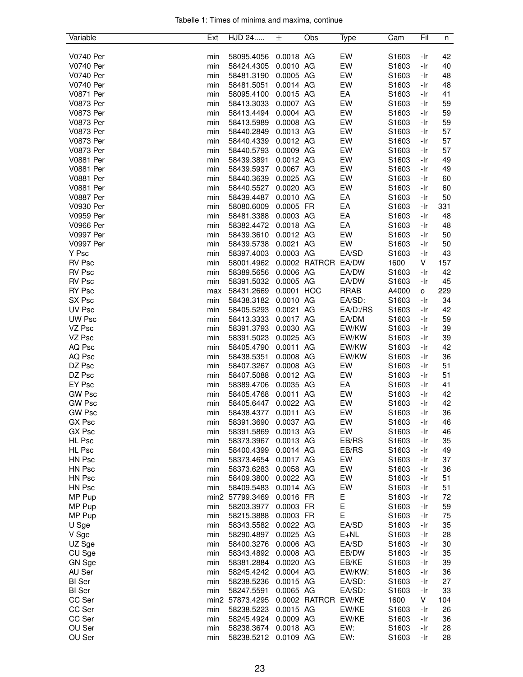| Tabelle 1: Times of minima and maxima, continue |  |  |  |
|-------------------------------------------------|--|--|--|
|                                                 |  |  |  |

| Variable         | Ext | HJD 24          | 士                      | Obs           | Type        | Cam   | Fil        | n        |
|------------------|-----|-----------------|------------------------|---------------|-------------|-------|------------|----------|
|                  |     |                 |                        |               |             |       |            |          |
| V0740 Per        | min | 58095.4056      | 0.0018 AG              |               | EW          | S1603 | -Ir        | 42       |
| V0740 Per        | min | 58424.4305      | 0.0010 AG              |               | EW          | S1603 | -Ir        | 40       |
| V0740 Per        | min | 58481.3190      | 0.0005 AG              |               | EW          | S1603 | -Ir        | 48       |
| V0740 Per        | min | 58481.5051      | 0.0014 AG              |               | EW          | S1603 | -Ir        | 48       |
| V0871 Per        | min | 58095.4100      | 0.0015 AG              |               | EA          | S1603 | -Ir        | 41       |
| <b>V0873 Per</b> | min | 58413.3033      | 0.0007 AG              |               | EW          | S1603 | -Ir        | 59       |
| <b>V0873 Per</b> | min | 58413.4494      | 0.0004 AG              |               | EW          | S1603 | -Ir        | 59       |
| V0873 Per        | min | 58413.5989      | 0.0008 AG              |               | EW          | S1603 | -Ir        | 59       |
| V0873 Per        | min | 58440.2849      | 0.0013 AG              |               | EW          | S1603 | -Ir        | 57       |
| V0873 Per        | min | 58440.4339      | 0.0012 AG              |               | EW          | S1603 | -Ir        | 57       |
| <b>V0873 Per</b> | min | 58440.5793      | 0.0009 AG              |               | EW          | S1603 | -Ir        | 57       |
| <b>V0881 Per</b> | min | 58439.3891      | 0.0012 AG              |               | EW          | S1603 | -Ir        | 49       |
| <b>V0881 Per</b> | min | 58439.5937      | 0.0067 AG              |               | EW          | S1603 | -Ir        | 49       |
| V0881 Per        | min | 58440.3639      | 0.0025 AG              |               | EW          | S1603 | -Ir        | 60       |
| V0881 Per        | min | 58440.5527      | 0.0020 AG              |               | EW          | S1603 | -Ir        | 60       |
| <b>V0887 Per</b> | min | 58439.4487      | 0.0010 AG              |               | EA          | S1603 | -Ir        | 50       |
| V0930 Per        | min | 58080.6009      | 0.0005 FR              |               | EA          | S1603 | -Ir        | 331      |
| V0959 Per        | min | 58481.3388      | 0.0003 AG              |               | EA          | S1603 | -Ir        | 48       |
| <b>V0966 Per</b> | min | 58382.4472      | 0.0018 AG              |               | EA          | S1603 | -Ir        | 48       |
| V0997 Per        | min | 58439.3610      | 0.0012 AG              |               | EW          | S1603 | -Ir        | 50       |
| V0997 Per        | min | 58439.5738      | 0.0021 AG              |               | EW          | S1603 | -Ir        | 50       |
| Y Psc            | min | 58397.4003      | 0.0003 AG              |               | EA/SD       | S1603 | -Ir        | 43       |
| <b>RV Psc</b>    | min | 58001.4962      |                        | 0.0002 RATRCR | EA/DW       | 1600  | V          | 157      |
| <b>RV Psc</b>    | min | 58389.5656      | 0.0006 AG              |               | EA/DW       | S1603 | -Ir        | 42       |
| RV Psc           | min | 58391.5032      | 0.0005 AG              |               | EA/DW       | S1603 | -Ir        | 45       |
| <b>RY Psc</b>    | max | 58431.2669      | 0.0001 HOC             |               | <b>RRAB</b> | A4000 | 0          | 229      |
| SX Psc           | min | 58438.3182      | 0.0010 AG              |               | EA/SD:      | S1603 | -Ir        | 34       |
| UV Psc           |     | 58405.5293      | 0.0021 AG              |               | EA/D:/RS    | S1603 |            | 42       |
| UW Psc           | min |                 | 0.0017 AG              |               | EA/DM       | S1603 | -Ir        |          |
| VZ Psc           | min | 58413.3333      | 0.0030 AG              |               | EW/KW       | S1603 | -Ir        | 59<br>39 |
|                  | min | 58391.3793      | 0.0025 AG              |               | EW/KW       | S1603 | -Ir<br>-Ir | 39       |
| VZ Psc           | min | 58391.5023      |                        |               |             |       |            |          |
| AQ Psc           | min | 58405.4790      | 0.0011 AG              |               | EW/KW       | S1603 | -Ir        | 42       |
| AQ Psc           | min | 58438.5351      | 0.0008 AG              |               | EW/KW       | S1603 | -Ir        | 36       |
| DZ Psc           | min | 58407.3267      | 0.0008 AG              |               | EW          | S1603 | -Ir        | 51       |
| DZ Psc           | min | 58407.5088      | 0.0012 AG<br>0.0035 AG |               | EW<br>EA    | S1603 | -Ir        | 51       |
| EY Psc           | min | 58389.4706      |                        |               |             | S1603 | -Ir        | 41       |
| <b>GW Psc</b>    | min | 58405.4768      | 0.0011 AG              |               | EW          | S1603 | -Ir        | 42       |
| <b>GW Psc</b>    | min | 58405.6447      | 0.0022 AG              |               | EW          | S1603 | -Ir        | 42       |
| <b>GW Psc</b>    | min | 58438.4377      | 0.0011 AG              |               | EW          | S1603 | -Ir        | 36       |
| GX Psc           | min | 58391.3690      | 0.0037 AG              |               | EW          | S1603 | -Ir        | 46       |
| GX Psc           | min | 58391.5869      | 0.0013 AG              |               | EW          | S1603 | -Ir        | 46       |
| HL Psc           | min | 58373.3967      | 0.0013 AG              |               | EB/RS       | S1603 | -Ir        | 35       |
| HL Psc           | min | 58400.4399      | 0.0014 AG              |               | EB/RS       | S1603 | -Ir        | 49       |
| HN Psc           | min | 58373.4654      | 0.0017 AG              |               | EW          | S1603 | -Ir        | 37       |
| HN Psc           | min | 58373.6283      | 0.0058 AG              |               | EW          | S1603 | -Ir        | 36       |
| HN Psc           | min | 58409.3800      | 0.0022 AG              |               | EW          | S1603 | -Ir        | 51       |
| HN Psc           | min | 58409.5483      | 0.0014 AG              |               | EW          | S1603 | -Ir        | 51       |
| MP Pup           |     | min2 57799.3469 | 0.0016 FR              |               | Ε           | S1603 | -Ir        | 72       |
| MP Pup           | min | 58203.3977      | 0.0003 FR              |               | E           | S1603 | -Ir        | 59       |
| MP Pup           | min | 58215.3888      | 0.0003 FR              |               | E           | S1603 | -Ir        | 75       |
| U Sge            | min | 58343.5582      | 0.0022 AG              |               | EA/SD       | S1603 | -Ir        | 35       |
| V Sge            | min | 58290.4897      | 0.0025 AG              |               | $E + NL$    | S1603 | -Ir        | 28       |
| UZ Sge           | min | 58400.3276      | 0.0006 AG              |               | EA/SD       | S1603 | -Ir        | 30       |
| CU Sge           | min | 58343.4892      | 0.0008 AG              |               | EB/DW       | S1603 | -Ir        | 35       |
| GN Sge           | min | 58381.2884      | 0.0020 AG              |               | EB/KE       | S1603 | -Ir        | 39       |
| AU Ser           | min | 58245.4242      | 0.0004 AG              |               | EW/KW:      | S1603 | -Ir        | 36       |
| <b>BI</b> Ser    | min | 58238.5236      | 0.0015 AG              |               | EA/SD:      | S1603 | -Ir        | 27       |
| <b>BI</b> Ser    | min | 58247.5591      | 0.0065 AG              |               | EA/SD:      | S1603 | -Ir        | 33       |
| CC Ser           |     | min2 57873.4295 |                        | 0.0002 RATRCR | EW/KE       | 1600  | V          | 104      |
| CC Ser           | min | 58238.5223      | 0.0015 AG              |               | EW/KE       | S1603 | -Ir        | 26       |
| CC Ser           | min | 58245.4924      | 0.0009 AG              |               | EW/KE       | S1603 | -Ir        | 36       |
| OU Ser           | min | 58238.3674      | 0.0018 AG              |               | EW:         | S1603 | -Ir        | 28       |
| OU Ser           | min | 58238.5212      | 0.0109 AG              |               | EW:         | S1603 | -Ir        | 28       |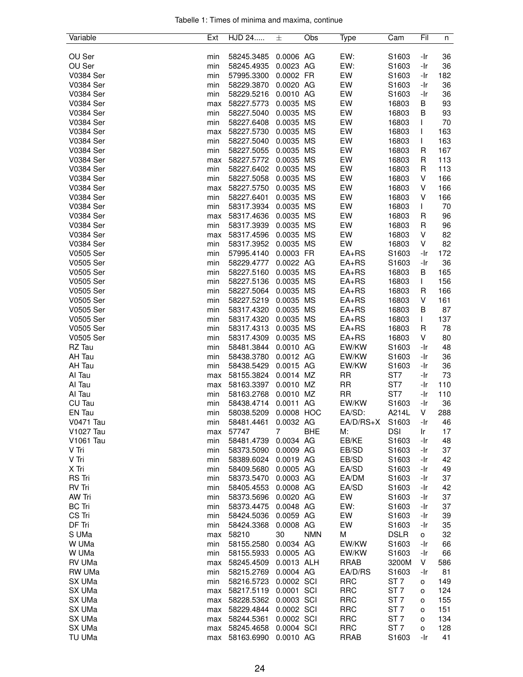|  |  |  | Tabelle 1: Times of minima and maxima, continue |  |
|--|--|--|-------------------------------------------------|--|
|  |  |  |                                                 |  |

| Variable         | Ext | HJD 24     | 士              | Obs        | Type        | Cam               | Fil          | n   |
|------------------|-----|------------|----------------|------------|-------------|-------------------|--------------|-----|
|                  |     |            |                |            |             |                   |              |     |
| OU Ser           | min | 58245.3485 | 0.0006 AG      |            | EW:         | S1603             | -Ir          | 36  |
| OU Ser           | min | 58245.4935 | 0.0023 AG      |            | EW:         | S1603             | -Ir          | 36  |
| V0384 Ser        | min | 57995.3300 | 0.0002 FR      |            | EW          | S1603             | -Ir          | 182 |
| V0384 Ser        | min | 58229.3870 | 0.0020 AG      |            | EW          | S1603             | -Ir          | 36  |
| V0384 Ser        | min | 58229.5216 | 0.0010 AG      |            | EW          | S1603             | -Ir          | 36  |
| V0384 Ser        | max | 58227.5773 | 0.0035 MS      |            | EW          | 16803             | В            | 93  |
| V0384 Ser        | min | 58227.5040 | 0.0035 MS      |            | EW          | 16803             | В            | 93  |
| V0384 Ser        | min | 58227.6408 | 0.0035 MS      |            | EW          | 16803             | L            | 70  |
| V0384 Ser        | max | 58227.5730 | 0.0035 MS      |            | EW          | 16803             | $\mathbf{I}$ | 163 |
| V0384 Ser        | min | 58227.5040 | 0.0035 MS      |            | EW          | 16803             | $\mathbf{I}$ | 163 |
| V0384 Ser        | min | 58227.5055 | 0.0035 MS      |            | EW          | 16803             | R            | 167 |
| V0384 Ser        | max | 58227.5772 | 0.0035 MS      |            | EW          | 16803             | R            | 113 |
| V0384 Ser        | min | 58227.6402 | 0.0035 MS      |            | EW          | 16803             | R            | 113 |
| V0384 Ser        | min | 58227.5058 | 0.0035 MS      |            | EW          | 16803             | V            | 166 |
| V0384 Ser        | max | 58227.5750 | 0.0035 MS      |            | EW          | 16803             | V            | 166 |
| V0384 Ser        | min | 58227.6401 | 0.0035 MS      |            | EW          | 16803             | V            | 166 |
| V0384 Ser        | min | 58317.3934 | 0.0035 MS      |            | EW          | 16803             | L            | 70  |
| V0384 Ser        | max | 58317.4636 | 0.0035 MS      |            | EW          | 16803             | R            | 96  |
| V0384 Ser        | min | 58317.3939 | 0.0035 MS      |            | EW          | 16803             | R            | 96  |
| V0384 Ser        | max | 58317.4596 | 0.0035 MS      |            | EW          | 16803             | V            | 82  |
| V0384 Ser        | min |            | 0.0035 MS      |            | EW          | 16803             | V            | 82  |
|                  |     | 58317.3952 | 0.0003 FR      |            |             |                   |              |     |
| V0505 Ser        | min | 57995.4140 |                |            | $EA+RS$     | S1603             | -Ir          | 172 |
| V0505 Ser        | min | 58229.4777 | 0.0022 AG      |            | $EA+RS$     | S1603             | -Ir          | 36  |
| V0505 Ser        | min | 58227.5160 | 0.0035 MS      |            | $EA+RS$     | 16803             | В            | 165 |
| V0505 Ser        | min | 58227.5136 | 0.0035 MS      |            | $EA+RS$     | 16803             | $\mathbf{I}$ | 156 |
| V0505 Ser        | min | 58227.5064 | 0.0035 MS      |            | $EA+RS$     | 16803             | R            | 166 |
| V0505 Ser        | min | 58227.5219 | 0.0035 MS      |            | $EA+RS$     | 16803             | V            | 161 |
| V0505 Ser        | min | 58317.4320 | 0.0035 MS      |            | $EA+RS$     | 16803             | B            | 87  |
| V0505 Ser        | min | 58317.4320 | 0.0035 MS      |            | $EA+RS$     | 16803             | L            | 137 |
| V0505 Ser        | min | 58317.4313 | 0.0035 MS      |            | $EA+RS$     | 16803             | R            | 78  |
| V0505 Ser        | min | 58317.4309 | 0.0035 MS      |            | $EA+RS$     | 16803             | V            | 80  |
| RZ Tau           | min | 58481.3844 | 0.0010 AG      |            | EW/KW       | S1603             | -Ir          | 48  |
| AH Tau           | min | 58438.3780 | 0.0012 AG      |            | EW/KW       | S1603             | -Ir          | 36  |
| AH Tau           | min | 58438.5429 | 0.0015 AG      |            | EW/KW       | S1603             | -Ir          | 36  |
| Al Tau           | max | 58155.3824 | 0.0014 MZ      |            | <b>RR</b>   | ST7               | -Ir          | 73  |
| Al Tau           | max | 58163.3397 | 0.0010 MZ      |            | RR          | ST <sub>7</sub>   | -Ir          | 110 |
| Al Tau           | min | 58163.2768 | 0.0010 MZ      |            | <b>RR</b>   | ST7               | -Ir          | 110 |
| CU Tau           | min | 58438.4714 | 0.0011 AG      |            | EW/KW       | S1603             | -Ir          | 36  |
| EN Tau           | min | 58038.5209 | 0.0008 HOC     |            | EA/SD:      | A214L             | V            | 288 |
| <b>V0471 Tau</b> | min | 58481.4461 | 0.0032 AG      |            | EA/D/RS+X   | S <sub>1603</sub> | -Ir          | 46  |
| V1027 Tau        | max | 57747      | $\overline{7}$ | <b>BHE</b> | М:          | <b>DSI</b>        | Ir           | 17  |
| V1061 Tau        | min | 58481.4739 | 0.0034 AG      |            | EB/KE       | S1603             | -Ir          | 48  |
| V Tri            | min | 58373.5090 | 0.0009 AG      |            | EB/SD       | S1603             | -Ir          | 37  |
| V Tri            | min | 58389.6024 | 0.0019 AG      |            | EB/SD       | S1603             | -Ir          | 42  |
| X Tri            | min | 58409.5680 | 0.0005 AG      |            | EA/SD       | S1603             | -Ir          | 49  |
| <b>RS</b> Tri    | min | 58373.5470 | 0.0003 AG      |            | EA/DM       | S1603             | -Ir          | 37  |
| RV Tri           | min | 58405.4553 | 0.0008 AG      |            | EA/SD       | S1603             | -Ir          | 42  |
| <b>AW Tri</b>    | min | 58373.5696 | 0.0020 AG      |            | EW          | S1603             | -Ir          | 37  |
| <b>BC Tri</b>    | min | 58373.4475 | 0.0048 AG      |            | EW:         | S1603             | -Ir          | 37  |
| CS Tri           | min | 58424.5036 | 0.0059 AG      |            | EW          | S1603             | -Ir          | 39  |
| DF Tri           | min | 58424.3368 | 0.0008 AG      |            | EW          | S1603             | -Ir          | 35  |
| S UMa            | max | 58210      | 30             | <b>NMN</b> | М           | <b>DSLR</b>       | o            | 32  |
| W UMa            | min | 58155.2580 | 0.0034 AG      |            | EW/KW       | S1603             | -Ir          | 66  |
| W UMa            | min | 58155.5933 | 0.0005 AG      |            | EW/KW       | S1603             | -Ir          | 66  |
| RV UMa           | max | 58245.4509 | 0.0013 ALH     |            | <b>RRAB</b> | 3200M             | V            | 586 |
| RW UMa           | min | 58215.2769 | 0.0004 AG      |            | EA/D/RS     | S1603             | -Ir          | 81  |
| SX UMa           | min | 58216.5723 | 0.0002 SCI     |            | <b>RRC</b>  | ST <sub>7</sub>   | o            | 149 |
| SX UMa           |     | 58217.5119 | 0.0001 SCI     |            | <b>RRC</b>  | ST <sub>7</sub>   |              | 124 |
|                  | max |            |                |            |             |                   | o            |     |
| SX UMa           | max | 58228.5362 | 0.0003 SCI     |            | <b>RRC</b>  | ST <sub>7</sub>   | o            | 155 |
| SX UMa           | max | 58229.4844 | 0.0002 SCI     |            | <b>RRC</b>  | ST <sub>7</sub>   | o            | 151 |
| SX UMa           | max | 58244.5361 | 0.0002 SCI     |            | <b>RRC</b>  | ST <sub>7</sub>   | o            | 134 |
| SX UMa           | max | 58245.4658 | 0.0004 SCI     |            | <b>RRC</b>  | ST <sub>7</sub>   | o            | 128 |
| TU UMa           | max | 58163.6990 | 0.0010 AG      |            | <b>RRAB</b> | S1603             | -Ir          | 41  |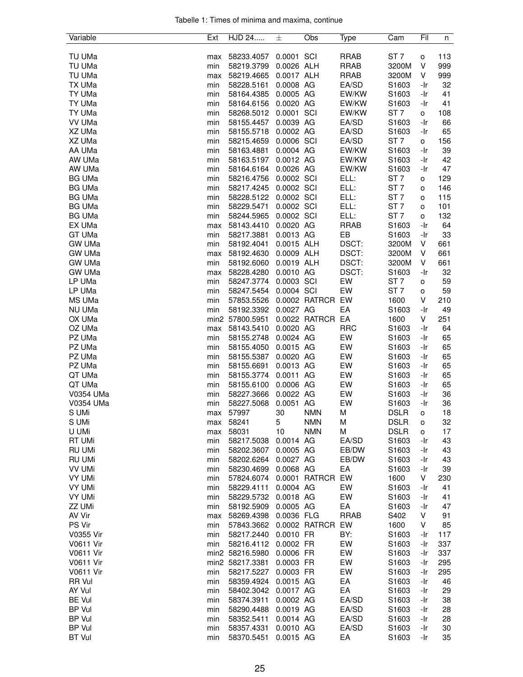| Tabelle 1: Times of minima and maxima, continue |  |  |  |
|-------------------------------------------------|--|--|--|
|                                                 |  |  |  |

| Variable         | Ext | HJD 24          | 士          | Obs           | Type        | Cam                        | Fil        | n        |
|------------------|-----|-----------------|------------|---------------|-------------|----------------------------|------------|----------|
|                  |     |                 |            |               |             |                            |            |          |
| TU UMa           | max | 58233.4057      | 0.0001 SCI |               | <b>RRAB</b> | ST <sub>7</sub>            | o          | 113      |
| TU UMa           | min | 58219.3799      | 0.0026 ALH |               | <b>RRAB</b> | 3200M                      | ٧          | 999      |
| TU UMa           | max | 58219.4665      | 0.0017 ALH |               | <b>RRAB</b> | 3200M                      | V          | 999      |
| TX UMa           | min | 58228.5161      | 0.0008 AG  |               | EA/SD       | S1603                      | -Ir        | 32       |
| TY UMa           | min | 58164.4385      | 0.0005 AG  |               | EW/KW       | S1603                      | -Ir        | 41       |
| TY UMa           | min | 58164.6156      | 0.0020 AG  |               | EW/KW       | S1603                      | -Ir        | 41       |
| TY UMa           | min | 58268.5012      | 0.0001 SCI |               | EW/KW       | ST <sub>7</sub>            | 0          | 108      |
| VV UMa           | min | 58155.4457      | 0.0039 AG  |               | EA/SD       | S1603                      | -Ir        | 66       |
|                  | min |                 | 0.0002 AG  |               | EA/SD       |                            | -Ir        |          |
| XZ UMa           |     | 58155.5718      |            |               |             | S1603                      |            | 65       |
| XZ UMa           | min | 58215.4659      | 0.0006 SCI |               | EA/SD       | ST <sub>7</sub>            | o          | 156      |
| AA UMa           | min | 58163.4881      | 0.0004 AG  |               | EW/KW       | S1603                      | -Ir        | 39       |
| AW UMa           | min | 58163.5197      | 0.0012 AG  |               | EW/KW       | S1603                      | -Ir        | 42       |
| AW UMa           | min | 58164.6164      | 0.0026 AG  |               | EW/KW       | S1603                      | -Ir        | 47       |
| <b>BG UMa</b>    | min | 58216.4756      | 0.0002 SCI |               | ELL:        | ST <sub>7</sub>            | о          | 129      |
| <b>BG UMa</b>    | min | 58217.4245      | 0.0002 SCI |               | ELL:        | ST <sub>7</sub>            | o          | 146      |
| <b>BG UMa</b>    | min | 58228.5122      | 0.0002 SCI |               | ELL:        | ST <sub>7</sub>            | о          | 115      |
| <b>BG UMa</b>    | min | 58229.5471      | 0.0002 SCI |               | ELL:        | ST <sub>7</sub>            | o          | 101      |
| <b>BG UMa</b>    | min | 58244.5965      | 0.0002 SCI |               | ELL:        | ST <sub>7</sub>            | o          | 132      |
| EX UMa           | max | 58143.4410      | 0.0020 AG  |               | <b>RRAB</b> | S1603                      | -Ir        | 64       |
| GT UMa           | min | 58217.3881      | 0.0013 AG  |               | EB          | S1603                      | -Ir        | 33       |
| <b>GW UMa</b>    | min | 58192.4041      | 0.0015 ALH |               | DSCT:       | 3200M                      | V          | 661      |
| <b>GW UMa</b>    | max | 58192.4630      | 0.0009 ALH |               | DSCT:       | 3200M                      | V          | 661      |
| <b>GW UMa</b>    | min | 58192.6060      | 0.0019 ALH |               | DSCT:       | 3200M                      | V          | 661      |
| <b>GW UMa</b>    | max | 58228.4280      | 0.0010 AG  |               | DSCT:       | S1603                      | -Ir        | 32       |
| LP UMa           | min | 58247.3774      | 0.0003 SCI |               | EW          | ST <sub>7</sub>            | о          | 59       |
| LP UMa           | min | 58247.5454      | 0.0004 SCI |               | EW          | ST <sub>7</sub>            | о          | 59       |
| MS UMa           | min | 57853.5526      |            | 0.0002 RATRCR | EW          | 1600                       | V          | 210      |
| NU UMa           | min | 58192.3392      | 0.0027 AG  |               | EA          | S <sub>1603</sub>          | -Ir        | 49       |
| OX UMa           |     | min2 57800.5951 |            | 0.0022 RATRCR | EA          | 1600                       | V          | 251      |
| OZ UMa           | max | 58143.5410      | 0.0020 AG  |               | <b>RRC</b>  | S1603                      | -Ir        | 64       |
| PZ UMa           | min | 58155.2748      | 0.0024 AG  |               | EW          | S1603                      | -Ir        | 65       |
| PZ UMa           | min | 58155.4050      | 0.0015 AG  |               | EW          | S1603                      | -Ir        | 65       |
| PZ UMa           | min | 58155.5387      | 0.0020 AG  |               | EW          | S1603                      | -Ir        | 65       |
| PZ UMa           | min | 58155.6691      | 0.0013 AG  |               | EW          | S1603                      | -Ir        | 65       |
| QT UMa           | min | 58155.3774      | 0.0011 AG  |               | EW          | S1603                      | -Ir        | 65       |
| QT UMa           | min | 58155.6100      | 0.0006 AG  |               | EW          | S1603                      | -Ir        | 65       |
| V0354 UMa        |     |                 | 0.0022 AG  |               | EW          |                            |            |          |
| V0354 UMa        | min | 58227.3666      | 0.0051     | AG            | EW          | S1603                      | -Ir<br>-Ir | 36<br>36 |
|                  | min | 58227.5068      |            |               |             | S1603                      |            |          |
| S UMi            | max | 57997           | 30         | <b>NMN</b>    | M           | <b>DSLR</b><br><b>DSLR</b> | o          | 18       |
| S UMi            | max | 58241           | 5          | <b>NMN</b>    | M           |                            | о          | 32       |
| U UMi            | max | 58031           | 10         | <b>NMN</b>    | М           | <b>DSLR</b>                | о          | 17       |
| RT UMi           | min | 58217.5038      | 0.0014 AG  |               | EA/SD       | S1603                      | -Ir        | 43       |
| RU UMi           | min | 58202.3607      | 0.0005 AG  |               | EB/DW       | S1603                      | -Ir        | 43       |
| <b>RU UMi</b>    | min | 58202.6264      | 0.0027 AG  |               | EB/DW       | S1603                      | -Ir        | 43       |
| <b>VV UMi</b>    | min | 58230.4699      | 0.0068 AG  |               | EA          | S1603                      | -Ir        | 39       |
| <b>VY UMi</b>    | min | 57824.6074      |            | 0.0001 RATRCR | EW          | 1600                       | V          | 230      |
| VY UMi           | min | 58229.4111      | 0.0004 AG  |               | EW          | S1603                      | -Ir        | 41       |
| <b>VY UMi</b>    | min | 58229.5732      | 0.0018 AG  |               | EW          | S1603                      | -Ir        | 41       |
| ZZ UMi           | min | 58192.5909      | 0.0005 AG  |               | EA          | S1603                      | -Ir        | 47       |
| AV Vir           | max | 58269.4398      | 0.0036 FLG |               | <b>RRAB</b> | S402                       | V          | 91       |
| PS Vir           | min | 57843.3662      |            | 0.0002 RATRCR | EW          | 1600                       | V          | 85       |
| V0355 Vir        | min | 58217.2440      | 0.0010 FR  |               | BY:         | S1603                      | -Ir        | 117      |
| V0611 Vir        | min | 58216.4112      | 0.0002 FR  |               | EW          | S1603                      | -Ir        | 337      |
| <b>V0611 Vir</b> |     | min2 58216.5980 | 0.0006 FR  |               | EW          | S1603                      | -Ir        | 337      |
| <b>V0611 Vir</b> |     | min2 58217.3381 | 0.0003 FR  |               | EW          | S1603                      | -Ir        | 295      |
| <b>V0611 Vir</b> | min | 58217.5227      | 0.0003 FR  |               | EW          | S1603                      | -Ir        | 295      |
| RR Vul           | min | 58359.4924      | 0.0015 AG  |               | EA          | S1603                      | -Ir        | 46       |
| AY Vul           | min | 58402.3042      | 0.0017 AG  |               | EA          | S1603                      | -Ir        | 29       |
| <b>BE Vul</b>    | min | 58374.3911      | 0.0002 AG  |               | EA/SD       | S1603                      | -Ir        | 38       |
| BP Vul           | min | 58290.4488      | 0.0019 AG  |               | EA/SD       | S1603                      | -Ir        | 28       |
| <b>BP Vul</b>    | min | 58352.5411      | 0.0014 AG  |               | EA/SD       | S1603                      | -Ir        | 28       |
| <b>BP Vul</b>    | min | 58357.4331      | 0.0010 AG  |               | EA/SD       | S1603                      | -Ir        | 30       |
| <b>BT Vul</b>    | min | 58370.5451      | 0.0015 AG  |               | EA          | S1603                      | -Ir        | 35       |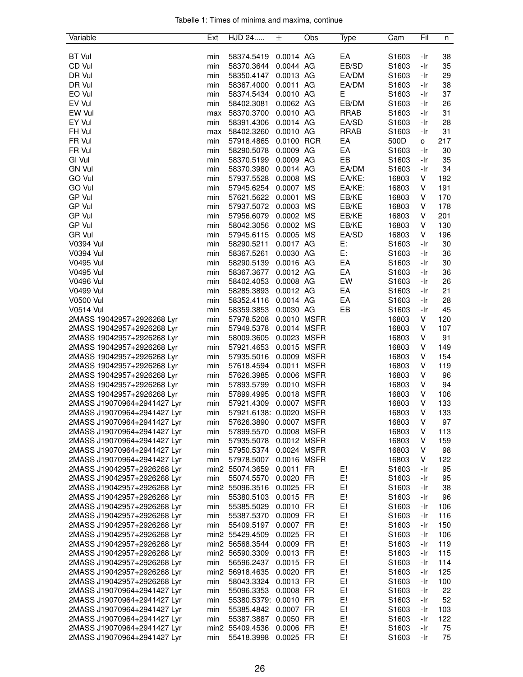|  |  |  | Tabelle 1: Times of minima and maxima, continue |  |
|--|--|--|-------------------------------------------------|--|
|  |  |  |                                                 |  |

| Variable                                                   | Ext | HJD 24                        | 士                      | Obs | Type        | Cam               | Fil        | n   |
|------------------------------------------------------------|-----|-------------------------------|------------------------|-----|-------------|-------------------|------------|-----|
|                                                            |     |                               |                        |     |             |                   |            |     |
| <b>BT Vul</b>                                              | min | 58374.5419                    | 0.0014 AG              |     | EA          | S1603             | -Ir        | 38  |
| CD Vul                                                     | min | 58370.3644                    | 0.0044 AG              |     | EB/SD       | S1603             | -Ir        | 35  |
| DR Vul                                                     | min | 58350.4147                    | 0.0013 AG              |     | EA/DM       | S1603             | -Ir        | 29  |
| DR Vul                                                     | min | 58367.4000                    | 0.0011 AG              |     | EA/DM       | S1603             | -Ir        | 38  |
| EO Vul                                                     | min | 58374.5434                    | 0.0010 AG              |     | Е           | S1603             | -Ir        | 37  |
| EV Vul                                                     | min | 58402.3081                    | 0.0062 AG              |     | EB/DM       | S1603             | -Ir        | 26  |
| EW Vul                                                     | max | 58370.3700                    | 0.0010 AG              |     | <b>RRAB</b> | S1603             | -Ir        | 31  |
| EY Vul                                                     | min | 58391.4306                    | 0.0014 AG              |     | EA/SD       | S1603             | -Ir        | 28  |
| FH Vul                                                     | max | 58402.3260                    | 0.0010 AG              |     | <b>RRAB</b> | S1603             | -Ir        | 31  |
| FR Vul                                                     | min | 57918.4865                    | 0.0100 RCR             |     | EA          | 500D              | 0          | 217 |
| FR Vul                                                     | min | 58290.5078                    | 0.0009 AG              |     | EA          | S1603             | -Ir        | 30  |
| GI Vul                                                     | min | 58370.5199                    | 0.0009 AG              |     | EB          | S1603             | -Ir        | 35  |
| <b>GN Vul</b>                                              | min | 58370.3980                    | 0.0014 AG              |     | EA/DM       | S1603             | -Ir        | 34  |
| GO Vul                                                     | min | 57937.5528                    | 0.0008 MS              |     | EA/KE:      | 16803             | V          | 192 |
| GO Vul                                                     | min | 57945.6254                    | 0.0007 MS              |     | EA/KE:      | 16803             | V          | 191 |
| GP Vul                                                     | min | 57621.5622 0.0001 MS          |                        |     | EB/KE       | 16803             | V          | 170 |
| GP Vul                                                     | min | 57937.5072 0.0003 MS          |                        |     | EB/KE       | 16803             | V          | 178 |
| GP Vul                                                     | min | 57956.6079                    | 0.0002 MS              |     | EB/KE       | 16803             | V          | 201 |
| <b>GP Vul</b>                                              | min | 58042.3056                    | 0.0002 MS              |     | EB/KE       | 16803             | V          | 130 |
| <b>GR Vul</b>                                              |     |                               | 0.0005 MS              |     | EA/SD       |                   | V          | 196 |
|                                                            | min | 57945.6115                    |                        |     |             | 16803             |            |     |
| V0394 Vul                                                  | min | 58290.5211                    | 0.0017 AG              |     | E:          | S1603             | -Ir        | 30  |
| <b>V0394 Vul</b>                                           | min | 58367.5261                    | 0.0030 AG              |     | E:          | S1603             | -Ir        | 36  |
| V0495 Vul                                                  | min | 58290.5139                    | 0.0016 AG              |     | EA          | S1603             | -Ir        | 30  |
| <b>V0495 Vul</b>                                           | min | 58367.3677                    | 0.0012 AG              |     | EA          | S1603             | -Ir        | 36  |
| <b>V0496 Vul</b>                                           | min | 58402.4053                    | 0.0008 AG              |     | EW          | S1603             | -Ir        | 26  |
| V0499 Vul                                                  | min | 58285.3893                    | 0.0012 AG              |     | EA          | S1603             | -Ir        | 21  |
| <b>V0500 Vul</b>                                           | min | 58352.4116                    | 0.0014 AG              |     | EA          | S <sub>1603</sub> | -Ir        | 28  |
| <b>V0514 Vul</b>                                           | min | 58359.3853 0.0030 AG          |                        |     | EB          | S <sub>1603</sub> | -Ir        | 45  |
| 2MASS 19042957+2926268 Lyr                                 | min | 57978.5208                    | 0.0010 MSFR            |     |             | 16803             | V          | 120 |
| 2MASS 19042957+2926268 Lyr                                 | min | 57949.5378                    | 0.0014 MSFR            |     |             | 16803             | V          | 107 |
| 2MASS 19042957+2926268 Lyr                                 | min | 58009.3605                    | 0.0023 MSFR            |     |             | 16803             | V          | 91  |
| 2MASS 19042957+2926268 Lyr                                 | min | 57921.4653                    | 0.0015 MSFR            |     |             | 16803             | V          | 149 |
| 2MASS 19042957+2926268 Lyr                                 | min | 57935.5016                    | 0.0009 MSFR            |     |             | 16803             | V          | 154 |
| 2MASS 19042957+2926268 Lyr                                 | min | 57618.4594                    | 0.0011 MSFR            |     |             | 16803             | V          | 119 |
| 2MASS 19042957+2926268 Lyr                                 | min | 57626.3985                    | 0.0006 MSFR            |     |             | 16803             | V          | 96  |
| 2MASS 19042957+2926268 Lyr                                 | min | 57893.5799                    | 0.0010 MSFR            |     |             | 16803             | V          | 94  |
| 2MASS 19042957+2926268 Lyr                                 | min | 57899.4995                    | 0.0018 MSFR            |     |             | 16803             | V          | 106 |
| 2MASS J19070964+2941427 Lyr                                | min | 57921.4309                    | 0.0007 MSFR            |     |             | 16803             | V          | 133 |
| 2MASS J19070964+2941427 Lyr                                | min | 57921.6138: 0.0020 MSFR       |                        |     |             | 16803             | V          | 133 |
| 2MASS J19070964+2941427 Lyr                                | min | 57626.3890                    | 0.0007 MSFR            |     |             | 16803             | V          | 97  |
| 2MASS J19070964+2941427 Lyr                                | min | 57899.5570                    | 0.0008 MSFR            |     |             | 16803             | V          | 113 |
| 2MASS J19070964+2941427 Lyr                                | min | 57935.5078                    | 0.0012 MSFR            |     |             | 16803             | V          | 159 |
| 2MASS J19070964+2941427 Lyr                                | min | 57950.5374                    | 0.0024 MSFR            |     |             | 16803             | V          | 98  |
| 2MASS J19070964+2941427 Lyr                                | min | 57978.5007                    | 0.0016 MSFR            |     |             | 16803             | V          | 122 |
| 2MASS J19042957+2926268 Lyr                                |     | min2 55074.3659               | 0.0011 FR              |     | E!          | S1603             | -Ir        | 95  |
| 2MASS J19042957+2926268 Lyr                                | min | 55074.5570                    | 0.0020 FR              |     | E!          | S <sub>1603</sub> | -Ir        | 95  |
| 2MASS J19042957+2926268 Lyr                                |     | min2 55096.3516               | 0.0025 FR              |     | E!          | S1603             | -Ir        | 38  |
| 2MASS J19042957+2926268 Lyr                                | min | 55380.5103                    | 0.0015 FR              |     | E!          | S1603             | -Ir        | 96  |
| 2MASS J19042957+2926268 Lyr                                | min | 55385.5029                    | 0.0010 FR              |     | E!          | S1603             | -Ir        | 106 |
| 2MASS J19042957+2926268 Lyr                                | min | 55387.5370                    | 0.0009 FR              |     | E!          | S1603             | -Ir        | 116 |
| 2MASS J19042957+2926268 Lyr                                | min | 55409.5197                    | 0.0007 FR              |     | E!          | S1603             | -Ir        | 150 |
| 2MASS J19042957+2926268 Lyr                                |     | min2 55429.4509               | 0.0025 FR              |     | E!          | S1603             | -Ir        | 106 |
| 2MASS J19042957+2926268 Lyr                                |     | min2 56568.3544               | 0.0009 FR              |     | E!          | S <sub>1603</sub> | -Ir        | 119 |
| 2MASS J19042957+2926268 Lyr                                |     | min2 56590.3309               | 0.0013 FR              |     | E!          | S1603             | -Ir        | 115 |
| 2MASS J19042957+2926268 Lyr                                | min | 56596.2437                    | 0.0015 FR              |     | E!          | S1603             | -Ir        | 114 |
|                                                            |     |                               |                        |     | E!          | S <sub>1603</sub> |            | 125 |
| 2MASS J19042957+2926268 Lyr<br>2MASS J19042957+2926268 Lyr | min | min2 56918.4635<br>58043.3324 | 0.0020 FR<br>0.0013 FR |     | E!          | S1603             | -Ir<br>-Ir | 100 |
|                                                            |     |                               |                        |     |             |                   |            |     |
| 2MASS J19070964+2941427 Lyr                                | min | 55096.3353                    | 0.0008 FR              |     | E!          | S <sub>1603</sub> | -Ir        | 22  |
| 2MASS J19070964+2941427 Lyr                                | min | 55380.5379: 0.0010 FR         |                        |     | E!          | S1603             | -Ir        | 52  |
| 2MASS J19070964+2941427 Lyr                                | min | 55385.4842                    | 0.0007 FR              |     | E!          | S <sub>1603</sub> | -Ir        | 103 |
| 2MASS J19070964+2941427 Lyr                                | min | 55387.3887                    | 0.0050 FR              |     | E!          | S1603             | -Ir        | 122 |
| 2MASS J19070964+2941427 Lyr                                |     | min2 55409.4536               | 0.0006 FR              |     | E!          | S1603             | -Ir        | 75  |
| 2MASS J19070964+2941427 Lyr                                | min | 55418.3998                    | 0.0025 FR              |     | E!          | S1603             | -Ir        | 75  |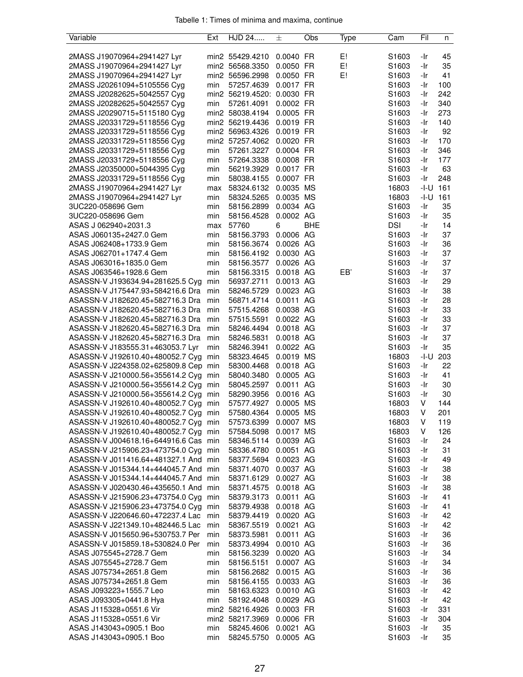| Variable                             | Ext | HJD 24                     | 士         | Obs        | Type | Cam               | Fil  | n   |
|--------------------------------------|-----|----------------------------|-----------|------------|------|-------------------|------|-----|
|                                      |     |                            |           |            |      |                   |      |     |
| 2MASS J19070964+2941427 Lyr          |     | min2 55429.4210            | 0.0040 FR |            | E!   | S1603             | -Ir  | 45  |
| 2MASS J19070964+2941427 Lyr          |     | min2 56568.3350            | 0.0050 FR |            | E!   | S1603             | -Ir  | 35  |
| 2MASS J19070964+2941427 Lyr          |     | min2 56596.2998            | 0.0050 FR |            | E!   | S1603             | -Ir  | 41  |
| 2MASS J20261094+5105556 Cyg          | min | 57257.4639 0.0017 FR       |           |            |      | S1603             | -Ir  | 100 |
| 2MASS J20282625+5042557 Cyg          |     | min2 56219.4520: 0.0030 FR |           |            |      | S1603             | -Ir  | 242 |
| 2MASS J20282625+5042557 Cyg          | min | 57261.4091                 | 0.0002 FR |            |      | S1603             | -Ir  | 340 |
| 2MASS J20290715+5115180 Cyg          |     | min2 58038.4194            | 0.0005 FR |            |      | S1603             | -Ir  | 273 |
| 2MASS J20331729+5118556 Cyg          |     | min2 56219.4436            | 0.0019 FR |            |      | S1603             | -Ir  | 140 |
| 2MASS J20331729+5118556 Cyg          |     | min2 56963.4326            | 0.0019 FR |            |      | S1603             | -Ir  | 92  |
| 2MASS J20331729+5118556 Cyg          |     | min2 57257.4062 0.0020 FR  |           |            |      | S1603             | -Ir  | 170 |
| 2MASS J20331729+5118556 Cyg          | min | 57261.3227                 | 0.0004 FR |            |      | S1603             | -Ir  | 346 |
| 2MASS J20331729+5118556 Cyg          | min | 57264.3338                 | 0.0008 FR |            |      | S1603             | -Ir  | 177 |
| 2MASS J20350000+5044395 Cyg          | min | 56219.3929                 | 0.0017 FR |            |      | S1603             | -Ir  | 63  |
| 2MASS J20331729+5118556 Cyg          | min | 58038.4155                 | 0.0007 FR |            |      | S1603             | -Ir  | 248 |
| 2MASS J19070964+2941427 Lyr          | max | 58324.6132 0.0035 MS       |           |            |      | 16803             | -I-U | 161 |
| 2MASS J19070964+2941427 Lyr          | min | 58324.5265                 | 0.0035 MS |            |      | 16803             | -I-U | 161 |
| 3UC220-058696 Gem                    | min | 58156.2899                 | 0.0034 AG |            |      | S <sub>1603</sub> | -Ir  | 35  |
| 3UC220-058696 Gem                    | min | 58156.4528                 | 0.0002 AG |            |      | S1603             | -Ir  | 35  |
| ASAS J 062940+2031.3                 | max | 57760                      | 6         | <b>BHE</b> |      | <b>DSI</b>        | -Ir  | 14  |
| ASAS J060135+2427.0 Gem              | min | 58156.3793                 | 0.0006 AG |            |      | S1603             | -Ir  | 37  |
| ASAS J062408+1733.9 Gem              | min | 58156.3674 0.0026 AG       |           |            |      | S1603             | -Ir  | 36  |
| ASAS J062701+1747.4 Gem              | min | 58156.4192                 | 0.0030 AG |            |      | S1603             | -Ir  | 37  |
| ASAS J063016+1835.0 Gem              | min | 58156.3577                 | 0.0026 AG |            |      | S <sub>1603</sub> | -Ir  | 37  |
| ASAS J063546+1928.6 Gem              | min | 58156.3315                 | 0.0018 AG |            | EB'  | S1603             | -Ir  | 37  |
| ASASSN-V J193634.94+281625.5 Cyg     | min | 56937.2711                 | 0.0013 AG |            |      | S1603             | -Ir  | 29  |
| ASASSN-V J175447.93+584216.6 Dra     | min | 58246.5729                 | 0.0023 AG |            |      | S1603             | -Ir  | 38  |
| ASASSN-V J182620.45+582716.3 Dra     | min | 56871.4714 0.0011 AG       |           |            |      | S1603             | -Ir  | 28  |
| ASASSN-V J182620.45+582716.3 Dra     | min | 57515.4268                 | 0.0038 AG |            |      | S1603             | -Ir  | 33  |
| ASASSN-V J182620.45+582716.3 Dra     | min | 57515.5591                 | 0.0022 AG |            |      | S1603             | -Ir  | 33  |
| ASASSN-V J182620.45+582716.3 Dra     | min | 58246.4494                 | 0.0018 AG |            |      | S1603             | -Ir  | 37  |
| ASASSN-V J182620.45+582716.3 Dra     | min | 58246.5831                 | 0.0018 AG |            |      | S1603             | -Ir  | 37  |
| ASASSN-V J183555.31+463053.7 Lyr     | min | 58246.3941                 | 0.0022 AG |            |      | S1603             | -Ir  | 35  |
| ASASSN-V J192610.40+480052.7 Cyg     | min | 58323.4645                 | 0.0019 MS |            |      | 16803             | -I-U | 203 |
| ASASSN-V J224358.02+625809.8 Cep min |     | 58300.4468                 | 0.0018 AG |            |      | S1603             | -Ir  | 22  |
| ASASSN-V J210000.56+355614.2 Cyg min |     | 58040.3480                 | 0.0005 AG |            |      | S1603             | -Ir  | 41  |
| ASASSN-V J210000.56+355614.2 Cyg     | min | 58045.2597                 | 0.0011 AG |            |      | S1603             | -Ir  | 30  |
| ASASSN-V J210000.56+355614.2 Cyg     | min | 58290.3956                 | 0.0016 AG |            |      | S1603             | -Ir  | 30  |
| ASASSN-V J192610.40+480052.7 Cyg     | min | 57577.4927                 | 0.0005 MS |            |      | 16803             | V    | 144 |
| ASASSN-V J192610.40+480052.7 Cyg min |     | 57580.4364                 | 0.0005 MS |            |      | 16803             | V    | 201 |
| ASASSN-V J192610.40+480052.7 Cyg min |     | 57573.6399                 | 0.0007 MS |            |      | 16803             | V    | 119 |
| ASASSN-V J192610.40+480052.7 Cyg min |     | 57584.5098                 | 0.0017 MS |            |      | 16803             | V    | 126 |
| ASASSN-V J004618.16+644916.6 Cas min |     | 58346.5114                 | 0.0039 AG |            |      | S <sub>1603</sub> | -Ir  | 24  |
| ASASSN-V J215906.23+473754.0 Cyg     | min | 58336.4780                 | 0.0051 AG |            |      | S <sub>1603</sub> | -Ir  | 31  |
| ASASSN-V J011416.64+481327.1 And min |     | 58377.5694 0.0023 AG       |           |            |      | S1603             | -Ir  | 49  |
| ASASSN-V J015344.14+444045.7 And min |     | 58371.4070                 | 0.0037 AG |            |      | S <sub>1603</sub> | -Ir  | 38  |
| ASASSN-V J015344.14+444045.7 And min |     | 58371.6129                 | 0.0027 AG |            |      | S <sub>1603</sub> | -Ir  | 38  |
| ASASSN-V J020430.46+435650.1 And min |     | 58371.4575                 | 0.0018 AG |            |      | S <sub>1603</sub> | -Ir  | 38  |
| ASASSN-V J215906.23+473754.0 Cyg     | min | 58379.3173                 | 0.0011 AG |            |      | S <sub>1603</sub> | -Ir  | 41  |
| ASASSN-V J215906.23+473754.0 Cyg     | min | 58379.4938                 | 0.0018 AG |            |      | S <sub>1603</sub> | -Ir  | 41  |
| ASASSN-V J220646.60+472237.4 Lac     | min | 58379.4419                 | 0.0020 AG |            |      | S <sub>1603</sub> | -Ir  | 42  |
| ASASSN-V J221349.10+482446.5 Lac     | min | 58367.5519                 | 0.0021 AG |            |      | S1603             | -Ir  | 42  |
| ASASSN-V J015650.96+530753.7 Per     | min | 58373.5981                 | 0.0011 AG |            |      | S1603             | -Ir  | 36  |
| ASASSN-V J015859.18+530824.0 Per     | min | 58373.4994                 | 0.0010 AG |            |      | S <sub>1603</sub> | -Ir  | 36  |
| ASAS J075545+2728.7 Gem              | min | 58156.3239                 | 0.0020 AG |            |      | S <sub>1603</sub> | -Ir  | 34  |
| ASAS J075545+2728.7 Gem              | min | 58156.5151                 | 0.0007 AG |            |      | S1603             | -Ir  | 34  |
| ASAS J075734+2651.8 Gem              | min | 58156.2682 0.0015 AG       |           |            |      | S1603             | -Ir  | 36  |
| ASAS J075734+2651.8 Gem              | min | 58156.4155                 | 0.0033 AG |            |      | S1603             | -Ir  | 36  |
| ASAS J093223+1555.7 Leo              | min | 58163.6323                 | 0.0010 AG |            |      | S <sub>1603</sub> | -Ir  | 42  |
| ASAS J093305+0441.8 Hya              | min | 58192.4048                 | 0.0029 AG |            |      | S <sub>1603</sub> | -Ir  | 42  |
| ASAS J115328+0551.6 Vir              |     | min2 58216.4926            | 0.0003 FR |            |      | S1603             | -Ir  | 331 |
| ASAS J115328+0551.6 Vir              |     | min2 58217.3969            | 0.0006 FR |            |      | S1603             | -Ir  | 304 |
| ASAS J143043+0905.1 Boo              | min | 58245.4606                 | 0.0021 AG |            |      | S <sub>1603</sub> | -Ir  | 35  |
| ASAS J143043+0905.1 Boo              | min | 58245.5750                 | 0.0005 AG |            |      | S1603             | -Ir  | 35  |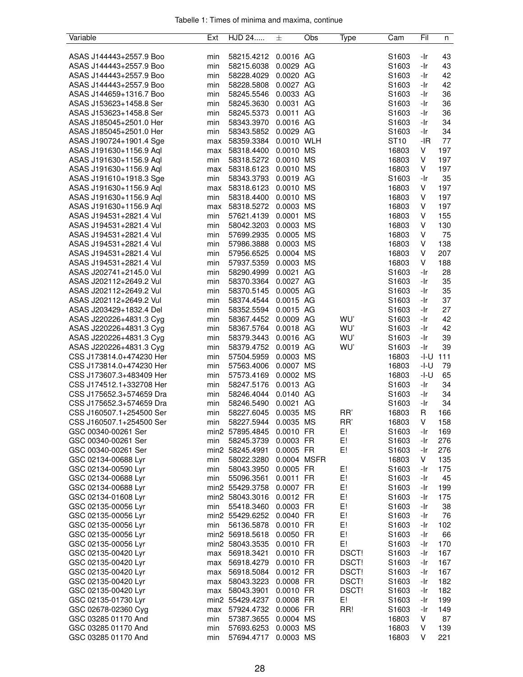| Variable                 | Ext | HJD 24          | 士           | Obs | Type            | Cam               | Fil   | n   |
|--------------------------|-----|-----------------|-------------|-----|-----------------|-------------------|-------|-----|
|                          |     |                 |             |     |                 |                   |       |     |
| ASAS J144443+2557.9 Boo  | min | 58215.4212      | 0.0016 AG   |     |                 | S1603             | -Ir   | 43  |
| ASAS J144443+2557.9 Boo  | min | 58215.6038      | 0.0029 AG   |     |                 | S1603             | -Ir   | 43  |
| ASAS J144443+2557.9 Boo  | min | 58228.4029      | 0.0020 AG   |     |                 | S <sub>1603</sub> | -Ir   | 42  |
| ASAS J144443+2557.9 Boo  | min | 58228.5808      | 0.0027 AG   |     |                 | S1603             | -Ir   | 42  |
| ASAS J144659+1316.7 Boo  | min | 58245.5546      | 0.0033 AG   |     |                 | S1603             | -Ir   | 36  |
| ASAS J153623+1458.8 Ser  | min | 58245.3630      | 0.0031 AG   |     |                 | S <sub>1603</sub> | -Ir   | 36  |
| ASAS J153623+1458.8 Ser  | min | 58245.5373      | 0.0011 AG   |     |                 | S1603             | -Ir   | 36  |
| ASAS J185045+2501.0 Her  | min | 58343.3970      | 0.0016 AG   |     |                 | S1603             | -Ir   | 34  |
| ASAS J185045+2501.0 Her  | min | 58343.5852      | 0.0029 AG   |     |                 | S1603             | -Ir   | 34  |
| ASAS J190724+1901.4 Sge  | max | 58359.3384      | 0.0010 WLH  |     |                 | ST <sub>10</sub>  | $-IR$ | 77  |
| ASAS J191630+1156.9 Aql  | max | 58318.4400      | 0.0010 MS   |     |                 | 16803             | V     | 197 |
| ASAS J191630+1156.9 Aql  | min | 58318.5272      | 0.0010 MS   |     |                 | 16803             | V     | 197 |
| ASAS J191630+1156.9 Aql  | max | 58318.6123      | 0.0010 MS   |     |                 | 16803             | V     | 197 |
| ASAS J191610+1918.3 Sge  | min | 58343.3793      | 0.0019 AG   |     |                 | S1603             | -Ir   | 35  |
| ASAS J191630+1156.9 Aql  | max | 58318.6123      | 0.0010 MS   |     |                 | 16803             | V     | 197 |
| ASAS J191630+1156.9 Aql  | min | 58318.4400      | 0.0010 MS   |     |                 | 16803             | V     | 197 |
| ASAS J191630+1156.9 Aql  | max | 58318.5272      | 0.0003 MS   |     |                 | 16803             | V     | 197 |
| ASAS J194531+2821.4 Vul  | min | 57621.4139      | 0.0001      | MS  |                 | 16803             | V     | 155 |
| ASAS J194531+2821.4 Vul  | min | 58042.3203      | 0.0003 MS   |     |                 | 16803             | V     | 130 |
| ASAS J194531+2821.4 Vul  | min | 57699.2935      | 0.0005 MS   |     |                 | 16803             | V     | 75  |
|                          | min | 57986.3888      | 0.0003 MS   |     |                 | 16803             | V     | 138 |
| ASAS J194531+2821.4 Vul  |     |                 |             |     |                 |                   |       |     |
| ASAS J194531+2821.4 Vul  | min | 57956.6525      | 0.0004 MS   |     |                 | 16803             | V     | 207 |
| ASAS J194531+2821.4 Vul  | min | 57937.5359      | 0.0003 MS   |     |                 | 16803             | V     | 188 |
| ASAS J202741+2145.0 Vul  | min | 58290.4999      | 0.0021 AG   |     |                 | S1603             | -Ir   | 28  |
| ASAS J202112+2649.2 Vul  | min | 58370.3364      | 0.0027 AG   |     |                 | S1603             | -Ir   | 35  |
| ASAS J202112+2649.2 Vul  | min | 58370.5145      | 0.0005 AG   |     |                 | S1603             | -Ir   | 35  |
| ASAS J202112+2649.2 Vul  | min | 58374.4544      | 0.0015 AG   |     |                 | S1603             | -Ir   | 37  |
| ASAS J203429+1832.4 Del  | min | 58352.5594      | 0.0015 AG   |     |                 | S1603             | -Ir   | 27  |
| ASAS J220226+4831.3 Cyg  | min | 58367.4452      | 0.0009 AG   |     | WU'             | S1603             | -Ir   | 42  |
| ASAS J220226+4831.3 Cyg  | min | 58367.5764      | 0.0018 AG   |     | WU'             | S1603             | -Ir   | 42  |
| ASAS J220226+4831.3 Cyg  | min | 58379.3443      | 0.0016 AG   |     | WU'             | S1603             | -Ir   | 39  |
| ASAS J220226+4831.3 Cyg  | min | 58379.4752      | 0.0019 AG   |     | WU'             | S1603             | -Ir   | 39  |
| CSS J173814.0+474230 Her | min | 57504.5959      | 0.0003 MS   |     |                 | 16803             | -I-U  | 111 |
| CSS J173814.0+474230 Her | min | 57563.4006      | 0.0007 MS   |     |                 | 16803             | -I-U  | 79  |
| CSS J173607.3+483409 Her | min | 57573.4169      | 0.0002 MS   |     |                 | 16803             | -I-U  | 65  |
| CSS J174512.1+332708 Her | min | 58247.5176      | 0.0013 AG   |     |                 | S1603             | -Ir   | 34  |
| CSS J175652.3+574659 Dra | min | 58246.4044      | 0.0140 AG   |     |                 | S1603             | -Ir   | 34  |
| CSS J175652.3+574659 Dra | min | 58246.5490      | 0.0021      | AG  |                 | S1603             | -Ir   | 34  |
| CSS J160507.1+254500 Ser | min | 58227.6045      | 0.0035 MS   |     | RR'             | 16803             | R     | 166 |
| CSS J160507.1+254500 Ser | min | 58227.5944      | 0.0035 MS   |     | RR <sup>®</sup> | 16803             | V     | 158 |
| GSC 00340-00261 Ser      |     | min2 57895.4845 | 0.0010 FR   |     | E!              | S1603             | -Ir   | 169 |
| GSC 00340-00261 Ser      | min | 58245.3739      | 0.0003 FR   |     | E!              | S1603             | -Ir   | 276 |
| GSC 00340-00261 Ser      |     | min2 58245.4991 | 0.0005 FR   |     | E!              | S1603             | -Ir   | 276 |
| GSC 02134-00688 Lyr      | min | 58022.3280      | 0.0004 MSFR |     |                 | 16803             | V     | 135 |
| GSC 02134-00590 Lyr      | min | 58043.3950      | 0.0005 FR   |     | E!              | S1603             | -Ir   | 175 |
| GSC 02134-00688 Lyr      | min | 55096.3561      | 0.0011 FR   |     | E!              | S1603             | -Ir   | 45  |
| GSC 02134-00688 Lyr      |     | min2 55429.3758 | 0.0007 FR   |     | E!              | S1603             | -Ir   | 199 |
| GSC 02134-01608 Lyr      |     | min2 58043.3016 | 0.0012 FR   |     | E!              | S1603             | -Ir   | 175 |
| GSC 02135-00056 Lyr      | min | 55418.3460      | 0.0003 FR   |     | E!              | S1603             | -Ir   | 38  |
| GSC 02135-00056 Lyr      |     | min2 55429.6252 | 0.0040 FR   |     | E!              | S1603             | -Ir   | 76  |
|                          | min |                 |             |     | E!              | S1603             |       |     |
| GSC 02135-00056 Lyr      |     | 56136.5878      | 0.0010 FR   |     |                 |                   | -Ir   | 102 |
| GSC 02135-00056 Lyr      |     | min2 56918.5618 | 0.0050 FR   |     | E!              | S1603             | -Ir   | 66  |
| GSC 02135-00056 Lyr      |     | min2 58043.3535 | 0.0010 FR   |     | E!              | S1603             | -Ir   | 170 |
| GSC 02135-00420 Lyr      | max | 56918.3421      | 0.0010 FR   |     | DSCT!           | S1603             | -Ir   | 167 |
| GSC 02135-00420 Lyr      | max | 56918.4279      | 0.0010 FR   |     | DSCT!           | S1603             | -Ir   | 167 |
| GSC 02135-00420 Lyr      | max | 56918.5084      | 0.0012 FR   |     | DSCT!           | S1603             | -Ir   | 167 |
| GSC 02135-00420 Lyr      | max | 58043.3223      | 0.0008 FR   |     | DSCT!           | S1603             | -Ir   | 182 |
| GSC 02135-00420 Lyr      | max | 58043.3901      | 0.0010 FR   |     | DSCT!           | S1603             | -Ir   | 182 |
| GSC 02135-01730 Lyr      |     | min2 55429.4237 | 0.0008 FR   |     | E!              | S1603             | -Ir   | 199 |
| GSC 02678-02360 Cyg      | max | 57924.4732      | 0.0006 FR   |     | RR!             | S1603             | -Ir   | 149 |
| GSC 03285 01170 And      | min | 57387.3655      | 0.0004 MS   |     |                 | 16803             | V     | 87  |
| GSC 03285 01170 And      | min | 57693.6253      | 0.0003 MS   |     |                 | 16803             | V     | 139 |
| GSC 03285 01170 And      | min | 57694.4717      | 0.0003 MS   |     |                 | 16803             | V     | 221 |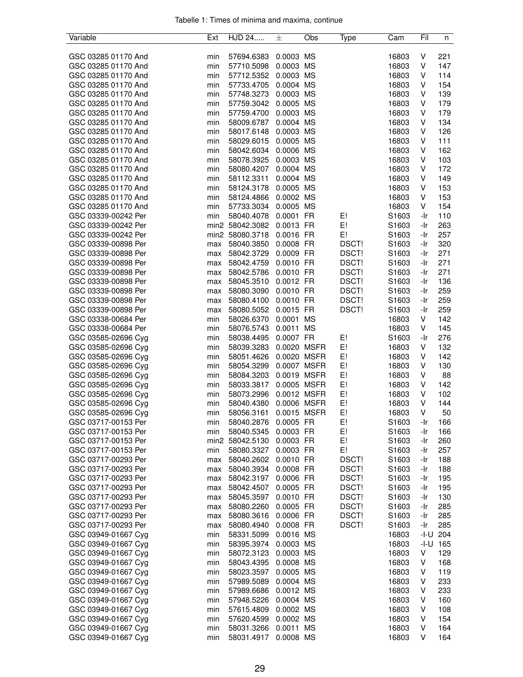| Variable            | Ext | HJD 24          | 士           | Obs | Type  | Cam   | Fil  | n   |
|---------------------|-----|-----------------|-------------|-----|-------|-------|------|-----|
|                     |     |                 |             |     |       |       |      |     |
| GSC 03285 01170 And | min | 57694.6383      | 0.0003 MS   |     |       | 16803 | V    | 221 |
| GSC 03285 01170 And | min | 57710.5098      | 0.0003 MS   |     |       | 16803 | V    | 147 |
| GSC 03285 01170 And | min | 57712.5352      | 0.0003 MS   |     |       | 16803 | V    | 114 |
| GSC 03285 01170 And | min | 57733.4705      | 0.0004 MS   |     |       | 16803 | V    | 154 |
| GSC 03285 01170 And | min | 57748.3273      | 0.0003 MS   |     |       | 16803 | V    | 139 |
| GSC 03285 01170 And | min | 57759.3042      | 0.0005 MS   |     |       | 16803 | V    | 179 |
| GSC 03285 01170 And | min | 57759.4700      | 0.0003 MS   |     |       | 16803 | V    | 179 |
| GSC 03285 01170 And | min | 58009.6787      | 0.0004 MS   |     |       | 16803 | V    | 134 |
| GSC 03285 01170 And | min | 58017.6148      | 0.0003 MS   |     |       | 16803 | V    | 126 |
| GSC 03285 01170 And | min | 58029.6015      | 0.0005 MS   |     |       | 16803 | V    | 111 |
| GSC 03285 01170 And | min | 58042.6034      | 0.0006 MS   |     |       | 16803 | V    | 162 |
| GSC 03285 01170 And | min | 58078.3925      | 0.0003 MS   |     |       | 16803 | V    | 103 |
| GSC 03285 01170 And | min | 58080.4207      | 0.0004 MS   |     |       | 16803 | V    | 172 |
| GSC 03285 01170 And | min | 58112.3311      | 0.0004 MS   |     |       | 16803 | V    | 149 |
| GSC 03285 01170 And | min | 58124.3178      | 0.0005 MS   |     |       | 16803 | V    | 153 |
| GSC 03285 01170 And | min | 58124.4866      | 0.0002 MS   |     |       | 16803 | V    | 153 |
| GSC 03285 01170 And | min | 57733.3034      | 0.0005 MS   |     |       | 16803 | V    | 154 |
| GSC 03339-00242 Per | min | 58040.4078      | 0.0001 FR   |     | E!    | S1603 | -Ir  | 110 |
| GSC 03339-00242 Per |     | min2 58042.3082 | 0.0013 FR   |     | E!    | S1603 | -Ir  | 263 |
| GSC 03339-00242 Per |     | min2 58080.3718 | 0.0016 FR   |     | E!    | S1603 | -Ir  | 257 |
|                     |     |                 | 0.0008 FR   |     |       |       |      |     |
| GSC 03339-00898 Per | max | 58040.3850      |             |     | DSCT! | S1603 | -Ir  | 320 |
| GSC 03339-00898 Per | max | 58042.3729      | 0.0009 FR   |     | DSCT! | S1603 | -Ir  | 271 |
| GSC 03339-00898 Per | max | 58042.4759      | 0.0010 FR   |     | DSCT! | S1603 | -Ir  | 271 |
| GSC 03339-00898 Per | max | 58042.5786      | 0.0010 FR   |     | DSCT! | S1603 | -Ir  | 271 |
| GSC 03339-00898 Per | max | 58045.3510      | 0.0012 FR   |     | DSCT! | S1603 | -Ir  | 136 |
| GSC 03339-00898 Per | max | 58080.3090      | 0.0010 FR   |     | DSCT! | S1603 | -Ir  | 259 |
| GSC 03339-00898 Per | max | 58080.4100      | 0.0010 FR   |     | DSCT! | S1603 | -Ir  | 259 |
| GSC 03339-00898 Per | max | 58080.5052      | 0.0015 FR   |     | DSCT! | S1603 | -Ir  | 259 |
| GSC 03338-00684 Per | min | 58026.6370      | 0.0001      | MS  |       | 16803 | V    | 142 |
| GSC 03338-00684 Per | min | 58076.5743      | 0.0011 MS   |     |       | 16803 | V    | 145 |
| GSC 03585-02696 Cyg | min | 58038.4495      | 0.0007 FR   |     | E!    | S1603 | -Ir  | 276 |
| GSC 03585-02696 Cyg | min | 58039.3283      | 0.0020 MSFR |     | E!    | 16803 | V    | 132 |
| GSC 03585-02696 Cyg | min | 58051.4626      | 0.0020 MSFR |     | E!    | 16803 | V    | 142 |
| GSC 03585-02696 Cyg | min | 58054.3299      | 0.0007 MSFR |     | E!    | 16803 | V    | 130 |
| GSC 03585-02696 Cyg | min | 58084.3203      | 0.0019 MSFR |     | E!    | 16803 | V    | 88  |
| GSC 03585-02696 Cyg | min | 58033.3817      | 0.0005 MSFR |     | E!    | 16803 | V    | 142 |
| GSC 03585-02696 Cyg | min | 58073.2996      | 0.0012 MSFR |     | E!    | 16803 | V    | 102 |
| GSC 03585-02696 Cyg | min | 58040.4380      | 0.0006 MSFR |     | E!    | 16803 | V    | 144 |
| GSC 03585-02696 Cyg | min | 58056.3161      | 0.0015 MSFR |     | E!    | 16803 | V    | 50  |
| GSC 03717-00153 Per | min | 58040.2876      | 0.0005 FR   |     | E!    | S1603 | -Ir  | 166 |
| GSC 03717-00153 Per | min | 58040.5345      | 0.0003 FR   |     | E!    | S1603 | -Ir  | 166 |
| GSC 03717-00153 Per |     | min2 58042.5130 | 0.0003 FR   |     | E!    | S1603 | -Ir  | 260 |
| GSC 03717-00153 Per | min | 58080.3327      | 0.0003 FR   |     | E!    | S1603 | -Ir  | 257 |
| GSC 03717-00293 Per | max | 58040.2602      | 0.0010 FR   |     | DSCT! | S1603 | -Ir  | 188 |
| GSC 03717-00293 Per | max | 58040.3934      | 0.0008 FR   |     | DSCT! | S1603 | -Ir  | 188 |
| GSC 03717-00293 Per | max | 58042.3197      | 0.0006 FR   |     | DSCT! | S1603 | -Ir  | 195 |
| GSC 03717-00293 Per | max | 58042.4507      | 0.0005 FR   |     | DSCT! | S1603 | -Ir  | 195 |
| GSC 03717-00293 Per | max | 58045.3597      | 0.0010 FR   |     | DSCT! | S1603 | -Ir  | 130 |
| GSC 03717-00293 Per | max | 58080.2260      | 0.0005 FR   |     | DSCT! | S1603 | -Ir  | 285 |
| GSC 03717-00293 Per |     | 58080.3616      | 0.0006 FR   |     | DSCT! | S1603 | -Ir  | 285 |
| GSC 03717-00293 Per | max |                 | 0.0008 FR   |     |       |       |      |     |
|                     | max | 58080.4940      |             |     | DSCT! | S1603 | -Ir  | 285 |
| GSC 03949-01667 Cyg | min | 58331.5099      | 0.0016 MS   |     |       | 16803 | -I-U | 204 |
| GSC 03949-01667 Cyg | min | 58395.3974      | 0.0003 MS   |     |       | 16803 | -I-U | 165 |
| GSC 03949-01667 Cyg | min | 58072.3123      | 0.0003 MS   |     |       | 16803 | V    | 129 |
| GSC 03949-01667 Cyg | min | 58043.4395      | 0.0008 MS   |     |       | 16803 | V    | 168 |
| GSC 03949-01667 Cyg | min | 58023.3597      | 0.0005 MS   |     |       | 16803 | V    | 119 |
| GSC 03949-01667 Cyg | min | 57989.5089      | 0.0004 MS   |     |       | 16803 | V    | 233 |
| GSC 03949-01667 Cyg | min | 57989.6686      | 0.0012 MS   |     |       | 16803 | V    | 233 |
| GSC 03949-01667 Cyg | min | 57948.5226      | 0.0004 MS   |     |       | 16803 | V    | 160 |
| GSC 03949-01667 Cyg | min | 57615.4809      | 0.0002 MS   |     |       | 16803 | V    | 108 |
| GSC 03949-01667 Cyg | min | 57620.4599      | 0.0002 MS   |     |       | 16803 | V    | 154 |
| GSC 03949-01667 Cyg | min | 58031.3266      | 0.0011 MS   |     |       | 16803 | V    | 164 |
| GSC 03949-01667 Cyg | min | 58031.4917      | 0.0008 MS   |     |       | 16803 | V    | 164 |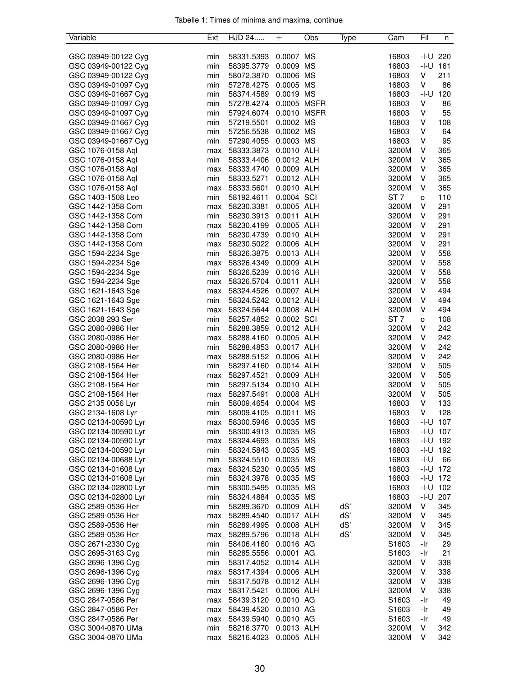| Variable                                   | Ext        | HJD 24                   | 士                      | Obs | Type | Cam               | Fil    | n                          |
|--------------------------------------------|------------|--------------------------|------------------------|-----|------|-------------------|--------|----------------------------|
|                                            |            |                          |                        |     |      |                   |        |                            |
| GSC 03949-00122 Cyg                        | min        | 58331.5393               | 0.0007 MS              |     |      | 16803             |        | $-1 - U$ 220               |
| GSC 03949-00122 Cyg                        | min        | 58395.3779               | 0.0009 MS              |     |      | 16803             | -I-U   | 161                        |
| GSC 03949-00122 Cyg                        | min        | 58072.3870               | 0.0006 MS              |     |      | 16803             | V      | 211                        |
| GSC 03949-01097 Cyg                        | min        | 57278.4275               | 0.0005 MS              |     |      | 16803             | V      | 86                         |
| GSC 03949-01667 Cyg                        | min        | 58374.4589               | 0.0019 MS              |     |      | 16803             | $-I-U$ | 120                        |
| GSC 03949-01097 Cyg                        | min        | 57278.4274               | 0.0005 MSFR            |     |      | 16803             | V      | 86                         |
| GSC 03949-01097 Cyg                        | min        | 57924.6074               | 0.0010 MSFR            |     |      | 16803             | V      | 55                         |
| GSC 03949-01667 Cyg                        | min        | 57219.5501               | 0.0002 MS              |     |      | 16803             | V      | 108                        |
| GSC 03949-01667 Cyg                        | min        | 57256.5538               | 0.0002 MS              |     |      | 16803             | V      | 64                         |
| GSC 03949-01667 Cyg                        | min        | 57290.4055               | 0.0003 MS              |     |      | 16803             | V      | 95                         |
| GSC 1076-0158 Aql                          | max        | 58333.3873               | 0.0010 ALH             |     |      | 3200M             | V      | 365                        |
| GSC 1076-0158 Aql                          | min        | 58333.4406               | 0.0012 ALH             |     |      | 3200M             | V      | 365                        |
| GSC 1076-0158 Aql                          | max        | 58333.4740               | 0.0009 ALH             |     |      | 3200M             | V      | 365                        |
| GSC 1076-0158 Aql                          | min        | 58333.5271               | 0.0012 ALH             |     |      | 3200M             | V      | 365                        |
| GSC 1076-0158 Aql                          | max        | 58333.5601               | 0.0010 ALH             |     |      | 3200M             | V      | 365                        |
| GSC 1403-1508 Leo                          | min        | 58192.4611               | 0.0004 SCI             |     |      | ST <sub>7</sub>   | о      | 110                        |
| GSC 1442-1358 Com                          | max        | 58230.3381               | 0.0005 ALH             |     |      | 3200M             | V      | 291                        |
| GSC 1442-1358 Com                          | min        | 58230.3913               | 0.0011 ALH             |     |      | 3200M             | V      | 291                        |
| GSC 1442-1358 Com                          | max        | 58230.4199               | 0.0005 ALH             |     |      | 3200M             | V      | 291                        |
| GSC 1442-1358 Com                          | min        | 58230.4739               | 0.0010 ALH             |     |      | 3200M             | V      | 291                        |
| GSC 1442-1358 Com                          | max        | 58230.5022               | 0.0006 ALH             |     |      | 3200M             | V      | 291                        |
| GSC 1594-2234 Sge                          | min        | 58326.3875               | 0.0013 ALH             |     |      | 3200M             | V      | 558                        |
| GSC 1594-2234 Sge                          | max        | 58326.4349               | 0.0009 ALH             |     |      | 3200M             | V      | 558                        |
| GSC 1594-2234 Sge                          | min        | 58326.5239               | 0.0016 ALH             |     |      | 3200M             | V      | 558                        |
| GSC 1594-2234 Sge                          | max        | 58326.5704               | 0.0011 ALH             |     |      | 3200M             | V      | 558                        |
| GSC 1621-1643 Sge                          | max        | 58324.4526               | 0.0007 ALH             |     |      | 3200M             | V      | 494                        |
| GSC 1621-1643 Sge                          | min        | 58324.5242 0.0012 ALH    |                        |     |      | 3200M             | V      | 494                        |
| GSC 1621-1643 Sge                          | max        | 58324.5644 0.0008 ALH    |                        |     |      | 3200M             | V      | 494                        |
| GSC 2038 293 Ser                           | min        | 58257.4852               | 0.0002 SCI             |     |      | ST <sub>7</sub>   | о      | 108                        |
| GSC 2080-0986 Her                          | min        | 58288.3859               | 0.0012 ALH             |     |      | 3200M             | V      | 242                        |
| GSC 2080-0986 Her                          | max        | 58288.4160               | 0.0005 ALH             |     |      | 3200M             | V      | 242                        |
| GSC 2080-0986 Her                          | min        | 58288.4853               | 0.0017 ALH             |     |      | 3200M             | V      | 242                        |
| GSC 2080-0986 Her                          | max        | 58288.5152               | 0.0006 ALH             |     |      | 3200M             | V      | 242                        |
| GSC 2108-1564 Her                          | min        | 58297.4160               | 0.0014 ALH             |     |      | 3200M             | V      | 505                        |
| GSC 2108-1564 Her                          | max        | 58297.4521               | 0.0009 ALH             |     |      | 3200M             | V      | 505                        |
| GSC 2108-1564 Her                          | min        | 58297.5134               | 0.0010 ALH             |     |      | 3200M             | V      | 505                        |
| GSC 2108-1564 Her                          | max        | 58297.5491               | 0.0008 ALH             |     |      | 3200M             | V      | 505                        |
| GSC 2135 0056 Lyr                          | min        | 58009.4654               | 0.0004 MS              |     |      | 16803             | V<br>V | 133                        |
| GSC 2134-1608 Lyr                          | min        | 58009.4105               | 0.0011 MS              |     |      | 16803             |        | 128                        |
| GSC 02134-00590 Lyr                        | max        | 58300.5946               | 0.0035 MS              |     |      | 16803             |        | $-I-U$ 107<br>$-I-U$ 107   |
| GSC 02134-00590 Lyr                        | min        | 58300.4913               | 0.0035 MS<br>0.0035 MS |     |      | 16803             |        |                            |
| GSC 02134-00590 Lyr<br>GSC 02134-00590 Lyr | max<br>min | 58324.4693               | 0.0035 MS              |     |      | 16803<br>16803    |        | $-I-U$ 192<br>$-1 - U$ 192 |
| GSC 02134-00688 Lyr                        | min        | 58324.5843<br>58324.5510 | 0.0035 MS              |     |      | 16803             | -I-U   | 66                         |
| GSC 02134-01608 Lyr                        |            | 58324.5230               | 0.0035 MS              |     |      | 16803             |        | $-1 - U$ 172               |
| GSC 02134-01608 Lyr                        | max<br>min | 58324.3978               | 0.0035 MS              |     |      | 16803             |        | $-I-U$ 172                 |
| GSC 02134-02800 Lyr                        | min        | 58300.5495               | 0.0035 MS              |     |      | 16803             |        | $-1 - U$ 102               |
| GSC 02134-02800 Lyr                        | min        | 58324.4884               | 0.0035 MS              |     |      | 16803             |        | $-1 - U$ 207               |
| GSC 2589-0536 Her                          | min        | 58289.3670               | 0.0009 ALH             |     | dS'  | 3200M             | V      | 345                        |
| GSC 2589-0536 Her                          | max        | 58289.4540               | 0.0017 ALH             |     | dS'  | 3200M             | V      | 345                        |
| GSC 2589-0536 Her                          | min        | 58289.4995               | 0.0008 ALH             |     | dS'  | 3200M             | V      | 345                        |
| GSC 2589-0536 Her                          | max        | 58289.5796               | 0.0018 ALH             |     | dS'  | 3200M             | V      | 345                        |
| GSC 2671-2330 Cyg                          | min        | 58406.4160               | 0.0016 AG              |     |      | S <sub>1603</sub> | -Ir    | 29                         |
| GSC 2695-3163 Cyg                          | min        | 58285.5556               | 0.0001 AG              |     |      | S1603             | -Ir    | 21                         |
| GSC 2696-1396 Cyg                          | min        | 58317.4052               | 0.0014 ALH             |     |      | 3200M             | V      | 338                        |
| GSC 2696-1396 Cyg                          | max        | 58317.4394               | 0.0006 ALH             |     |      | 3200M             | V      | 338                        |
| GSC 2696-1396 Cyg                          |            | 58317.5078               | 0.0012 ALH             |     |      | 3200M             | V      | 338                        |
| GSC 2696-1396 Cyg                          | min<br>max | 58317.5421               | 0.0006 ALH             |     |      | 3200M             | V      | 338                        |
| GSC 2847-0586 Per                          | max        | 58439.3120               | 0.0010 AG              |     |      | S1603             | -Ir    | 49                         |
| GSC 2847-0586 Per                          | max        | 58439.4520               | 0.0010 AG              |     |      | S1603             | -Ir    | 49                         |
| GSC 2847-0586 Per                          | max        | 58439.5940               | 0.0010 AG              |     |      | S1603             | -Ir    | 49                         |
| GSC 3004-0870 UMa                          | min        | 58216.3770               | 0.0013 ALH             |     |      | 3200M             | V      | 342                        |
| GSC 3004-0870 UMa                          | max        | 58216.4023               | 0.0005 ALH             |     |      | 3200M             | V      | 342                        |
|                                            |            |                          |                        |     |      |                   |        |                            |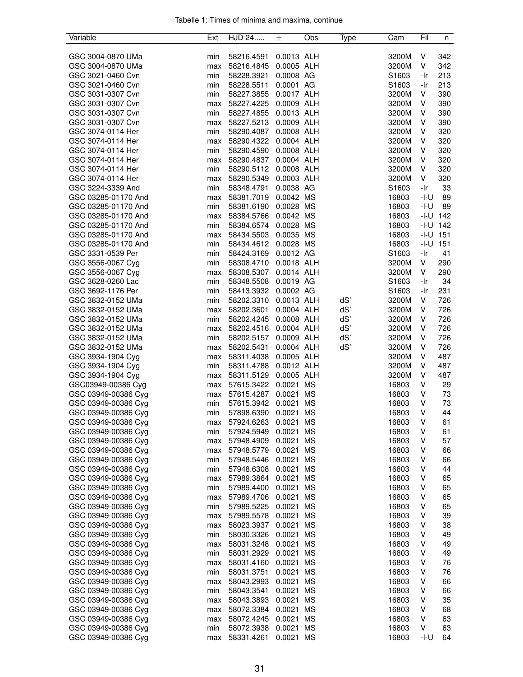| Variable            | Ext | HJD 24     | 士          | Obs       | Type | Cam               | Fil          | n   |
|---------------------|-----|------------|------------|-----------|------|-------------------|--------------|-----|
|                     |     |            |            |           |      |                   |              |     |
| GSC 3004-0870 UMa   | min | 58216.4591 | 0.0013 ALH |           |      | 3200M             | V            | 342 |
| GSC 3004-0870 UMa   | max | 58216.4845 | 0.0005 ALH |           |      | 3200M             | V            | 342 |
| GSC 3021-0460 Cvn   | min | 58228.3921 | 0.0008 AG  |           |      | S <sub>1603</sub> | -Ir          | 213 |
| GSC 3021-0460 Cvn   | min | 58228.5511 | 0.0001 AG  |           |      | S1603             | -Ir          | 213 |
| GSC 3031-0307 Cvn   | min | 58227.3855 | 0.0017 ALH |           |      | 3200M             | V            | 390 |
| GSC 3031-0307 Cvn   | max | 58227.4225 | 0.0009 ALH |           |      | 3200M             | V            | 390 |
| GSC 3031-0307 Cvn   | min | 58227.4855 | 0.0013 ALH |           |      | 3200M             | V            | 390 |
| GSC 3031-0307 Cvn   | max | 58227.5213 | 0.0009 ALH |           |      | 3200M             | V            | 390 |
| GSC 3074-0114 Her   | min | 58290.4087 | 0.0008 ALH |           |      | 3200M             | V            | 320 |
| GSC 3074-0114 Her   | max | 58290.4322 | 0.0004 ALH |           |      | 3200M             | V            | 320 |
| GSC 3074-0114 Her   | min | 58290.4590 | 0.0008 ALH |           |      | 3200M             | V            | 320 |
| GSC 3074-0114 Her   | max | 58290.4837 | 0.0004 ALH |           |      | 3200M             | V            | 320 |
| GSC 3074-0114 Her   | min | 58290.5112 | 0.0008 ALH |           |      | 3200M             | V            | 320 |
| GSC 3074-0114 Her   | max | 58290.5349 | 0.0003 ALH |           |      | 3200M             | V            | 320 |
| GSC 3224-3339 And   | min | 58348.4791 | 0.0038 AG  |           |      | S1603             | -Ir          | 33  |
| GSC 03285-01170 And | max | 58381.7019 | 0.0042 MS  |           |      | 16803             | -I-U         | 89  |
| GSC 03285-01170 And | min | 58381.6190 | 0.0028 MS  |           |      | 16803             | -I-U         | 89  |
| GSC 03285-01170 And | max | 58384.5766 | 0.0042 MS  |           |      | 16803             | $-1-U$ 142   |     |
| GSC 03285-01170 And | min | 58384.6574 | 0.0028 MS  |           |      | 16803             | $-1 - U$ 142 |     |
| GSC 03285-01170 And | max | 58434.5503 | 0.0035 MS  |           |      | 16803             | $-1 - U$ 151 |     |
| GSC 03285-01170 And | min | 58434.4612 | 0.0028 MS  |           |      | 16803             | $-1 - U$ 151 |     |
| GSC 3331-0539 Per   | min | 58424.3169 | 0.0012 AG  |           |      | S1603             | -Ir          | 41  |
| GSC 3556-0067 Cyg   | min | 58308.4710 | 0.0018 ALH |           |      | 3200M             | V            | 290 |
| GSC 3556-0067 Cyg   | max | 58308.5307 | 0.0014 ALH |           |      | 3200M             | V            | 290 |
| GSC 3628-0260 Lac   | min | 58348.5508 | 0.0019 AG  |           |      | S1603             | -Ir          | 34  |
| GSC 3692-1176 Per   | min | 58413.3932 | 0.0002 AG  |           |      | S1603             | -Ir          | 231 |
| GSC 3832-0152 UMa   | min | 58202.3310 | 0.0013 ALH |           | dS'  | 3200M             | V            | 726 |
| GSC 3832-0152 UMa   | max | 58202.3601 | 0.0004 ALH |           | dS'  | 3200M             | V            | 726 |
| GSC 3832-0152 UMa   | min | 58202.4245 | 0.0008 ALH |           | dS'  | 3200M             | V            | 726 |
| GSC 3832-0152 UMa   | max | 58202.4516 | 0.0004 ALH |           | dS'  | 3200M             | V            | 726 |
| GSC 3832-0152 UMa   | min | 58202.5157 | 0.0009 ALH |           | dS'  | 3200M             | V            | 726 |
| GSC 3832-0152 UMa   | max | 58202.5431 | 0.0004 ALH |           | dS'  | 3200M             | V            | 726 |
| GSC 3934-1904 Cyg   | max | 58311.4038 | 0.0005 ALH |           |      | 3200M             | V            | 487 |
| GSC 3934-1904 Cyg   | min | 58311.4788 | 0.0012 ALH |           |      | 3200M             | V            | 487 |
| GSC 3934-1904 Cyg   | max | 58311.5129 | 0.0005 ALH |           |      | 3200M             | V            | 487 |
| GSC03949-00386 Cyg  | max | 57615.3422 | 0.0021     | МS        |      | 16803             | V            | 29  |
| GSC 03949-00386 Cyg | max | 57615.4287 | 0.0021     | <b>MS</b> |      | 16803             | V            | 73  |
| GSC 03949-00386 Cyg | min | 57615.3942 | 0.0021     | <b>MS</b> |      | 16803             | V            | 73  |
| GSC 03949-00386 Cyg | min | 57898.6390 | 0.0021     | <b>MS</b> |      | 16803             | V            | 44  |
| GSC 03949-00386 Cyg | max | 57924.6263 | 0.0021 MS  |           |      | 16803             | V            | 61  |
| GSC 03949-00386 Cyg | min | 57924.5949 | 0.0021     | ΜS        |      | 16803             | V            | 61  |
| GSC 03949-00386 Cyg | max | 57948.4909 | 0.0021     | ΜS        |      | 16803             | V            | 57  |
| GSC 03949-00386 Cyg | max | 57948.5779 | 0.0021     | ΜS        |      | 16803             | V            | 66  |
| GSC 03949-00386 Cyg | min | 57948.5446 | 0.0021     | ΜS        |      | 16803             | ٧            | 66  |
| GSC 03949-00386 Cyg | min | 57948.6308 | 0.0021     | ΜS        |      | 16803             | V            | 44  |
| GSC 03949-00386 Cyg | max | 57989.3864 | 0.0021     | MS        |      | 16803             | V            | 65  |
| GSC 03949-00386 Cyg | min | 57989.4400 | 0.0021     | ΜS        |      | 16803             | V            | 65  |
| GSC 03949-00386 Cyg | max | 57989.4706 | 0.0021     | МS        |      | 16803             | V            | 65  |
| GSC 03949-00386 Cyg | min | 57989.5225 | 0.0021     | МS        |      | 16803             | V            | 65  |
| GSC 03949-00386 Cyg | max | 57989.5578 | 0.0021     | МS        |      | 16803             | V            | 39  |
| GSC 03949-00386 Cyg | max | 58023.3937 | 0.0021     | ΜS        |      | 16803             | ٧            | 38  |
| GSC 03949-00386 Cyg | min | 58030.3326 | 0.0021     | ΜS        |      | 16803             | V            | 49  |
| GSC 03949-00386 Cyg | max | 58031.3248 | 0.0021     | ΜS        |      | 16803             | V            | 49  |
| GSC 03949-00386 Cyg | min | 58031.2929 | 0.0021     | ΜS        |      | 16803             | ٧            | 49  |
| GSC 03949-00386 Cyg | max | 58031.4160 | 0.0021     | <b>MS</b> |      | 16803             | V            | 76  |
| GSC 03949-00386 Cyg | min | 58031.3751 | 0.0021     | ΜS        |      | 16803             | ٧            | 76  |
| GSC 03949-00386 Cyg | max | 58043.2993 | 0.0021     | ΜS        |      | 16803             | V            | 66  |
| GSC 03949-00386 Cyg | min | 58043.3541 | 0.0021     | ΜS        |      | 16803             | V            | 66  |
| GSC 03949-00386 Cyg | max | 58043.3893 | 0.0021     | MS        |      | 16803             | V            | 35  |
| GSC 03949-00386 Cyg | max | 58072.3384 | 0.0021     | ΜS        |      | 16803             | V            | 68  |
| GSC 03949-00386 Cyg | max | 58072.4245 | 0.0021     | МS        |      | 16803             | V            | 63  |
| GSC 03949-00386 Cyg | min | 58072.3938 | 0.0021     | ΜS        |      | 16803             | V            | 63  |
| GSC 03949-00386 Cyg | max | 58331.4261 | 0.0021     | MS        |      | 16803             | -I-U         | 64  |
|                     |     |            |            |           |      |                   |              |     |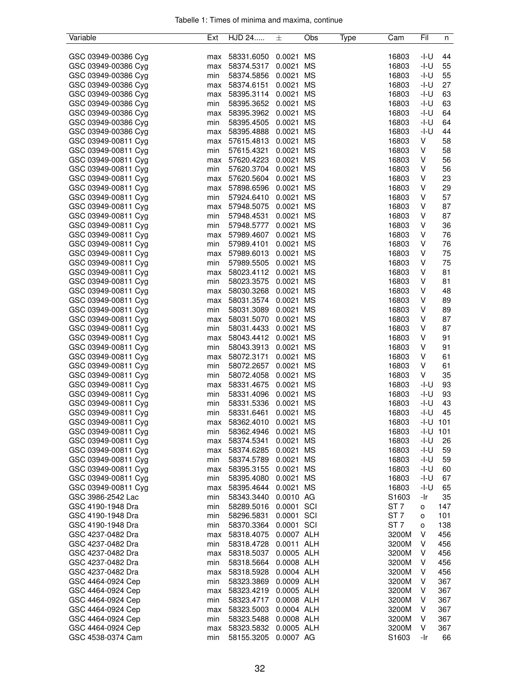| Variable            | Ext        | HJD 24     | 士                | Obs       | Type | Cam             | Fil          | n   |
|---------------------|------------|------------|------------------|-----------|------|-----------------|--------------|-----|
|                     |            |            |                  |           |      |                 |              |     |
| GSC 03949-00386 Cyg | max        | 58331.6050 | 0.0021           | MS        |      | 16803           | -I-U         | 44  |
| GSC 03949-00386 Cyg | max        | 58374.5317 | 0.0021           | <b>MS</b> |      | 16803           | -I-U         | 55  |
| GSC 03949-00386 Cyg | min        | 58374.5856 | 0.0021           | <b>MS</b> |      | 16803           | $-I-U$       | 55  |
| GSC 03949-00386 Cyg | max        | 58374.6151 | 0.0021           | <b>MS</b> |      | 16803           | $-I-U$       | 27  |
| GSC 03949-00386 Cyg | max        | 58395.3114 | 0.0021           | <b>MS</b> |      | 16803           | -I-U         | 63  |
| GSC 03949-00386 Cyg | min        | 58395.3652 | 0.0021           | <b>MS</b> |      | 16803           | -I-U         | 63  |
| GSC 03949-00386 Cyg | max        | 58395.3962 | 0.0021           | <b>MS</b> |      | 16803           | -I-U         | 64  |
| GSC 03949-00386 Cyg | min        | 58395.4505 | 0.0021           | <b>MS</b> |      | 16803           | -I-U         | 64  |
| GSC 03949-00386 Cyg | max        | 58395.4888 | 0.0021           | <b>MS</b> |      | 16803           | $-I-U$       | 44  |
| GSC 03949-00811 Cyg | max        | 57615.4813 | 0.0021           | <b>MS</b> |      | 16803           | V            | 58  |
| GSC 03949-00811 Cyg | min        | 57615.4321 | 0.0021           | <b>MS</b> |      | 16803           | V            | 58  |
| GSC 03949-00811 Cyg | max        | 57620.4223 | 0.0021           | <b>MS</b> |      | 16803           | V            | 56  |
| GSC 03949-00811 Cyg | min        | 57620.3704 | 0.0021           | ΜS        |      | 16803           | V            | 56  |
| GSC 03949-00811 Cyg | max        | 57620.5604 | 0.0021           | <b>MS</b> |      | 16803           | V            | 23  |
| GSC 03949-00811 Cyg | max        | 57898.6596 | 0.0021           | <b>MS</b> |      | 16803           | V            | 29  |
| GSC 03949-00811 Cyg | min        | 57924.6410 | 0.0021           | <b>MS</b> |      | 16803           | V            | 57  |
| GSC 03949-00811 Cyg | max        | 57948.5075 | 0.0021           | MS        |      | 16803           | V            | 87  |
| GSC 03949-00811 Cyg | min        | 57948.4531 | 0.0021           | MS        |      | 16803           | V            | 87  |
| GSC 03949-00811 Cyg | min        | 57948.5777 | 0.0021           | <b>MS</b> |      | 16803           | V            | 36  |
| GSC 03949-00811 Cyg | max        | 57989.4607 | 0.0021           | <b>MS</b> |      | 16803           | V            | 76  |
| GSC 03949-00811 Cyg | min        | 57989.4101 | 0.0021           | <b>MS</b> |      | 16803           | V            | 76  |
| GSC 03949-00811 Cyg | max        | 57989.6013 | 0.0021           | <b>MS</b> |      | 16803           | V            | 75  |
| GSC 03949-00811 Cyg | min        | 57989.5505 | 0.0021           | <b>MS</b> |      | 16803           | V            | 75  |
| GSC 03949-00811 Cyg | max        | 58023.4112 | 0.0021           | <b>MS</b> |      | 16803           | V            | 81  |
| GSC 03949-00811 Cyg | min        | 58023.3575 | 0.0021           | <b>MS</b> |      | 16803           | V            | 81  |
| GSC 03949-00811 Cyg | max        | 58030.3268 | 0.0021           | <b>MS</b> |      | 16803           | V            | 48  |
| GSC 03949-00811 Cyg | max        | 58031.3574 | 0.0021           | <b>MS</b> |      | 16803           | V            | 89  |
| GSC 03949-00811 Cyg | min        | 58031.3089 | 0.0021           | <b>MS</b> |      | 16803           | V            | 89  |
| GSC 03949-00811 Cyg | max        | 58031.5070 | 0.0021           | <b>MS</b> |      | 16803           | V            | 87  |
| GSC 03949-00811 Cyg | min        | 58031.4433 | 0.0021           | MS        |      | 16803           | V            | 87  |
| GSC 03949-00811 Cyg | max        | 58043.4412 | 0.0021           | MS        |      | 16803           | V            | 91  |
| GSC 03949-00811 Cyg | min        | 58043.3913 | 0.0021           | <b>MS</b> |      | 16803           | V            | 91  |
| GSC 03949-00811 Cyg |            | 58072.3171 | 0.0021           | <b>MS</b> |      | 16803           | V            | 61  |
| GSC 03949-00811 Cyg | max<br>min | 58072.2657 | 0.0021           | <b>MS</b> |      | 16803           | V            | 61  |
| GSC 03949-00811 Cyg | min        | 58072.4058 | 0.0021           | MS        |      | 16803           | V            | 35  |
| GSC 03949-00811 Cyg | max        | 58331.4675 | 0.0021           | <b>MS</b> |      | 16803           | -I-U         | 93  |
| GSC 03949-00811 Cyg |            | 58331.4096 |                  | <b>MS</b> |      | 16803           | -I-U         | 93  |
| GSC 03949-00811 Cyg | min        | 58331.5336 | 0.0021<br>0.0021 | <b>MS</b> |      | 16803           | -I-U         | 43  |
| GSC 03949-00811 Cyg | min<br>min | 58331.6461 | 0.0021 MS        |           |      | 16803           | -I-U         | 45  |
| GSC 03949-00811 Cyg |            | 58362.4010 |                  |           |      | 16803           | $-1 - U$ 101 |     |
|                     | max        |            | 0.0021 MS        |           |      |                 |              |     |
| GSC 03949-00811 Cyg | min        | 58362.4946 | 0.0021           | ΜS        |      | 16803           | $-1 - U$ 101 |     |
| GSC 03949-00811 Cyg | max        | 58374.5341 | 0.0021           | ΜS        |      | 16803           | -I-U         | 26  |
| GSC 03949-00811 Cyg | max        | 58374.6285 | 0.0021           | MS        |      | 16803           | -I-U         | 59  |
| GSC 03949-00811 Cyg | min        | 58374.5789 | 0.0021           | МS        |      | 16803           | -I-U         | 59  |
| GSC 03949-00811 Cyg | max        | 58395.3155 | 0.0021           | МS        |      | 16803           | $-I-U$       | 60  |
| GSC 03949-00811 Cyg | min        | 58395.4080 | 0.0021 MS        |           |      | 16803           | $-I-U$       | 67  |
| GSC 03949-00811 Cyg | max        | 58395.4644 | 0.0021 MS        |           |      | 16803           | -l-U         | 65  |
| GSC 3986-2542 Lac   | min        | 58343.3440 | 0.0010 AG        |           |      | S1603           | -Ir          | 35  |
| GSC 4190-1948 Dra   | min        | 58289.5016 | 0.0001 SCI       |           |      | ST 7            | $\mathsf{o}$ | 147 |
| GSC 4190-1948 Dra   | min        | 58296.5831 | 0.0001 SCI       |           |      | ST <sub>7</sub> | o            | 101 |
| GSC 4190-1948 Dra   | min        | 58370.3364 | 0.0001 SCI       |           |      | ST <sub>7</sub> | o            | 138 |
| GSC 4237-0482 Dra   | max        | 58318.4075 | 0.0007 ALH       |           |      | 3200M           | V            | 456 |
| GSC 4237-0482 Dra   | min        | 58318.4728 | 0.0011 ALH       |           |      | 3200M           | V            | 456 |
| GSC 4237-0482 Dra   | max        | 58318.5037 | 0.0005 ALH       |           |      | 3200M           | V            | 456 |
| GSC 4237-0482 Dra   | min        | 58318.5664 | 0.0008 ALH       |           |      | 3200M           | V            | 456 |
| GSC 4237-0482 Dra   | max        | 58318.5928 | 0.0004 ALH       |           |      | 3200M           | V            | 456 |
| GSC 4464-0924 Cep   | min        | 58323.3869 | 0.0009 ALH       |           |      | 3200M           | V            | 367 |
| GSC 4464-0924 Cep   | max        | 58323.4219 | 0.0005 ALH       |           |      | 3200M           | V            | 367 |
| GSC 4464-0924 Cep   | min        | 58323.4717 | 0.0008 ALH       |           |      | 3200M           | V            | 367 |
| GSC 4464-0924 Cep   | max        | 58323.5003 | 0.0004 ALH       |           |      | 3200M           | V            | 367 |
| GSC 4464-0924 Cep   | min        | 58323.5488 | 0.0008 ALH       |           |      | 3200M           | V            | 367 |
| GSC 4464-0924 Cep   | max        | 58323.5832 | 0.0005 ALH       |           |      | 3200M           | V            | 367 |
| GSC 4538-0374 Cam   | min        | 58155.3205 | 0.0007 AG        |           |      | S1603           | -Ir          | 66  |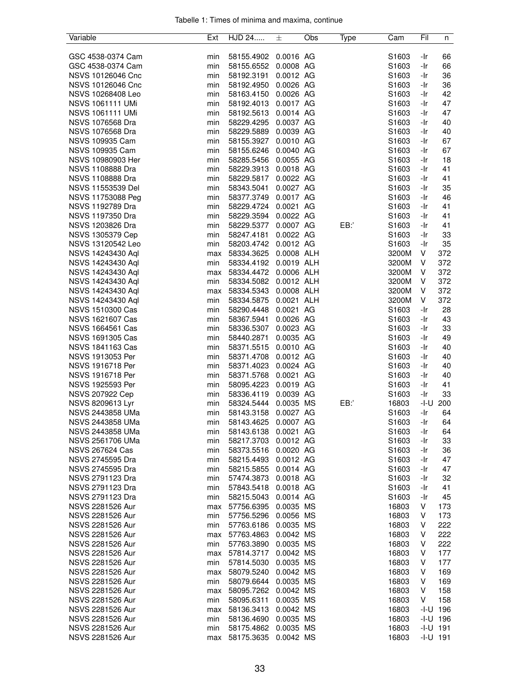| Variable                | Ext | HJD 24     | 士          | Obs | Type | Cam               | Fil          | n          |
|-------------------------|-----|------------|------------|-----|------|-------------------|--------------|------------|
|                         |     |            |            |     |      |                   |              |            |
| GSC 4538-0374 Cam       | min | 58155.4902 | 0.0016 AG  |     |      | S1603             | -Ir          | 66         |
| GSC 4538-0374 Cam       | min | 58155.6552 | 0.0008 AG  |     |      | S1603             | -Ir          | 66         |
| NSVS 10126046 Cnc       | min | 58192.3191 | 0.0012 AG  |     |      | S1603             | -Ir          | 36         |
| NSVS 10126046 Cnc       | min | 58192.4950 | 0.0026 AG  |     |      | S1603             | -Ir          | 36         |
| NSVS 10268408 Leo       | min | 58163.4150 | 0.0026 AG  |     |      | S1603             | -Ir          | 42         |
| <b>NSVS 1061111 UMi</b> | min | 58192.4013 | 0.0017 AG  |     |      | S1603             | -Ir          | 47         |
| <b>NSVS 1061111 UMi</b> | min | 58192.5613 | 0.0014 AG  |     |      | S1603             | -Ir          | 47         |
| NSVS 1076568 Dra        | min | 58229.4295 | 0.0037 AG  |     |      | S1603             | -Ir          | 40         |
| NSVS 1076568 Dra        | min | 58229.5889 | 0.0039 AG  |     |      | S1603             | -Ir          | 40         |
| NSVS 109935 Cam         | min | 58155.3927 | 0.0010 AG  |     |      | S1603             | -Ir          | 67         |
| NSVS 109935 Cam         | min | 58155.6246 | 0.0040 AG  |     |      | S1603             | -Ir          | 67         |
| NSVS 10980903 Her       | min | 58285.5456 | 0.0055 AG  |     |      | S1603             | -Ir          | 18         |
| NSVS 1108888 Dra        | min | 58229.3913 | 0.0018 AG  |     |      | S1603             | -Ir          | 41         |
| NSVS 1108888 Dra        | min | 58229.5817 | 0.0022 AG  |     |      | S1603             | -Ir          | 41         |
| NSVS 11553539 Del       | min | 58343.5041 | 0.0027 AG  |     |      | S1603             | -Ir          | 35         |
| NSVS 11753088 Peg       | min | 58377.3749 | 0.0017 AG  |     |      | S1603             | -Ir          | 46         |
| NSVS 1192789 Dra        | min | 58229.4724 | 0.0021 AG  |     |      | S1603             | -Ir          | 41         |
| NSVS 1197350 Dra        | min | 58229.3594 | 0.0022 AG  |     |      | S1603             | -Ir          | 41         |
| NSVS 1203826 Dra        | min | 58229.5377 | 0.0007 AG  |     | EB:  | S1603             | -Ir          | 41         |
| NSVS 1305379 Cep        | min | 58247.4181 | 0.0022 AG  |     |      | S1603             | -Ir          | 33         |
| NSVS 13120542 Leo       | min | 58203.4742 | 0.0012 AG  |     |      | S1603             | -Ir          | 35         |
| NSVS 14243430 Aql       | max | 58334.3625 | 0.0008 ALH |     |      | 3200M             | V            | 372        |
| NSVS 14243430 Aql       | min | 58334.4192 | 0.0019 ALH |     |      | 3200M             | V            | 372        |
| NSVS 14243430 Aql       | max | 58334.4472 | 0.0006 ALH |     |      | 3200M             | V            | 372        |
| NSVS 14243430 Aql       | min | 58334.5082 | 0.0012 ALH |     |      | 3200M             | V            | 372        |
| NSVS 14243430 Aql       | max | 58334.5343 | 0.0008 ALH |     |      | 3200M             | V            | 372        |
| NSVS 14243430 Aql       | min | 58334.5875 | 0.0021 ALH |     |      | 3200M             | V            | 372        |
| NSVS 1510300 Cas        | min | 58290.4448 | 0.0021 AG  |     |      | S <sub>1603</sub> | -Ir          | 28         |
| NSVS 1621607 Cas        | min | 58367.5941 | 0.0026 AG  |     |      | S1603             | -Ir          | 43         |
| NSVS 1664561 Cas        | min | 58336.5307 | 0.0023 AG  |     |      | S1603             | -Ir          | 33         |
| NSVS 1691305 Cas        | min | 58440.2871 | 0.0035 AG  |     |      | S1603             | -Ir          | 49         |
| NSVS 1841163 Cas        | min | 58371.5515 | 0.0010 AG  |     |      | S1603             | -Ir          | 40         |
| NSVS 1913053 Per        | min | 58371.4708 | 0.0012 AG  |     |      | S1603             | -Ir          | 40         |
| NSVS 1916718 Per        | min | 58371.4023 | 0.0024 AG  |     |      | S1603             | -Ir          | 40         |
| NSVS 1916718 Per        | min | 58371.5768 | 0.0021 AG  |     |      | S1603             | -Ir          | 40         |
| NSVS 1925593 Per        | min | 58095.4223 | 0.0019 AG  |     |      | S1603             | -Ir          | 41         |
| NSVS 207922 Cep         |     | 58336.4119 | 0.0039 AG  |     |      | S1603             | -Ir          | 33         |
|                         | min | 58324.5444 |            |     |      |                   |              |            |
| NSVS 8209613 Lyr        | min |            | 0.0035 MS  |     | EB:  | 16803             | -I-U         | 200<br>64  |
| NSVS 2443858 UMa        | min | 58143.3158 | 0.0027 AG  |     |      | S1603             | -Ir          |            |
| NSVS 2443858 UMa        | min | 58143.4625 | 0.0007 AG  |     |      | S1603             | -Ir          | 64         |
| NSVS 2443858 UMa        | min | 58143.6138 | 0.0021 AG  |     |      | S1603             | -Ir          | 64         |
| NSVS 2561706 UMa        | min | 58217.3703 | 0.0012 AG  |     |      | S1603             | -Ir          | 33         |
| <b>NSVS 267624 Cas</b>  | min | 58373.5516 | 0.0020 AG  |     |      | S1603             | -Ir          | 36         |
| NSVS 2745595 Dra        | min | 58215.4493 | 0.0012 AG  |     |      | S1603             | -Ir          | 47         |
| NSVS 2745595 Dra        | min | 58215.5855 | 0.0014 AG  |     |      | S1603             | -Ir          | 47         |
| NSVS 2791123 Dra        | min | 57474.3873 | 0.0018 AG  |     |      | S1603             | -Ir          | 32         |
| NSVS 2791123 Dra        | min | 57843.5418 | 0.0018 AG  |     |      | S1603             | -Ir          | 41         |
| NSVS 2791123 Dra        | min | 58215.5043 | 0.0014 AG  |     |      | S1603             | -Ir          | 45         |
| NSVS 2281526 Aur        | max | 57756.6395 | 0.0035 MS  |     |      | 16803             | V            | 173        |
| NSVS 2281526 Aur        | min | 57756.5296 | 0.0056 MS  |     |      | 16803             | V            | 173        |
| NSVS 2281526 Aur        | min | 57763.6186 | 0.0035 MS  |     |      | 16803             | V            | 222        |
| NSVS 2281526 Aur        | max | 57763.4863 | 0.0042 MS  |     |      | 16803             | V            | 222        |
| NSVS 2281526 Aur        | min | 57763.3890 | 0.0035 MS  |     |      | 16803             | V            | 222        |
| NSVS 2281526 Aur        | max | 57814.3717 | 0.0042 MS  |     |      | 16803             | V            | 177        |
| NSVS 2281526 Aur        | min | 57814.5030 | 0.0035 MS  |     |      | 16803             | V            | 177        |
| NSVS 2281526 Aur        | max | 58079.5240 | 0.0042 MS  |     |      | 16803             | V            | 169        |
| NSVS 2281526 Aur        | min | 58079.6644 | 0.0035 MS  |     |      | 16803             | V            | 169        |
| NSVS 2281526 Aur        | max | 58095.7262 | 0.0042 MS  |     |      | 16803             | V            | 158        |
| NSVS 2281526 Aur        | min | 58095.6311 | 0.0035 MS  |     |      | 16803             | V            | 158        |
| NSVS 2281526 Aur        | max | 58136.3413 | 0.0042 MS  |     |      | 16803             |              | $-I-U$ 196 |
| NSVS 2281526 Aur        | min | 58136.4690 | 0.0035 MS  |     |      | 16803             |              | $-I-U$ 196 |
| NSVS 2281526 Aur        | min | 58175.4862 | 0.0035 MS  |     |      | 16803             |              | $-I-U$ 191 |
| NSVS 2281526 Aur        | max | 58175.3635 | 0.0042 MS  |     |      | 16803             | $-1 - U$ 191 |            |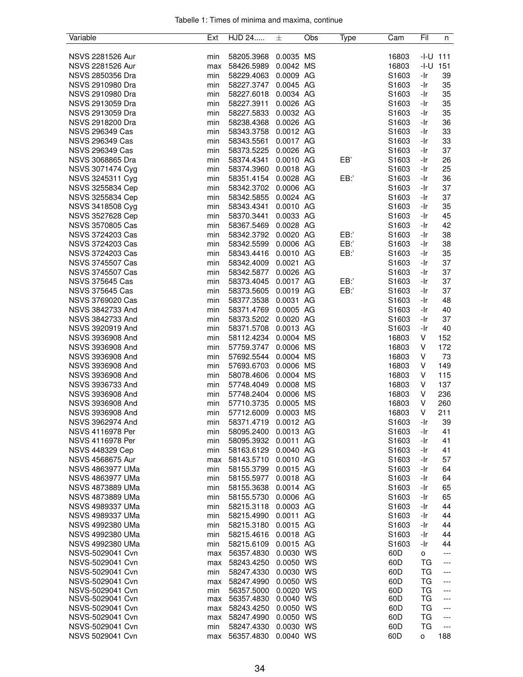|  |  |  | Tabelle 1: Times of minima and maxima, continue |  |
|--|--|--|-------------------------------------------------|--|
|  |  |  |                                                 |  |

| Variable                | Ext | HJD 24     | 士         | Obs | Type | Cam               | Fil       | n     |
|-------------------------|-----|------------|-----------|-----|------|-------------------|-----------|-------|
|                         |     |            |           |     |      |                   |           |       |
| NSVS 2281526 Aur        | min | 58205.3968 | 0.0035 MS |     |      | 16803             | -I-U      | 111   |
| NSVS 2281526 Aur        | max | 58426.5989 | 0.0042 MS |     |      | 16803             | -I-U      | 151   |
| NSVS 2850356 Dra        | min | 58229.4063 | 0.0009 AG |     |      | S1603             | -Ir       | 39    |
| NSVS 2910980 Dra        | min | 58227.3747 | 0.0045 AG |     |      | S1603             | -Ir       | 35    |
| NSVS 2910980 Dra        | min |            | 0.0034 AG |     |      | S1603             | -Ir       | 35    |
|                         |     | 58227.6018 |           |     |      |                   |           |       |
| NSVS 2913059 Dra        | min | 58227.3911 | 0.0026 AG |     |      | S1603             | -Ir       | 35    |
| NSVS 2913059 Dra        | min | 58227.5833 | 0.0032 AG |     |      | S1603             | -Ir       | 35    |
| NSVS 2918200 Dra        | min | 58238.4368 | 0.0026 AG |     |      | S1603             | -Ir       | 36    |
| <b>NSVS 296349 Cas</b>  | min | 58343.3758 | 0.0012 AG |     |      | S1603             | -Ir       | 33    |
| <b>NSVS 296349 Cas</b>  | min | 58343.5561 | 0.0017 AG |     |      | S1603             | -Ir       | 33    |
| <b>NSVS 296349 Cas</b>  | min | 58373.5225 | 0.0026 AG |     |      | S1603             | -Ir       | 37    |
| NSVS 3068865 Dra        | min | 58374.4341 | 0.0010 AG |     | EB'  | S1603             | -Ir       | 26    |
| NSVS 3071474 Cyg        | min | 58374.3960 | 0.0018 AG |     |      | S1603             | -Ir       | 25    |
| NSVS 3245311 Cyg        | min | 58351.4154 | 0.0028 AG |     | EB:  | S1603             | -Ir       | 36    |
| NSVS 3255834 Cep        | min | 58342.3702 | 0.0006 AG |     |      | S1603             | -Ir       | 37    |
| NSVS 3255834 Cep        | min | 58342.5855 | 0.0024 AG |     |      | S1603             | -Ir       | 37    |
| NSVS 3418508 Cyg        | min | 58343.4341 | 0.0010 AG |     |      | S1603             | -Ir       | 35    |
| NSVS 3527628 Cep        | min | 58370.3441 | 0.0033 AG |     |      | S1603             | -Ir       | 45    |
| NSVS 3570805 Cas        | min | 58367.5469 | 0.0028 AG |     |      | S1603             | -Ir       | 42    |
|                         |     |            |           |     |      |                   |           |       |
| NSVS 3724203 Cas        | min | 58342.3792 | 0.0020 AG |     | EB:  | S <sub>1603</sub> | -Ir       | 38    |
| NSVS 3724203 Cas        | min | 58342.5599 | 0.0006 AG |     | EB:' | S1603             | -Ir       | 38    |
| NSVS 3724203 Cas        | min | 58343.4416 | 0.0010 AG |     | EB:' | S1603             | -Ir       | 35    |
| NSVS 3745507 Cas        | min | 58342.4009 | 0.0021 AG |     |      | S1603             | -Ir       | 37    |
| NSVS 3745507 Cas        | min | 58342.5877 | 0.0026 AG |     |      | S1603             | -Ir       | 37    |
| <b>NSVS 375645 Cas</b>  | min | 58373.4045 | 0.0017 AG |     | EB:' | S1603             | -Ir       | 37    |
| <b>NSVS 375645 Cas</b>  | min | 58373.5605 | 0.0019 AG |     | EB:  | S1603             | -Ir       | 37    |
| NSVS 3769020 Cas        | min | 58377.3538 | 0.0031 AG |     |      | S1603             | -Ir       | 48    |
| NSVS 3842733 And        | min | 58371.4769 | 0.0005 AG |     |      | S1603             | -Ir       | 40    |
| NSVS 3842733 And        | min | 58373.5202 | 0.0020 AG |     |      | S1603             | -Ir       | 37    |
| NSVS 3920919 And        | min | 58371.5708 | 0.0013 AG |     |      | S1603             | -Ir       | 40    |
| NSVS 3936908 And        | min | 58112.4234 | 0.0004 MS |     |      | 16803             | V         | 152   |
| NSVS 3936908 And        | min | 57759.3747 | 0.0006 MS |     |      | 16803             | V         | 172   |
| NSVS 3936908 And        | min | 57692.5544 | 0.0004 MS |     |      | 16803             | V         | 73    |
|                         |     | 57693.6703 | 0.0006 MS |     |      |                   |           |       |
| NSVS 3936908 And        | min |            |           |     |      | 16803             | V         | 149   |
| NSVS 3936908 And        | min | 58078.4606 | 0.0004 MS |     |      | 16803             | V         | 115   |
| NSVS 3936733 And        | min | 57748.4049 | 0.0008 MS |     |      | 16803             | V         | 137   |
| NSVS 3936908 And        | min | 57748.2404 | 0.0006 MS |     |      | 16803             | V         | 236   |
| NSVS 3936908 And        | min | 57710.3735 | 0.0005 MS |     |      | 16803             | V         | 260   |
| NSVS 3936908 And        | min | 57712.6009 | 0.0003 MS |     |      | 16803             | V         | 211   |
| NSVS 3962974 And        | min | 58371.4719 | 0.0012 AG |     |      | S1603             | -Ir       | 39    |
| NSVS 4116978 Per        | min | 58095.2400 | 0.0013 AG |     |      | S1603             | -Ir       | 41    |
| NSVS 4116978 Per        | min | 58095.3932 | 0.0011 AG |     |      | S <sub>1603</sub> | -Ir       | 41    |
| <b>NSVS 448329 Cep</b>  | min | 58163.6129 | 0.0040 AG |     |      | S <sub>1603</sub> | -Ir       | 41    |
| NSVS 4568675 Aur        | max | 58143.5710 | 0.0010 AG |     |      | S1603             | -Ir       | 57    |
| <b>NSVS 4863977 UMa</b> | min | 58155.3799 | 0.0015 AG |     |      | S1603             | -Ir       | 64    |
| NSVS 4863977 UMa        | min | 58155.5977 | 0.0018 AG |     |      | S1603             | -Ir       | 64    |
| <b>NSVS 4873889 UMa</b> | min | 58155.3638 | 0.0014 AG |     |      | S1603             | -Ir       | 65    |
| NSVS 4873889 UMa        | min | 58155.5730 | 0.0006 AG |     |      | S <sub>1603</sub> | -Ir       | 65    |
| NSVS 4989337 UMa        | min | 58215.3118 | 0.0003 AG |     |      | S1603             | -Ir       | 44    |
| NSVS 4989337 UMa        | min | 58215.4990 | 0.0011 AG |     |      | S1603             | -Ir       | 44    |
|                         |     |            | 0.0015 AG |     |      |                   |           |       |
| NSVS 4992380 UMa        | min | 58215.3180 |           |     |      | S1603             | -Ir       | 44    |
| NSVS 4992380 UMa        | min | 58215.4616 | 0.0018 AG |     |      | S1603             | -Ir       | 44    |
| NSVS 4992380 UMa        | min | 58215.6109 | 0.0015 AG |     |      | S <sub>1603</sub> | -Ir       | 44    |
| NSVS-5029041 Cvn        | max | 56357.4830 | 0.0030 WS |     |      | 60D               | о         | ---   |
| NSVS-5029041 Cvn        | max | 58243.4250 | 0.0050 WS |     |      | 60D               | ТG        | ---   |
| NSVS-5029041 Cvn        | min | 58247.4330 | 0.0030 WS |     |      | 60D               | TG        | ---   |
| NSVS-5029041 Cvn        | max | 58247.4990 | 0.0050 WS |     |      | 60D               | TG        | $---$ |
| NSVS-5029041 Cvn        | min | 56357.5000 | 0.0020 WS |     |      | 60D               | TG        | $---$ |
| NSVS-5029041 Cvn        | max | 56357.4830 | 0.0040 WS |     |      | 60D               | ТG        | ---   |
| NSVS-5029041 Cvn        | max | 58243.4250 | 0.0050 WS |     |      | 60D               | TG        | ---   |
| NSVS-5029041 Cvn        | max | 58247.4990 | 0.0050 WS |     |      | 60D               | TG        | ---   |
| NSVS-5029041 Cvn        | min | 58247.4330 | 0.0030 WS |     |      | 60D               | <b>TG</b> | $---$ |
| NSVS 5029041 Cvn        | max | 56357.4830 | 0.0040 WS |     |      | 60 <sub>D</sub>   | о         | 188   |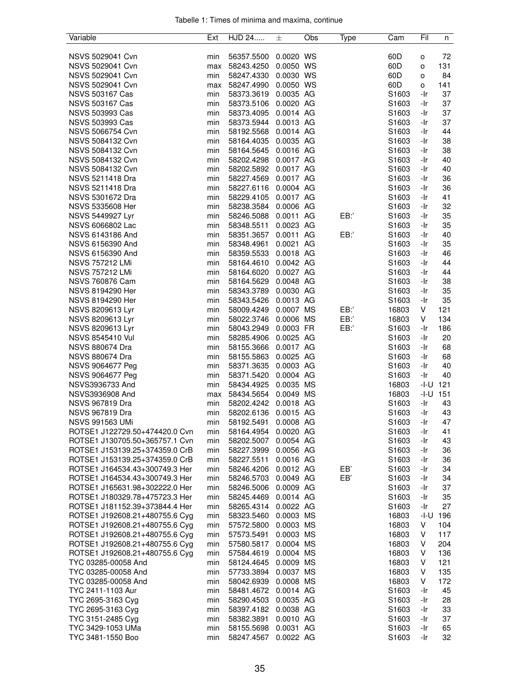| Variable                             | Ext        | HJD 24                   | 士                      | Obs | Type | Cam               | Fil        | n        |
|--------------------------------------|------------|--------------------------|------------------------|-----|------|-------------------|------------|----------|
|                                      |            |                          |                        |     |      |                   |            |          |
| NSVS 5029041 Cvn                     | min        | 56357.5500               | 0.0020 WS              |     |      | 60D               | о          | 72       |
| NSVS 5029041 Cvn                     | max        | 58243.4250               | 0.0050 WS              |     |      | 60 <sub>D</sub>   | o          | 131      |
| NSVS 5029041 Cvn                     | min        | 58247.4330               | 0.0030 WS              |     |      | 60D               | o          | 84       |
| NSVS 5029041 Cvn                     | max        | 58247.4990               | 0.0050 WS              |     |      | 60D               | о          | 141      |
| <b>NSVS 503167 Cas</b>               | min        | 58373.3619               | 0.0035 AG              |     |      | S1603             | -Ir        | 37       |
| <b>NSVS 503167 Cas</b>               | min        | 58373.5106               | 0.0020 AG              |     |      | S1603             | -Ir        | 37       |
| <b>NSVS 503993 Cas</b>               | min        | 58373.4095               | 0.0014 AG              |     |      | S1603             | -Ir        | 37       |
| <b>NSVS 503993 Cas</b>               | min        | 58373.5944               | 0.0013 AG              |     |      | S1603             | -Ir        | 37       |
| NSVS 5066754 Cvn                     | min        | 58192.5568               | 0.0014 AG              |     |      | S1603             | -Ir        | 44       |
| NSVS 5084132 Cvn                     | min        | 58164.4035               | 0.0035 AG              |     |      | S1603             | -Ir        | 38       |
| NSVS 5084132 Cvn                     | min        | 58164.5645               | 0.0016 AG              |     |      | S1603             | -Ir        | 38       |
| NSVS 5084132 Cvn                     | min        | 58202.4298               | 0.0017 AG              |     |      | S1603             | -Ir        | 40       |
| NSVS 5084132 Cvn                     | min        | 58202.5892               | 0.0017 AG              |     |      | S1603             | -Ir        | 40       |
| NSVS 5211418 Dra                     | min        | 58227.4569               | 0.0017 AG              |     |      | S1603             | -Ir        | 36       |
| NSVS 5211418 Dra                     | min        | 58227.6116               | 0.0004 AG              |     |      | S1603             | -Ir        | 36       |
| NSVS 5301672 Dra                     | min        | 58229.4105               | 0.0017 AG              |     |      | S1603             | -Ir        | 41       |
| NSVS 5335608 Her                     | min        | 58238.3584               | 0.0006 AG              |     |      | S1603             | -Ir        | 32       |
| NSVS 5449927 Lyr                     | min        | 58246.5088               | 0.0011 AG              |     | EB:' | S1603             | -Ir        | 35       |
| NSVS 6066802 Lac                     | min        | 58348.5511               | 0.0023 AG              |     |      | S1603             | -Ir        | 35       |
| NSVS 6143186 And                     | min        | 58351.3657               | 0.0011 AG              |     | EB:  | S1603             | -Ir        | 40       |
| NSVS 6156390 And                     | min        | 58348.4961               | 0.0021 AG              |     |      | S1603             | -Ir        | 35       |
| NSVS 6156390 And                     | min        | 58359.5533               | 0.0018 AG              |     |      | S1603             | -Ir        | 46       |
| <b>NSVS 757212 LMi</b>               | min        | 58164.4610               | 0.0042 AG              |     |      | S1603             | -Ir        | 44       |
| <b>NSVS 757212 LMi</b>               | min        | 58164.6020               | 0.0027 AG              |     |      | S1603             | -Ir        | 44       |
| <b>NSVS 760876 Cam</b>               | min        | 58164.5629               | 0.0048 AG              |     |      | S1603             | -Ir        | 38       |
| NSVS 8194290 Her<br>NSVS 8194290 Her | min<br>min | 58343.3789               | 0.0030 AG<br>0.0013 AG |     |      | S1603<br>S1603    | -Ir<br>-Ir | 35<br>35 |
| NSVS 8209613 Lyr                     | min        | 58343.5426<br>58009.4249 | 0.0007 MS              |     | EB:  |                   | V          | 121      |
| NSVS 8209613 Lyr                     | min        | 58022.3746               | 0.0006 MS              |     | EB:  | 16803<br>16803    | V          | 134      |
| NSVS 8209613 Lyr                     | min        | 58043.2949               | 0.0003 FR              |     | EB:  | S1603             | -Ir        | 186      |
| NSVS 8545410 Vul                     | min        | 58285.4906               | 0.0025 AG              |     |      | S1603             | -Ir        | 20       |
| <b>NSVS 880674 Dra</b>               | min        | 58155.3666               | 0.0017 AG              |     |      | S1603             | -Ir        | 68       |
| <b>NSVS 880674 Dra</b>               | min        | 58155.5863               | 0.0025 AG              |     |      | S1603             | -Ir        | 68       |
| NSVS 9064677 Peg                     | min        | 58371.3635               | 0.0003 AG              |     |      | S1603             | -Ir        | 40       |
| NSVS 9064677 Peg                     | min        | 58371.5420               | 0.0004 AG              |     |      | S1603             | -Ir        | 40       |
| NSVS3936733 And                      | min        | 58434.4925               | 0.0035 MS              |     |      | 16803             | -I-U       | 121      |
| NSVS3936908 And                      | max        | 58434.5654               | 0.0049 MS              |     |      | 16803             | -I-U       | 151      |
| <b>NSVS 967819 Dra</b>               | min        | 58202.4242               | 0.0018 AG              |     |      | S1603             | -Ir        | 43       |
| <b>NSVS 967819 Dra</b>               | min        | 58202.6136               | 0.0015 AG              |     |      | S1603             | -Ir        | 43       |
| NSVS 991563 UMi                      | min        | 58192.5491               | 0.0008 AG              |     |      | S <sub>1603</sub> | -Ir        | 47       |
| ROTSE1 J122729.50+474420.0 Cvn       | min        | 58164.4954               | 0.0020 AG              |     |      | S1603             | -Ir        | 41       |
| ROTSE1 J130705.50+365757.1 Cvn       | min        | 58202.5007               | 0.0054 AG              |     |      | S1603             | -Ir        | 43       |
| ROTSE1 J153139.25+374359.0 CrB       | min        | 58227.3999               | 0.0056 AG              |     |      | S1603             | -Ir        | 36       |
| ROTSE1 J153139.25+374359.0 CrB       | min        | 58227.5511               | 0.0016 AG              |     |      | S1603             | -Ir        | 36       |
| ROTSE1 J164534.43+300749.3 Her       | min        | 58246.4206               | 0.0012 AG              |     | EB,  | S1603             | -Ir        | 34       |
| ROTSE1 J164534.43+300749.3 Her       | min        | 58246.5703 0.0049 AG     |                        |     | EB'  | S1603             | -Ir        | 34       |
| ROTSE1 J165631.98+302222.0 Her       | min        | 58246.5006               | 0.0009 AG              |     |      | S <sub>1603</sub> | -Ir        | 37       |
| ROTSE1 J180329.78+475723.3 Her       | min        | 58245.4469               | 0.0014 AG              |     |      | S1603             | -Ir        | 35       |
| ROTSE1 J181152.39+373844.4 Her       | min        | 58265.4314               | 0.0022 AG              |     |      | S1603             | -Ir        | 27       |
| ROTSE1 J192608.21+480755.6 Cyg       | min        | 58323.5460               | 0.0003 MS              |     |      | 16803             | -I-U       | 196      |
| ROTSE1 J192608.21+480755.6 Cyg       | min        | 57572.5800               | 0.0003 MS              |     |      | 16803             | V          | 104      |
| ROTSE1 J192608.21+480755.6 Cyg       | min        | 57573.5491               | 0.0003 MS              |     |      | 16803             | V          | 117      |
| ROTSE1 J192608.21+480755.6 Cyg       | min        | 57580.5817               | 0.0004 MS              |     |      | 16803             | V          | 204      |
| ROTSE1 J192608.21+480755.6 Cyg       | min        | 57584.4619               | 0.0004 MS              |     |      | 16803             | V          | 136      |
| TYC 03285-00058 And                  | min        | 58124.4645               | 0.0009 MS              |     |      | 16803             | V          | 121      |
| TYC 03285-00058 And                  | min        | 57733.3894               | 0.0037 MS              |     |      | 16803             | V          | 135      |
| TYC 03285-00058 And                  | min        | 58042.6939 0.0008 MS     |                        |     |      | 16803             | V          | 172      |
| TYC 2411-1103 Aur                    | min        | 58481.4672               | 0.0014 AG              |     |      | S1603             | -Ir        | 45       |
| TYC 2695-3163 Cyg                    | min        | 58290.4503               | 0.0035 AG              |     |      | S <sub>1603</sub> | -Ir        | 28       |
| TYC 2695-3163 Cyg                    | min        | 58397.4182               | 0.0038 AG              |     |      | S1603             | -Ir        | 33       |
| TYC 3151-2485 Cyg                    | min        | 58382.3891               | 0.0010 AG              |     |      | S1603             | -Ir        | 37       |
| TYC 3429-1053 UMa                    | min        | 58155.5698               | 0.0031 AG              |     |      | S1603             | -Ir        | 65       |
| TYC 3481-1550 Boo                    | min        | 58247.4567               | 0.0022 AG              |     |      | S1603             | -Ir        | 32       |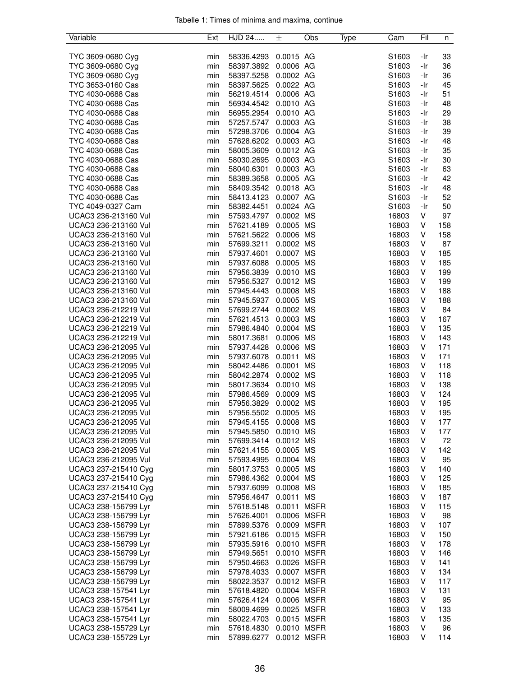|  |  |  | Tabelle 1: Times of minima and maxima, continue |  |
|--|--|--|-------------------------------------------------|--|
|  |  |  |                                                 |  |

| Variable                                     | Ext | HJD 24                 | 士           | Obs | Type | Cam   | Fil | n   |
|----------------------------------------------|-----|------------------------|-------------|-----|------|-------|-----|-----|
|                                              |     |                        |             |     |      |       |     |     |
| TYC 3609-0680 Cyg                            | min | 58336.4293             | 0.0015 AG   |     |      | S1603 | -Ir | 33  |
| TYC 3609-0680 Cyg                            | min | 58397.3892             | 0.0006 AG   |     |      | S1603 | -Ir | 36  |
| TYC 3609-0680 Cyg                            | min | 58397.5258             | 0.0002 AG   |     |      | S1603 | -Ir | 36  |
| TYC 3653-0160 Cas                            | min | 58397.5625             | 0.0022 AG   |     |      | S1603 | -Ir | 45  |
| TYC 4030-0688 Cas                            | min | 56219.4514             | 0.0006 AG   |     |      | S1603 | -Ir | 51  |
| TYC 4030-0688 Cas                            | min | 56934.4542             | 0.0010 AG   |     |      | S1603 | -Ir | 48  |
| TYC 4030-0688 Cas                            | min | 56955.2954             | 0.0010 AG   |     |      | S1603 | -Ir | 29  |
| TYC 4030-0688 Cas                            | min | 57257.5747             | 0.0003 AG   |     |      | S1603 | -Ir | 38  |
| TYC 4030-0688 Cas                            | min | 57298.3706             | 0.0004 AG   |     |      | S1603 | -Ir | 39  |
| TYC 4030-0688 Cas                            | min | 57628.6202             | 0.0003 AG   |     |      | S1603 | -Ir | 48  |
| TYC 4030-0688 Cas                            |     |                        |             |     |      |       |     |     |
|                                              | min | 58005.3609             | 0.0012 AG   |     |      | S1603 | -Ir | 35  |
| TYC 4030-0688 Cas                            | min | 58030.2695             | 0.0003 AG   |     |      | S1603 | -Ir | 30  |
| TYC 4030-0688 Cas                            | min | 58040.6301             | 0.0003 AG   |     |      | S1603 | -Ir | 63  |
| TYC 4030-0688 Cas                            | min | 58389.3658             | 0.0005 AG   |     |      | S1603 | -Ir | 42  |
| TYC 4030-0688 Cas                            | min | 58409.3542             | 0.0018 AG   |     |      | S1603 | -Ir | 48  |
| TYC 4030-0688 Cas                            | min | 58413.4123             | 0.0007 AG   |     |      | S1603 | -Ir | 52  |
| TYC 4049-0327 Cam                            | min | 58382.4451             | 0.0024 AG   |     |      | S1603 | -Ir | 50  |
| UCAC3 236-213160 Vul                         | min | 57593.4797             | 0.0002 MS   |     |      | 16803 | V   | 97  |
| UCAC3 236-213160 Vul                         | min | 57621.4189             | 0.0005 MS   |     |      | 16803 | V   | 158 |
| UCAC3 236-213160 Vul                         | min | 57621.5622             | 0.0006 MS   |     |      | 16803 | V   | 158 |
| UCAC3 236-213160 Vul                         | min | 57699.3211             | 0.0002 MS   |     |      | 16803 | V   | 87  |
| UCAC3 236-213160 Vul                         | min | 57937.4601             | 0.0007 MS   |     |      | 16803 | V   | 185 |
| UCAC3 236-213160 Vul                         | min | 57937.6088             | 0.0005 MS   |     |      | 16803 | V   | 185 |
| UCAC3 236-213160 Vul                         | min | 57956.3839             | 0.0010 MS   |     |      | 16803 | V   | 199 |
| UCAC3 236-213160 Vul                         | min | 57956.5327             | 0.0012 MS   |     |      | 16803 | V   | 199 |
| UCAC3 236-213160 Vul                         | min | 57945.4443             | 0.0008 MS   |     |      | 16803 | V   | 188 |
| UCAC3 236-213160 Vul                         | min | 57945.5937             | 0.0005 MS   |     |      | 16803 | V   | 188 |
| UCAC3 236-212219 Vul                         | min | 57699.2744             | 0.0002 MS   |     |      | 16803 | V   | 84  |
|                                              |     |                        |             |     |      |       |     |     |
| UCAC3 236-212219 Vul                         | min | 57621.4513             | 0.0003 MS   |     |      | 16803 | V   | 167 |
| UCAC3 236-212219 Vul                         | min | 57986.4840             | 0.0004 MS   |     |      | 16803 | V   | 135 |
| UCAC3 236-212219 Vul                         | min | 58017.3681             | 0.0006 MS   |     |      | 16803 | V   | 143 |
| UCAC3 236-212095 Vul                         | min | 57937.4428             | 0.0006 MS   |     |      | 16803 | V   | 171 |
| UCAC3 236-212095 Vul                         | min | 57937.6078             | 0.0011 MS   |     |      | 16803 | V   | 171 |
| UCAC3 236-212095 Vul                         | min | 58042.4486             | 0.0001 MS   |     |      | 16803 | V   | 118 |
| UCAC3 236-212095 Vul                         | min | 58042.2874             | 0.0002 MS   |     |      | 16803 | V   | 118 |
| UCAC3 236-212095 Vul                         | min | 58017.3634             | 0.0010 MS   |     |      | 16803 | V   | 138 |
| UCAC3 236-212095 Vul                         | min | 57986.4569             | 0.0009 MS   |     |      | 16803 | V   | 124 |
| UCAC3 236-212095 Vul                         | min | 57956.3829             | 0.0002 MS   |     |      | 16803 | V   | 195 |
| UCAC3 236-212095 Vul                         | min | 57956.5502             | 0.0005 MS   |     |      | 16803 | V   | 195 |
| UCAC3 236-212095 Vul                         | min | 57945.4155             | 0.0008 MS   |     |      | 16803 | V   | 177 |
| UCAC3 236-212095 Vul                         | min | 57945.5850             | 0.0010 MS   |     |      | 16803 | V   | 177 |
| UCAC3 236-212095 Vul                         | min | 57699.3414             | 0.0012 MS   |     |      | 16803 | V   | 72  |
| UCAC3 236-212095 Vul                         | min | 57621.4155             | 0.0005 MS   |     |      | 16803 | V   | 142 |
| UCAC3 236-212095 Vul                         | min | 57593.4995             | 0.0004 MS   |     |      | 16803 | V   | 95  |
| UCAC3 237-215410 Cyg                         | min | 58017.3753             | 0.0005 MS   |     |      | 16803 | V   | 140 |
| UCAC3 237-215410 Cyg                         | min | 57986.4362             | 0.0004 MS   |     |      | 16803 | V   | 125 |
| UCAC3 237-215410 Cyg                         | min | 57937.6099             | 0.0008 MS   |     |      | 16803 | V   | 185 |
| UCAC3 237-215410 Cyg                         | min | 57956.4647             | 0.0011 MS   |     |      | 16803 | V   | 187 |
| UCAC3 238-156799 Lyr                         | min | 57618.5148             | 0.0011 MSFR |     |      | 16803 | V   | 115 |
|                                              |     |                        | 0.0006 MSFR |     |      | 16803 | V   | 98  |
| UCAC3 238-156799 Lyr<br>UCAC3 238-156799 Lyr | min | 57626.4001             |             |     |      |       |     |     |
|                                              | min | 57899.5376             | 0.0009 MSFR |     |      | 16803 | V   | 107 |
| UCAC3 238-156799 Lyr                         | min | 57921.6186             | 0.0015 MSFR |     |      | 16803 | V   | 150 |
| UCAC3 238-156799 Lyr                         | min | 57935.5916             | 0.0010 MSFR |     |      | 16803 | V   | 178 |
| UCAC3 238-156799 Lyr                         | min | 57949.5651             | 0.0010 MSFR |     |      | 16803 | V   | 146 |
| UCAC3 238-156799 Lyr                         | min | 57950.4663             | 0.0026 MSFR |     |      | 16803 | V   | 141 |
| UCAC3 238-156799 Lyr                         | min | 57978.4033             | 0.0007 MSFR |     |      | 16803 | V   | 134 |
| UCAC3 238-156799 Lyr                         | min | 58022.3537             | 0.0012 MSFR |     |      | 16803 | V   | 117 |
| UCAC3 238-157541 Lyr                         | min | 57618.4820             | 0.0004 MSFR |     |      | 16803 | V   | 131 |
| UCAC3 238-157541 Lyr                         | min | 57626.4124             | 0.0006 MSFR |     |      | 16803 | V   | 95  |
| UCAC3 238-157541 Lyr                         | min | 58009.4699             | 0.0025 MSFR |     |      | 16803 | V   | 133 |
| UCAC3 238-157541 Lyr                         | min | 58022.4703             | 0.0015 MSFR |     |      | 16803 | V   | 135 |
| UCAC3 238-155729 Lyr                         | min | 57618.4830             | 0.0010 MSFR |     |      | 16803 | V   | 96  |
| UCAC3 238-155729 Lyr                         | min | 57899.6277 0.0012 MSFR |             |     |      | 16803 | V   | 114 |
|                                              |     |                        |             |     |      |       |     |     |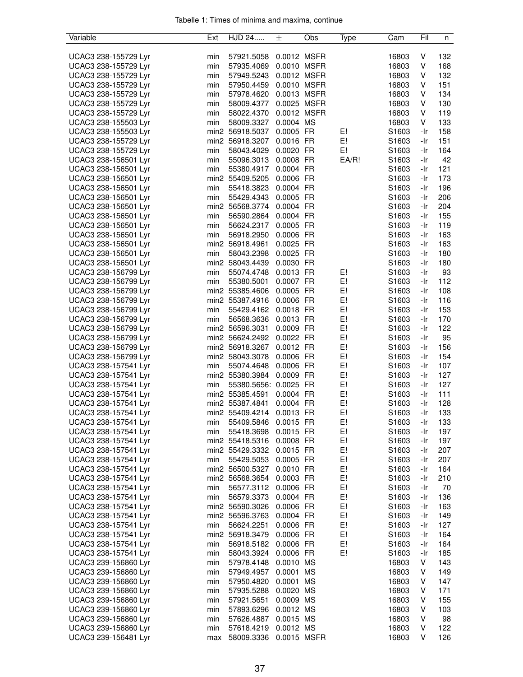| Variable             | Ext | HJD 24                    | 士           | Obs | Type  | Cam               | Fil | n   |
|----------------------|-----|---------------------------|-------------|-----|-------|-------------------|-----|-----|
|                      |     |                           |             |     |       |                   |     |     |
| UCAC3 238-155729 Lyr | min | 57921.5058                | 0.0012 MSFR |     |       | 16803             | V   | 132 |
| UCAC3 238-155729 Lyr | min | 57935.4069                | 0.0010 MSFR |     |       | 16803             | V   | 168 |
| UCAC3 238-155729 Lyr | min | 57949.5243                | 0.0012 MSFR |     |       | 16803             | V   | 132 |
| UCAC3 238-155729 Lyr | min | 57950.4459 0.0010 MSFR    |             |     |       | 16803             | V   | 151 |
| UCAC3 238-155729 Lyr | min | 57978.4620                | 0.0013 MSFR |     |       | 16803             | V   | 134 |
| UCAC3 238-155729 Lyr | min | 58009.4377                | 0.0025 MSFR |     |       | 16803             | V   | 130 |
| UCAC3 238-155729 Lyr | min | 58022.4370                | 0.0012 MSFR |     |       | 16803             | V   | 119 |
| UCAC3 238-155503 Lyr | min | 58009.3327                | 0.0004 MS   |     |       | 16803             | V   | 133 |
| UCAC3 238-155503 Lyr |     | min2 56918.5037           | 0.0005 FR   |     | E!    | S1603             | -Ir | 158 |
| UCAC3 238-155729 Lyr |     | min2 56918.3207           | 0.0016 FR   |     | E!    | S1603             | -Ir | 151 |
| UCAC3 238-155729 Lyr | min | 58043.4029                | 0.0020 FR   |     | E!    | S1603             | -Ir | 164 |
| UCAC3 238-156501 Lyr | min | 55096.3013                | 0.0008 FR   |     | EA/R! | S1603             | -Ir | 42  |
| UCAC3 238-156501 Lyr | min | 55380.4917                | 0.0004 FR   |     |       | S1603             | -Ir | 121 |
| UCAC3 238-156501 Lyr |     | min2 55409.5205           | 0.0006 FR   |     |       | S1603             | -Ir | 173 |
| UCAC3 238-156501 Lyr | min | 55418.3823                | 0.0004 FR   |     |       | S1603             | -Ir | 196 |
|                      | min |                           | 0.0005 FR   |     |       | S <sub>1603</sub> | -Ir | 206 |
| UCAC3 238-156501 Lyr |     | 55429.4343                | 0.0004 FR   |     |       |                   |     |     |
| UCAC3 238-156501 Lyr |     | min2 56568.3774           |             |     |       | S1603             | -Ir | 204 |
| UCAC3 238-156501 Lyr | min | 56590.2864                | 0.0004 FR   |     |       | S1603             | -Ir | 155 |
| UCAC3 238-156501 Lyr | min | 56624.2317                | 0.0005 FR   |     |       | S1603             | -Ir | 119 |
| UCAC3 238-156501 Lyr | min | 56918.2950                | 0.0006 FR   |     |       | S1603             | -Ir | 163 |
| UCAC3 238-156501 Lyr |     | min2 56918.4961           | 0.0025 FR   |     |       | S1603             | -Ir | 163 |
| UCAC3 238-156501 Lyr | min | 58043.2398                | 0.0025 FR   |     |       | S1603             | -Ir | 180 |
| UCAC3 238-156501 Lyr |     | min2 58043.4439           | 0.0030 FR   |     |       | S1603             | -Ir | 180 |
| UCAC3 238-156799 Lyr | min | 55074.4748                | 0.0013 FR   |     | E!    | S1603             | -Ir | 93  |
| UCAC3 238-156799 Lyr | min | 55380.5001                | 0.0007 FR   |     | E!    | S1603             | -Ir | 112 |
| UCAC3 238-156799 Lyr |     | min2 55385.4606           | 0.0005 FR   |     | E!    | S1603             | -Ir | 108 |
| UCAC3 238-156799 Lyr |     | min2 55387.4916           | 0.0006 FR   |     | E!    | S1603             | -Ir | 116 |
| UCAC3 238-156799 Lyr | min | 55429.4162                | 0.0018 FR   |     | E!    | S <sub>1603</sub> | -Ir | 153 |
| UCAC3 238-156799 Lyr | min | 56568.3636                | 0.0013 FR   |     | E!    | S <sub>1603</sub> | -Ir | 170 |
| UCAC3 238-156799 Lyr |     | min2 56596.3031           | 0.0009 FR   |     | E!    | S1603             | -Ir | 122 |
| UCAC3 238-156799 Lyr |     | min2 56624.2492           | 0.0022 FR   |     | E!    | S1603             | -Ir | 95  |
| UCAC3 238-156799 Lyr |     | min2 56918.3267           | 0.0012 FR   |     | E!    | S1603             | -Ir | 156 |
| UCAC3 238-156799 Lyr |     | min2 58043.3078           | 0.0006 FR   |     | E!    | S1603             | -Ir | 154 |
| UCAC3 238-157541 Lyr | min | 55074.4648                | 0.0006 FR   |     | E!    | S1603             | -Ir | 107 |
| UCAC3 238-157541 Lyr |     | min2 55380.3984           | 0.0009 FR   |     | E!    | S1603             | -Ir | 127 |
| UCAC3 238-157541 Lyr | min | 55380.5656: 0.0025 FR     |             |     | E!    | S1603             | -Ir | 127 |
| UCAC3 238-157541 Lyr |     | min2 55385.4591           | 0.0004 FR   |     | E!    | S1603             | -Ir | 111 |
|                      |     | min2 55387.4841           | 0.0004 FR   |     | E!    |                   | -Ir | 128 |
| UCAC3 238-157541 Lyr |     | min2 55409.4214 0.0013 FR |             |     | E!    | S1603<br>S1603    | -Ir |     |
| UCAC3 238-157541 Lyr |     |                           |             |     |       |                   |     | 133 |
| UCAC3 238-157541 Lyr | mın | 55409.5846                | $0.0015$ FR |     | E!    | S1603             | -Ir | 133 |
| UCAC3 238-157541 Lyr | min | 55418.3698                | 0.0015 FR   |     | E!    | S1603             | -Ir | 197 |
| UCAC3 238-157541 Lyr |     | min2 55418.5316           | 0.0008 FR   |     | E!    | S1603             | -Ir | 197 |
| UCAC3 238-157541 Lyr |     | min2 55429.3332 0.0015 FR |             |     | E!    | S1603             | -Ir | 207 |
| UCAC3 238-157541 Lyr | min | 55429.5053                | 0.0005 FR   |     | E!    | S1603             | -Ir | 207 |
| UCAC3 238-157541 Lyr |     | min2 56500.5327           | 0.0010 FR   |     | E!    | S1603             | -Ir | 164 |
| UCAC3 238-157541 Lyr |     | min2 56568.3654           | 0.0003 FR   |     | E!    | S1603             | -Ir | 210 |
| UCAC3 238-157541 Lyr | min | 56577.3112                | 0.0006 FR   |     | E!    | S1603             | -Ir | 70  |
| UCAC3 238-157541 Lyr | min | 56579.3373                | 0.0004 FR   |     | E!    | S1603             | -Ir | 136 |
| UCAC3 238-157541 Lyr |     | min2 56590.3026           | 0.0006 FR   |     | E!    | S1603             | -Ir | 163 |
| UCAC3 238-157541 Lyr |     | min2 56596.3763           | 0.0004 FR   |     | E!    | S1603             | -Ir | 149 |
| UCAC3 238-157541 Lyr | min | 56624.2251                | 0.0006 FR   |     | E!    | S1603             | -Ir | 127 |
| UCAC3 238-157541 Lyr |     | min2 56918.3479           | 0.0006 FR   |     | E!    | S1603             | -Ir | 164 |
| UCAC3 238-157541 Lyr | min | 56918.5182                | 0.0006 FR   |     | E!    | S1603             | -Ir | 164 |
| UCAC3 238-157541 Lyr | min | 58043.3924                | 0.0006 FR   |     | E!    | S1603             | -Ir | 185 |
| UCAC3 239-156860 Lyr | min | 57978.4148                | 0.0010 MS   |     |       | 16803             | V   | 143 |
| UCAC3 239-156860 Lyr | min | 57949.4957                | 0.0001 MS   |     |       | 16803             | V   | 149 |
| UCAC3 239-156860 Lyr | min | 57950.4820                | 0.0001 MS   |     |       | 16803             | V   | 147 |
|                      | min | 57935.5288                | 0.0020 MS   |     |       | 16803             | V   | 171 |
| UCAC3 239-156860 Lyr |     |                           |             |     |       |                   |     |     |
| UCAC3 239-156860 Lyr | min | 57921.5651                | 0.0009 MS   |     |       | 16803             | V   | 155 |
| UCAC3 239-156860 Lyr | min | 57893.6296                | 0.0012 MS   |     |       | 16803             | V   | 103 |
| UCAC3 239-156860 Lyr | min | 57626.4887                | 0.0015 MS   |     |       | 16803             | V   | 98  |
| UCAC3 239-156860 Lyr | min | 57618.4219                | 0.0012 MS   |     |       | 16803             | V   | 122 |
| UCAC3 239-156481 Lyr | max | 58009.3336                | 0.0015 MSFR |     |       | 16803             | V   | 126 |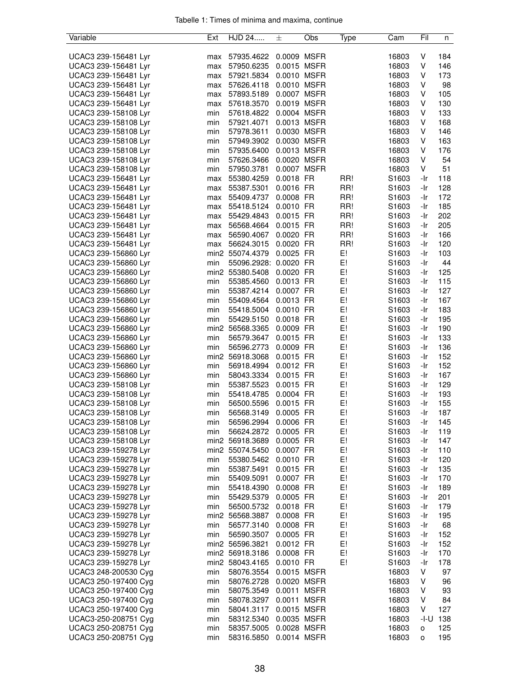| Variable             | Ext | HJD 24                | 士           | Obs | Type | Cam               | Fil  | n   |
|----------------------|-----|-----------------------|-------------|-----|------|-------------------|------|-----|
|                      |     |                       |             |     |      |                   |      |     |
| UCAC3 239-156481 Lyr | max | 57935.4622            | 0.0009 MSFR |     |      | 16803             | V    | 184 |
| UCAC3 239-156481 Lyr | max | 57950.6235            | 0.0015 MSFR |     |      | 16803             | V    | 146 |
| UCAC3 239-156481 Lyr | max | 57921.5834            | 0.0010 MSFR |     |      | 16803             | V    | 173 |
| UCAC3 239-156481 Lyr | max | 57626.4118            | 0.0010 MSFR |     |      | 16803             | V    | 98  |
| UCAC3 239-156481 Lyr | max | 57893.5189            | 0.0007 MSFR |     |      | 16803             | V    | 105 |
| UCAC3 239-156481 Lyr | max | 57618.3570            | 0.0019 MSFR |     |      | 16803             | V    | 130 |
| UCAC3 239-158108 Lyr | min | 57618.4822            | 0.0004 MSFR |     |      | 16803             | V    | 133 |
| UCAC3 239-158108 Lyr | min | 57921.4071            | 0.0013 MSFR |     |      | 16803             | V    | 168 |
| UCAC3 239-158108 Lyr | min | 57978.3611            | 0.0030 MSFR |     |      | 16803             | V    | 146 |
| UCAC3 239-158108 Lyr | min | 57949.3902            | 0.0030 MSFR |     |      | 16803             | V    | 163 |
| UCAC3 239-158108 Lyr | min | 57935.6400            | 0.0013 MSFR |     |      | 16803             | V    | 176 |
| UCAC3 239-158108 Lyr | min | 57626.3466            | 0.0020 MSFR |     |      | 16803             | V    | 54  |
| UCAC3 239-158108 Lyr | min | 57950.3781            | 0.0007 MSFR |     |      | 16803             | V    | 51  |
| UCAC3 239-156481 Lyr | max | 55380.4259            | 0.0018 FR   |     | RR!  | S1603             | -Ir  | 118 |
| UCAC3 239-156481 Lyr | max | 55387.5301            | 0.0016 FR   |     | RR!  | S <sub>1603</sub> | -Ir  | 128 |
| UCAC3 239-156481 Lyr | max | 55409.4737            | 0.0008 FR   |     | RR!  | S <sub>1603</sub> | -Ir  | 172 |
| UCAC3 239-156481 Lyr |     | 55418.5124            | 0.0010 FR   |     | RR!  | S1603             | -Ir  | 185 |
|                      | max | 55429.4843            | 0.0015 FR   |     | RR!  |                   |      | 202 |
| UCAC3 239-156481 Lyr | max |                       |             |     |      | S1603<br>S1603    | -Ir  |     |
| UCAC3 239-156481 Lyr | max | 56568.4664            | 0.0015 FR   |     | RR!  |                   | -Ir  | 205 |
| UCAC3 239-156481 Lyr | max | 56590.4067            | 0.0020 FR   |     | RR!  | S1603             | -Ir  | 166 |
| UCAC3 239-156481 Lyr | max | 56624.3015            | 0.0020 FR   |     | RR!  | S1603             | -Ir  | 120 |
| UCAC3 239-156860 Lyr |     | min2 55074.4379       | 0.0025 FR   |     | E!   | S1603             | -Ir  | 103 |
| UCAC3 239-156860 Lyr | min | 55096.2928: 0.0020 FR |             |     | E!   | S1603             | -Ir  | 44  |
| UCAC3 239-156860 Lyr |     | min2 55380.5408       | 0.0020 FR   |     | E!   | S1603             | -Ir  | 125 |
| UCAC3 239-156860 Lyr | min | 55385.4560            | 0.0013 FR   |     | E!   | S1603             | -Ir  | 115 |
| UCAC3 239-156860 Lyr | min | 55387.4214            | 0.0007 FR   |     | E!   | S1603             | -Ir  | 127 |
| UCAC3 239-156860 Lyr | min | 55409.4564            | 0.0013 FR   |     | E!   | S1603             | -Ir  | 167 |
| UCAC3 239-156860 Lyr | min | 55418.5004            | 0.0010 FR   |     | E!   | S <sub>1603</sub> | -Ir  | 183 |
| UCAC3 239-156860 Lyr | min | 55429.5150            | 0.0018 FR   |     | E!   | S <sub>1603</sub> | -Ir  | 195 |
| UCAC3 239-156860 Lyr |     | min2 56568.3365       | 0.0009 FR   |     | E!   | S1603             | -Ir  | 190 |
| UCAC3 239-156860 Lyr | min | 56579.3647            | 0.0015 FR   |     | E!   | S1603             | -Ir  | 133 |
| UCAC3 239-156860 Lyr | min | 56596.2773            | 0.0009 FR   |     | E!   | S1603             | -Ir  | 136 |
| UCAC3 239-156860 Lyr |     | min2 56918.3068       | 0.0015 FR   |     | E!   | S1603             | -Ir  | 152 |
| UCAC3 239-156860 Lyr | min | 56918.4994            | 0.0012 FR   |     | E!   | S1603             | -Ir  | 152 |
| UCAC3 239-156860 Lyr | min | 58043.3334            | 0.0015 FR   |     | E!   | S1603             | -Ir  | 167 |
| UCAC3 239-158108 Lyr | min | 55387.5523            | 0.0015 FR   |     | E!   | S1603             | -Ir  | 129 |
| UCAC3 239-158108 Lyr | min | 55418.4785            | 0.0004 FR   |     | E!   | S1603             | -Ir  | 193 |
| UCAC3 239-158108 Lyr | min | 56500.5596            | 0.0015 FR   |     | E!   | S1603             | -Ir  | 155 |
| UCAC3 239-158108 Lyr | min | 56568.3149            | 0.0005 FR   |     | E!   | S1603             | -Ir  | 187 |
| UCAC3 239-158108 Lyr | min | 56596.2994            | 0.0006 FR   |     | E!   | S1603             | -Ir  | 145 |
| UCAC3 239-158108 Lyr | min | 56624.2872            | 0.0005 FR   |     | E!   | S1603             | -Ir  | 119 |
| UCAC3 239-158108 Lyr |     | min2 56918.3689       | 0.0005 FR   |     | E!   | S1603             | -Ir  | 147 |
| UCAC3 239-159278 Lyr |     | min2 55074.5450       | 0.0007 FR   |     | E!   | S1603             | -Ir  | 110 |
| UCAC3 239-159278 Lyr | min | 55380.5462            | 0.0010 FR   |     | E!   | S1603             | -Ir  | 120 |
| UCAC3 239-159278 Lyr | min | 55387.5491            | 0.0015 FR   |     | E!   | S1603             | -Ir  | 135 |
| UCAC3 239-159278 Lyr | min | 55409.5091            | 0.0007 FR   |     | E!   | S1603             | -Ir  | 170 |
| UCAC3 239-159278 Lyr |     |                       |             |     | E!   |                   |      |     |
|                      | min | 55418.4390            | 0.0008 FR   |     |      | S1603             | -Ir  | 189 |
| UCAC3 239-159278 Lyr | min | 55429.5379            | 0.0005 FR   |     | E!   | S1603             | -Ir  | 201 |
| UCAC3 239-159278 Lyr | min | 56500.5732            | 0.0018 FR   |     | E!   | S1603             | -Ir  | 179 |
| UCAC3 239-159278 Lyr |     | min2 56568.3887       | 0.0008 FR   |     | E!   | S1603             | -Ir  | 195 |
| UCAC3 239-159278 Lyr | min | 56577.3140            | 0.0008 FR   |     | E!   | S1603             | -Ir  | 68  |
| UCAC3 239-159278 Lyr | min | 56590.3507            | 0.0005 FR   |     | E!   | S1603             | -Ir  | 152 |
| UCAC3 239-159278 Lyr |     | min2 56596.3821       | 0.0012 FR   |     | E!   | S1603             | -Ir  | 152 |
| UCAC3 239-159278 Lyr |     | min2 56918.3186       | 0.0008 FR   |     | E!   | S1603             | -Ir  | 170 |
| UCAC3 239-159278 Lyr |     | min2 58043.4165       | 0.0010 FR   |     | E!   | S1603             | -Ir  | 178 |
| UCAC3 248-200530 Cyg | min | 58076.3554            | 0.0015 MSFR |     |      | 16803             | V    | 97  |
| UCAC3 250-197400 Cyg | min | 58076.2728            | 0.0020 MSFR |     |      | 16803             | V    | 96  |
| UCAC3 250-197400 Cyg | min | 58075.3549            | 0.0011 MSFR |     |      | 16803             | V    | 93  |
| UCAC3 250-197400 Cyg | min | 58078.3297            | 0.0011 MSFR |     |      | 16803             | V    | 84  |
| UCAC3 250-197400 Cyg | min | 58041.3117            | 0.0015 MSFR |     |      | 16803             | V    | 127 |
| UCAC3-250-208751 Cyg | min | 58312.5340            | 0.0035 MSFR |     |      | 16803             | -I-U | 138 |
| UCAC3 250-208751 Cyg | min | 58357.5005            | 0.0028 MSFR |     |      | 16803             | o    | 125 |
| UCAC3 250-208751 Cyg | min | 58316.5850            | 0.0014 MSFR |     |      | 16803             | o    | 195 |
|                      |     |                       |             |     |      |                   |      |     |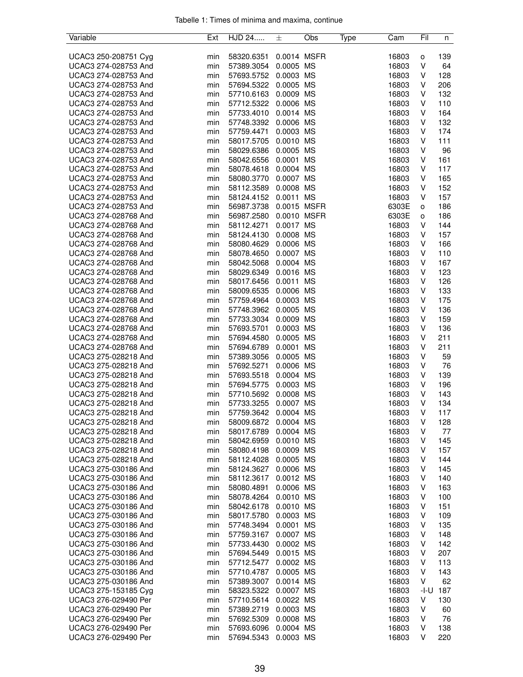| Variable             | Ext | HJD 24     | 士           | Obs | Type | Cam   | Fil  | n   |
|----------------------|-----|------------|-------------|-----|------|-------|------|-----|
|                      |     |            |             |     |      |       |      |     |
| UCAC3 250-208751 Cyg | min | 58320.6351 | 0.0014 MSFR |     |      | 16803 | o    | 139 |
| UCAC3 274-028753 And | min | 57389.3054 | 0.0005 MS   |     |      | 16803 | V    | 64  |
| UCAC3 274-028753 And | min | 57693.5752 | 0.0003 MS   |     |      | 16803 | V    | 128 |
| UCAC3 274-028753 And | min | 57694.5322 | 0.0005 MS   |     |      | 16803 | V    | 206 |
| UCAC3 274-028753 And | min | 57710.6163 | 0.0009 MS   |     |      | 16803 | V    | 132 |
| UCAC3 274-028753 And | min | 57712.5322 | 0.0006 MS   |     |      | 16803 | V    | 110 |
| UCAC3 274-028753 And | min | 57733.4010 | 0.0014 MS   |     |      | 16803 | V    | 164 |
| UCAC3 274-028753 And | min | 57748.3392 | 0.0006 MS   |     |      | 16803 | V    | 132 |
| UCAC3 274-028753 And | min | 57759.4471 | 0.0003 MS   |     |      | 16803 | V    | 174 |
| UCAC3 274-028753 And | min | 58017.5705 | 0.0010 MS   |     |      | 16803 | V    | 111 |
| UCAC3 274-028753 And | min | 58029.6386 | 0.0005 MS   |     |      | 16803 | V    | 96  |
| UCAC3 274-028753 And | min | 58042.6556 | 0.0001 MS   |     |      | 16803 | V    | 161 |
| UCAC3 274-028753 And | min | 58078.4618 | 0.0004 MS   |     |      | 16803 | V    | 117 |
| UCAC3 274-028753 And | min | 58080.3770 | 0.0007 MS   |     |      | 16803 | V    | 165 |
| UCAC3 274-028753 And | min | 58112.3589 | 0.0008 MS   |     |      | 16803 | V    | 152 |
| UCAC3 274-028753 And | min | 58124.4152 | 0.0011 MS   |     |      | 16803 | V    | 157 |
| UCAC3 274-028753 And |     |            | 0.0015 MSFR |     |      | 6303E |      | 186 |
| UCAC3 274-028768 And | min | 56987.3738 |             |     |      |       | о    |     |
|                      | min | 56987.2580 | 0.0010 MSFR |     |      | 6303E | о    | 186 |
| UCAC3 274-028768 And | min | 58112.4271 | 0.0017 MS   |     |      | 16803 | V    | 144 |
| UCAC3 274-028768 And | min | 58124.4130 | 0.0008 MS   |     |      | 16803 | V    | 157 |
| UCAC3 274-028768 And | min | 58080.4629 | 0.0006 MS   |     |      | 16803 | V    | 166 |
| UCAC3 274-028768 And | min | 58078.4650 | 0.0007 MS   |     |      | 16803 | V    | 110 |
| UCAC3 274-028768 And | min | 58042.5068 | 0.0004 MS   |     |      | 16803 | V    | 167 |
| UCAC3 274-028768 And | min | 58029.6349 | 0.0016 MS   |     |      | 16803 | V    | 123 |
| UCAC3 274-028768 And | min | 58017.6456 | 0.0011 MS   |     |      | 16803 | V    | 126 |
| UCAC3 274-028768 And | min | 58009.6535 | 0.0006 MS   |     |      | 16803 | V    | 133 |
| UCAC3 274-028768 And | min | 57759.4964 | 0.0003 MS   |     |      | 16803 | V    | 175 |
| UCAC3 274-028768 And | min | 57748.3962 | 0.0005 MS   |     |      | 16803 | V    | 136 |
| UCAC3 274-028768 And | min | 57733.3034 | 0.0009 MS   |     |      | 16803 | V    | 159 |
| UCAC3 274-028768 And | min | 57693.5701 | 0.0003 MS   |     |      | 16803 | V    | 136 |
| UCAC3 274-028768 And | min | 57694.4580 | 0.0005 MS   |     |      | 16803 | V    | 211 |
| UCAC3 274-028768 And | min | 57694.6789 | 0.0001 MS   |     |      | 16803 | V    | 211 |
| UCAC3 275-028218 And | min | 57389.3056 | 0.0005 MS   |     |      | 16803 | V    | 59  |
| UCAC3 275-028218 And | min | 57692.5271 | 0.0006 MS   |     |      | 16803 | V    | 76  |
| UCAC3 275-028218 And | min | 57693.5518 | 0.0004 MS   |     |      | 16803 | V    | 139 |
| UCAC3 275-028218 And | min | 57694.5775 | 0.0003 MS   |     |      | 16803 | V    | 196 |
| UCAC3 275-028218 And | min | 57710.5692 | 0.0008 MS   |     |      | 16803 | V    | 143 |
| UCAC3 275-028218 And | min | 57733.3255 | 0.0007 MS   |     |      | 16803 | V    | 134 |
| UCAC3 275-028218 And | min | 57759.3642 | 0.0004 MS   |     |      | 16803 | V    | 117 |
| UCAC3 275-028218 And | min | 58009.6872 | 0.0004 MS   |     |      | 16803 | ٧    | 128 |
| UCAC3 275-028218 And | min | 58017.6789 | 0.0004 MS   |     |      | 16803 | V    | 77  |
| UCAC3 275-028218 And | min | 58042.6959 | 0.0010 MS   |     |      | 16803 | ٧    | 145 |
| UCAC3 275-028218 And | min | 58080.4198 | 0.0009 MS   |     |      | 16803 | V    | 157 |
| UCAC3 275-028218 And | min | 58112.4028 | 0.0005 MS   |     |      | 16803 | V    | 144 |
|                      |     |            |             |     |      |       |      |     |
| UCAC3 275-030186 And | min | 58124.3627 | 0.0006 MS   |     |      | 16803 | V    | 145 |
| UCAC3 275-030186 And | min | 58112.3617 | 0.0012 MS   |     |      | 16803 | V    | 140 |
| UCAC3 275-030186 And | min | 58080.4891 | 0.0006 MS   |     |      | 16803 | V    | 163 |
| UCAC3 275-030186 And | min | 58078.4264 | 0.0010 MS   |     |      | 16803 | V    | 100 |
| UCAC3 275-030186 And | min | 58042.6178 | 0.0010 MS   |     |      | 16803 | V    | 151 |
| UCAC3 275-030186 And | min | 58017.5780 | 0.0003 MS   |     |      | 16803 | V    | 109 |
| UCAC3 275-030186 And | min | 57748.3494 | 0.0001 MS   |     |      | 16803 | V    | 135 |
| UCAC3 275-030186 And | min | 57759.3167 | 0.0007 MS   |     |      | 16803 | V    | 148 |
| UCAC3 275-030186 And | min | 57733.4430 | 0.0002 MS   |     |      | 16803 | V    | 142 |
| UCAC3 275-030186 And | min | 57694.5449 | 0.0015 MS   |     |      | 16803 | V    | 207 |
| UCAC3 275-030186 And | min | 57712.5477 | 0.0002 MS   |     |      | 16803 | V    | 113 |
| UCAC3 275-030186 And | min | 57710.4787 | 0.0005 MS   |     |      | 16803 | V    | 143 |
| UCAC3 275-030186 And | min | 57389.3007 | 0.0014 MS   |     |      | 16803 | V    | 62  |
| UCAC3 275-153185 Cyg | min | 58323.5322 | 0.0007 MS   |     |      | 16803 | -I-U | 187 |
| UCAC3 276-029490 Per | min | 57710.5614 | 0.0022 MS   |     |      | 16803 | V    | 130 |
| UCAC3 276-029490 Per | min | 57389.2719 | 0.0003 MS   |     |      | 16803 | V    | 60  |
| UCAC3 276-029490 Per | min | 57692.5309 | 0.0008 MS   |     |      | 16803 | V    | 76  |
| UCAC3 276-029490 Per | min | 57693.6096 | 0.0004 MS   |     |      | 16803 | V    | 138 |
| UCAC3 276-029490 Per | min | 57694.5343 | 0.0003 MS   |     |      | 16803 | V    | 220 |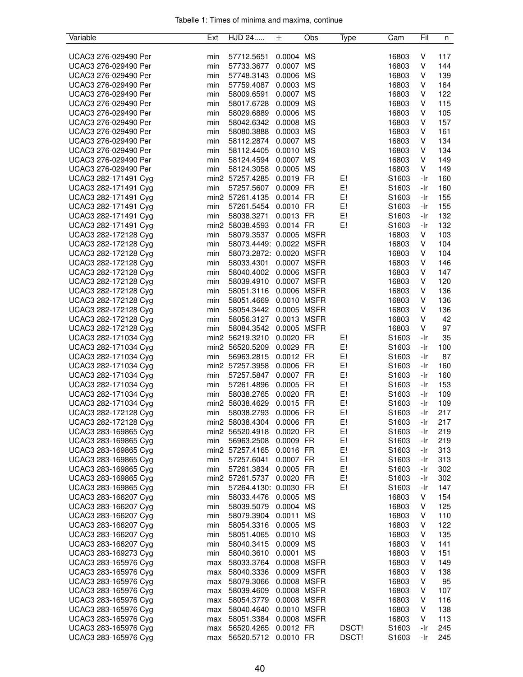| Variable             | Ext | HJD 24                   | 士           | Obs | Type  | Cam               | Fil | n   |
|----------------------|-----|--------------------------|-------------|-----|-------|-------------------|-----|-----|
|                      |     |                          |             |     |       |                   |     |     |
| UCAC3 276-029490 Per | min | 57712.5651               | 0.0004 MS   |     |       | 16803             | V   | 117 |
| UCAC3 276-029490 Per | min | 57733.3677               | 0.0007 MS   |     |       | 16803             | V   | 144 |
| UCAC3 276-029490 Per | min | 57748.3143               | 0.0006 MS   |     |       | 16803             | V   | 139 |
| UCAC3 276-029490 Per | min | 57759.4087               | 0.0003 MS   |     |       | 16803             | V   | 164 |
| UCAC3 276-029490 Per | min | 58009.6591               | 0.0007 MS   |     |       | 16803             | V   | 122 |
|                      |     |                          |             |     |       |                   |     |     |
| UCAC3 276-029490 Per | min | 58017.6728               | 0.0009 MS   |     |       | 16803             | V   | 115 |
| UCAC3 276-029490 Per | min | 58029.6889               | 0.0006 MS   |     |       | 16803             | V   | 105 |
| UCAC3 276-029490 Per | min | 58042.6342               | 0.0008 MS   |     |       | 16803             | V   | 157 |
| UCAC3 276-029490 Per | min | 58080.3888               | 0.0003 MS   |     |       | 16803             | V   | 161 |
| UCAC3 276-029490 Per | min | 58112.2874               | 0.0007 MS   |     |       | 16803             | V   | 134 |
| UCAC3 276-029490 Per | min | 58112.4405               | 0.0010 MS   |     |       | 16803             | V   | 134 |
| UCAC3 276-029490 Per | min | 58124.4594               | 0.0007 MS   |     |       | 16803             | V   | 149 |
| UCAC3 276-029490 Per | min | 58124.3058               | 0.0005 MS   |     |       | 16803             | V   | 149 |
| UCAC3 282-171491 Cyg |     | min2 57257.4285          | 0.0019 FR   |     | E!    | S1603             | -Ir | 160 |
| UCAC3 282-171491 Cyg | min | 57257.5607               | 0.0009 FR   |     | E!    | S1603             | -Ir | 160 |
| UCAC3 282-171491 Cyg |     | min2 57261.4135          | 0.0014 FR   |     | E!    | S <sub>1603</sub> | -Ir | 155 |
| UCAC3 282-171491 Cyg | min | 57261.5454 0.0010 FR     |             |     | E!    | S1603             | -Ir | 155 |
|                      |     |                          |             |     | E!    |                   |     | 132 |
| UCAC3 282-171491 Cyg | min | 58038.3271               | 0.0013 FR   |     |       | S <sub>1603</sub> | -Ir |     |
| UCAC3 282-171491 Cyg |     | min2 58038.4593          | 0.0014 FR   |     | E!    | S1603             | -Ir | 132 |
| UCAC3 282-172128 Cyg | min | 58079.3537 0.0005 MSFR   |             |     |       | 16803             | V   | 103 |
| UCAC3 282-172128 Cyg | min | 58073.4449: 0.0022 MSFR  |             |     |       | 16803             | V   | 104 |
| UCAC3 282-172128 Cyg | min | 58073.2872: 0.0020 MSFR  |             |     |       | 16803             | V   | 104 |
| UCAC3 282-172128 Cyg | min | 58033.4301               | 0.0007 MSFR |     |       | 16803             | V   | 146 |
| UCAC3 282-172128 Cyg | min | 58040.4002               | 0.0006 MSFR |     |       | 16803             | V   | 147 |
| UCAC3 282-172128 Cyg | min | 58039.4910               | 0.0007 MSFR |     |       | 16803             | V   | 120 |
| UCAC3 282-172128 Cyg | min | 58051.3116               | 0.0006 MSFR |     |       | 16803             | V   | 136 |
| UCAC3 282-172128 Cyg | min | 58051.4669  0.0010  MSFR |             |     |       | 16803             | V   | 136 |
| UCAC3 282-172128 Cyg | min | 58054.3442 0.0005 MSFR   |             |     |       | 16803             | V   | 136 |
|                      |     | 58056.3127 0.0013 MSFR   |             |     |       |                   |     |     |
| UCAC3 282-172128 Cyg | min |                          |             |     |       | 16803             | V   | 42  |
| UCAC3 282-172128 Cyg | min | 58084.3542               | 0.0005 MSFR |     |       | 16803             | V   | 97  |
| UCAC3 282-171034 Cyg |     | min2 56219.3210          | 0.0020 FR   |     | E!    | S1603             | -Ir | 35  |
| UCAC3 282-171034 Cyg |     | min2 56520.5209          | 0.0029 FR   |     | E!    | S1603             | -Ir | 100 |
| UCAC3 282-171034 Cyg | min | 56963.2815               | 0.0012 FR   |     | E!    | S1603             | -Ir | 87  |
| UCAC3 282-171034 Cyg |     | min2 57257.3958          | 0.0006 FR   |     | E!    | S1603             | -Ir | 160 |
| UCAC3 282-171034 Cyg | min | 57257.5847               | 0.0007 FR   |     | E!    | S1603             | -Ir | 160 |
| UCAC3 282-171034 Cyg | min | 57261.4896               | 0.0005 FR   |     | E!    | S1603             | -Ir | 153 |
| UCAC3 282-171034 Cyg | min | 58038.2765               | 0.0020 FR   |     | E!    | S1603             | -Ir | 109 |
| UCAC3 282-171034 Cyg |     | min2 58038.4629          | 0.0015 FR   |     | E!    | S1603             | -Ir | 109 |
| UCAC3 282-172128 Cyg | min | 58038.2793               | 0.0006 FR   |     | E!    | S1603             | -Ir | 217 |
| UCAC3 282-172128 Cyg |     | min2 58038.4304          | 0.0006 FR   |     | E!    | S1603             | -Ir | 217 |
| UCAC3 283-169865 Cyg |     | min2 56520.4918          | 0.0020 FR   |     | E!    | S1603             | -Ir | 219 |
| UCAC3 283-169865 Cyg |     |                          | 0.0009 FR   |     |       |                   |     |     |
|                      | min | 56963.2508               |             |     | E!    | S1603             | -Ir | 219 |
| UCAC3 283-169865 Cyg |     | min2 57257.4165          | 0.0016 FR   |     | E!    | S1603             | -Ir | 313 |
| UCAC3 283-169865 Cyg | min | 57257.6041               | 0.0007 FR   |     | E!    | S1603             | -Ir | 313 |
| UCAC3 283-169865 Cyg | min | 57261.3834               | 0.0005 FR   |     | E!    | S1603             | -Ir | 302 |
| UCAC3 283-169865 Cyg |     | min2 57261.5737          | 0.0020 FR   |     | E!    | S1603             | -Ir | 302 |
| UCAC3 283-169865 Cyg | min | 57264.4130: 0.0030 FR    |             |     | E!    | S <sub>1603</sub> | -Ir | 147 |
| UCAC3 283-166207 Cyg | min | 58033.4476               | 0.0005 MS   |     |       | 16803             | V   | 154 |
| UCAC3 283-166207 Cyg | min | 58039.5079               | 0.0004 MS   |     |       | 16803             | V   | 125 |
| UCAC3 283-166207 Cyg | min | 58079.3904               | 0.0011 MS   |     |       | 16803             | V   | 110 |
| UCAC3 283-166207 Cyg | min | 58054.3316               | 0.0005 MS   |     |       | 16803             | V   | 122 |
| UCAC3 283-166207 Cyg | min | 58051.4065               | 0.0010 MS   |     |       | 16803             | V   | 135 |
| UCAC3 283-166207 Cyg | min | 58040.3415               | 0.0009 MS   |     |       | 16803             | V   | 141 |
|                      |     |                          |             |     |       |                   | V   |     |
| UCAC3 283-169273 Cyg | min | 58040.3610               | 0.0001 MS   |     |       | 16803             |     | 151 |
| UCAC3 283-165976 Cyg | max | 58033.3764               | 0.0008 MSFR |     |       | 16803             | V   | 149 |
| UCAC3 283-165976 Cyg | max | 58040.3336               | 0.0009 MSFR |     |       | 16803             | V   | 138 |
| UCAC3 283-165976 Cyg | max | 58079.3066               | 0.0008 MSFR |     |       | 16803             | V   | 95  |
| UCAC3 283-165976 Cyg | max | 58039.4609               | 0.0008 MSFR |     |       | 16803             | V   | 107 |
| UCAC3 283-165976 Cyg | max | 58054.3779               | 0.0008 MSFR |     |       | 16803             | V   | 116 |
| UCAC3 283-165976 Cyg | max | 58040.4640               | 0.0010 MSFR |     |       | 16803             | V   | 138 |
| UCAC3 283-165976 Cyg | max | 58051.3384               | 0.0008 MSFR |     |       | 16803             | V   | 113 |
| UCAC3 283-165976 Cyg | max | 56520.4265               | 0.0012 FR   |     | DSCT! | S1603             | -Ir | 245 |
| UCAC3 283-165976 Cyg | max | 56520.5712               | 0.0010 FR   |     | DSCT! | S1603             | -Ir | 245 |
|                      |     |                          |             |     |       |                   |     |     |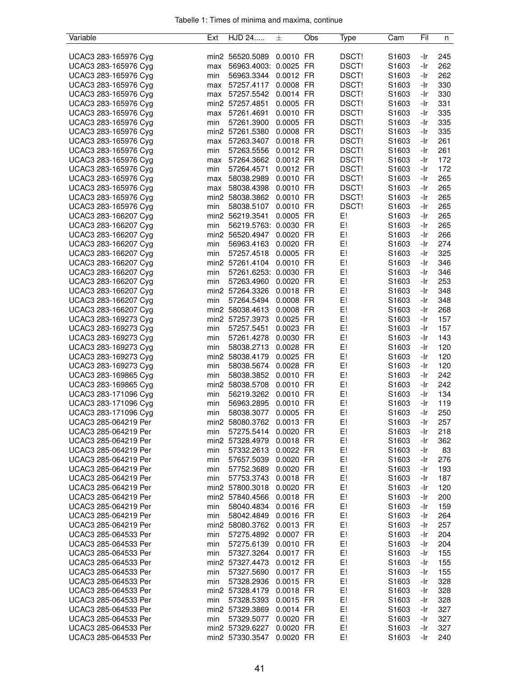| Tabelle 1: Times of minima and maxima, continue |  |  |  |  |  |
|-------------------------------------------------|--|--|--|--|--|
|-------------------------------------------------|--|--|--|--|--|

| Variable             | Ext | HJD 24                | 士         | Obs | Type  | Cam               | Fil        | n   |
|----------------------|-----|-----------------------|-----------|-----|-------|-------------------|------------|-----|
|                      |     |                       |           |     |       |                   |            |     |
| UCAC3 283-165976 Cyg |     | min2 56520.5089       | 0.0010 FR |     | DSCT! | S1603             | -Ir        | 245 |
| UCAC3 283-165976 Cyg | max | 56963.4003: 0.0025 FR |           |     | DSCT! | S1603             | -Ir        | 262 |
| UCAC3 283-165976 Cyg | min | 56963.3344            | 0.0012 FR |     | DSCT! | S1603             | -Ir        | 262 |
| UCAC3 283-165976 Cyg | max | 57257.4117            | 0.0008 FR |     | DSCT! | S1603             | -Ir        | 330 |
| UCAC3 283-165976 Cyg | max | 57257.5542            | 0.0014 FR |     | DSCT! | S1603             | -Ir        | 330 |
| UCAC3 283-165976 Cyg |     | min2 57257.4851       | 0.0005 FR |     | DSCT! | S1603             | -Ir        | 331 |
| UCAC3 283-165976 Cyg | max | 57261.4691            | 0.0010 FR |     | DSCT! | S1603             | -Ir        | 335 |
| UCAC3 283-165976 Cyg | min | 57261.3900            | 0.0005 FR |     | DSCT! | S1603             | -Ir        | 335 |
| UCAC3 283-165976 Cyg |     | min2 57261.5380       | 0.0008 FR |     | DSCT! | S1603             | -Ir        | 335 |
| UCAC3 283-165976 Cyg | max | 57263.3407            | 0.0018 FR |     | DSCT! | S1603             | -Ir        | 261 |
| UCAC3 283-165976 Cyg | min | 57263.5556            | 0.0012 FR |     | DSCT! | S1603             | -Ir        | 261 |
| UCAC3 283-165976 Cyg | max | 57264.3662            | 0.0012 FR |     | DSCT! | S1603             | -Ir        | 172 |
| UCAC3 283-165976 Cyg | min | 57264.4571            | 0.0012 FR |     | DSCT! | S1603             | -Ir        | 172 |
| UCAC3 283-165976 Cyg |     |                       | 0.0010 FR |     | DSCT! | S1603             | -Ir        | 265 |
|                      | max | 58038.2989            |           |     |       |                   |            |     |
| UCAC3 283-165976 Cyg | max | 58038.4398            | 0.0010 FR |     | DSCT! | S1603             | -Ir        | 265 |
| UCAC3 283-165976 Cyg |     | min2 58038.3862       | 0.0010 FR |     | DSCT! | S1603             | -Ir        | 265 |
| UCAC3 283-165976 Cyg | min | 58038.5107            | 0.0010 FR |     | DSCT! | S1603             | -Ir        | 265 |
| UCAC3 283-166207 Cyg |     | min2 56219.3541       | 0.0005 FR |     | E!    | S1603             | -Ir        | 265 |
| UCAC3 283-166207 Cyg | min | 56219.5763: 0.0030 FR |           |     | E!    | S <sub>1603</sub> | -Ir        | 265 |
| UCAC3 283-166207 Cyg |     | min2 56520.4947       | 0.0020 FR |     | E!    | S1603             | -Ir        | 266 |
| UCAC3 283-166207 Cyg | min | 56963.4163            | 0.0020 FR |     | E!    | S1603             | -Ir        | 274 |
| UCAC3 283-166207 Cyg | min | 57257.4518            | 0.0005 FR |     | E!    | S1603             | -Ir        | 325 |
| UCAC3 283-166207 Cyg |     | min2 57261.4104       | 0.0010    | FR  | E!    | S1603             | -Ir        | 346 |
| UCAC3 283-166207 Cyg | min | 57261.6253: 0.0030 FR |           |     | E!    | S1603             | -Ir        | 346 |
| UCAC3 283-166207 Cyg | min | 57263.4960            | 0.0020 FR |     | E!    | S1603             | -Ir        | 253 |
| UCAC3 283-166207 Cyg |     | min2 57264.3326       | 0.0018 FR |     | E!    | S1603             | -Ir        | 348 |
| UCAC3 283-166207 Cyg | min | 57264.5494            | 0.0008 FR |     | E!    | S1603             | -Ir        | 348 |
| UCAC3 283-166207 Cyg |     | min2 58038.4613       | 0.0008 FR |     | E!    | S1603             | -Ir        | 268 |
| UCAC3 283-169273 Cyg |     | min2 57257.3973       | 0.0025 FR |     | E!    | S1603             | -Ir        | 157 |
|                      |     |                       | 0.0023 FR |     | E!    |                   |            | 157 |
| UCAC3 283-169273 Cyg | min | 57257.5451            | 0.0030 FR |     | E!    | S1603             | -Ir<br>-Ir | 143 |
| UCAC3 283-169273 Cyg | min | 57261.4278            |           |     |       | S1603             |            |     |
| UCAC3 283-169273 Cyg | min | 58038.2713            | 0.0028 FR |     | E!    | S1603             | -Ir        | 120 |
| UCAC3 283-169273 Cyg |     | min2 58038.4179       | 0.0025 FR |     | E!    | S1603             | -Ir        | 120 |
| UCAC3 283-169273 Cyg | min | 58038.5674            | 0.0028 FR |     | E!    | S1603             | -Ir        | 120 |
| UCAC3 283-169865 Cyg | min | 58038.3852            | 0.0010 FR |     | E!    | S1603             | -Ir        | 242 |
| UCAC3 283-169865 Cyg |     | min2 58038.5708       | 0.0010 FR |     | E!    | S1603             | -Ir        | 242 |
| UCAC3 283-171096 Cyg | min | 56219.3262            | 0.0010 FR |     | E!    | S1603             | -Ir        | 134 |
| UCAC3 283-171096 Cyg | min | 56963.2895            | 0.0010 FR |     | E!    | S1603             | -Ir        | 119 |
| UCAC3 283-171096 Cyg | min | 58038.3077            | 0.0005 FR |     | E!    | S1603             | -Ir        | 250 |
| UCAC3 285-064219 Per |     | min2 58080.3762       | 0.0013 FR |     | E!    | S1603             | -Ir        | 257 |
| UCAC3 285-064219 Per | min | 57275.5414            | 0.0020 FR |     | E!    | S1603             | -Ir        | 218 |
| UCAC3 285-064219 Per |     | min2 57328.4979       | 0.0018 FR |     | E!    | S1603             | -Ir        | 362 |
| UCAC3 285-064219 Per | min | 57332.2613            | 0.0022 FR |     | E!    | S1603             | -Ir        | 83  |
| UCAC3 285-064219 Per | min | 57657.5039            | 0.0020 FR |     | E!    | S1603             | -Ir        | 276 |
| UCAC3 285-064219 Per | min | 57752.3689            | 0.0020 FR |     | E!    | S1603             | -Ir        | 193 |
| UCAC3 285-064219 Per | min | 57753.3743            | 0.0018 FR |     | E!    | S1603             | -Ir        | 187 |
| UCAC3 285-064219 Per |     | min2 57800.3018       | 0.0020 FR |     | E!    | S1603             | -Ir        | 120 |
| UCAC3 285-064219 Per |     | min2 57840.4566       | 0.0018 FR |     | E!    | S1603             | -Ir        | 200 |
| UCAC3 285-064219 Per | min | 58040.4834            | 0.0016 FR |     | E!    | S1603             | -Ir        | 159 |
| UCAC3 285-064219 Per | min | 58042.4849            | 0.0016 FR |     | E!    | S1603             | -Ir        | 264 |
| UCAC3 285-064219 Per |     | min2 58080.3762       | 0.0013 FR |     | E!    | S1603             | -Ir        | 257 |
| UCAC3 285-064533 Per | min | 57275.4892            | 0.0007 FR |     | E!    | S1603             | -Ir        | 204 |
|                      |     |                       |           |     | E!    |                   |            | 204 |
| UCAC3 285-064533 Per | min | 57275.6139            | 0.0010 FR |     |       | S1603             | -Ir        |     |
| UCAC3 285-064533 Per | min | 57327.3264            | 0.0017 FR |     | E!    | S1603             | -Ir        | 155 |
| UCAC3 285-064533 Per |     | min2 57327.4473       | 0.0012 FR |     | E!    | S1603             | -Ir        | 155 |
| UCAC3 285-064533 Per | min | 57327.5690            | 0.0017 FR |     | E!    | S1603             | -Ir        | 155 |
| UCAC3 285-064533 Per | min | 57328.2936            | 0.0015 FR |     | E!    | S1603             | -Ir        | 328 |
| UCAC3 285-064533 Per |     | min2 57328.4179       | 0.0018 FR |     | E!    | S1603             | -Ir        | 328 |
| UCAC3 285-064533 Per | min | 57328.5393            | 0.0015 FR |     | E!    | S1603             | -Ir        | 328 |
| UCAC3 285-064533 Per |     | min2 57329.3869       | 0.0014 FR |     | E!    | S1603             | -Ir        | 327 |
| UCAC3 285-064533 Per | min | 57329.5077            | 0.0020 FR |     | E!    | S1603             | -Ir        | 327 |
| UCAC3 285-064533 Per |     | min2 57329.6227       | 0.0020 FR |     | E!    | S1603             | -Ir        | 327 |
| UCAC3 285-064533 Per |     | min2 57330.3547       | 0.0020 FR |     | E!    | S1603             | -Ir        | 240 |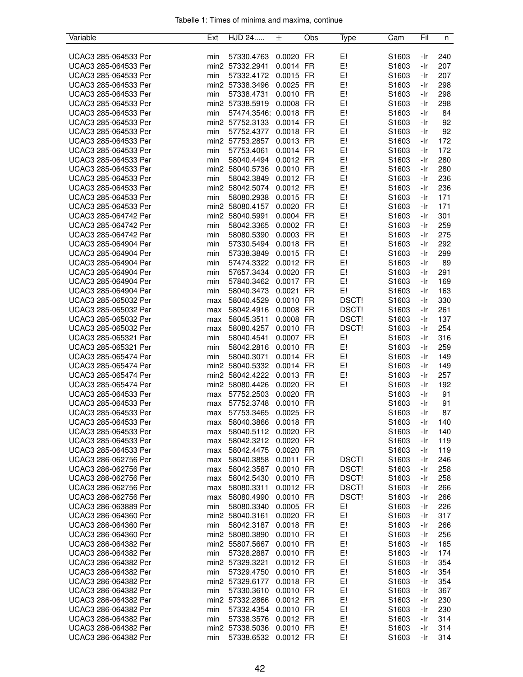| Variable                                     | Ext        | HJD 24                   | 士                      | Obs | Type     | Cam               | Fil        | n          |
|----------------------------------------------|------------|--------------------------|------------------------|-----|----------|-------------------|------------|------------|
|                                              |            |                          |                        |     |          |                   |            |            |
| UCAC3 285-064533 Per                         | min        | 57330.4763               | 0.0020 FR              |     | E!       | S1603             | -Ir        | 240        |
| UCAC3 285-064533 Per                         |            | min2 57332.2941          | 0.0014 FR              |     | E!       | S1603             | -Ir        | 207        |
| UCAC3 285-064533 Per                         | min        | 57332.4172               | 0.0015 FR              |     | E!       | S1603             | -Ir        | 207        |
| UCAC3 285-064533 Per                         |            | min2 57338.3496          | 0.0025 FR              |     | E!       | S <sub>1603</sub> | -Ir        | 298        |
| UCAC3 285-064533 Per                         | min        | 57338.4731               | 0.0010 FR              |     | E!       | S1603             | -Ir        | 298        |
| UCAC3 285-064533 Per                         |            | min2 57338.5919          | 0.0008 FR              |     | E!       | S <sub>1603</sub> | -Ir        | 298        |
| UCAC3 285-064533 Per                         | min        | 57474.3546: 0.0018 FR    |                        |     | E!       | S <sub>1603</sub> | -Ir        | 84         |
| UCAC3 285-064533 Per                         |            | min2 57752.3133          | 0.0014 FR              |     | E!       | S1603             | -Ir        | 92         |
| UCAC3 285-064533 Per                         | min        | 57752.4377               | 0.0018 FR              |     | E!       | S1603             | -Ir        | 92         |
| UCAC3 285-064533 Per                         |            | min2 57753.2857          | 0.0013 FR              |     | E!       | S1603             | -Ir        | 172        |
| UCAC3 285-064533 Per                         | min        | 57753.4061               | 0.0014 FR              |     | E!       | S1603             | -Ir        | 172        |
| UCAC3 285-064533 Per                         | min        | 58040.4494               | 0.0012 FR              |     | E!       | S1603             | -Ir        | 280        |
| UCAC3 285-064533 Per                         |            | min2 58040.5736          | 0.0010 FR              |     | E!       | S1603             | -Ir        | 280        |
| UCAC3 285-064533 Per                         | min        | 58042.3849               | 0.0012 FR              |     | E!       | S1603             | -Ir        | 236        |
| UCAC3 285-064533 Per                         |            | min2 58042.5074          | 0.0012 FR              |     | E!       | S <sub>1603</sub> | -Ir        | 236        |
| UCAC3 285-064533 Per                         | min        | 58080.2938               | 0.0015 FR              |     | E!       | S1603             | -Ir        | 171        |
| UCAC3 285-064533 Per                         |            | min2 58080.4157          | 0.0020 FR              |     | E!       | S <sub>1603</sub> | -Ir        | 171        |
| UCAC3 285-064742 Per                         |            | min2 58040.5991          | 0.0004 FR              |     | E!       | S <sub>1603</sub> | -Ir        | 301        |
| UCAC3 285-064742 Per                         | min        | 58042.3365               | 0.0002 FR              |     | E!       | S1603             | -Ir        | 259        |
| UCAC3 285-064742 Per                         | min        | 58080.5390               | 0.0003 FR              |     | E!<br>E! | S1603             | -Ir<br>-Ir | 275        |
| UCAC3 285-064904 Per                         | min        | 57330.5494               | 0.0018 FR<br>0.0015 FR |     |          | S1603             |            | 292        |
| UCAC3 285-064904 Per                         | min        | 57338.3849               |                        |     | E!       | S1603             | -Ir        | 299        |
| UCAC3 285-064904 Per                         | min        | 57474.3322               | 0.0012 FR              |     | E!       | S1603<br>S1603    | -Ir        | 89         |
| UCAC3 285-064904 Per<br>UCAC3 285-064904 Per | min        | 57657.3434               | 0.0020 FR              |     | E!<br>E! |                   | -Ir        | 291        |
| UCAC3 285-064904 Per                         | min        | 57840.3462<br>58040.3473 | 0.0017 FR<br>0.0021 FR |     | E!       | S1603<br>S1603    | -Ir<br>-Ir | 169<br>163 |
| UCAC3 285-065032 Per                         | min<br>max | 58040.4529               | 0.0010 FR              |     | DSCT!    | S <sub>1603</sub> | -Ir        | 330        |
| UCAC3 285-065032 Per                         | max        | 58042.4916               | 0.0008 FR              |     | DSCT!    | S <sub>1603</sub> | -Ir        | 261        |
| UCAC3 285-065032 Per                         | max        | 58045.3511               | 0.0008 FR              |     | DSCT!    | S <sub>1603</sub> | -Ir        | 137        |
| UCAC3 285-065032 Per                         | max        | 58080.4257               | 0.0010 FR              |     | DSCT!    | S <sub>1603</sub> | -Ir        | 254        |
| UCAC3 285-065321 Per                         | min        | 58040.4541               | 0.0007 FR              |     | E!       | S1603             | -Ir        | 316        |
| UCAC3 285-065321 Per                         | min        | 58042.2816               | 0.0010 FR              |     | E!       | S1603             | -Ir        | 259        |
| UCAC3 285-065474 Per                         | min        | 58040.3071               | 0.0014 FR              |     | E!       | S1603             | -Ir        | 149        |
| UCAC3 285-065474 Per                         |            | min2 58040.5332          | 0.0014 FR              |     | E!       | S1603             | -Ir        | 149        |
| UCAC3 285-065474 Per                         |            | min2 58042.4222          | 0.0013 FR              |     | E!       | S <sub>1603</sub> | -Ir        | 257        |
| UCAC3 285-065474 Per                         |            | min2 58080.4426          | 0.0020 FR              |     | E!       | S1603             | -Ir        | 192        |
| UCAC3 285-064533 Per                         | max        | 57752.2503               | 0.0020 FR              |     |          | S1603             | -Ir        | 91         |
| UCAC3 285-064533 Per                         | max        | 57752.3748               | 0.0010 FR              |     |          | S1603             | -Ir        | 91         |
| UCAC3 285-064533 Per                         | max        | 57753.3465               | 0.0025 FR              |     |          | S1603             | -Ir        | 87         |
| UCAC3 285-064533 Per                         | max        | 58040.3866               | $0.0018$ FR            |     |          | S1603             | -Ir        | 140        |
| UCAC3 285-064533 Per                         | max        | 58040.5112               | 0.0020 FR              |     |          | S1603             | -Ir        | 140        |
| UCAC3 285-064533 Per                         | max        | 58042.3212               | 0.0020 FR              |     |          | S1603             | -Ir        | 119        |
| UCAC3 285-064533 Per                         | max        | 58042.4475               | 0.0020 FR              |     |          | S1603             | -Ir        | 119        |
| UCAC3 286-062756 Per                         | max        | 58040.3858               | 0.0011 FR              |     | DSCT!    | S1603             | -Ir        | 246        |
| UCAC3 286-062756 Per                         | max        | 58042.3587               | 0.0010 FR              |     | DSCT!    | S <sub>1603</sub> | -Ir        | 258        |
| UCAC3 286-062756 Per                         | max        | 58042.5430               | 0.0010 FR              |     | DSCT!    | S <sub>1603</sub> | -Ir        | 258        |
| UCAC3 286-062756 Per                         | max        | 58080.3311               | 0.0012 FR              |     | DSCT!    | S1603             | -Ir        | 266        |
| UCAC3 286-062756 Per                         | max        | 58080.4990               | 0.0010 FR              |     | DSCT!    | S1603             | -Ir        | 266        |
| UCAC3 286-063889 Per                         | min        | 58080.3340               | 0.0005 FR              |     | E!       | S1603             | -Ir        | 226        |
| UCAC3 286-064360 Per                         |            | min2 58040.3161          | 0.0020 FR              |     | E!       | S1603             | -Ir        | 317        |
| UCAC3 286-064360 Per                         | min        | 58042.3187               | 0.0018 FR              |     | E!       | S1603             | -Ir        | 266        |
| UCAC3 286-064360 Per                         |            | min2 58080.3890          | 0.0010 FR              |     | E!       | S1603             | -Ir        | 256        |
| UCAC3 286-064382 Per                         |            | min2 55807.5667          | 0.0010 FR              |     | E!       | S1603             | -Ir        | 165        |
| UCAC3 286-064382 Per                         | min        | 57328.2887               | 0.0010 FR              |     | E!       | S1603             | -Ir        | 174        |
| UCAC3 286-064382 Per                         |            | min2 57329.3221          | 0.0012 FR              |     | E!       | S1603             | -Ir        | 354        |
| UCAC3 286-064382 Per                         | min        | 57329.4750               | 0.0010 FR              |     | E!       | S <sub>1603</sub> | -Ir        | 354        |
| UCAC3 286-064382 Per                         |            | min2 57329.6177          | 0.0018 FR              |     | E!       | S1603             | -Ir        | 354        |
| UCAC3 286-064382 Per                         | min        | 57330.3610               | 0.0010 FR              |     | E!       | S1603             | -Ir        | 367        |
| UCAC3 286-064382 Per                         |            | min2 57332.2866          | 0.0012 FR              |     | E!       | S1603             | -Ir        | 230        |
| UCAC3 286-064382 Per                         | min        | 57332.4354               | 0.0010 FR              |     | E!       | S1603             | -Ir        | 230        |
| UCAC3 286-064382 Per                         | min        | 57338.3576               | 0.0012 FR              |     | E!       | S1603             | -Ir        | 314        |
| UCAC3 286-064382 Per                         |            | min2 57338.5036          | 0.0010 FR              |     | E!       | S1603             | -Ir        | 314        |
| UCAC3 286-064382 Per                         | min        | 57338.6532               | 0.0012 FR              |     | E!       | S1603             | -Ir        | 314        |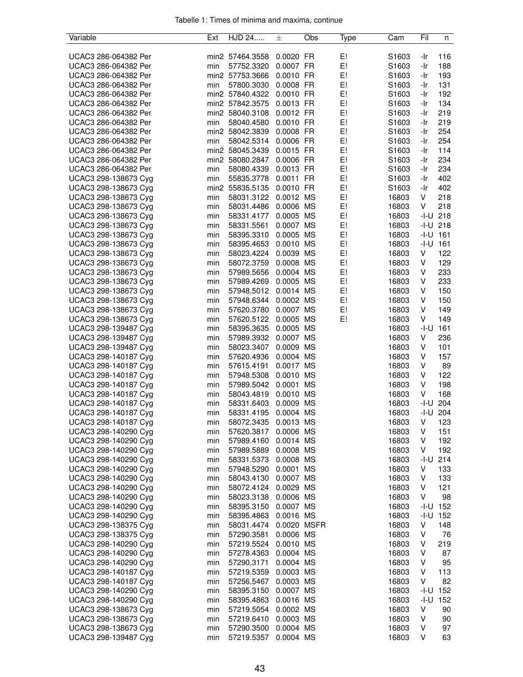| Variable             | Ext | HJD 24          | 士           | Obs | Type | Cam               | Fil          | n                  |
|----------------------|-----|-----------------|-------------|-----|------|-------------------|--------------|--------------------|
|                      |     |                 |             |     |      |                   |              |                    |
| UCAC3 286-064382 Per |     | min2 57464.3558 | 0.0020 FR   |     | E!   | S1603             | -Ir          | 116                |
| UCAC3 286-064382 Per | min | 57752.3320      | 0.0007 FR   |     | E!   | S1603             | -Ir          | 188                |
| UCAC3 286-064382 Per |     | min2 57753.3666 | 0.0010 FR   |     | E!   | S1603             | -Ir          | 193                |
| UCAC3 286-064382 Per | min | 57800.3030      | 0.0008 FR   |     | E!   | S1603             | -Ir          | 131                |
| UCAC3 286-064382 Per |     | min2 57840.4322 | 0.0010 FR   |     | E!   | S1603             | -Ir          | 192                |
| UCAC3 286-064382 Per |     | min2 57842.3575 | 0.0013 FR   |     | E!   | S1603             | -Ir          | 134                |
| UCAC3 286-064382 Per |     | min2 58040.3108 | 0.0012 FR   |     | E!   | S <sub>1603</sub> | -Ir          | 219                |
| UCAC3 286-064382 Per | min | 58040.4580      | 0.0010 FR   |     | E!   | S1603             | -Ir          | 219                |
| UCAC3 286-064382 Per |     | min2 58042.3839 | 0.0008 FR   |     | E!   | S1603             | -Ir          | 254                |
| UCAC3 286-064382 Per | min | 58042.5314      | 0.0006 FR   |     | E!   | S1603             | -Ir          | 254                |
| UCAC3 286-064382 Per |     | min2 58045.3439 | 0.0015 FR   |     | E!   | S1603             | -Ir          | 114                |
| UCAC3 286-064382 Per |     | min2 58080.2847 | 0.0006 FR   |     | E!   | S1603             | -Ir          | 234                |
| UCAC3 286-064382 Per | min | 58080.4339      | 0.0013 FR   |     | E!   | S1603             | -Ir          | 234                |
| UCAC3 298-138673 Cyg | min | 55835.3778      | 0.0011 FR   |     | E!   | S1603             | -Ir          | 402                |
| UCAC3 298-138673 Cyg |     | min2 55835.5135 | 0.0010 FR   |     | E!   | S <sub>1603</sub> | -Ir          | 402                |
| UCAC3 298-138673 Cyg | min | 58031.3122      | 0.0012 MS   |     | E!   | 16803             | V            | 218                |
| UCAC3 298-138673 Cyg | min | 58031.4486      | 0.0006 MS   |     | E!   | 16803             | V            | 218                |
| UCAC3 298-138673 Cyg | min | 58331.4177      | 0.0005 MS   |     | E!   | 16803             | $-1 - U$ 218 |                    |
| UCAC3 298-138673 Cyg |     | 58331.5561      | 0.0007 MS   |     | E!   | 16803             | $-1 - U$ 218 |                    |
|                      | min |                 |             |     |      |                   |              |                    |
| UCAC3 298-138673 Cyg | min | 58395.3310      | 0.0005 MS   |     | E!   | 16803             | $-I-U$       | 161                |
| UCAC3 298-138673 Cyg | min | 58395.4653      | 0.0010 MS   |     | E!   | 16803             | -I-U         | 161                |
| UCAC3 298-138673 Cyg | min | 58023.4224      | 0.0039 MS   |     | E!   | 16803             | V            | 122                |
| UCAC3 298-138673 Cyg | min | 58072.3759      | 0.0008 MS   |     | E!   | 16803             | V            | 129                |
| UCAC3 298-138673 Cyg | min | 57989.5656      | 0.0004 MS   |     | E!   | 16803             | V            | 233                |
| UCAC3 298-138673 Cyg | min | 57989.4269      | 0.0005 MS   |     | E!   | 16803             | V            | 233                |
| UCAC3 298-138673 Cyg | min | 57948.5012      | 0.0014 MS   |     | E!   | 16803             | V            | 150                |
| UCAC3 298-138673 Cyg | min | 57948.6344      | 0.0002 MS   |     | E!   | 16803             | V            | 150                |
| UCAC3 298-138673 Cyg | min | 57620.3780      | 0.0007 MS   |     | E!   | 16803             | V            | 149                |
| UCAC3 298-138673 Cyg | min | 57620.5122      | 0.0005 MS   |     | E!   | 16803             | V            | 149                |
| UCAC3 298-139487 Cyg | min | 58395.3635      | 0.0005 MS   |     |      | 16803             | -I-U         | 161                |
| UCAC3 298-139487 Cyg | min | 57989.3932      | 0.0007 MS   |     |      | 16803             | V            | 236                |
| UCAC3 298-139487 Cyg | min | 58023.3407      | 0.0009 MS   |     |      | 16803             | V            | 101                |
| UCAC3 298-140187 Cyg | min | 57620.4936      | 0.0004 MS   |     |      | 16803             | V            | 157                |
| UCAC3 298-140187 Cyg | min | 57615.4191      | 0.0017 MS   |     |      | 16803             | V            | 89                 |
| UCAC3 298-140187 Cyg | min | 57948.5308      | 0.0010 MS   |     |      | 16803             | V            | 122                |
| UCAC3 298-140187 Cyg | min | 57989.5042      | 0.0001 MS   |     |      | 16803             | V            | 198                |
| UCAC3 298-140187 Cyg | min | 58043.4819      | 0.0010 MS   |     |      | 16803             | V            | 168                |
| UCAC3 298-140187 Cyg | min | 58331.6403      | 0.0009 MS   |     |      | 16803             | $-I-U$       | 204                |
| UCAC3 298-140187 Cyg | min | 58331.4195      | 0.0004 MS   |     |      | 16803             |              | $-1 - U$ 204       |
| UCAC3 298-140187 Cyg | min | 58072.3435      | 0.0013 MS   |     |      | 16803             | V            | 123                |
| UCAC3 298-140290 Cyg | min | 57620.3817      | 0.0006 MS   |     |      | 16803             | V            | 151                |
| UCAC3 298-140290 Cyg | min | 57989.4160      | 0.0014 MS   |     |      | 16803             | V            | 192                |
| UCAC3 298-140290 Cyg | min | 57989.5889      | 0.0008 MS   |     |      | 16803             | V            | 192                |
| UCAC3 298-140290 Cyg | min | 58331.5373      | 0.0008 MS   |     |      | 16803             | -I-U         | 214                |
| UCAC3 298-140290 Cyg | min | 57948.5290      | 0.0001 MS   |     |      | 16803             | V            | 133                |
| UCAC3 298-140290 Cyg | min | 58043.4130      | 0.0007 MS   |     |      | 16803             | V            | 133                |
| UCAC3 298-140290 Cyg | min | 58072.4124      | 0.0029 MS   |     |      | 16803             | V            | 121                |
|                      |     | 58023.3138      | 0.0006 MS   |     |      |                   | V            |                    |
| UCAC3 298-140290 Cyg | min |                 | 0.0007 MS   |     |      | 16803             |              | 98<br>$-1 - U$ 152 |
| UCAC3 298-140290 Cyg | min | 58395.3150      |             |     |      | 16803             |              |                    |
| UCAC3 298-140290 Cyg | min | 58395.4863      | 0.0016 MS   |     |      | 16803             | -I-U         | 152                |
| UCAC3 298-138375 Cyg | min | 58031.4474      | 0.0020 MSFR |     |      | 16803             | V            | 148                |
| UCAC3 298-138375 Cyg | min | 57290.3581      | 0.0006 MS   |     |      | 16803             | V            | 76                 |
| UCAC3 298-140290 Cyg | min | 57219.5524      | 0.0010 MS   |     |      | 16803             | V            | 219                |
| UCAC3 298-140290 Cyg | min | 57278.4363      | 0.0004 MS   |     |      | 16803             | V            | 87                 |
| UCAC3 298-140290 Cyg | min | 57290.3171      | 0.0004 MS   |     |      | 16803             | V            | 95                 |
| UCAC3 298-140187 Cyg | min | 57219.5359      | 0.0003 MS   |     |      | 16803             | V            | 113                |
| UCAC3 298-140187 Cyg | min | 57256.5467      | 0.0003 MS   |     |      | 16803             | V            | 82                 |
| UCAC3 298-140290 Cyg | min | 58395.3150      | 0.0007 MS   |     |      | 16803             |              | $-1 - U$ 152       |
| UCAC3 298-140290 Cyg | min | 58395.4863      | 0.0016 MS   |     |      | 16803             | -I-U         | 152                |
| UCAC3 298-138673 Cyg | min | 57219.5054      | 0.0002 MS   |     |      | 16803             | V            | 90                 |
| UCAC3 298-138673 Cyg | min | 57219.6410      | 0.0003 MS   |     |      | 16803             | V            | 90                 |
| UCAC3 298-138673 Cyg | min | 57290.3500      | 0.0004 MS   |     |      | 16803             | V            | 97                 |
| UCAC3 298-139487 Cyg | min | 57219.5357      | 0.0004 MS   |     |      | 16803             | V            | 63                 |
|                      |     |                 |             |     |      |                   |              |                    |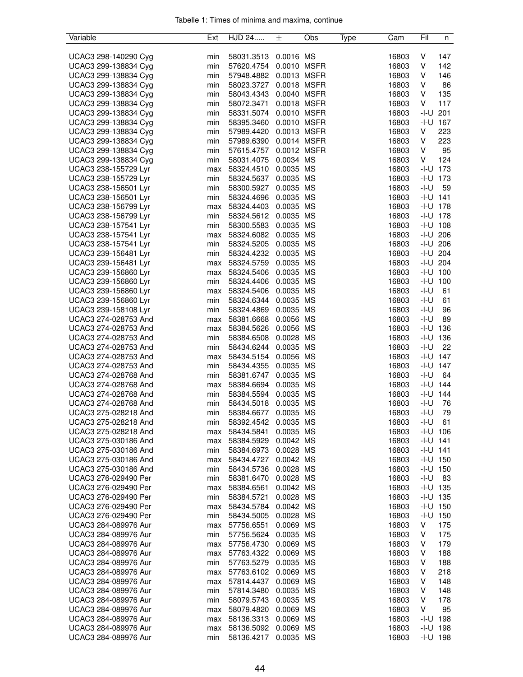| Variable             | Ext | HJD 24                 | 土           | Obs | Type | Cam   | Fil          | n            |
|----------------------|-----|------------------------|-------------|-----|------|-------|--------------|--------------|
|                      |     |                        |             |     |      |       |              |              |
| UCAC3 298-140290 Cyg | min | 58031.3513             | 0.0016 MS   |     |      | 16803 | V            | 147          |
| UCAC3 299-138834 Cyg | min | 57620.4754             | 0.0010 MSFR |     |      | 16803 | V            | 142          |
| UCAC3 299-138834 Cyg | min | 57948.4882             | 0.0013 MSFR |     |      | 16803 | V            | 146          |
| UCAC3 299-138834 Cyg | min | 58023.3727 0.0018 MSFR |             |     |      | 16803 | V            | 86           |
| UCAC3 299-138834 Cyg | min | 58043.4343             | 0.0040 MSFR |     |      | 16803 | V            | 135          |
| UCAC3 299-138834 Cyg | min | 58072.3471             | 0.0018 MSFR |     |      | 16803 | V            | 117          |
| UCAC3 299-138834 Cyg | min | 58331.5074             | 0.0010 MSFR |     |      | 16803 | -I-U         | 201          |
| UCAC3 299-138834 Cyg | min | 58395.3460             | 0.0010 MSFR |     |      | 16803 | -I-U         | 167          |
| UCAC3 299-138834 Cyg | min | 57989.4420             | 0.0013 MSFR |     |      | 16803 | V            | 223          |
| UCAC3 299-138834 Cyg | min | 57989.6390             | 0.0014 MSFR |     |      | 16803 | V            | 223          |
| UCAC3 299-138834 Cyg | min | 57615.4757             | 0.0012 MSFR |     |      | 16803 | V            | 95           |
| UCAC3 299-138834 Cyg | min | 58031.4075             | 0.0034 MS   |     |      | 16803 | V            | 124          |
| UCAC3 238-155729 Lyr | max | 58324.4510             | 0.0035 MS   |     |      | 16803 | -I-U         | 173          |
| UCAC3 238-155729 Lyr | min | 58324.5637             | 0.0035 MS   |     |      | 16803 | -I-U         | 173          |
| UCAC3 238-156501 Lyr | min | 58300.5927             | 0.0035 MS   |     |      | 16803 | -I-U         | 59           |
| UCAC3 238-156501 Lyr | min | 58324.4696             | 0.0035 MS   |     |      | 16803 | $-I-U$ 141   |              |
| UCAC3 238-156799 Lyr | max | 58324.4403             | 0.0035 MS   |     |      | 16803 | $-I-U$ 178   |              |
| UCAC3 238-156799 Lyr | min | 58324.5612             | 0.0035 MS   |     |      | 16803 |              | $-I-U$ 178   |
| UCAC3 238-157541 Lyr | min | 58300.5583             | 0.0035 MS   |     |      | 16803 |              | $-1 - U$ 108 |
| UCAC3 238-157541 Lyr | max | 58324.6082             | 0.0035 MS   |     |      | 16803 |              | $-I-U$ 206   |
| UCAC3 238-157541 Lyr | min | 58324.5205             | 0.0035 MS   |     |      | 16803 | -I-U         | 206          |
| UCAC3 239-156481 Lyr | min | 58324.4232             | 0.0035 MS   |     |      | 16803 | -I-U         | 204          |
| UCAC3 239-156481 Lyr | max | 58324.5759             | 0.0035 MS   |     |      | 16803 |              | $-1 - U$ 204 |
| UCAC3 239-156860 Lyr | max | 58324.5406             | 0.0035 MS   |     |      | 16803 | $-1 - U$ 100 |              |
| UCAC3 239-156860 Lyr | min | 58324.4406             | 0.0035 MS   |     |      | 16803 | $-1 - U$ 100 |              |
| UCAC3 239-156860 Lyr | max | 58324.5406             | 0.0035 MS   |     |      | 16803 | $-I-U$       | 61           |
| UCAC3 239-156860 Lyr | min | 58324.6344             | 0.0035 MS   |     |      | 16803 | $-I-U$       | 61           |
| UCAC3 239-158108 Lyr | min | 58324.4869             | 0.0035 MS   |     |      | 16803 | -I-U         | 96           |
| UCAC3 274-028753 And | max | 58381.6668             | 0.0056 MS   |     |      | 16803 | -I-U         | 89           |
| UCAC3 274-028753 And | max | 58384.5626             | 0.0056 MS   |     |      | 16803 |              | $-1 - U$ 136 |
| UCAC3 274-028753 And | min | 58384.6508             | 0.0028 MS   |     |      | 16803 |              | $-I-U$ 136   |
| UCAC3 274-028753 And | min | 58434.6244             | 0.0035 MS   |     |      | 16803 | $-I-U$       | 22           |
| UCAC3 274-028753 And | max | 58434.5154             | 0.0056 MS   |     |      | 16803 |              | $-1-U$ 147   |
| UCAC3 274-028753 And | min | 58434.4355             | 0.0035 MS   |     |      | 16803 |              | $-1 - U$ 147 |
| UCAC3 274-028768 And | min | 58381.6747             | 0.0035 MS   |     |      | 16803 | -I-U         | 64           |
| UCAC3 274-028768 And | max | 58384.6694             | 0.0035 MS   |     |      | 16803 |              | $-1 - U$ 144 |
| UCAC3 274-028768 And | min | 58384.5594             | 0.0035 MS   |     |      | 16803 | -I-U         | 144          |
| UCAC3 274-028768 And | min | 58434.5018             | 0.0035 MS   |     |      | 16803 | -I-U         | 76           |
| UCAC3 275-028218 And | min | 58384.6677             | 0.0035 MS   |     |      | 16803 | $-I-U$       | 79           |
| UCAC3 275-028218 And | min | 58392.4542             | 0.0035 MS   |     |      | 16803 | -l-U         | 61           |
| UCAC3 275-028218 And | max | 58434.5841             | 0.0035 MS   |     |      | 16803 |              | $-1 - U$ 106 |
| UCAC3 275-030186 And | max | 58384.5929             | 0.0042 MS   |     |      | 16803 | $-1-U$ 141   |              |
| UCAC3 275-030186 And | min | 58384.6973             | 0.0028 MS   |     |      | 16803 | $-1 - U$ 141 |              |
| UCAC3 275-030186 And | max | 58434.4727             | 0.0042 MS   |     |      | 16803 | $-I-U$ 150   |              |
| UCAC3 275-030186 And | min | 58434.5736             | 0.0028 MS   |     |      | 16803 | $-1 - U$ 150 |              |
| UCAC3 276-029490 Per | min | 58381.6470             | 0.0028 MS   |     |      | 16803 | -I-U         | 83           |
| UCAC3 276-029490 Per | max | 58384.6561             | 0.0042 MS   |     |      | 16803 |              | $-1 - U$ 135 |
| UCAC3 276-029490 Per | min | 58384.5721             | 0.0028 MS   |     |      | 16803 |              | $-1 - U$ 135 |
| UCAC3 276-029490 Per | max | 58434.5784             | 0.0042 MS   |     |      | 16803 |              | $-1 - U$ 150 |
| UCAC3 276-029490 Per | min | 58434.5005             | 0.0028 MS   |     |      | 16803 | $-I-U$ 150   |              |
| UCAC3 284-089976 Aur | max | 57756.6551             | 0.0069 MS   |     |      | 16803 | V            | 175          |
| UCAC3 284-089976 Aur | min | 57756.5624             | 0.0035 MS   |     |      | 16803 | V            | 175          |
| UCAC3 284-089976 Aur | max | 57756.4730             | 0.0069 MS   |     |      | 16803 | V            | 179          |
| UCAC3 284-089976 Aur | max | 57763.4322             | 0.0069 MS   |     |      | 16803 | V            | 188          |
| UCAC3 284-089976 Aur | min | 57763.5279             | 0.0035 MS   |     |      | 16803 | V            | 188          |
| UCAC3 284-089976 Aur | max | 57763.6102             | 0.0069 MS   |     |      | 16803 | V            | 218          |
| UCAC3 284-089976 Aur | max | 57814.4437             | 0.0069 MS   |     |      | 16803 | V            | 148          |
| UCAC3 284-089976 Aur | min | 57814.3480             | 0.0035 MS   |     |      | 16803 | V            | 148          |
| UCAC3 284-089976 Aur | min | 58079.5743             | 0.0035 MS   |     |      | 16803 | V            | 178          |
| UCAC3 284-089976 Aur | max | 58079.4820             | 0.0069 MS   |     |      | 16803 | V            | 95           |
| UCAC3 284-089976 Aur | max | 58136.3313             | 0.0069 MS   |     |      | 16803 |              | $-I-U$ 198   |
| UCAC3 284-089976 Aur | max | 58136.5092             | 0.0069 MS   |     |      | 16803 |              | $-I-U$ 198   |
| UCAC3 284-089976 Aur | min | 58136.4217             | 0.0035 MS   |     |      | 16803 |              | $-I-U$ 198   |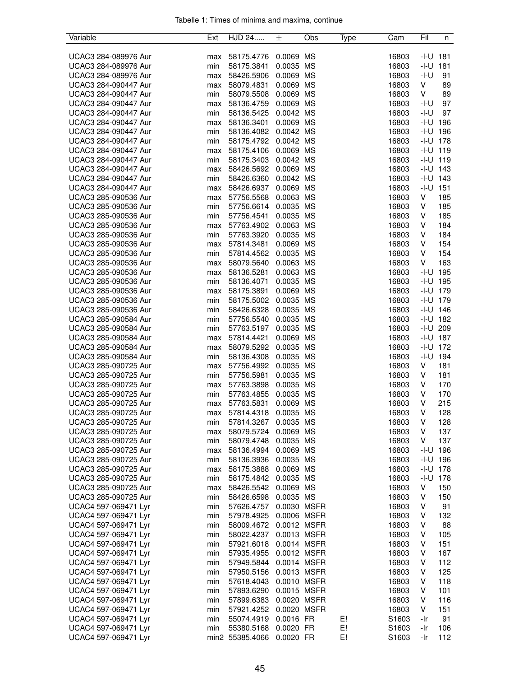| Variable             | Ext | HJD 24          | 土           | Obs       | Type | Cam   | Fil          | n   |
|----------------------|-----|-----------------|-------------|-----------|------|-------|--------------|-----|
|                      |     |                 |             |           |      |       |              |     |
| UCAC3 284-089976 Aur | max | 58175.4776      | 0.0069 MS   |           |      | 16803 | $-I-U$ 181   |     |
| UCAC3 284-089976 Aur | min | 58175.3841      | 0.0035 MS   |           |      | 16803 | -I-U         | 181 |
| UCAC3 284-089976 Aur | max | 58426.5906      | 0.0069 MS   |           |      | 16803 | $-I-U$       | 91  |
| UCAC3 284-090447 Aur | max | 58079.4831      | 0.0069 MS   |           |      | 16803 | V            | 89  |
| UCAC3 284-090447 Aur | min | 58079.5508      | 0.0069      | <b>MS</b> |      | 16803 | V            | 89  |
| UCAC3 284-090447 Aur | max | 58136.4759      | 0.0069 MS   |           |      | 16803 | -I-U         | 97  |
| UCAC3 284-090447 Aur | min | 58136.5425      | 0.0042 MS   |           |      | 16803 | -I-U         | 97  |
| UCAC3 284-090447 Aur | max | 58136.3401      | 0.0069 MS   |           |      | 16803 | $-I-U$ 196   |     |
| UCAC3 284-090447 Aur | min | 58136.4082      | 0.0042 MS   |           |      | 16803 | $-I-U$ 196   |     |
|                      |     | 58175.4792      | 0.0042 MS   |           |      |       |              |     |
| UCAC3 284-090447 Aur | min |                 |             |           |      | 16803 | -I-U         | 178 |
| UCAC3 284-090447 Aur | max | 58175.4106      | 0.0069 MS   |           |      | 16803 | $-1 - U$ 119 |     |
| UCAC3 284-090447 Aur | min | 58175.3403      | 0.0042 MS   |           |      | 16803 | $-I-U$ 119   |     |
| UCAC3 284-090447 Aur | max | 58426.5692      | 0.0069 MS   |           |      | 16803 | $-1 - U$ 143 |     |
| UCAC3 284-090447 Aur | min | 58426.6360      | 0.0042 MS   |           |      | 16803 | -I-U         | 143 |
| UCAC3 284-090447 Aur | max | 58426.6937      | 0.0069 MS   |           |      | 16803 | -I-U         | 151 |
| UCAC3 285-090536 Aur | max | 57756.5568      | 0.0063 MS   |           |      | 16803 | V            | 185 |
| UCAC3 285-090536 Aur | min | 57756.6614      | 0.0035 MS   |           |      | 16803 | V            | 185 |
| UCAC3 285-090536 Aur | min | 57756.4541      | 0.0035 MS   |           |      | 16803 | V            | 185 |
| UCAC3 285-090536 Aur | max | 57763.4902      | 0.0063 MS   |           |      | 16803 | V            | 184 |
| UCAC3 285-090536 Aur | min | 57763.3920      | 0.0035 MS   |           |      | 16803 | V            | 184 |
| UCAC3 285-090536 Aur | max | 57814.3481      | 0.0069 MS   |           |      | 16803 | V            | 154 |
| UCAC3 285-090536 Aur | min | 57814.4562      | 0.0035 MS   |           |      | 16803 | V            | 154 |
| UCAC3 285-090536 Aur |     |                 | 0.0063 MS   |           |      | 16803 | V            | 163 |
|                      | max | 58079.5640      |             |           |      |       |              |     |
| UCAC3 285-090536 Aur | max | 58136.5281      | 0.0063 MS   |           |      | 16803 | -I-U         | 195 |
| UCAC3 285-090536 Aur | min | 58136.4071      | 0.0035 MS   |           |      | 16803 | -I-U         | 195 |
| UCAC3 285-090536 Aur | max | 58175.3891      | 0.0069 MS   |           |      | 16803 | -I-U 179     |     |
| UCAC3 285-090536 Aur | min | 58175.5002      | 0.0035 MS   |           |      | 16803 | -I-U         | 179 |
| UCAC3 285-090536 Aur | min | 58426.6328      | 0.0035 MS   |           |      | 16803 | -I-U         | 146 |
| UCAC3 285-090584 Aur | min | 57756.5540      | 0.0035 MS   |           |      | 16803 | $-1 - U$ 182 |     |
| UCAC3 285-090584 Aur | min | 57763.5197      | 0.0035 MS   |           |      | 16803 | -I-U 209     |     |
| UCAC3 285-090584 Aur | max | 57814.4421      | 0.0069 MS   |           |      | 16803 | $-I-U$ 187   |     |
| UCAC3 285-090584 Aur | max | 58079.5292      | 0.0035 MS   |           |      | 16803 | $-1 - U$ 172 |     |
| UCAC3 285-090584 Aur | min | 58136.4308      | 0.0035 MS   |           |      | 16803 | $-I-U$       | 194 |
| UCAC3 285-090725 Aur | max | 57756.4992      | 0.0035 MS   |           |      | 16803 | V            | 181 |
| UCAC3 285-090725 Aur | min | 57756.5981      | 0.0035 MS   |           |      | 16803 | V            | 181 |
| UCAC3 285-090725 Aur | max | 57763.3898      | 0.0035 MS   |           |      | 16803 | V            | 170 |
| UCAC3 285-090725 Aur | min | 57763.4855      | 0.0035 MS   |           |      | 16803 | V            | 170 |
| UCAC3 285-090725 Aur | max | 57763.5831      | 0.0069 MS   |           |      | 16803 | V            | 215 |
| UCAC3 285-090725 Aur |     | 57814.4318      | 0.0035 MS   |           |      | 16803 | V            | 128 |
|                      | max |                 |             |           |      |       |              |     |
| UCAC3 285-090725 Aur | min | 57814.3267      | 0.0035 MS   |           |      | 16803 | V            | 128 |
| UCAC3 285-090725 Aur | max | 58079.5724      | 0.0069 MS   |           |      | 16803 | V            | 137 |
| UCAC3 285-090725 Aur | min | 58079.4748      | 0.0035 MS   |           |      | 16803 | V            | 137 |
| UCAC3 285-090725 Aur | max | 58136.4994      | 0.0069 MS   |           |      | 16803 | $-I-U$ 196   |     |
| UCAC3 285-090725 Aur | min | 58136.3936      | 0.0035 MS   |           |      | 16803 | $-I-U$ 196   |     |
| UCAC3 285-090725 Aur | max | 58175.3888      | 0.0069 MS   |           |      | 16803 | -I-U         | 178 |
| UCAC3 285-090725 Aur | min | 58175.4842      | 0.0035 MS   |           |      | 16803 | -I-U         | 178 |
| UCAC3 285-090725 Aur | max | 58426.5542      | 0.0069 MS   |           |      | 16803 | V            | 150 |
| UCAC3 285-090725 Aur | min | 58426.6598      | 0.0035 MS   |           |      | 16803 | V            | 150 |
| UCAC4 597-069471 Lyr | min | 57626.4757      | 0.0030 MSFR |           |      | 16803 | V            | 91  |
| UCAC4 597-069471 Lyr | min | 57978.4925      | 0.0006 MSFR |           |      | 16803 | V            | 132 |
| UCAC4 597-069471 Lyr | min | 58009.4672      | 0.0012 MSFR |           |      | 16803 | V            | 88  |
| UCAC4 597-069471 Lyr | min | 58022.4237      | 0.0013 MSFR |           |      | 16803 | V            | 105 |
| UCAC4 597-069471 Lyr | min | 57921.6018      | 0.0014 MSFR |           |      | 16803 | V            | 151 |
| UCAC4 597-069471 Lyr | min | 57935.4955      | 0.0012 MSFR |           |      | 16803 | V            | 167 |
|                      |     |                 |             |           |      |       | V            | 112 |
| UCAC4 597-069471 Lyr | min | 57949.5844      | 0.0014 MSFR |           |      | 16803 |              |     |
| UCAC4 597-069471 Lyr | min | 57950.5156      | 0.0013 MSFR |           |      | 16803 | V            | 125 |
| UCAC4 597-069471 Lyr | min | 57618.4043      | 0.0010 MSFR |           |      | 16803 | V            | 118 |
| UCAC4 597-069471 Lyr | min | 57893.6290      | 0.0015 MSFR |           |      | 16803 | V            | 101 |
| UCAC4 597-069471 Lyr | min | 57899.6383      | 0.0020 MSFR |           |      | 16803 | V            | 116 |
| UCAC4 597-069471 Lyr | min | 57921.4252      | 0.0020 MSFR |           |      | 16803 | V            | 151 |
| UCAC4 597-069471 Lyr | min | 55074.4919      | 0.0016 FR   |           | E!   | S1603 | -Ir          | 91  |
| UCAC4 597-069471 Lyr | min | 55380.5168      | 0.0020 FR   |           | E!   | S1603 | -Ir          | 106 |
| UCAC4 597-069471 Lyr |     | min2 55385.4066 | 0.0020 FR   |           | E!   | S1603 | -Ir          | 112 |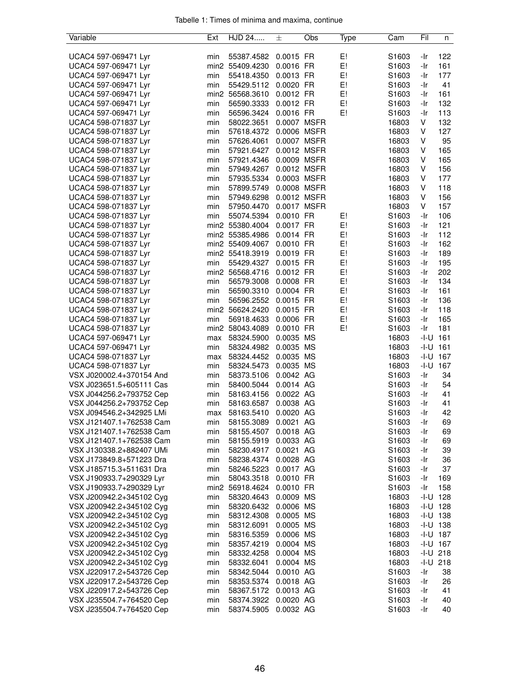| Variable                 | Ext | HJD 24                   | 士           | Obs | Type | Cam               | Fil    | n            |
|--------------------------|-----|--------------------------|-------------|-----|------|-------------------|--------|--------------|
|                          |     |                          |             |     |      |                   |        |              |
| UCAC4 597-069471 Lyr     | min | 55387.4582               | 0.0015 FR   |     | E!   | S1603             | -Ir    | 122          |
| UCAC4 597-069471 Lyr     |     | min2 55409.4230          | 0.0016 FR   |     | E!   | S1603             | -Ir    | 161          |
| UCAC4 597-069471 Lyr     | min | 55418.4350               | 0.0013 FR   |     | E!   | S1603             | -Ir    | 177          |
| UCAC4 597-069471 Lyr     | min | 55429.5112               | 0.0020 FR   |     | E!   | S1603             | -Ir    | 41           |
| UCAC4 597-069471 Lyr     |     | min2 56568.3610          | 0.0012 FR   |     | E!   | S <sub>1603</sub> | -Ir    | 161          |
| UCAC4 597-069471 Lyr     | min | 56590.3333               | 0.0012 FR   |     | E!   | S1603             | -Ir    | 132          |
| UCAC4 597-069471 Lyr     | min | 56596.3424               | 0.0016 FR   |     | E!   | S <sub>1603</sub> | -Ir    | 113          |
| UCAC4 598-071837 Lyr     | min | 58022.3651               | 0.0007 MSFR |     |      | 16803             | V      | 132          |
| UCAC4 598-071837 Lyr     | min | 57618.4372               | 0.0006 MSFR |     |      | 16803             | V      | 127          |
| UCAC4 598-071837 Lyr     | min | 57626.4061               | 0.0007 MSFR |     |      | 16803             | V      | 95           |
| UCAC4 598-071837 Lyr     | min | 57921.6427               | 0.0012 MSFR |     |      | 16803             | V      | 165          |
| UCAC4 598-071837 Lyr     | min | 57921.4346               | 0.0009 MSFR |     |      | 16803             | V      | 165          |
| UCAC4 598-071837 Lyr     | min | 57949.4267               | 0.0012 MSFR |     |      | 16803             | V      | 156          |
| UCAC4 598-071837 Lyr     | min | 57935.5334               | 0.0003 MSFR |     |      | 16803             | V      | 177          |
| UCAC4 598-071837 Lyr     | min | 57899.5749               | 0.0008 MSFR |     |      | 16803             | V      | 118          |
|                          | min |                          | 0.0012 MSFR |     |      |                   | V      | 156          |
| UCAC4 598-071837 Lyr     |     | 57949.6298               |             |     |      | 16803             |        |              |
| UCAC4 598-071837 Lyr     | min | 57950.4470               | 0.0017 MSFR |     |      | 16803             | V      | 157          |
| UCAC4 598-071837 Lyr     | min | 55074.5394               | 0.0010 FR   |     | E!   | S1603             | -Ir    | 106          |
| UCAC4 598-071837 Lyr     |     | min2 55380.4004          | 0.0017 FR   |     | E!   | S1603             | -Ir    | 121          |
| UCAC4 598-071837 Lyr     |     | min2 55385.4986          | 0.0014 FR   |     | E!   | S1603             | -Ir    | 112          |
| UCAC4 598-071837 Lyr     |     | min2 55409.4067          | 0.0010 FR   |     | E!   | S1603             | -Ir    | 162          |
| UCAC4 598-071837 Lyr     |     | min2 55418.3919          | 0.0019 FR   |     | E!   | S <sub>1603</sub> | -Ir    | 189          |
| UCAC4 598-071837 Lyr     | min | 55429.4327               | 0.0015 FR   |     | E!   | S1603             | -Ir    | 195          |
| UCAC4 598-071837 Lyr     |     | min2 56568.4716          | 0.0012 FR   |     | E!   | S1603             | -Ir    | 202          |
| UCAC4 598-071837 Lyr     | min | 56579.3008               | 0.0008 FR   |     | E!   | S1603             | -Ir    | 134          |
| UCAC4 598-071837 Lyr     | min | 56590.3310               | 0.0004 FR   |     | E!   | S1603             | -Ir    | 161          |
| UCAC4 598-071837 Lyr     | min | 56596.2552               | 0.0015 FR   |     | E!   | S1603             | -Ir    | 136          |
| UCAC4 598-071837 Lyr     |     | min2 56624.2420          | 0.0015 FR   |     | E!   | S <sub>1603</sub> | -Ir    | 118          |
| UCAC4 598-071837 Lyr     | min | 56918.4633               | 0.0006 FR   |     | E!   | S1603             | -Ir    | 165          |
| UCAC4 598-071837 Lyr     |     | min2 58043.4089          | 0.0010 FR   |     | E!   | S <sub>1603</sub> | -Ir    | 181          |
| UCAC4 597-069471 Lyr     | max | 58324.5900               | 0.0035 MS   |     |      | 16803             | -I-U   | 161          |
| UCAC4 597-069471 Lyr     | min | 58324.4982               | 0.0035 MS   |     |      | 16803             | $-I-U$ | 161          |
| UCAC4 598-071837 Lyr     | max | 58324.4452               | 0.0035 MS   |     |      | 16803             | $-I-U$ | 167          |
| UCAC4 598-071837 Lyr     | min | 58324.5473               | 0.0035 MS   |     |      | 16803             | $-I-U$ | 167          |
| VSX J020002.4+370154 And | min | 58373.5106               | 0.0042 AG   |     |      | S1603             | -Ir    | 34           |
| VSX J023651.5+605111 Cas | min | 58400.5044               | 0.0014 AG   |     |      | S1603             | -Ir    | 54           |
| VSX J044256.2+793752 Cep | min | 58163.4156               | 0.0022 AG   |     |      | S1603             | -Ir    | 41           |
| VSX J044256.2+793752 Cep | min | 58163.6587               | 0.0038 AG   |     |      | S1603             | -Ir    | 41           |
| VSX J094546.2+342925 LMi | max | 58163.5410               | 0.0020 AG   |     |      | S1603             | -Ir    | 42           |
| VSX J121407.1+762538 Cam | min | 58155.3089               | 0.0021 AG   |     |      | S1603             | -Ir    | 69           |
| VSX J121407.1+762538 Cam | min | 58155.4507               | 0.0018 AG   |     |      | S1603             | -Ir    | 69           |
| VSX J121407.1+762538 Cam | min | 58155.5919               | 0.0033 AG   |     |      | S1603             | -Ir    | 69           |
| VSX J130338.2+882407 UMi | min | 58230.4917 0.0021 AG     |             |     |      | S1603             | -Ir    | 39           |
| VSX J173849.8+571223 Dra | min | 58238.4374 0.0028 AG     |             |     |      | S1603             | -Ir    | 36           |
| VSX J185715.3+511631 Dra | min | 58246.5223               | 0.0017 AG   |     |      | S1603             | -Ir    | 37           |
| VSX J190933.7+290329 Lyr | min | 58043.3518               | 0.0010 FR   |     |      | S1603             | -Ir    | 169          |
| VSX J190933.7+290329 Lyr |     | min2 56918.4624          | 0.0010 FR   |     |      | S1603             | -Ir    | 158          |
| VSX J200942.2+345102 Cyg | min | 58320.4643               | 0.0009 MS   |     |      | 16803             |        | $-1 - U$ 128 |
| VSX J200942.2+345102 Cyg | min | 58320.6432 0.0006 MS     |             |     |      | 16803             |        | $-1 - U$ 128 |
| VSX J200942.2+345102 Cyg | min | 58312.4308               | 0.0005 MS   |     |      | 16803             |        | $-1 - U$ 138 |
| VSX J200942.2+345102 Cyg | min | 58312.6091               | 0.0005 MS   |     |      | 16803             |        | $-1 - U$ 138 |
| VSX J200942.2+345102 Cyg | min |                          | 0.0006 MS   |     |      | 16803             |        | $-I-U$ 187   |
| VSX J200942.2+345102 Cyg | min | 58316.5359<br>58357.4219 | 0.0004 MS   |     |      | 16803             |        | $-I-U$ 167   |
|                          |     |                          |             |     |      |                   |        |              |
| VSX J200942.2+345102 Cyg | min | 58332.4258               | 0.0004 MS   |     |      | 16803             |        | $-1 - U$ 218 |
| VSX J200942.2+345102 Cyg | min | 58332.6041               | 0.0004 MS   |     |      | 16803             |        | $-1 - U$ 218 |
| VSX J220917.2+543726 Cep | min | 58342.5044 0.0010 AG     |             |     |      | S1603             | -Ir    | 38           |
| VSX J220917.2+543726 Cep | min | 58353.5374 0.0018 AG     |             |     |      | S <sub>1603</sub> | -Ir    | 26           |
| VSX J220917.2+543726 Cep | min | 58367.5172 0.0013 AG     |             |     |      | S1603             | -Ir    | 41           |
| VSX J235504.7+764520 Cep | min | 58374.3922               | 0.0020 AG   |     |      | S1603             | -Ir    | 40           |
| VSX J235504.7+764520 Cep | min | 58374.5905               | 0.0032 AG   |     |      | S1603             | -Ir    | 40           |